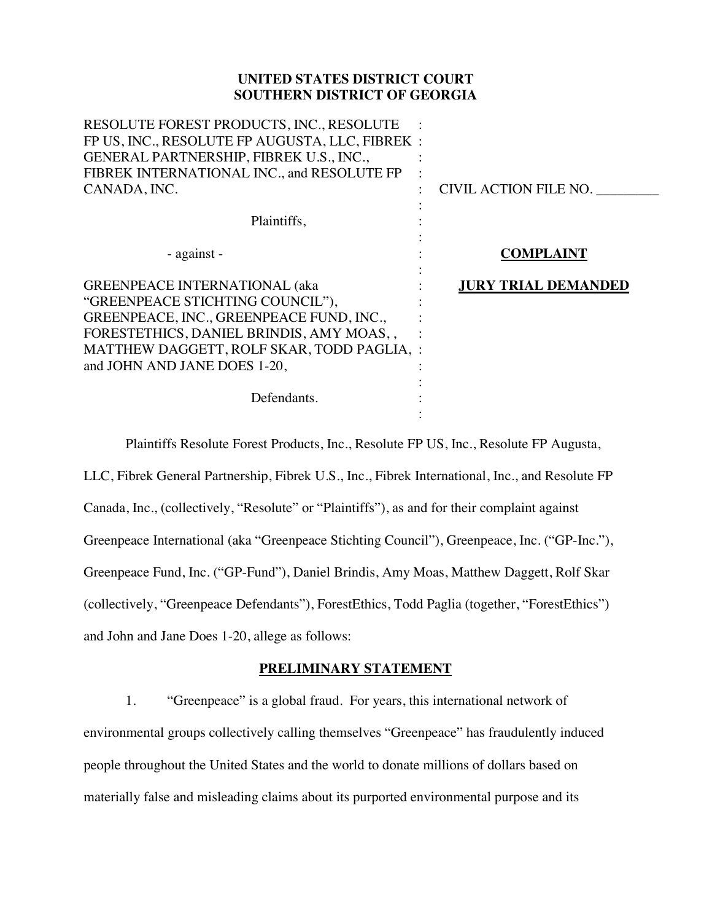## **UNITED STATES DISTRICT COURT SOUTHERN DISTRICT OF GEORGIA**

| RESOLUTE FOREST PRODUCTS, INC., RESOLUTE<br>FP US, INC., RESOLUTE FP AUGUSTA, LLC, FIBREK :<br>GENERAL PARTNERSHIP, FIBREK U.S., INC.,<br>FIBREK INTERNATIONAL INC., and RESOLUTE FP<br>CANADA, INC.                                                          | CIVIL ACTION FILE NO. |
|---------------------------------------------------------------------------------------------------------------------------------------------------------------------------------------------------------------------------------------------------------------|-----------------------|
| Plaintiffs,                                                                                                                                                                                                                                                   |                       |
| - against -                                                                                                                                                                                                                                                   | <b>COMPLAINT</b>      |
| <b>GREENPEACE INTERNATIONAL (aka</b><br>"GREENPEACE STICHTING COUNCIL"),<br>GREENPEACE, INC., GREENPEACE FUND, INC.,<br>FORESTETHICS, DANIEL BRINDIS, AMY MOAS,,<br>MATTHEW DAGGETT, ROLF SKAR, TODD PAGLIA, :<br>and JOHN AND JANE DOES 1-20,<br>Defendants. | JURY TRIAL DEMANDED   |

Plaintiffs Resolute Forest Products, Inc., Resolute FP US, Inc., Resolute FP Augusta,

LLC, Fibrek General Partnership, Fibrek U.S., Inc., Fibrek International, Inc., and Resolute FP Canada, Inc., (collectively, "Resolute" or "Plaintiffs"), as and for their complaint against Greenpeace International (aka "Greenpeace Stichting Council"), Greenpeace, Inc. ("GP-Inc."), Greenpeace Fund, Inc. ("GP-Fund"), Daniel Brindis, Amy Moas, Matthew Daggett, Rolf Skar (collectively, "Greenpeace Defendants"), ForestEthics, Todd Paglia (together, "ForestEthics") and John and Jane Does 1-20, allege as follows:

# **PRELIMINARY STATEMENT**

1. "Greenpeace" is a global fraud. For years, this international network of environmental groups collectively calling themselves "Greenpeace" has fraudulently induced people throughout the United States and the world to donate millions of dollars based on materially false and misleading claims about its purported environmental purpose and its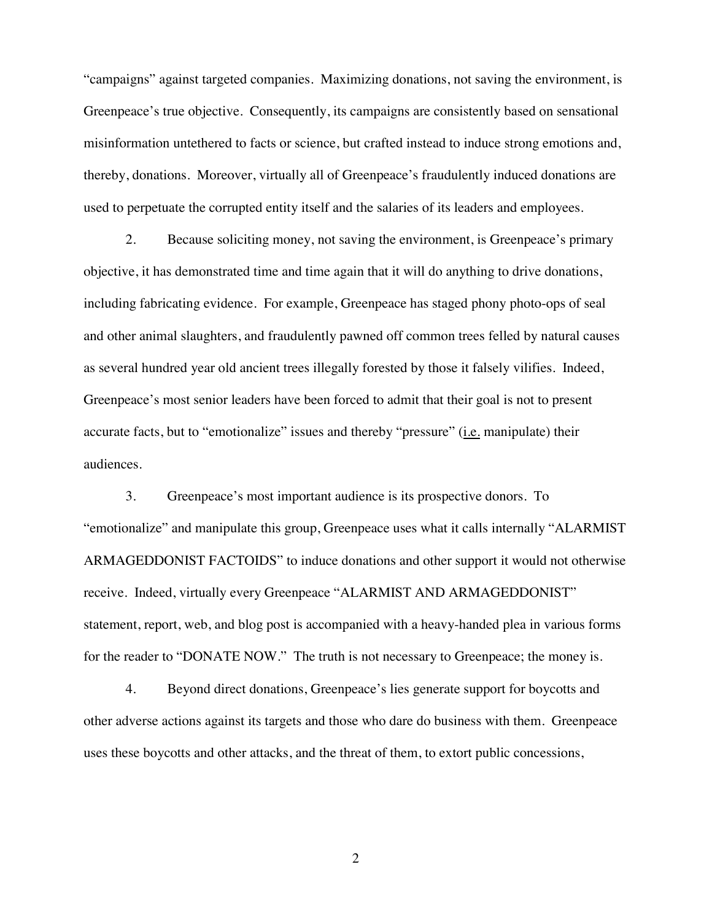"campaigns" against targeted companies. Maximizing donations, not saving the environment, is Greenpeace's true objective. Consequently, its campaigns are consistently based on sensational misinformation untethered to facts or science, but crafted instead to induce strong emotions and, thereby, donations. Moreover, virtually all of Greenpeace's fraudulently induced donations are used to perpetuate the corrupted entity itself and the salaries of its leaders and employees.

2. Because soliciting money, not saving the environment, is Greenpeace's primary objective, it has demonstrated time and time again that it will do anything to drive donations, including fabricating evidence. For example, Greenpeace has staged phony photo-ops of seal and other animal slaughters, and fraudulently pawned off common trees felled by natural causes as several hundred year old ancient trees illegally forested by those it falsely vilifies. Indeed, Greenpeace's most senior leaders have been forced to admit that their goal is not to present accurate facts, but to "emotionalize" issues and thereby "pressure" (i.e. manipulate) their audiences.

3. Greenpeace's most important audience is its prospective donors. To "emotionalize" and manipulate this group, Greenpeace uses what it calls internally "ALARMIST ARMAGEDDONIST FACTOIDS" to induce donations and other support it would not otherwise receive. Indeed, virtually every Greenpeace "ALARMIST AND ARMAGEDDONIST" statement, report, web, and blog post is accompanied with a heavy-handed plea in various forms for the reader to "DONATE NOW." The truth is not necessary to Greenpeace; the money is.

4. Beyond direct donations, Greenpeace's lies generate support for boycotts and other adverse actions against its targets and those who dare do business with them. Greenpeace uses these boycotts and other attacks, and the threat of them, to extort public concessions,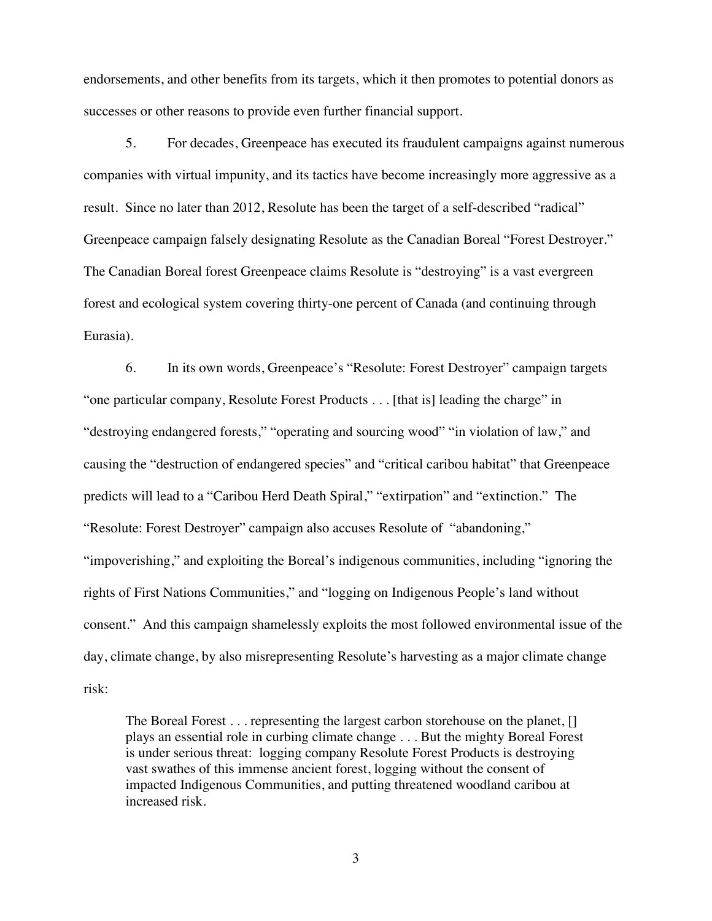endorsements, and other benefits from its targets, which it then promotes to potential donors as successes or other reasons to provide even further financial support.

5. For decades, Greenpeace has executed its fraudulent campaigns against numerous companies with virtual impunity, and its tactics have become increasingly more aggressive as a result. Since no later than 2012, Resolute has been the target of a self-described "radical" Greenpeace campaign falsely designating Resolute as the Canadian Boreal "Forest Destroyer." The Canadian Boreal forest Greenpeace claims Resolute is "destroying" is a vast evergreen forest and ecological system covering thirty-one percent of Canada (and continuing through Eurasia).

6. In its own words, Greenpeace's "Resolute: Forest Destroyer" campaign targets "one particular company, Resolute Forest Products . . . [that is] leading the charge" in "destroying endangered forests," "operating and sourcing wood" "in violation of law," and causing the "destruction of endangered species" and "critical caribou habitat" that Greenpeace predicts will lead to a "Caribou Herd Death Spiral," "extirpation" and "extinction." The "Resolute: Forest Destroyer" campaign also accuses Resolute of "abandoning," "impoverishing," and exploiting the Boreal's indigenous communities, including "ignoring the rights of First Nations Communities," and "logging on Indigenous People's land without consent." And this campaign shamelessly exploits the most followed environmental issue of the day, climate change, by also misrepresenting Resolute's harvesting as a major climate change risk:

The Boreal Forest . . . representing the largest carbon storehouse on the planet, [] plays an essential role in curbing climate change . . . But the mighty Boreal Forest is under serious threat: logging company Resolute Forest Products is destroying vast swathes of this immense ancient forest, logging without the consent of impacted Indigenous Communities, and putting threatened woodland caribou at increased risk.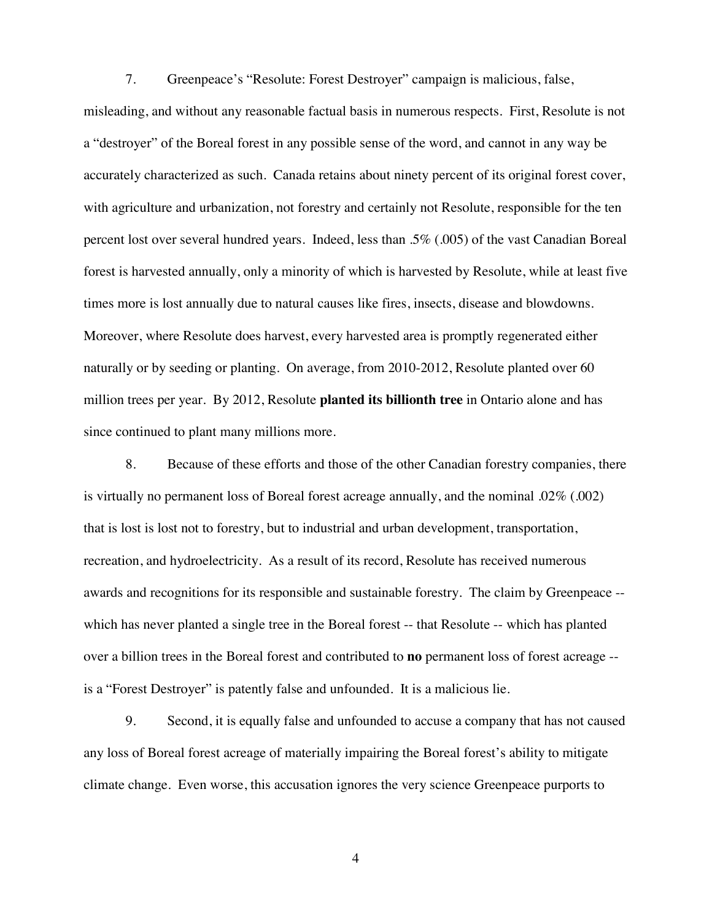7. Greenpeace's "Resolute: Forest Destroyer" campaign is malicious, false, misleading, and without any reasonable factual basis in numerous respects. First, Resolute is not a "destroyer" of the Boreal forest in any possible sense of the word, and cannot in any way be accurately characterized as such. Canada retains about ninety percent of its original forest cover, with agriculture and urbanization, not forestry and certainly not Resolute, responsible for the ten percent lost over several hundred years. Indeed, less than .5% (.005) of the vast Canadian Boreal forest is harvested annually, only a minority of which is harvested by Resolute, while at least five times more is lost annually due to natural causes like fires, insects, disease and blowdowns. Moreover, where Resolute does harvest, every harvested area is promptly regenerated either naturally or by seeding or planting. On average, from 2010-2012, Resolute planted over 60 million trees per year. By 2012, Resolute **planted its billionth tree** in Ontario alone and has since continued to plant many millions more.

8. Because of these efforts and those of the other Canadian forestry companies, there is virtually no permanent loss of Boreal forest acreage annually, and the nominal .02% (.002) that is lost is lost not to forestry, but to industrial and urban development, transportation, recreation, and hydroelectricity. As a result of its record, Resolute has received numerous awards and recognitions for its responsible and sustainable forestry. The claim by Greenpeace - which has never planted a single tree in the Boreal forest -- that Resolute -- which has planted over a billion trees in the Boreal forest and contributed to **no** permanent loss of forest acreage - is a "Forest Destroyer" is patently false and unfounded. It is a malicious lie.

9. Second, it is equally false and unfounded to accuse a company that has not caused any loss of Boreal forest acreage of materially impairing the Boreal forest's ability to mitigate climate change. Even worse, this accusation ignores the very science Greenpeace purports to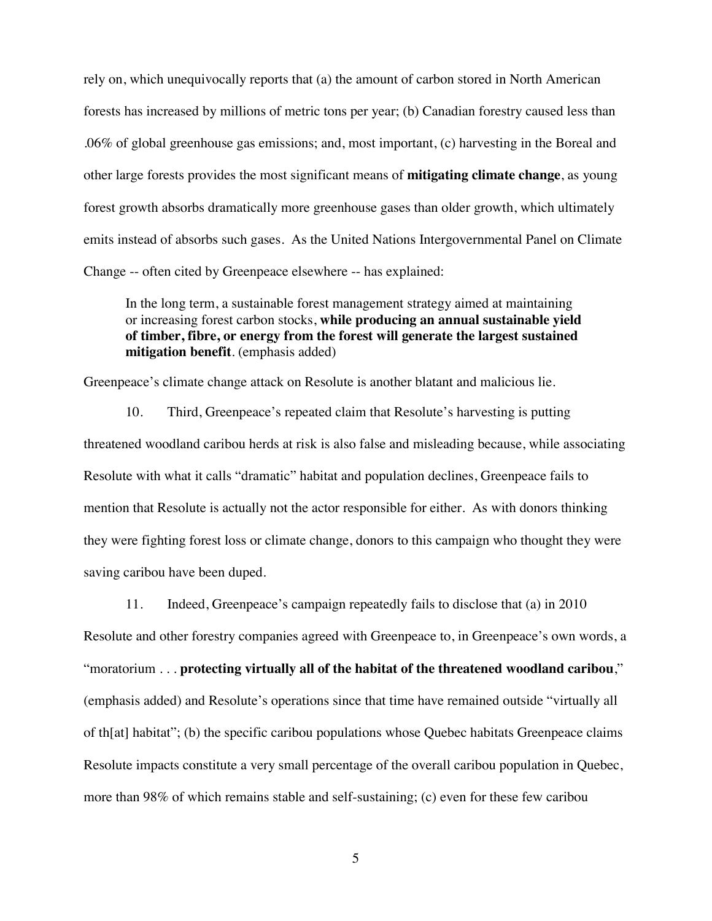rely on, which unequivocally reports that (a) the amount of carbon stored in North American forests has increased by millions of metric tons per year; (b) Canadian forestry caused less than .06% of global greenhouse gas emissions; and, most important, (c) harvesting in the Boreal and other large forests provides the most significant means of **mitigating climate change**, as young forest growth absorbs dramatically more greenhouse gases than older growth, which ultimately emits instead of absorbs such gases. As the United Nations Intergovernmental Panel on Climate Change -- often cited by Greenpeace elsewhere -- has explained:

In the long term, a sustainable forest management strategy aimed at maintaining or increasing forest carbon stocks, **while producing an annual sustainable yield of timber, fibre, or energy from the forest will generate the largest sustained mitigation benefit**. (emphasis added)

Greenpeace's climate change attack on Resolute is another blatant and malicious lie.

10. Third, Greenpeace's repeated claim that Resolute's harvesting is putting threatened woodland caribou herds at risk is also false and misleading because, while associating Resolute with what it calls "dramatic" habitat and population declines, Greenpeace fails to mention that Resolute is actually not the actor responsible for either. As with donors thinking they were fighting forest loss or climate change, donors to this campaign who thought they were saving caribou have been duped.

11. Indeed, Greenpeace's campaign repeatedly fails to disclose that (a) in 2010 Resolute and other forestry companies agreed with Greenpeace to, in Greenpeace's own words, a "moratorium . . . **protecting virtually all of the habitat of the threatened woodland caribou**," (emphasis added) and Resolute's operations since that time have remained outside "virtually all of th[at] habitat"; (b) the specific caribou populations whose Quebec habitats Greenpeace claims Resolute impacts constitute a very small percentage of the overall caribou population in Quebec, more than 98% of which remains stable and self-sustaining; (c) even for these few caribou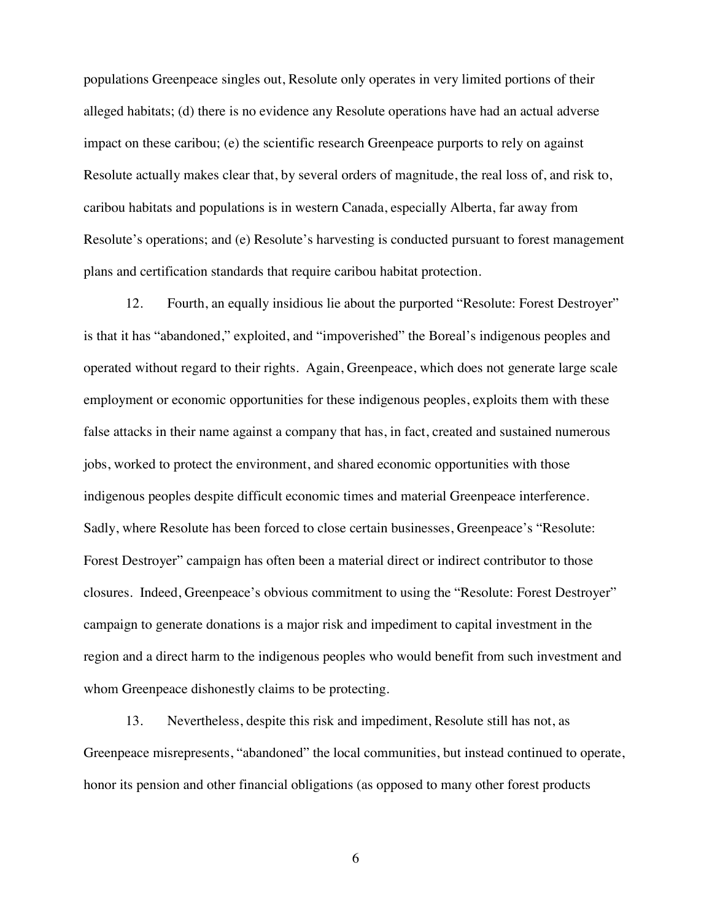populations Greenpeace singles out, Resolute only operates in very limited portions of their alleged habitats; (d) there is no evidence any Resolute operations have had an actual adverse impact on these caribou; (e) the scientific research Greenpeace purports to rely on against Resolute actually makes clear that, by several orders of magnitude, the real loss of, and risk to, caribou habitats and populations is in western Canada, especially Alberta, far away from Resolute's operations; and (e) Resolute's harvesting is conducted pursuant to forest management plans and certification standards that require caribou habitat protection.

12. Fourth, an equally insidious lie about the purported "Resolute: Forest Destroyer" is that it has "abandoned," exploited, and "impoverished" the Boreal's indigenous peoples and operated without regard to their rights. Again, Greenpeace, which does not generate large scale employment or economic opportunities for these indigenous peoples, exploits them with these false attacks in their name against a company that has, in fact, created and sustained numerous jobs, worked to protect the environment, and shared economic opportunities with those indigenous peoples despite difficult economic times and material Greenpeace interference. Sadly, where Resolute has been forced to close certain businesses, Greenpeace's "Resolute: Forest Destroyer" campaign has often been a material direct or indirect contributor to those closures. Indeed, Greenpeace's obvious commitment to using the "Resolute: Forest Destroyer" campaign to generate donations is a major risk and impediment to capital investment in the region and a direct harm to the indigenous peoples who would benefit from such investment and whom Greenpeace dishonestly claims to be protecting.

13. Nevertheless, despite this risk and impediment, Resolute still has not, as Greenpeace misrepresents, "abandoned" the local communities, but instead continued to operate, honor its pension and other financial obligations (as opposed to many other forest products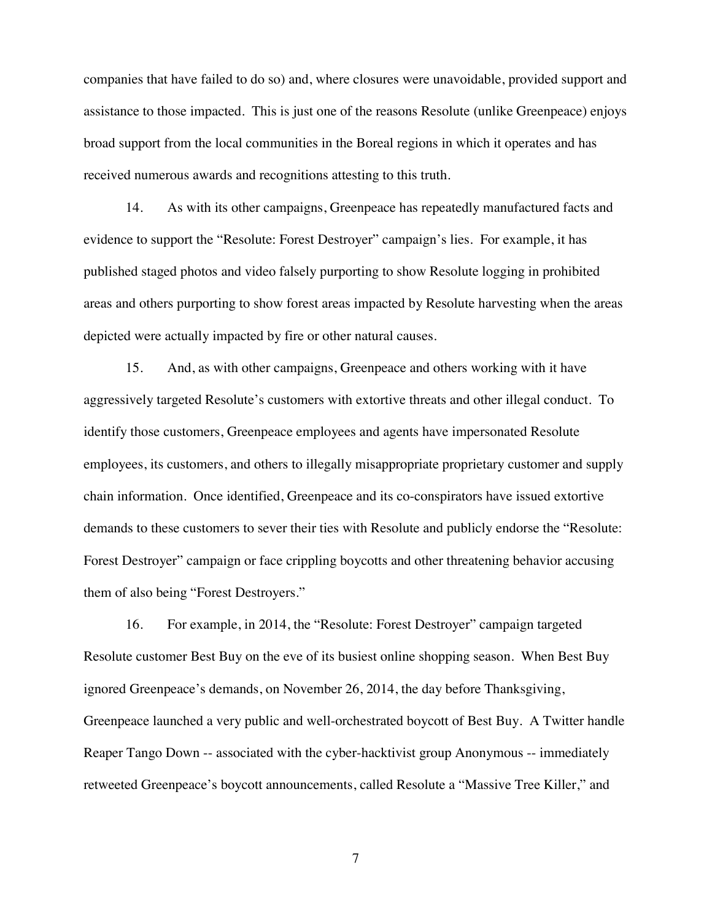companies that have failed to do so) and, where closures were unavoidable, provided support and assistance to those impacted. This is just one of the reasons Resolute (unlike Greenpeace) enjoys broad support from the local communities in the Boreal regions in which it operates and has received numerous awards and recognitions attesting to this truth.

14. As with its other campaigns, Greenpeace has repeatedly manufactured facts and evidence to support the "Resolute: Forest Destroyer" campaign's lies. For example, it has published staged photos and video falsely purporting to show Resolute logging in prohibited areas and others purporting to show forest areas impacted by Resolute harvesting when the areas depicted were actually impacted by fire or other natural causes.

15. And, as with other campaigns, Greenpeace and others working with it have aggressively targeted Resolute's customers with extortive threats and other illegal conduct. To identify those customers, Greenpeace employees and agents have impersonated Resolute employees, its customers, and others to illegally misappropriate proprietary customer and supply chain information. Once identified, Greenpeace and its co-conspirators have issued extortive demands to these customers to sever their ties with Resolute and publicly endorse the "Resolute: Forest Destroyer" campaign or face crippling boycotts and other threatening behavior accusing them of also being "Forest Destroyers."

16. For example, in 2014, the "Resolute: Forest Destroyer" campaign targeted Resolute customer Best Buy on the eve of its busiest online shopping season. When Best Buy ignored Greenpeace's demands, on November 26, 2014, the day before Thanksgiving, Greenpeace launched a very public and well-orchestrated boycott of Best Buy. A Twitter handle Reaper Tango Down -- associated with the cyber-hacktivist group Anonymous -- immediately retweeted Greenpeace's boycott announcements, called Resolute a "Massive Tree Killer," and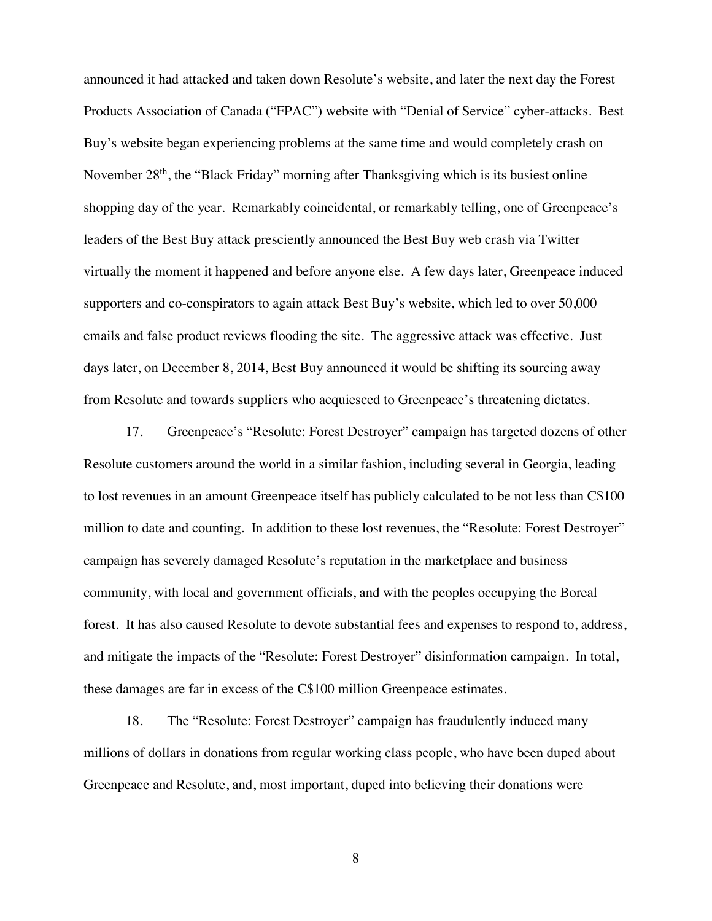announced it had attacked and taken down Resolute's website, and later the next day the Forest Products Association of Canada ("FPAC") website with "Denial of Service" cyber-attacks. Best Buy's website began experiencing problems at the same time and would completely crash on November 28<sup>th</sup>, the "Black Friday" morning after Thanksgiving which is its busiest online shopping day of the year. Remarkably coincidental, or remarkably telling, one of Greenpeace's leaders of the Best Buy attack presciently announced the Best Buy web crash via Twitter virtually the moment it happened and before anyone else. A few days later, Greenpeace induced supporters and co-conspirators to again attack Best Buy's website, which led to over 50,000 emails and false product reviews flooding the site. The aggressive attack was effective. Just days later, on December 8, 2014, Best Buy announced it would be shifting its sourcing away from Resolute and towards suppliers who acquiesced to Greenpeace's threatening dictates.

17. Greenpeace's "Resolute: Forest Destroyer" campaign has targeted dozens of other Resolute customers around the world in a similar fashion, including several in Georgia, leading to lost revenues in an amount Greenpeace itself has publicly calculated to be not less than C\$100 million to date and counting. In addition to these lost revenues, the "Resolute: Forest Destroyer" campaign has severely damaged Resolute's reputation in the marketplace and business community, with local and government officials, and with the peoples occupying the Boreal forest. It has also caused Resolute to devote substantial fees and expenses to respond to, address, and mitigate the impacts of the "Resolute: Forest Destroyer" disinformation campaign. In total, these damages are far in excess of the C\$100 million Greenpeace estimates.

18. The "Resolute: Forest Destroyer" campaign has fraudulently induced many millions of dollars in donations from regular working class people, who have been duped about Greenpeace and Resolute, and, most important, duped into believing their donations were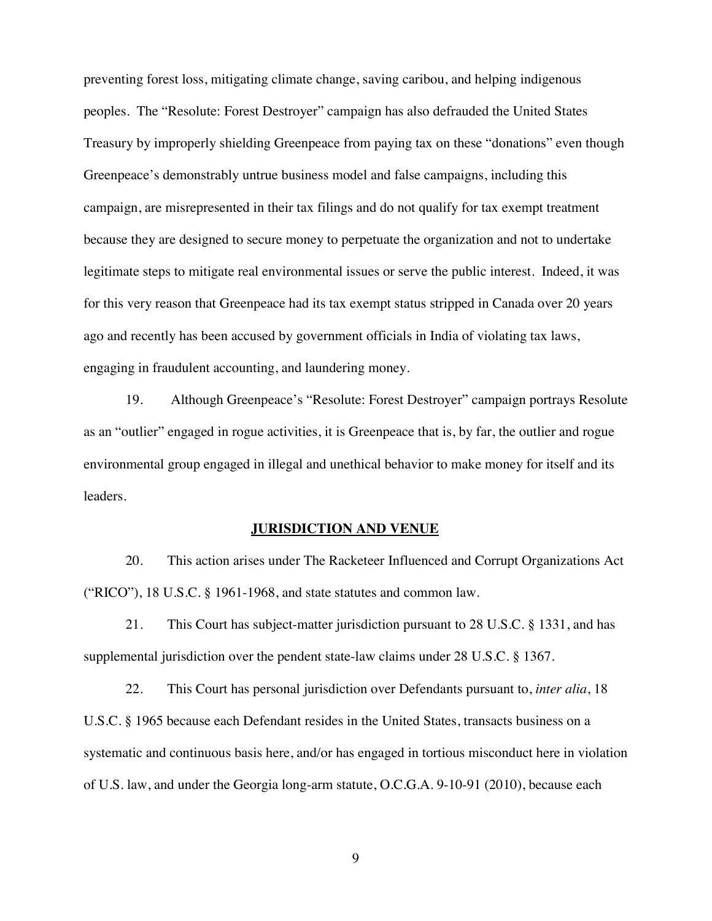preventing forest loss, mitigating climate change, saving caribou, and helping indigenous peoples. The "Resolute: Forest Destroyer" campaign has also defrauded the United States Treasury by improperly shielding Greenpeace from paying tax on these "donations" even though Greenpeace's demonstrably untrue business model and false campaigns, including this campaign, are misrepresented in their tax filings and do not qualify for tax exempt treatment because they are designed to secure money to perpetuate the organization and not to undertake legitimate steps to mitigate real environmental issues or serve the public interest. Indeed, it was for this very reason that Greenpeace had its tax exempt status stripped in Canada over 20 years ago and recently has been accused by government officials in India of violating tax laws, engaging in fraudulent accounting, and laundering money.

19. Although Greenpeace's "Resolute: Forest Destroyer" campaign portrays Resolute as an "outlier" engaged in rogue activities, it is Greenpeace that is, by far, the outlier and rogue environmental group engaged in illegal and unethical behavior to make money for itself and its leaders.

#### **JURISDICTION AND VENUE**

20. This action arises under The Racketeer Influenced and Corrupt Organizations Act ("RICO"), 18 U.S.C. § 1961-1968, and state statutes and common law.

21. This Court has subject-matter jurisdiction pursuant to 28 U.S.C. § 1331, and has supplemental jurisdiction over the pendent state-law claims under 28 U.S.C. § 1367.

22. This Court has personal jurisdiction over Defendants pursuant to, *inter alia*, 18 U.S.C. § 1965 because each Defendant resides in the United States, transacts business on a systematic and continuous basis here, and/or has engaged in tortious misconduct here in violation of U.S. law, and under the Georgia long-arm statute, O.C.G.A. 9-10-91 (2010), because each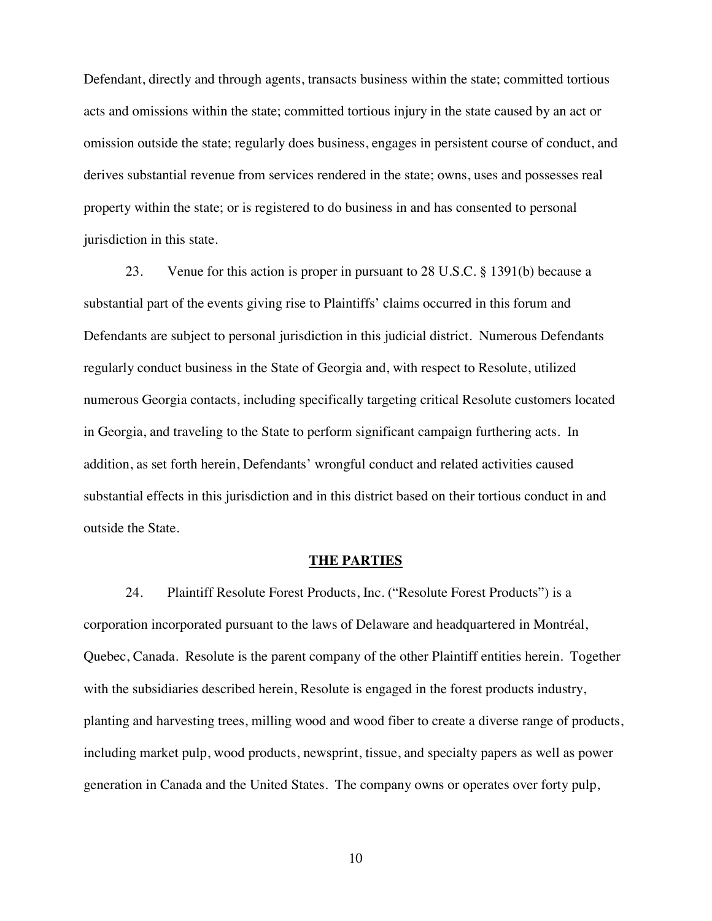Defendant, directly and through agents, transacts business within the state; committed tortious acts and omissions within the state; committed tortious injury in the state caused by an act or omission outside the state; regularly does business, engages in persistent course of conduct, and derives substantial revenue from services rendered in the state; owns, uses and possesses real property within the state; or is registered to do business in and has consented to personal jurisdiction in this state.

23. Venue for this action is proper in pursuant to 28 U.S.C. § 1391(b) because a substantial part of the events giving rise to Plaintiffs' claims occurred in this forum and Defendants are subject to personal jurisdiction in this judicial district. Numerous Defendants regularly conduct business in the State of Georgia and, with respect to Resolute, utilized numerous Georgia contacts, including specifically targeting critical Resolute customers located in Georgia, and traveling to the State to perform significant campaign furthering acts. In addition, as set forth herein, Defendants' wrongful conduct and related activities caused substantial effects in this jurisdiction and in this district based on their tortious conduct in and outside the State.

#### **THE PARTIES**

24. Plaintiff Resolute Forest Products, Inc. ("Resolute Forest Products") is a corporation incorporated pursuant to the laws of Delaware and headquartered in Montréal, Quebec, Canada. Resolute is the parent company of the other Plaintiff entities herein. Together with the subsidiaries described herein, Resolute is engaged in the forest products industry, planting and harvesting trees, milling wood and wood fiber to create a diverse range of products, including market pulp, wood products, newsprint, tissue, and specialty papers as well as power generation in Canada and the United States. The company owns or operates over forty pulp,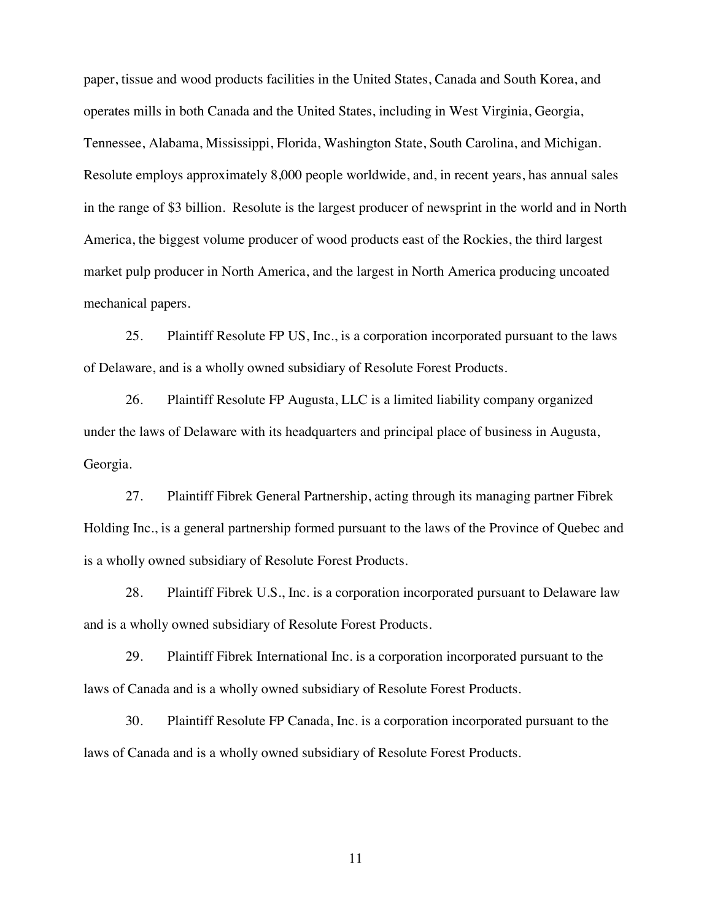paper, tissue and wood products facilities in the United States, Canada and South Korea, and operates mills in both Canada and the United States, including in West Virginia, Georgia, Tennessee, Alabama, Mississippi, Florida, Washington State, South Carolina, and Michigan. Resolute employs approximately 8,000 people worldwide, and, in recent years, has annual sales in the range of \$3 billion. Resolute is the largest producer of newsprint in the world and in North America, the biggest volume producer of wood products east of the Rockies, the third largest market pulp producer in North America, and the largest in North America producing uncoated mechanical papers.

25. Plaintiff Resolute FP US, Inc., is a corporation incorporated pursuant to the laws of Delaware, and is a wholly owned subsidiary of Resolute Forest Products.

26. Plaintiff Resolute FP Augusta, LLC is a limited liability company organized under the laws of Delaware with its headquarters and principal place of business in Augusta, Georgia.

27. Plaintiff Fibrek General Partnership, acting through its managing partner Fibrek Holding Inc., is a general partnership formed pursuant to the laws of the Province of Quebec and is a wholly owned subsidiary of Resolute Forest Products.

28. Plaintiff Fibrek U.S., Inc. is a corporation incorporated pursuant to Delaware law and is a wholly owned subsidiary of Resolute Forest Products.

29. Plaintiff Fibrek International Inc. is a corporation incorporated pursuant to the laws of Canada and is a wholly owned subsidiary of Resolute Forest Products.

30. Plaintiff Resolute FP Canada, Inc. is a corporation incorporated pursuant to the laws of Canada and is a wholly owned subsidiary of Resolute Forest Products.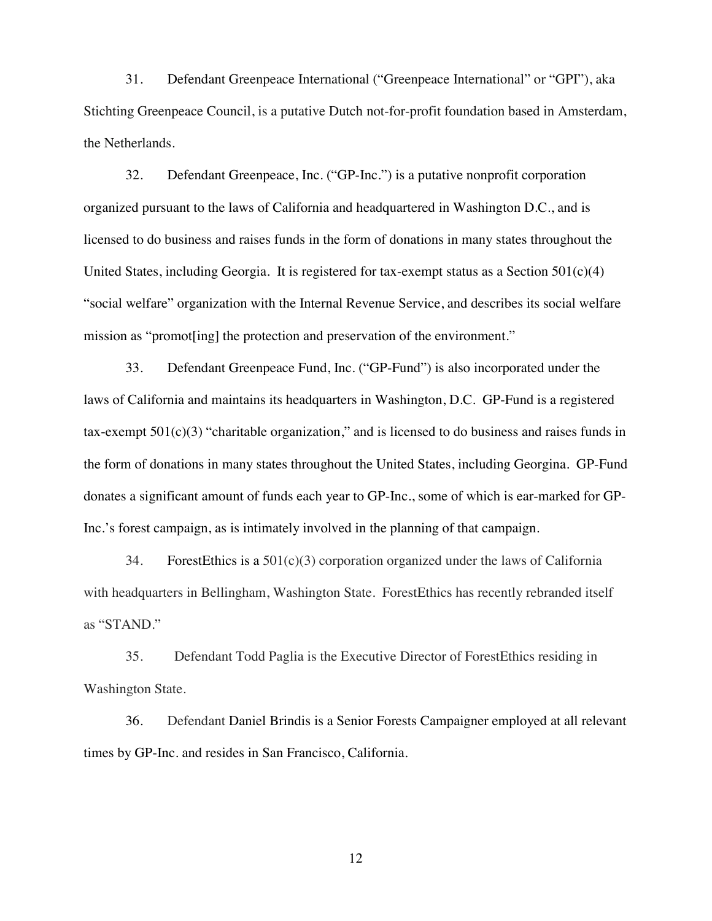31. Defendant Greenpeace International ("Greenpeace International" or "GPI"), aka Stichting Greenpeace Council, is a putative Dutch not-for-profit foundation based in Amsterdam, the Netherlands.

32. Defendant Greenpeace, Inc. ("GP-Inc.") is a putative nonprofit corporation organized pursuant to the laws of California and headquartered in Washington D.C., and is licensed to do business and raises funds in the form of donations in many states throughout the United States, including Georgia. It is registered for tax-exempt status as a Section  $501(c)(4)$ "social welfare" organization with the Internal Revenue Service, and describes its social welfare mission as "promot[ing] the protection and preservation of the environment."

33. Defendant Greenpeace Fund, Inc. ("GP-Fund") is also incorporated under the laws of California and maintains its headquarters in Washington, D.C. GP-Fund is a registered tax-exempt  $501(c)(3)$  "charitable organization," and is licensed to do business and raises funds in the form of donations in many states throughout the United States, including Georgina. GP-Fund donates a significant amount of funds each year to GP-Inc., some of which is ear-marked for GP-Inc.'s forest campaign, as is intimately involved in the planning of that campaign.

34. ForestEthics is a  $501(c)(3)$  corporation organized under the laws of California with headquarters in Bellingham, Washington State. ForestEthics has recently rebranded itself as "STAND."

35. Defendant Todd Paglia is the Executive Director of ForestEthics residing in Washington State.

36. Defendant Daniel Brindis is a Senior Forests Campaigner employed at all relevant times by GP-Inc. and resides in San Francisco, California.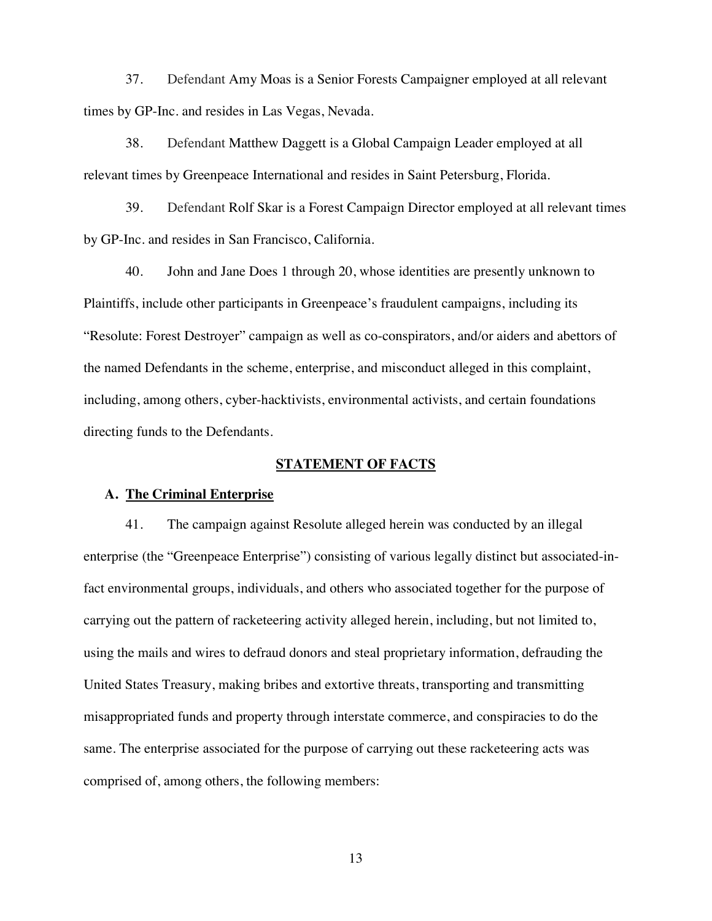37. Defendant Amy Moas is a Senior Forests Campaigner employed at all relevant times by GP-Inc. and resides in Las Vegas, Nevada.

38. Defendant Matthew Daggett is a Global Campaign Leader employed at all relevant times by Greenpeace International and resides in Saint Petersburg, Florida.

39. Defendant Rolf Skar is a Forest Campaign Director employed at all relevant times by GP-Inc. and resides in San Francisco, California.

40. John and Jane Does 1 through 20, whose identities are presently unknown to Plaintiffs, include other participants in Greenpeace's fraudulent campaigns, including its "Resolute: Forest Destroyer" campaign as well as co-conspirators, and/or aiders and abettors of the named Defendants in the scheme, enterprise, and misconduct alleged in this complaint, including, among others, cyber-hacktivists, environmental activists, and certain foundations directing funds to the Defendants.

## **STATEMENT OF FACTS**

#### **A. The Criminal Enterprise**

41. The campaign against Resolute alleged herein was conducted by an illegal enterprise (the "Greenpeace Enterprise") consisting of various legally distinct but associated-infact environmental groups, individuals, and others who associated together for the purpose of carrying out the pattern of racketeering activity alleged herein, including, but not limited to, using the mails and wires to defraud donors and steal proprietary information, defrauding the United States Treasury, making bribes and extortive threats, transporting and transmitting misappropriated funds and property through interstate commerce, and conspiracies to do the same. The enterprise associated for the purpose of carrying out these racketeering acts was comprised of, among others, the following members: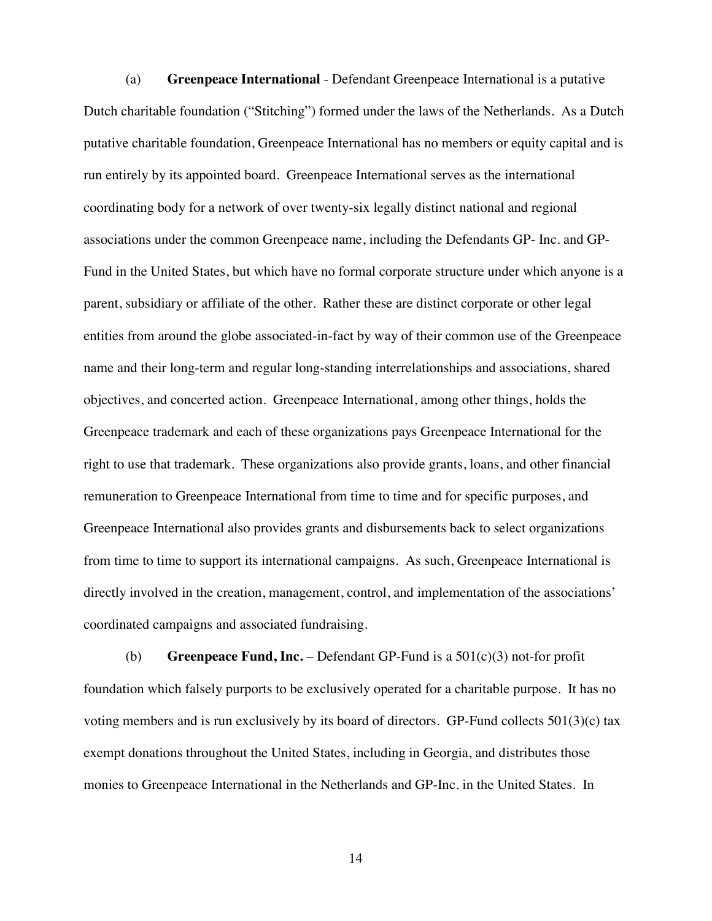(a) **Greenpeace International** - Defendant Greenpeace International is a putative Dutch charitable foundation ("Stitching") formed under the laws of the Netherlands. As a Dutch putative charitable foundation, Greenpeace International has no members or equity capital and is run entirely by its appointed board. Greenpeace International serves as the international coordinating body for a network of over twenty-six legally distinct national and regional associations under the common Greenpeace name, including the Defendants GP- Inc. and GP-Fund in the United States, but which have no formal corporate structure under which anyone is a parent, subsidiary or affiliate of the other. Rather these are distinct corporate or other legal entities from around the globe associated-in-fact by way of their common use of the Greenpeace name and their long-term and regular long-standing interrelationships and associations, shared objectives, and concerted action. Greenpeace International, among other things, holds the Greenpeace trademark and each of these organizations pays Greenpeace International for the right to use that trademark. These organizations also provide grants, loans, and other financial remuneration to Greenpeace International from time to time and for specific purposes, and Greenpeace International also provides grants and disbursements back to select organizations from time to time to support its international campaigns. As such, Greenpeace International is directly involved in the creation, management, control, and implementation of the associations' coordinated campaigns and associated fundraising.

(b) **Greenpeace Fund, Inc.** – Defendant GP-Fund is a  $501(c)(3)$  not-for profit foundation which falsely purports to be exclusively operated for a charitable purpose. It has no voting members and is run exclusively by its board of directors. GP-Fund collects  $501(3)(c)$  tax exempt donations throughout the United States, including in Georgia, and distributes those monies to Greenpeace International in the Netherlands and GP-Inc. in the United States. In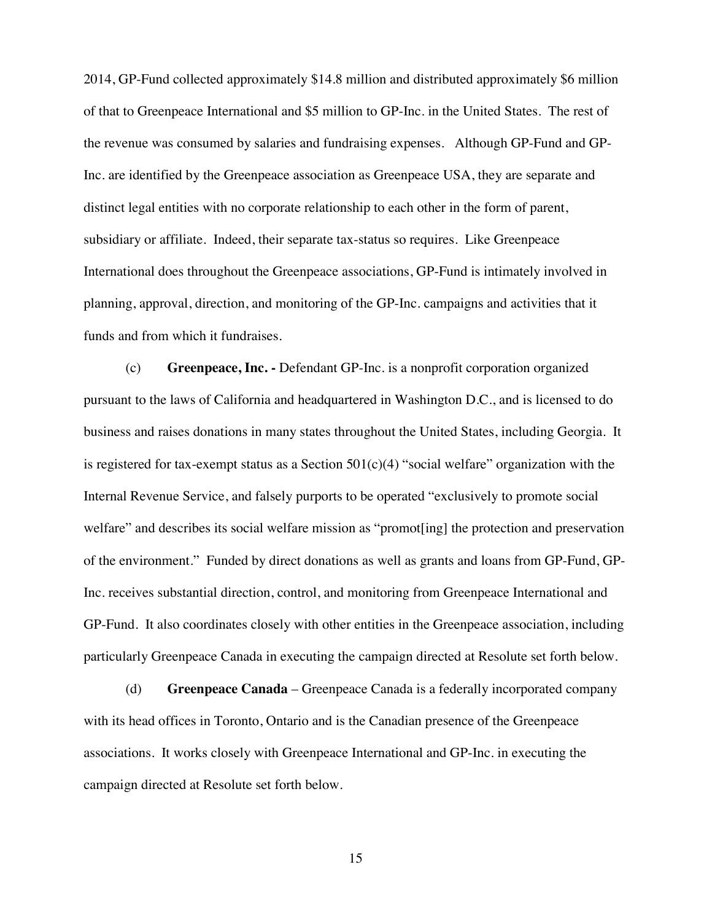2014, GP-Fund collected approximately \$14.8 million and distributed approximately \$6 million of that to Greenpeace International and \$5 million to GP-Inc. in the United States. The rest of the revenue was consumed by salaries and fundraising expenses. Although GP-Fund and GP-Inc. are identified by the Greenpeace association as Greenpeace USA, they are separate and distinct legal entities with no corporate relationship to each other in the form of parent, subsidiary or affiliate. Indeed, their separate tax-status so requires. Like Greenpeace International does throughout the Greenpeace associations, GP-Fund is intimately involved in planning, approval, direction, and monitoring of the GP-Inc. campaigns and activities that it funds and from which it fundraises.

(c) **Greenpeace, Inc. -** Defendant GP-Inc. is a nonprofit corporation organized pursuant to the laws of California and headquartered in Washington D.C., and is licensed to do business and raises donations in many states throughout the United States, including Georgia. It is registered for tax-exempt status as a Section  $501(c)(4)$  "social welfare" organization with the Internal Revenue Service, and falsely purports to be operated "exclusively to promote social welfare" and describes its social welfare mission as "promot[ing] the protection and preservation of the environment." Funded by direct donations as well as grants and loans from GP-Fund, GP-Inc. receives substantial direction, control, and monitoring from Greenpeace International and GP-Fund. It also coordinates closely with other entities in the Greenpeace association, including particularly Greenpeace Canada in executing the campaign directed at Resolute set forth below.

(d) **Greenpeace Canada** – Greenpeace Canada is a federally incorporated company with its head offices in Toronto, Ontario and is the Canadian presence of the Greenpeace associations. It works closely with Greenpeace International and GP-Inc. in executing the campaign directed at Resolute set forth below.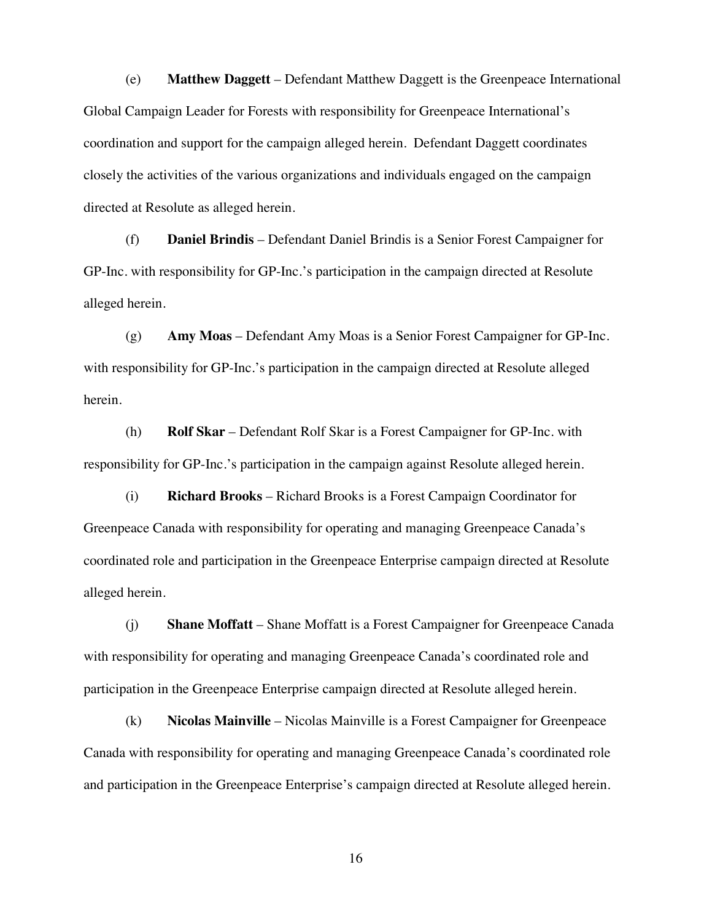(e) **Matthew Daggett** – Defendant Matthew Daggett is the Greenpeace International Global Campaign Leader for Forests with responsibility for Greenpeace International's coordination and support for the campaign alleged herein. Defendant Daggett coordinates closely the activities of the various organizations and individuals engaged on the campaign directed at Resolute as alleged herein.

(f) **Daniel Brindis** – Defendant Daniel Brindis is a Senior Forest Campaigner for GP-Inc. with responsibility for GP-Inc.'s participation in the campaign directed at Resolute alleged herein.

(g) **Amy Moas** – Defendant Amy Moas is a Senior Forest Campaigner for GP-Inc. with responsibility for GP-Inc.'s participation in the campaign directed at Resolute alleged herein.

(h) **Rolf Skar** – Defendant Rolf Skar is a Forest Campaigner for GP-Inc. with responsibility for GP-Inc.'s participation in the campaign against Resolute alleged herein.

(i) **Richard Brooks** – Richard Brooks is a Forest Campaign Coordinator for Greenpeace Canada with responsibility for operating and managing Greenpeace Canada's coordinated role and participation in the Greenpeace Enterprise campaign directed at Resolute alleged herein.

(j) **Shane Moffatt** – Shane Moffatt is a Forest Campaigner for Greenpeace Canada with responsibility for operating and managing Greenpeace Canada's coordinated role and participation in the Greenpeace Enterprise campaign directed at Resolute alleged herein.

(k) **Nicolas Mainville** – Nicolas Mainville is a Forest Campaigner for Greenpeace Canada with responsibility for operating and managing Greenpeace Canada's coordinated role and participation in the Greenpeace Enterprise's campaign directed at Resolute alleged herein.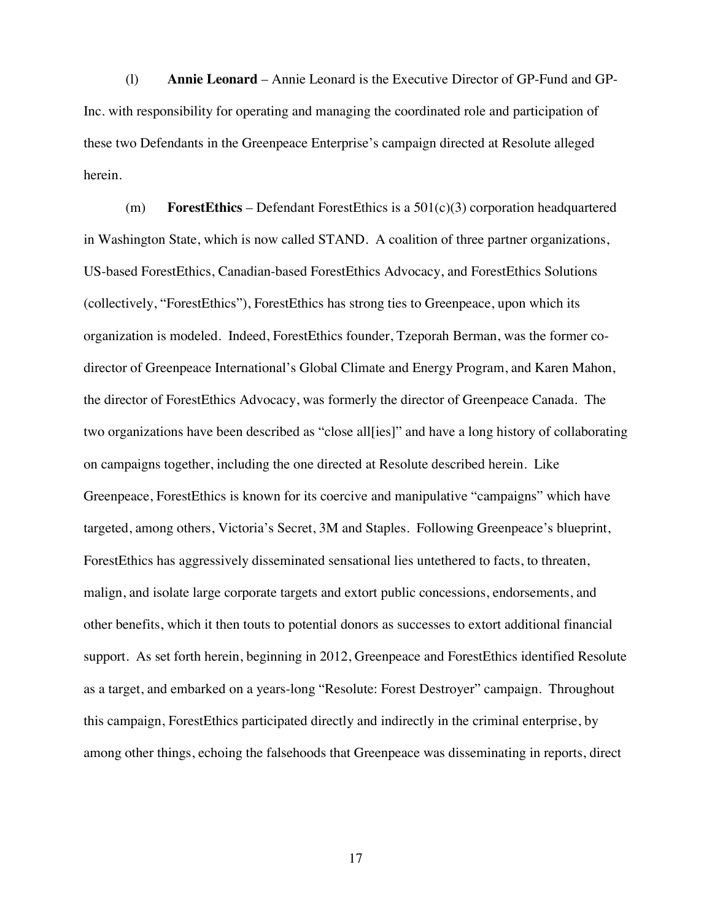(l) **Annie Leonard** – Annie Leonard is the Executive Director of GP-Fund and GP-Inc. with responsibility for operating and managing the coordinated role and participation of these two Defendants in the Greenpeace Enterprise's campaign directed at Resolute alleged herein.

(m) **ForestEthics** – Defendant ForestEthics is a 501(c)(3) corporation headquartered in Washington State, which is now called STAND. A coalition of three partner organizations, US-based ForestEthics, Canadian-based ForestEthics Advocacy, and ForestEthics Solutions (collectively, "ForestEthics"), ForestEthics has strong ties to Greenpeace, upon which its organization is modeled. Indeed, ForestEthics founder, Tzeporah Berman, was the former codirector of Greenpeace International's Global Climate and Energy Program, and Karen Mahon, the director of ForestEthics Advocacy, was formerly the director of Greenpeace Canada. The two organizations have been described as "close all[ies]" and have a long history of collaborating on campaigns together, including the one directed at Resolute described herein. Like Greenpeace, ForestEthics is known for its coercive and manipulative "campaigns" which have targeted, among others, Victoria's Secret, 3M and Staples. Following Greenpeace's blueprint, ForestEthics has aggressively disseminated sensational lies untethered to facts, to threaten, malign, and isolate large corporate targets and extort public concessions, endorsements, and other benefits, which it then touts to potential donors as successes to extort additional financial support. As set forth herein, beginning in 2012, Greenpeace and ForestEthics identified Resolute as a target, and embarked on a years-long "Resolute: Forest Destroyer" campaign. Throughout this campaign, ForestEthics participated directly and indirectly in the criminal enterprise, by among other things, echoing the falsehoods that Greenpeace was disseminating in reports, direct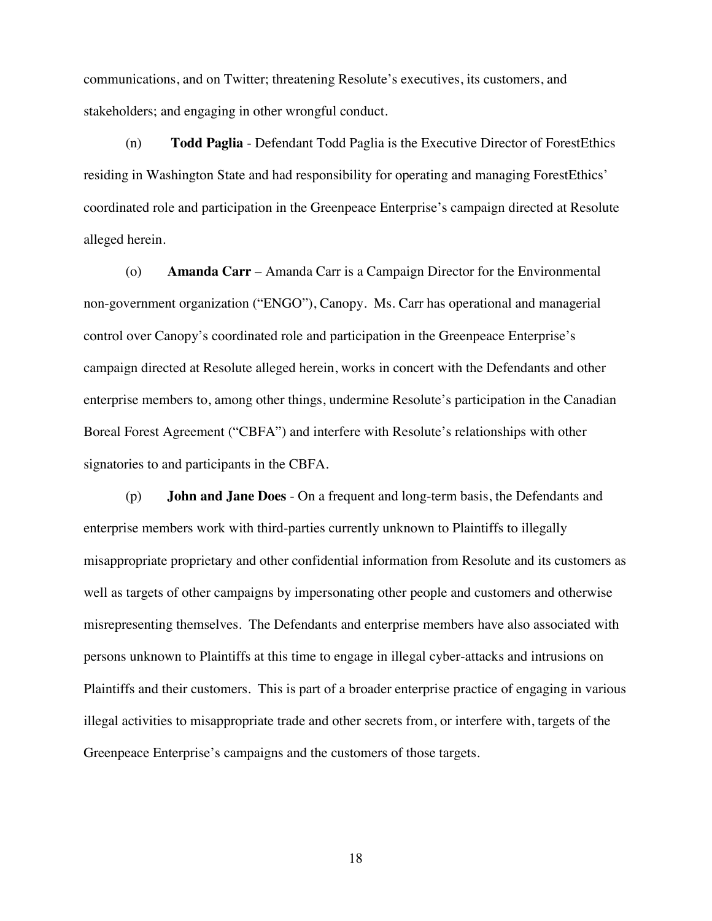communications, and on Twitter; threatening Resolute's executives, its customers, and stakeholders; and engaging in other wrongful conduct.

(n) **Todd Paglia** - Defendant Todd Paglia is the Executive Director of ForestEthics residing in Washington State and had responsibility for operating and managing ForestEthics' coordinated role and participation in the Greenpeace Enterprise's campaign directed at Resolute alleged herein.

(o) **Amanda Carr** – Amanda Carr is a Campaign Director for the Environmental non-government organization ("ENGO"), Canopy. Ms. Carr has operational and managerial control over Canopy's coordinated role and participation in the Greenpeace Enterprise's campaign directed at Resolute alleged herein, works in concert with the Defendants and other enterprise members to, among other things, undermine Resolute's participation in the Canadian Boreal Forest Agreement ("CBFA") and interfere with Resolute's relationships with other signatories to and participants in the CBFA.

(p) **John and Jane Does** - On a frequent and long-term basis, the Defendants and enterprise members work with third-parties currently unknown to Plaintiffs to illegally misappropriate proprietary and other confidential information from Resolute and its customers as well as targets of other campaigns by impersonating other people and customers and otherwise misrepresenting themselves. The Defendants and enterprise members have also associated with persons unknown to Plaintiffs at this time to engage in illegal cyber-attacks and intrusions on Plaintiffs and their customers. This is part of a broader enterprise practice of engaging in various illegal activities to misappropriate trade and other secrets from, or interfere with, targets of the Greenpeace Enterprise's campaigns and the customers of those targets.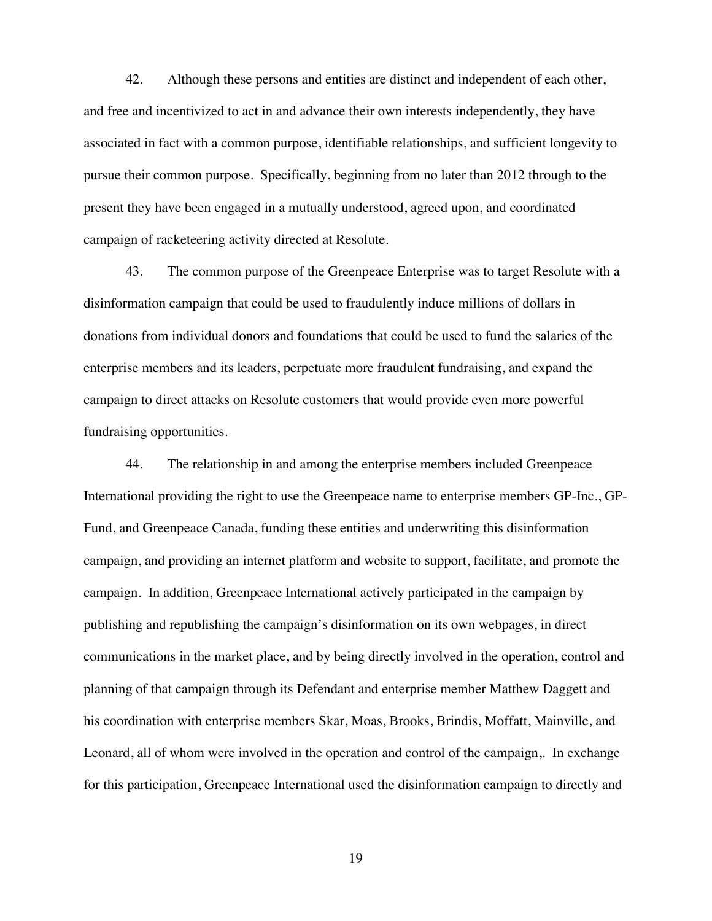42. Although these persons and entities are distinct and independent of each other, and free and incentivized to act in and advance their own interests independently, they have associated in fact with a common purpose, identifiable relationships, and sufficient longevity to pursue their common purpose. Specifically, beginning from no later than 2012 through to the present they have been engaged in a mutually understood, agreed upon, and coordinated campaign of racketeering activity directed at Resolute.

43. The common purpose of the Greenpeace Enterprise was to target Resolute with a disinformation campaign that could be used to fraudulently induce millions of dollars in donations from individual donors and foundations that could be used to fund the salaries of the enterprise members and its leaders, perpetuate more fraudulent fundraising, and expand the campaign to direct attacks on Resolute customers that would provide even more powerful fundraising opportunities.

44. The relationship in and among the enterprise members included Greenpeace International providing the right to use the Greenpeace name to enterprise members GP-Inc., GP-Fund, and Greenpeace Canada, funding these entities and underwriting this disinformation campaign, and providing an internet platform and website to support, facilitate, and promote the campaign. In addition, Greenpeace International actively participated in the campaign by publishing and republishing the campaign's disinformation on its own webpages, in direct communications in the market place, and by being directly involved in the operation, control and planning of that campaign through its Defendant and enterprise member Matthew Daggett and his coordination with enterprise members Skar, Moas, Brooks, Brindis, Moffatt, Mainville, and Leonard, all of whom were involved in the operation and control of the campaign,. In exchange for this participation, Greenpeace International used the disinformation campaign to directly and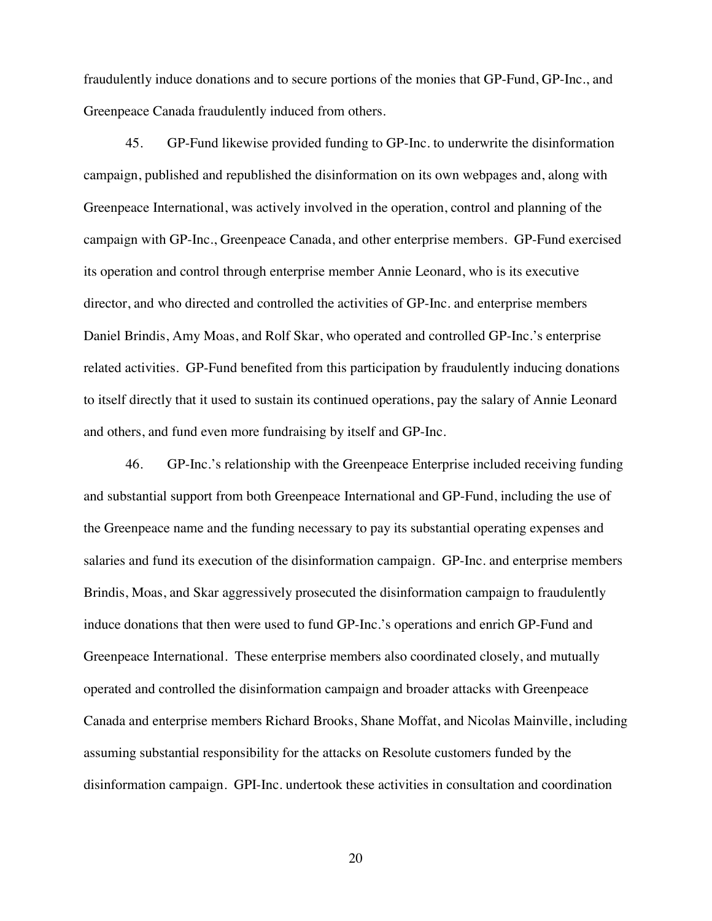fraudulently induce donations and to secure portions of the monies that GP-Fund, GP-Inc., and Greenpeace Canada fraudulently induced from others.

45. GP-Fund likewise provided funding to GP-Inc. to underwrite the disinformation campaign, published and republished the disinformation on its own webpages and, along with Greenpeace International, was actively involved in the operation, control and planning of the campaign with GP-Inc., Greenpeace Canada, and other enterprise members. GP-Fund exercised its operation and control through enterprise member Annie Leonard, who is its executive director, and who directed and controlled the activities of GP-Inc. and enterprise members Daniel Brindis, Amy Moas, and Rolf Skar, who operated and controlled GP-Inc.'s enterprise related activities. GP-Fund benefited from this participation by fraudulently inducing donations to itself directly that it used to sustain its continued operations, pay the salary of Annie Leonard and others, and fund even more fundraising by itself and GP-Inc.

46. GP-Inc.'s relationship with the Greenpeace Enterprise included receiving funding and substantial support from both Greenpeace International and GP-Fund, including the use of the Greenpeace name and the funding necessary to pay its substantial operating expenses and salaries and fund its execution of the disinformation campaign. GP-Inc. and enterprise members Brindis, Moas, and Skar aggressively prosecuted the disinformation campaign to fraudulently induce donations that then were used to fund GP-Inc.'s operations and enrich GP-Fund and Greenpeace International. These enterprise members also coordinated closely, and mutually operated and controlled the disinformation campaign and broader attacks with Greenpeace Canada and enterprise members Richard Brooks, Shane Moffat, and Nicolas Mainville, including assuming substantial responsibility for the attacks on Resolute customers funded by the disinformation campaign. GPI-Inc. undertook these activities in consultation and coordination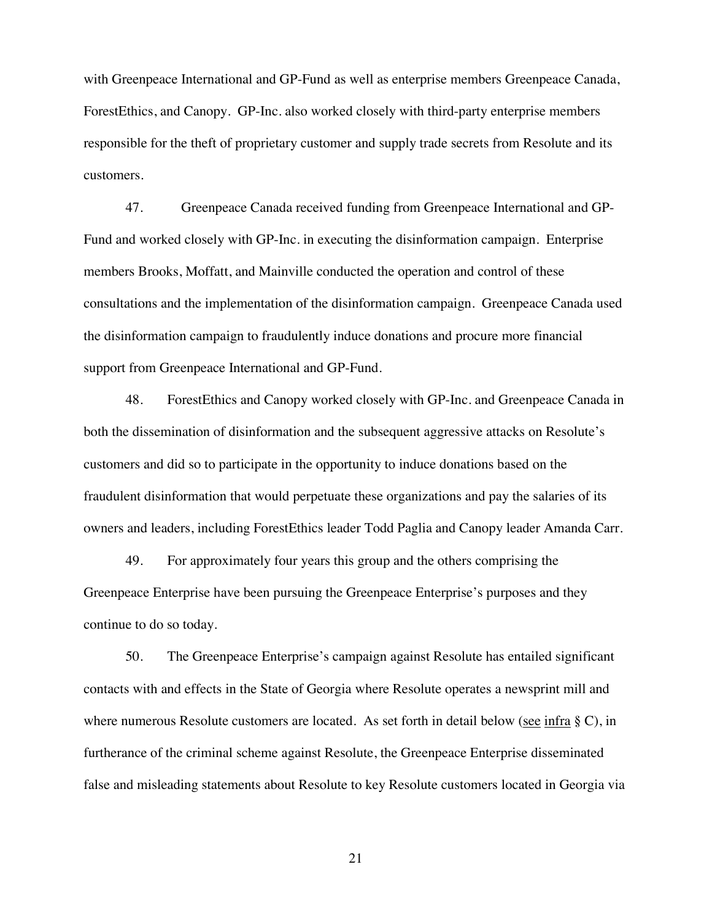with Greenpeace International and GP-Fund as well as enterprise members Greenpeace Canada, ForestEthics, and Canopy. GP-Inc. also worked closely with third-party enterprise members responsible for the theft of proprietary customer and supply trade secrets from Resolute and its customers.

47. Greenpeace Canada received funding from Greenpeace International and GP-Fund and worked closely with GP-Inc. in executing the disinformation campaign. Enterprise members Brooks, Moffatt, and Mainville conducted the operation and control of these consultations and the implementation of the disinformation campaign. Greenpeace Canada used the disinformation campaign to fraudulently induce donations and procure more financial support from Greenpeace International and GP-Fund.

48. ForestEthics and Canopy worked closely with GP-Inc. and Greenpeace Canada in both the dissemination of disinformation and the subsequent aggressive attacks on Resolute's customers and did so to participate in the opportunity to induce donations based on the fraudulent disinformation that would perpetuate these organizations and pay the salaries of its owners and leaders, including ForestEthics leader Todd Paglia and Canopy leader Amanda Carr.

49. For approximately four years this group and the others comprising the Greenpeace Enterprise have been pursuing the Greenpeace Enterprise's purposes and they continue to do so today.

50. The Greenpeace Enterprise's campaign against Resolute has entailed significant contacts with and effects in the State of Georgia where Resolute operates a newsprint mill and where numerous Resolute customers are located. As set forth in detail below (see infra § C), in furtherance of the criminal scheme against Resolute, the Greenpeace Enterprise disseminated false and misleading statements about Resolute to key Resolute customers located in Georgia via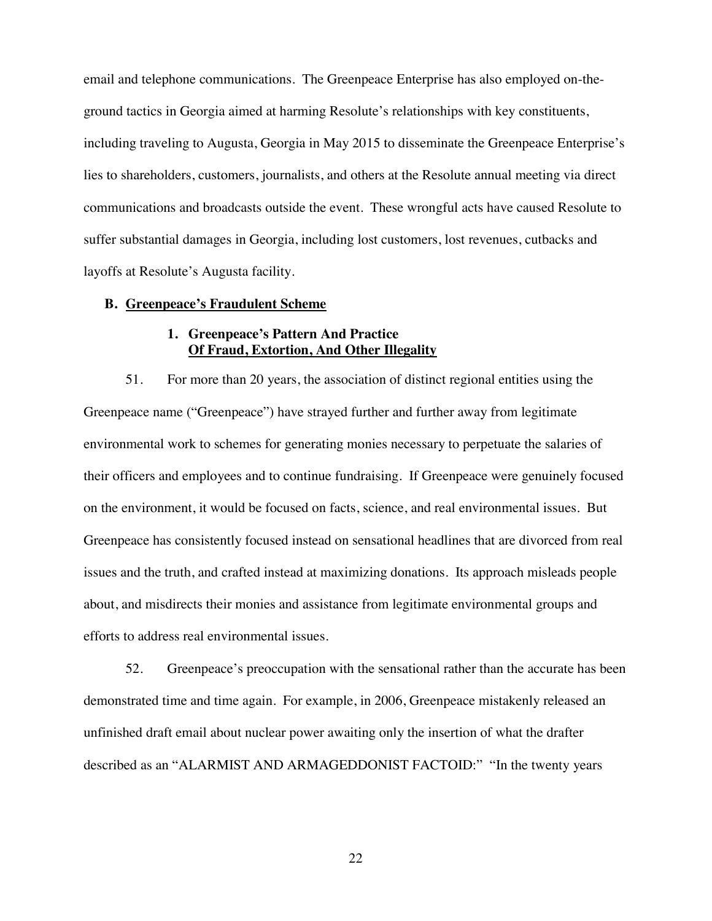email and telephone communications. The Greenpeace Enterprise has also employed on-theground tactics in Georgia aimed at harming Resolute's relationships with key constituents, including traveling to Augusta, Georgia in May 2015 to disseminate the Greenpeace Enterprise's lies to shareholders, customers, journalists, and others at the Resolute annual meeting via direct communications and broadcasts outside the event. These wrongful acts have caused Resolute to suffer substantial damages in Georgia, including lost customers, lost revenues, cutbacks and layoffs at Resolute's Augusta facility.

#### **B. Greenpeace's Fraudulent Scheme**

# **1. Greenpeace's Pattern And Practice Of Fraud, Extortion, And Other Illegality**

51. For more than 20 years, the association of distinct regional entities using the Greenpeace name ("Greenpeace") have strayed further and further away from legitimate environmental work to schemes for generating monies necessary to perpetuate the salaries of their officers and employees and to continue fundraising. If Greenpeace were genuinely focused on the environment, it would be focused on facts, science, and real environmental issues. But Greenpeace has consistently focused instead on sensational headlines that are divorced from real issues and the truth, and crafted instead at maximizing donations. Its approach misleads people about, and misdirects their monies and assistance from legitimate environmental groups and efforts to address real environmental issues.

52. Greenpeace's preoccupation with the sensational rather than the accurate has been demonstrated time and time again. For example, in 2006, Greenpeace mistakenly released an unfinished draft email about nuclear power awaiting only the insertion of what the drafter described as an "ALARMIST AND ARMAGEDDONIST FACTOID:" "In the twenty years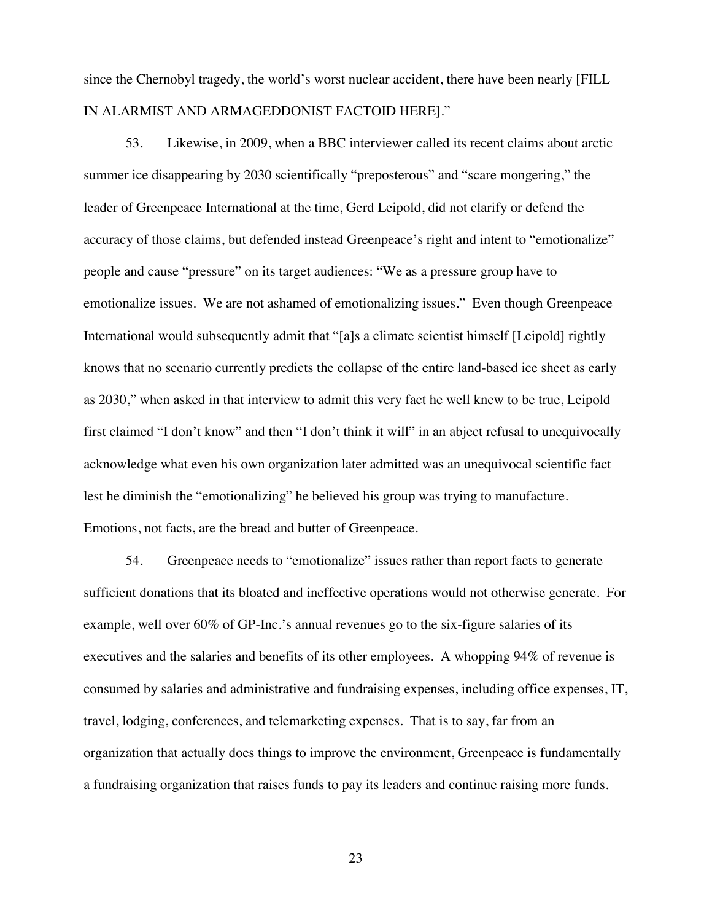since the Chernobyl tragedy, the world's worst nuclear accident, there have been nearly [FILL IN ALARMIST AND ARMAGEDDONIST FACTOID HERE]."

53. Likewise, in 2009, when a BBC interviewer called its recent claims about arctic summer ice disappearing by 2030 scientifically "preposterous" and "scare mongering," the leader of Greenpeace International at the time, Gerd Leipold, did not clarify or defend the accuracy of those claims, but defended instead Greenpeace's right and intent to "emotionalize" people and cause "pressure" on its target audiences: "We as a pressure group have to emotionalize issues. We are not ashamed of emotionalizing issues." Even though Greenpeace International would subsequently admit that "[a]s a climate scientist himself [Leipold] rightly knows that no scenario currently predicts the collapse of the entire land-based ice sheet as early as 2030," when asked in that interview to admit this very fact he well knew to be true, Leipold first claimed "I don't know" and then "I don't think it will" in an abject refusal to unequivocally acknowledge what even his own organization later admitted was an unequivocal scientific fact lest he diminish the "emotionalizing" he believed his group was trying to manufacture. Emotions, not facts, are the bread and butter of Greenpeace.

54. Greenpeace needs to "emotionalize" issues rather than report facts to generate sufficient donations that its bloated and ineffective operations would not otherwise generate. For example, well over 60% of GP-Inc.'s annual revenues go to the six-figure salaries of its executives and the salaries and benefits of its other employees. A whopping 94% of revenue is consumed by salaries and administrative and fundraising expenses, including office expenses, IT, travel, lodging, conferences, and telemarketing expenses. That is to say, far from an organization that actually does things to improve the environment, Greenpeace is fundamentally a fundraising organization that raises funds to pay its leaders and continue raising more funds.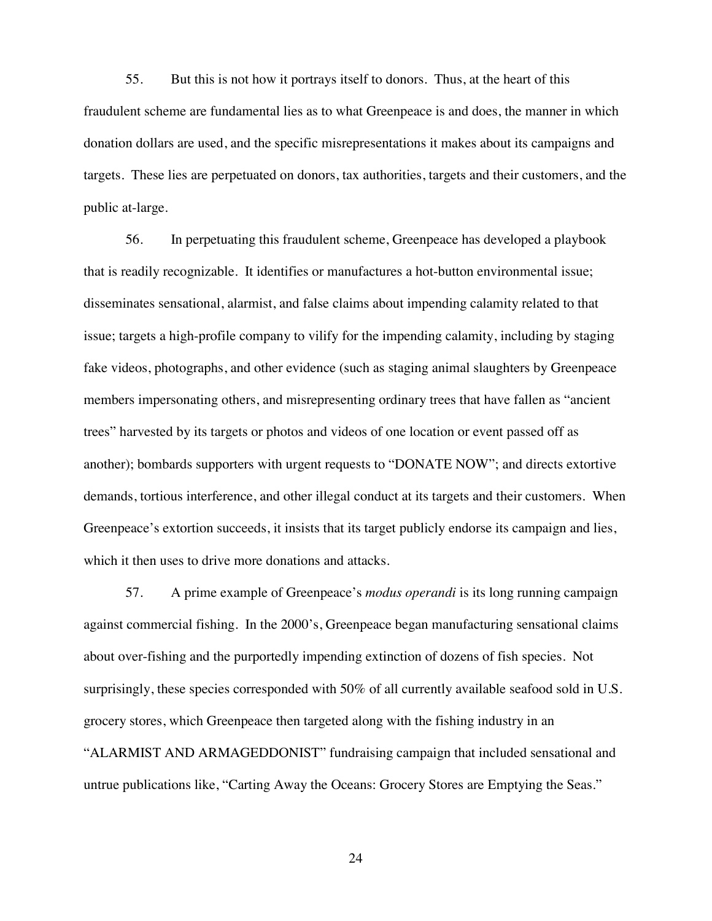55. But this is not how it portrays itself to donors. Thus, at the heart of this fraudulent scheme are fundamental lies as to what Greenpeace is and does, the manner in which donation dollars are used, and the specific misrepresentations it makes about its campaigns and targets. These lies are perpetuated on donors, tax authorities, targets and their customers, and the public at-large.

56. In perpetuating this fraudulent scheme, Greenpeace has developed a playbook that is readily recognizable. It identifies or manufactures a hot-button environmental issue; disseminates sensational, alarmist, and false claims about impending calamity related to that issue; targets a high-profile company to vilify for the impending calamity, including by staging fake videos, photographs, and other evidence (such as staging animal slaughters by Greenpeace members impersonating others, and misrepresenting ordinary trees that have fallen as "ancient trees" harvested by its targets or photos and videos of one location or event passed off as another); bombards supporters with urgent requests to "DONATE NOW"; and directs extortive demands, tortious interference, and other illegal conduct at its targets and their customers. When Greenpeace's extortion succeeds, it insists that its target publicly endorse its campaign and lies, which it then uses to drive more donations and attacks.

57. A prime example of Greenpeace's *modus operandi* is its long running campaign against commercial fishing. In the 2000's, Greenpeace began manufacturing sensational claims about over-fishing and the purportedly impending extinction of dozens of fish species. Not surprisingly, these species corresponded with 50% of all currently available seafood sold in U.S. grocery stores, which Greenpeace then targeted along with the fishing industry in an "ALARMIST AND ARMAGEDDONIST" fundraising campaign that included sensational and untrue publications like, "Carting Away the Oceans: Grocery Stores are Emptying the Seas."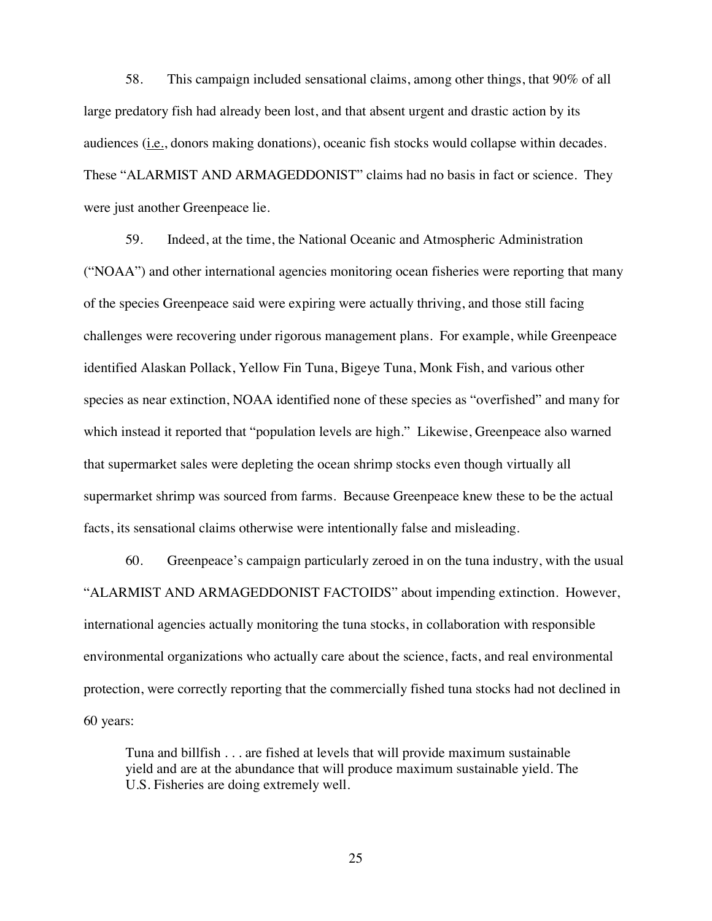58. This campaign included sensational claims, among other things, that 90% of all large predatory fish had already been lost, and that absent urgent and drastic action by its audiences (i.e., donors making donations), oceanic fish stocks would collapse within decades. These "ALARMIST AND ARMAGEDDONIST" claims had no basis in fact or science. They were just another Greenpeace lie.

59. Indeed, at the time, the National Oceanic and Atmospheric Administration ("NOAA") and other international agencies monitoring ocean fisheries were reporting that many of the species Greenpeace said were expiring were actually thriving, and those still facing challenges were recovering under rigorous management plans. For example, while Greenpeace identified Alaskan Pollack, Yellow Fin Tuna, Bigeye Tuna, Monk Fish, and various other species as near extinction, NOAA identified none of these species as "overfished" and many for which instead it reported that "population levels are high." Likewise, Greenpeace also warned that supermarket sales were depleting the ocean shrimp stocks even though virtually all supermarket shrimp was sourced from farms. Because Greenpeace knew these to be the actual facts, its sensational claims otherwise were intentionally false and misleading.

60. Greenpeace's campaign particularly zeroed in on the tuna industry, with the usual "ALARMIST AND ARMAGEDDONIST FACTOIDS" about impending extinction. However, international agencies actually monitoring the tuna stocks, in collaboration with responsible environmental organizations who actually care about the science, facts, and real environmental protection, were correctly reporting that the commercially fished tuna stocks had not declined in 60 years:

Tuna and billfish . . . are fished at levels that will provide maximum sustainable yield and are at the abundance that will produce maximum sustainable yield. The U.S. Fisheries are doing extremely well.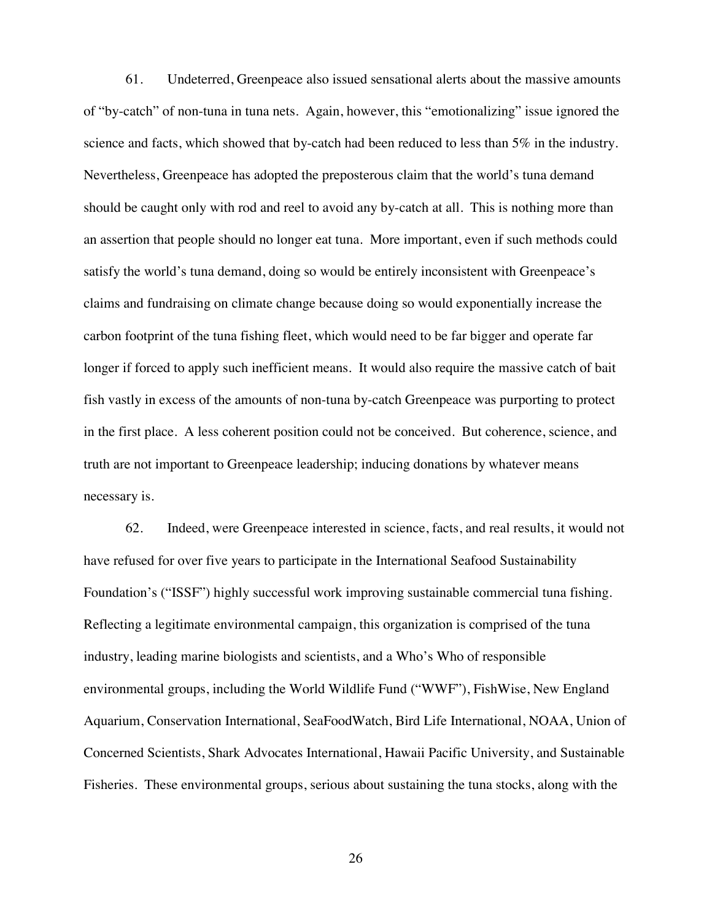61. Undeterred, Greenpeace also issued sensational alerts about the massive amounts of "by-catch" of non-tuna in tuna nets. Again, however, this "emotionalizing" issue ignored the science and facts, which showed that by-catch had been reduced to less than 5% in the industry. Nevertheless, Greenpeace has adopted the preposterous claim that the world's tuna demand should be caught only with rod and reel to avoid any by-catch at all. This is nothing more than an assertion that people should no longer eat tuna. More important, even if such methods could satisfy the world's tuna demand, doing so would be entirely inconsistent with Greenpeace's claims and fundraising on climate change because doing so would exponentially increase the carbon footprint of the tuna fishing fleet, which would need to be far bigger and operate far longer if forced to apply such inefficient means. It would also require the massive catch of bait fish vastly in excess of the amounts of non-tuna by-catch Greenpeace was purporting to protect in the first place. A less coherent position could not be conceived. But coherence, science, and truth are not important to Greenpeace leadership; inducing donations by whatever means necessary is.

62. Indeed, were Greenpeace interested in science, facts, and real results, it would not have refused for over five years to participate in the International Seafood Sustainability Foundation's ("ISSF") highly successful work improving sustainable commercial tuna fishing. Reflecting a legitimate environmental campaign, this organization is comprised of the tuna industry, leading marine biologists and scientists, and a Who's Who of responsible environmental groups, including the World Wildlife Fund ("WWF"), FishWise, New England Aquarium, Conservation International, SeaFoodWatch, Bird Life International, NOAA, Union of Concerned Scientists, Shark Advocates International, Hawaii Pacific University, and Sustainable Fisheries. These environmental groups, serious about sustaining the tuna stocks, along with the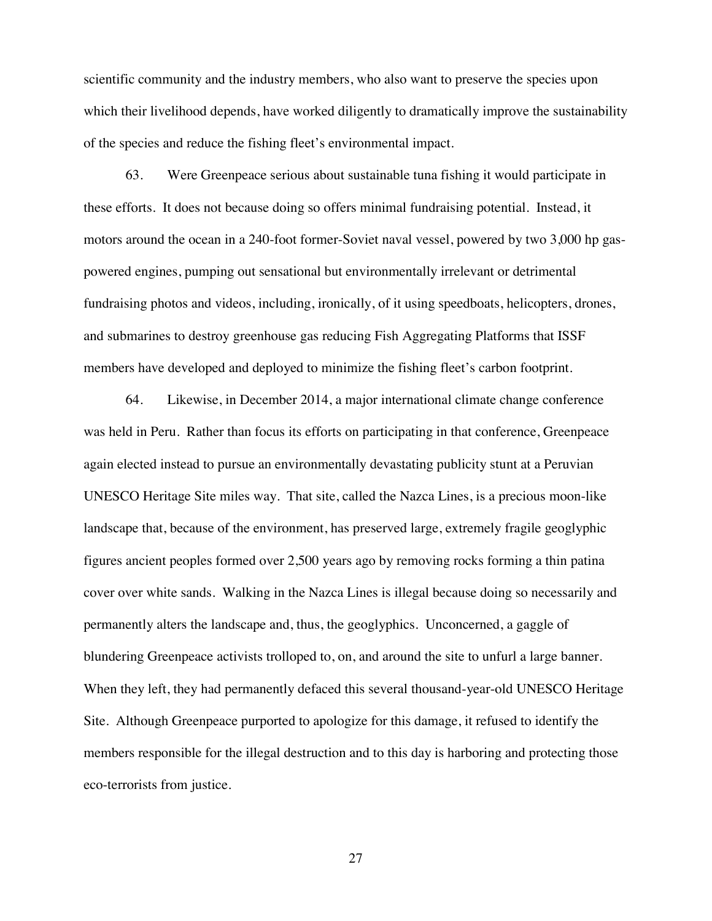scientific community and the industry members, who also want to preserve the species upon which their livelihood depends, have worked diligently to dramatically improve the sustainability of the species and reduce the fishing fleet's environmental impact.

63. Were Greenpeace serious about sustainable tuna fishing it would participate in these efforts. It does not because doing so offers minimal fundraising potential. Instead, it motors around the ocean in a 240-foot former-Soviet naval vessel, powered by two 3,000 hp gaspowered engines, pumping out sensational but environmentally irrelevant or detrimental fundraising photos and videos, including, ironically, of it using speedboats, helicopters, drones, and submarines to destroy greenhouse gas reducing Fish Aggregating Platforms that ISSF members have developed and deployed to minimize the fishing fleet's carbon footprint.

64. Likewise, in December 2014, a major international climate change conference was held in Peru. Rather than focus its efforts on participating in that conference, Greenpeace again elected instead to pursue an environmentally devastating publicity stunt at a Peruvian UNESCO Heritage Site miles way. That site, called the Nazca Lines, is a precious moon-like landscape that, because of the environment, has preserved large, extremely fragile geoglyphic figures ancient peoples formed over 2,500 years ago by removing rocks forming a thin patina cover over white sands. Walking in the Nazca Lines is illegal because doing so necessarily and permanently alters the landscape and, thus, the geoglyphics. Unconcerned, a gaggle of blundering Greenpeace activists trolloped to, on, and around the site to unfurl a large banner. When they left, they had permanently defaced this several thousand-year-old UNESCO Heritage Site. Although Greenpeace purported to apologize for this damage, it refused to identify the members responsible for the illegal destruction and to this day is harboring and protecting those eco-terrorists from justice.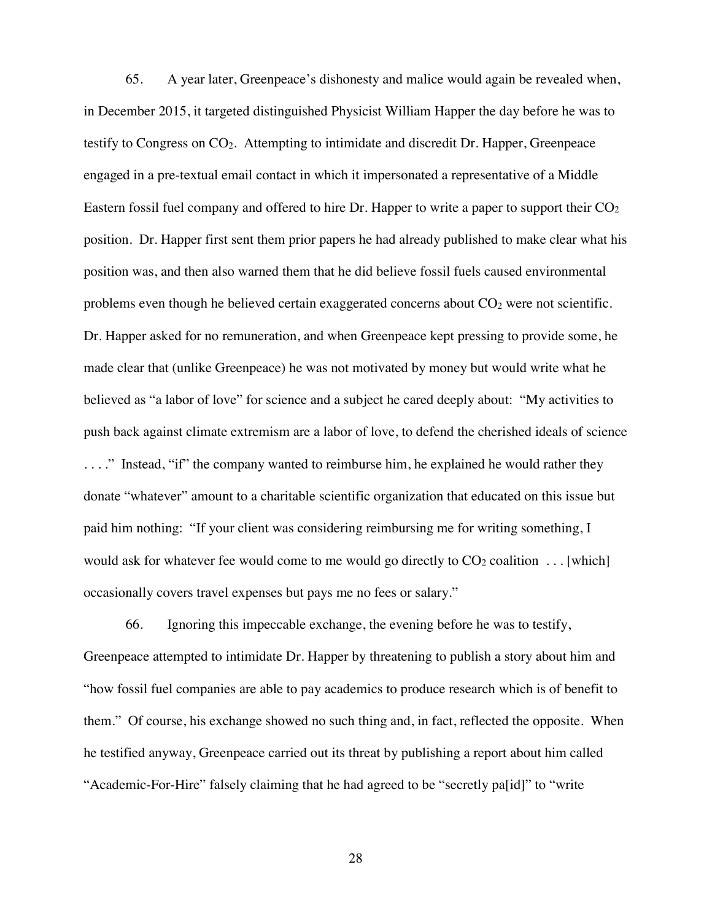65. A year later, Greenpeace's dishonesty and malice would again be revealed when, in December 2015, it targeted distinguished Physicist William Happer the day before he was to testify to Congress on CO2. Attempting to intimidate and discredit Dr. Happer, Greenpeace engaged in a pre-textual email contact in which it impersonated a representative of a Middle Eastern fossil fuel company and offered to hire Dr. Happer to write a paper to support their  $CO<sub>2</sub>$ position. Dr. Happer first sent them prior papers he had already published to make clear what his position was, and then also warned them that he did believe fossil fuels caused environmental problems even though he believed certain exaggerated concerns about  $CO<sub>2</sub>$  were not scientific. Dr. Happer asked for no remuneration, and when Greenpeace kept pressing to provide some, he made clear that (unlike Greenpeace) he was not motivated by money but would write what he believed as "a labor of love" for science and a subject he cared deeply about: "My activities to push back against climate extremism are a labor of love, to defend the cherished ideals of science ...." Instead, "if" the company wanted to reimburse him, he explained he would rather they donate "whatever" amount to a charitable scientific organization that educated on this issue but paid him nothing: "If your client was considering reimbursing me for writing something, I would ask for whatever fee would come to me would go directly to  $CO<sub>2</sub>$  coalition ... [which] occasionally covers travel expenses but pays me no fees or salary."

66. Ignoring this impeccable exchange, the evening before he was to testify, Greenpeace attempted to intimidate Dr. Happer by threatening to publish a story about him and "how fossil fuel companies are able to pay academics to produce research which is of benefit to them." Of course, his exchange showed no such thing and, in fact, reflected the opposite. When he testified anyway, Greenpeace carried out its threat by publishing a report about him called "Academic-For-Hire" falsely claiming that he had agreed to be "secretly pa[id]" to "write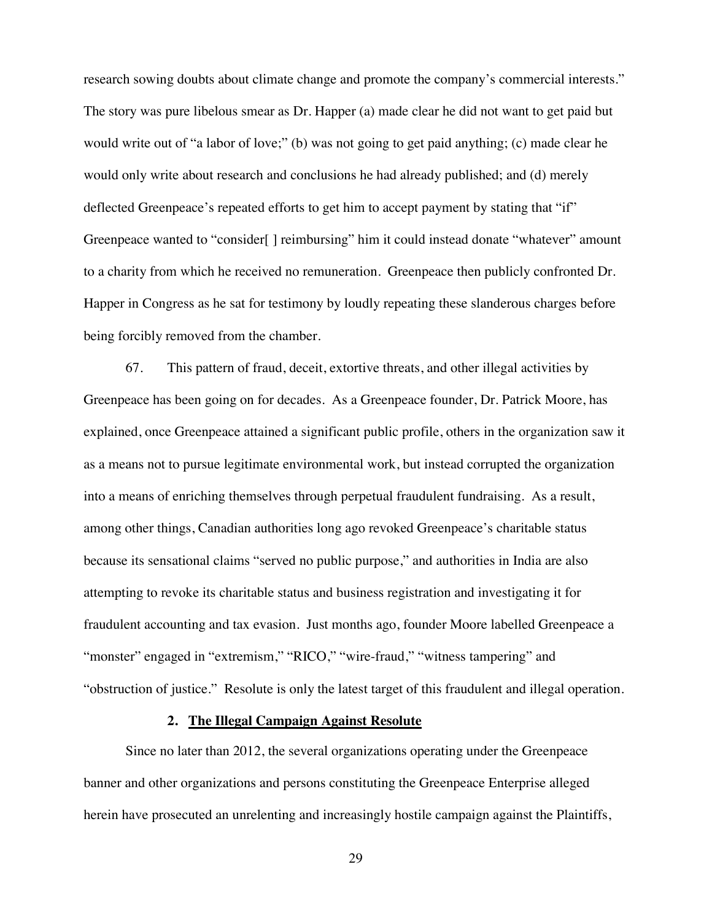research sowing doubts about climate change and promote the company's commercial interests." The story was pure libelous smear as Dr. Happer (a) made clear he did not want to get paid but would write out of "a labor of love;" (b) was not going to get paid anything; (c) made clear he would only write about research and conclusions he had already published; and (d) merely deflected Greenpeace's repeated efforts to get him to accept payment by stating that "if" Greenpeace wanted to "consider[] reimbursing" him it could instead donate "whatever" amount to a charity from which he received no remuneration. Greenpeace then publicly confronted Dr. Happer in Congress as he sat for testimony by loudly repeating these slanderous charges before being forcibly removed from the chamber.

67. This pattern of fraud, deceit, extortive threats, and other illegal activities by Greenpeace has been going on for decades. As a Greenpeace founder, Dr. Patrick Moore, has explained, once Greenpeace attained a significant public profile, others in the organization saw it as a means not to pursue legitimate environmental work, but instead corrupted the organization into a means of enriching themselves through perpetual fraudulent fundraising. As a result, among other things, Canadian authorities long ago revoked Greenpeace's charitable status because its sensational claims "served no public purpose," and authorities in India are also attempting to revoke its charitable status and business registration and investigating it for fraudulent accounting and tax evasion. Just months ago, founder Moore labelled Greenpeace a "monster" engaged in "extremism," "RICO," "wire-fraud," "witness tampering" and "obstruction of justice." Resolute is only the latest target of this fraudulent and illegal operation.

### **2. The Illegal Campaign Against Resolute**

Since no later than 2012, the several organizations operating under the Greenpeace banner and other organizations and persons constituting the Greenpeace Enterprise alleged herein have prosecuted an unrelenting and increasingly hostile campaign against the Plaintiffs,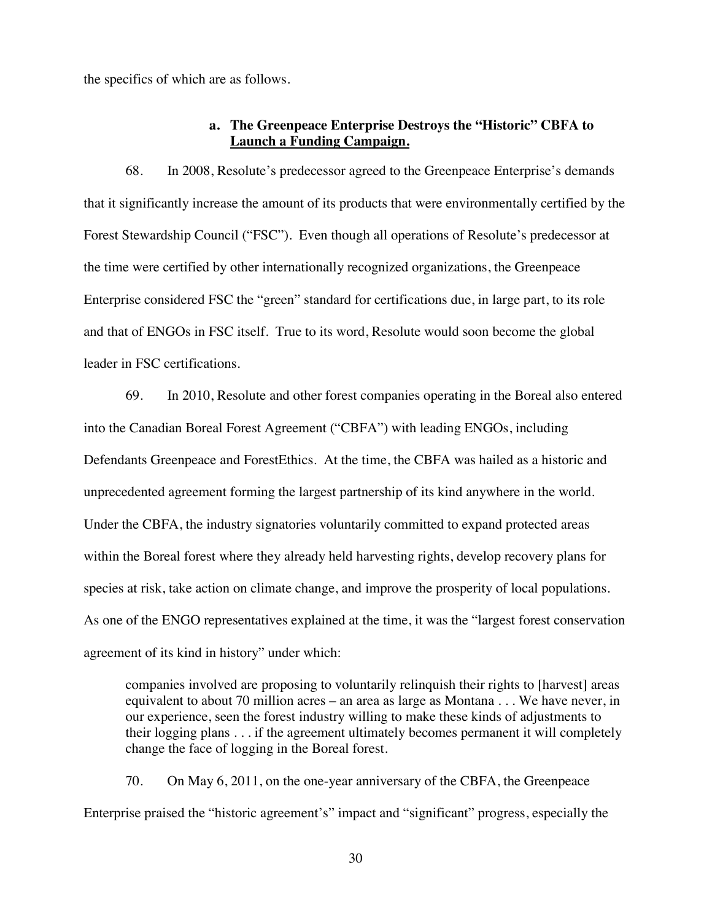the specifics of which are as follows.

### **a. The Greenpeace Enterprise Destroys the "Historic" CBFA to Launch a Funding Campaign.**

68. In 2008, Resolute's predecessor agreed to the Greenpeace Enterprise's demands that it significantly increase the amount of its products that were environmentally certified by the Forest Stewardship Council ("FSC"). Even though all operations of Resolute's predecessor at the time were certified by other internationally recognized organizations, the Greenpeace Enterprise considered FSC the "green" standard for certifications due, in large part, to its role and that of ENGOs in FSC itself. True to its word, Resolute would soon become the global leader in FSC certifications.

69. In 2010, Resolute and other forest companies operating in the Boreal also entered into the Canadian Boreal Forest Agreement ("CBFA") with leading ENGOs, including Defendants Greenpeace and ForestEthics. At the time, the CBFA was hailed as a historic and unprecedented agreement forming the largest partnership of its kind anywhere in the world. Under the CBFA, the industry signatories voluntarily committed to expand protected areas within the Boreal forest where they already held harvesting rights, develop recovery plans for species at risk, take action on climate change, and improve the prosperity of local populations. As one of the ENGO representatives explained at the time, it was the "largest forest conservation agreement of its kind in history" under which:

companies involved are proposing to voluntarily relinquish their rights to [harvest] areas equivalent to about 70 million acres – an area as large as Montana . . . We have never, in our experience, seen the forest industry willing to make these kinds of adjustments to their logging plans . . . if the agreement ultimately becomes permanent it will completely change the face of logging in the Boreal forest.

70. On May 6, 2011, on the one-year anniversary of the CBFA, the Greenpeace Enterprise praised the "historic agreement's" impact and "significant" progress, especially the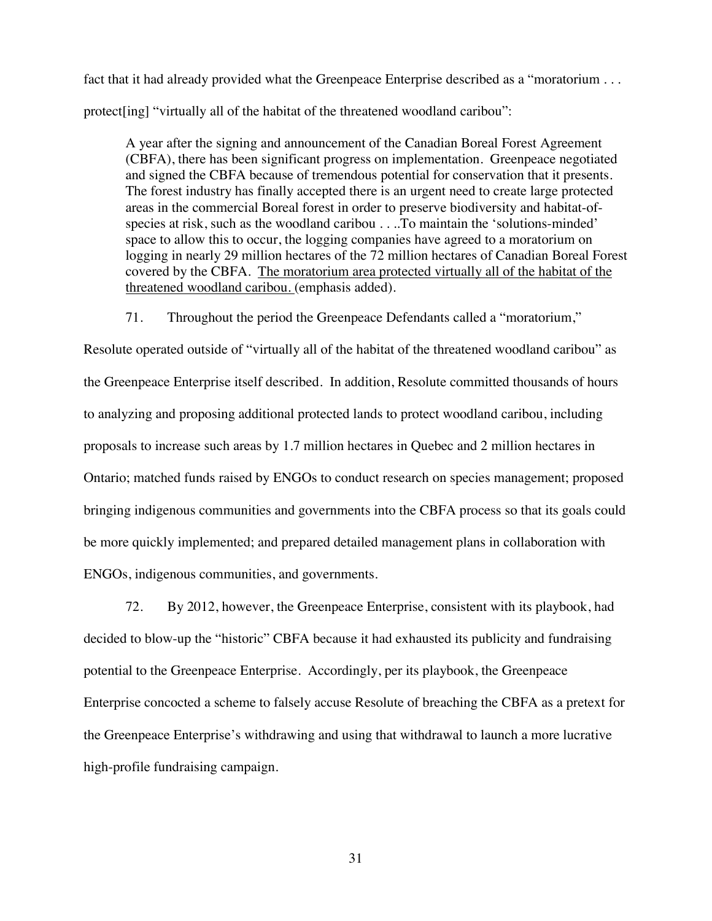fact that it had already provided what the Greenpeace Enterprise described as a "moratorium . . . protect[ing] "virtually all of the habitat of the threatened woodland caribou":

A year after the signing and announcement of the Canadian Boreal Forest Agreement (CBFA), there has been significant progress on implementation. Greenpeace negotiated and signed the CBFA because of tremendous potential for conservation that it presents. The forest industry has finally accepted there is an urgent need to create large protected areas in the commercial Boreal forest in order to preserve biodiversity and habitat-ofspecies at risk, such as the woodland caribou . . ..To maintain the 'solutions-minded' space to allow this to occur, the logging companies have agreed to a moratorium on logging in nearly 29 million hectares of the 72 million hectares of Canadian Boreal Forest covered by the CBFA. The moratorium area protected virtually all of the habitat of the threatened woodland caribou. (emphasis added).

71. Throughout the period the Greenpeace Defendants called a "moratorium,"

Resolute operated outside of "virtually all of the habitat of the threatened woodland caribou" as the Greenpeace Enterprise itself described. In addition, Resolute committed thousands of hours to analyzing and proposing additional protected lands to protect woodland caribou, including proposals to increase such areas by 1.7 million hectares in Quebec and 2 million hectares in Ontario; matched funds raised by ENGOs to conduct research on species management; proposed bringing indigenous communities and governments into the CBFA process so that its goals could be more quickly implemented; and prepared detailed management plans in collaboration with ENGOs, indigenous communities, and governments.

72. By 2012, however, the Greenpeace Enterprise, consistent with its playbook, had decided to blow-up the "historic" CBFA because it had exhausted its publicity and fundraising potential to the Greenpeace Enterprise. Accordingly, per its playbook, the Greenpeace Enterprise concocted a scheme to falsely accuse Resolute of breaching the CBFA as a pretext for the Greenpeace Enterprise's withdrawing and using that withdrawal to launch a more lucrative high-profile fundraising campaign.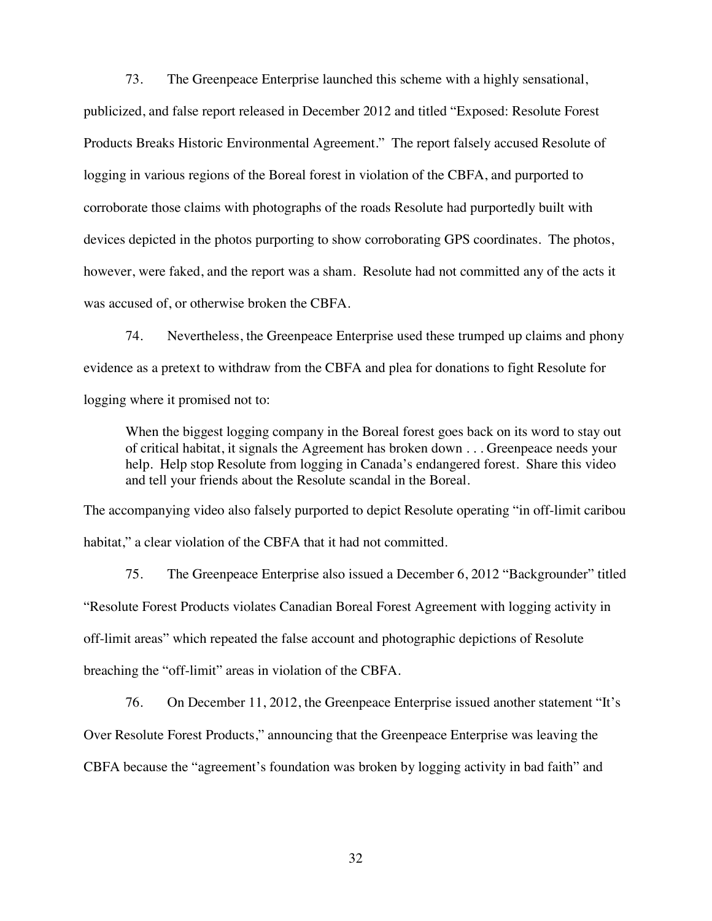73. The Greenpeace Enterprise launched this scheme with a highly sensational, publicized, and false report released in December 2012 and titled "Exposed: Resolute Forest Products Breaks Historic Environmental Agreement." The report falsely accused Resolute of logging in various regions of the Boreal forest in violation of the CBFA, and purported to corroborate those claims with photographs of the roads Resolute had purportedly built with devices depicted in the photos purporting to show corroborating GPS coordinates. The photos, however, were faked, and the report was a sham. Resolute had not committed any of the acts it was accused of, or otherwise broken the CBFA.

74. Nevertheless, the Greenpeace Enterprise used these trumped up claims and phony evidence as a pretext to withdraw from the CBFA and plea for donations to fight Resolute for logging where it promised not to:

When the biggest logging company in the Boreal forest goes back on its word to stay out of critical habitat, it signals the Agreement has broken down . . . Greenpeace needs your help. Help stop Resolute from logging in Canada's endangered forest. Share this video and tell your friends about the Resolute scandal in the Boreal.

The accompanying video also falsely purported to depict Resolute operating "in off-limit caribou habitat," a clear violation of the CBFA that it had not committed.

75. The Greenpeace Enterprise also issued a December 6, 2012 "Backgrounder" titled "Resolute Forest Products violates Canadian Boreal Forest Agreement with logging activity in off-limit areas" which repeated the false account and photographic depictions of Resolute breaching the "off-limit" areas in violation of the CBFA.

76. On December 11, 2012, the Greenpeace Enterprise issued another statement "It's Over Resolute Forest Products," announcing that the Greenpeace Enterprise was leaving the CBFA because the "agreement's foundation was broken by logging activity in bad faith" and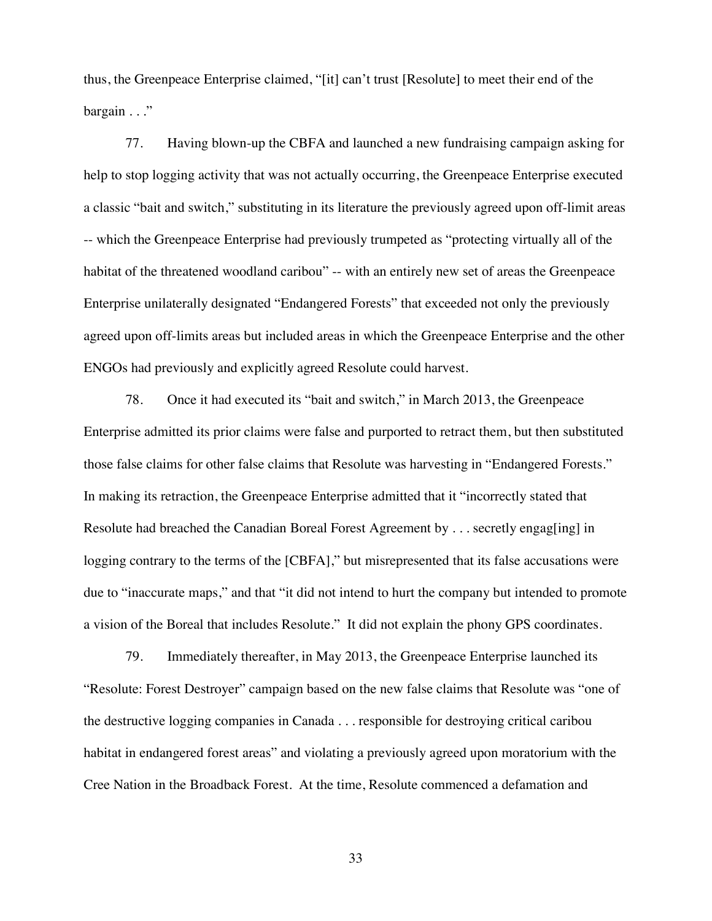thus, the Greenpeace Enterprise claimed, "[it] can't trust [Resolute] to meet their end of the bargain . . ."

77. Having blown-up the CBFA and launched a new fundraising campaign asking for help to stop logging activity that was not actually occurring, the Greenpeace Enterprise executed a classic "bait and switch," substituting in its literature the previously agreed upon off-limit areas -- which the Greenpeace Enterprise had previously trumpeted as "protecting virtually all of the habitat of the threatened woodland caribou" -- with an entirely new set of areas the Greenpeace Enterprise unilaterally designated "Endangered Forests" that exceeded not only the previously agreed upon off-limits areas but included areas in which the Greenpeace Enterprise and the other ENGOs had previously and explicitly agreed Resolute could harvest.

78. Once it had executed its "bait and switch," in March 2013, the Greenpeace Enterprise admitted its prior claims were false and purported to retract them, but then substituted those false claims for other false claims that Resolute was harvesting in "Endangered Forests." In making its retraction, the Greenpeace Enterprise admitted that it "incorrectly stated that Resolute had breached the Canadian Boreal Forest Agreement by . . . secretly engag[ing] in logging contrary to the terms of the [CBFA]," but misrepresented that its false accusations were due to "inaccurate maps," and that "it did not intend to hurt the company but intended to promote a vision of the Boreal that includes Resolute." It did not explain the phony GPS coordinates.

79. Immediately thereafter, in May 2013, the Greenpeace Enterprise launched its "Resolute: Forest Destroyer" campaign based on the new false claims that Resolute was "one of the destructive logging companies in Canada . . . responsible for destroying critical caribou habitat in endangered forest areas" and violating a previously agreed upon moratorium with the Cree Nation in the Broadback Forest. At the time, Resolute commenced a defamation and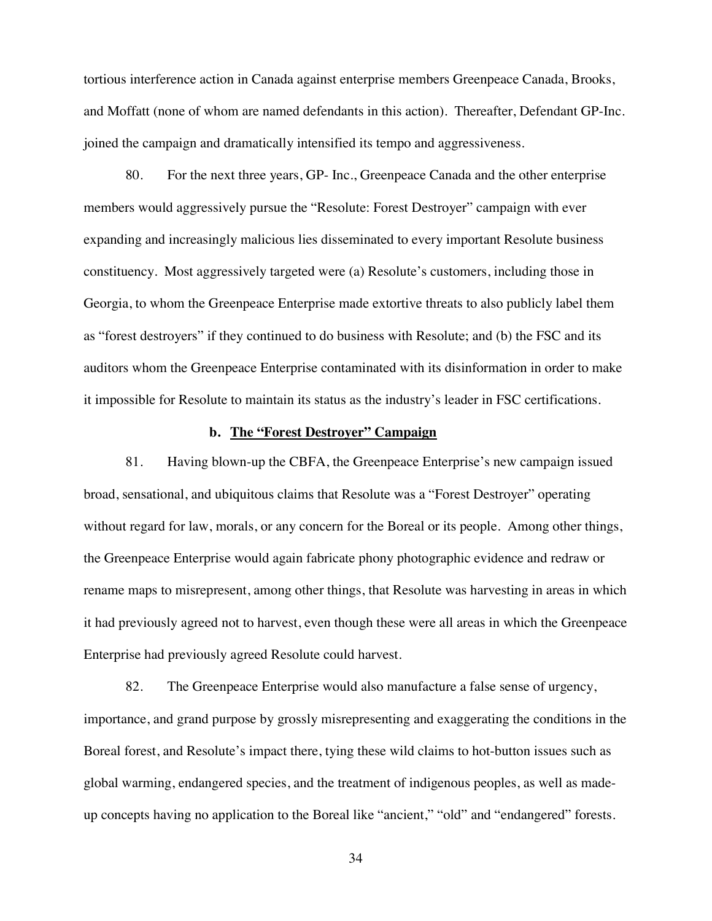tortious interference action in Canada against enterprise members Greenpeace Canada, Brooks, and Moffatt (none of whom are named defendants in this action). Thereafter, Defendant GP-Inc. joined the campaign and dramatically intensified its tempo and aggressiveness.

80. For the next three years, GP- Inc., Greenpeace Canada and the other enterprise members would aggressively pursue the "Resolute: Forest Destroyer" campaign with ever expanding and increasingly malicious lies disseminated to every important Resolute business constituency. Most aggressively targeted were (a) Resolute's customers, including those in Georgia, to whom the Greenpeace Enterprise made extortive threats to also publicly label them as "forest destroyers" if they continued to do business with Resolute; and (b) the FSC and its auditors whom the Greenpeace Enterprise contaminated with its disinformation in order to make it impossible for Resolute to maintain its status as the industry's leader in FSC certifications.

#### **b. The "Forest Destroyer" Campaign**

81. Having blown-up the CBFA, the Greenpeace Enterprise's new campaign issued broad, sensational, and ubiquitous claims that Resolute was a "Forest Destroyer" operating without regard for law, morals, or any concern for the Boreal or its people. Among other things, the Greenpeace Enterprise would again fabricate phony photographic evidence and redraw or rename maps to misrepresent, among other things, that Resolute was harvesting in areas in which it had previously agreed not to harvest, even though these were all areas in which the Greenpeace Enterprise had previously agreed Resolute could harvest.

82. The Greenpeace Enterprise would also manufacture a false sense of urgency, importance, and grand purpose by grossly misrepresenting and exaggerating the conditions in the Boreal forest, and Resolute's impact there, tying these wild claims to hot-button issues such as global warming, endangered species, and the treatment of indigenous peoples, as well as madeup concepts having no application to the Boreal like "ancient," "old" and "endangered" forests.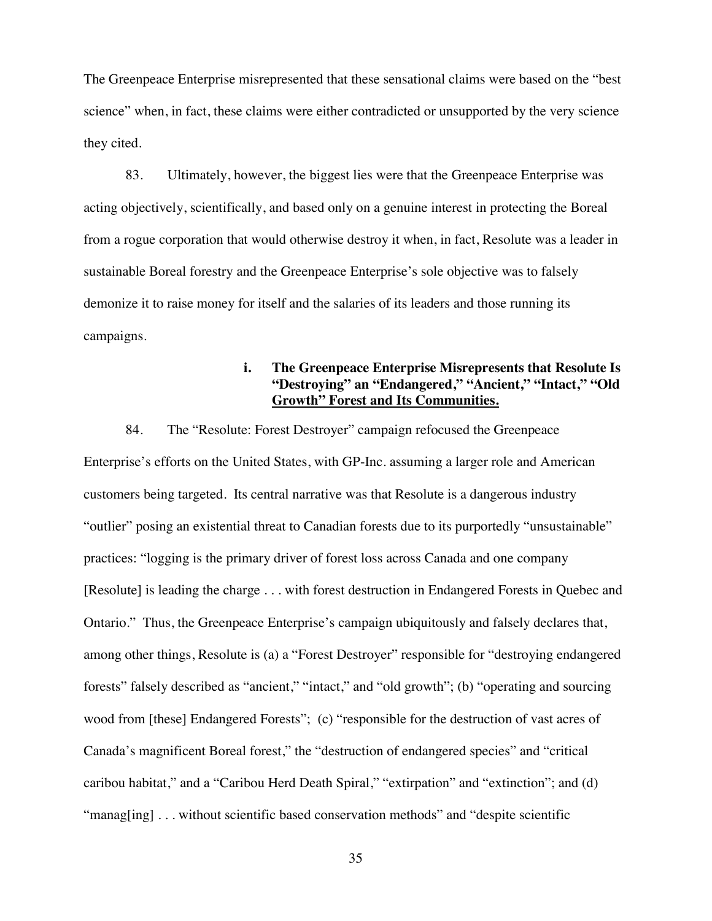The Greenpeace Enterprise misrepresented that these sensational claims were based on the "best science" when, in fact, these claims were either contradicted or unsupported by the very science they cited.

83. Ultimately, however, the biggest lies were that the Greenpeace Enterprise was acting objectively, scientifically, and based only on a genuine interest in protecting the Boreal from a rogue corporation that would otherwise destroy it when, in fact, Resolute was a leader in sustainable Boreal forestry and the Greenpeace Enterprise's sole objective was to falsely demonize it to raise money for itself and the salaries of its leaders and those running its campaigns.

# **i. The Greenpeace Enterprise Misrepresents that Resolute Is "Destroying" an "Endangered," "Ancient," "Intact," "Old Growth" Forest and Its Communities.**

84. The "Resolute: Forest Destroyer" campaign refocused the Greenpeace Enterprise's efforts on the United States, with GP-Inc. assuming a larger role and American customers being targeted. Its central narrative was that Resolute is a dangerous industry "outlier" posing an existential threat to Canadian forests due to its purportedly "unsustainable" practices: "logging is the primary driver of forest loss across Canada and one company [Resolute] is leading the charge . . . with forest destruction in Endangered Forests in Quebec and Ontario." Thus, the Greenpeace Enterprise's campaign ubiquitously and falsely declares that, among other things, Resolute is (a) a "Forest Destroyer" responsible for "destroying endangered forests" falsely described as "ancient," "intact," and "old growth"; (b) "operating and sourcing wood from [these] Endangered Forests"; (c) "responsible for the destruction of vast acres of Canada's magnificent Boreal forest," the "destruction of endangered species" and "critical caribou habitat," and a "Caribou Herd Death Spiral," "extirpation" and "extinction"; and (d) "manag[ing] . . . without scientific based conservation methods" and "despite scientific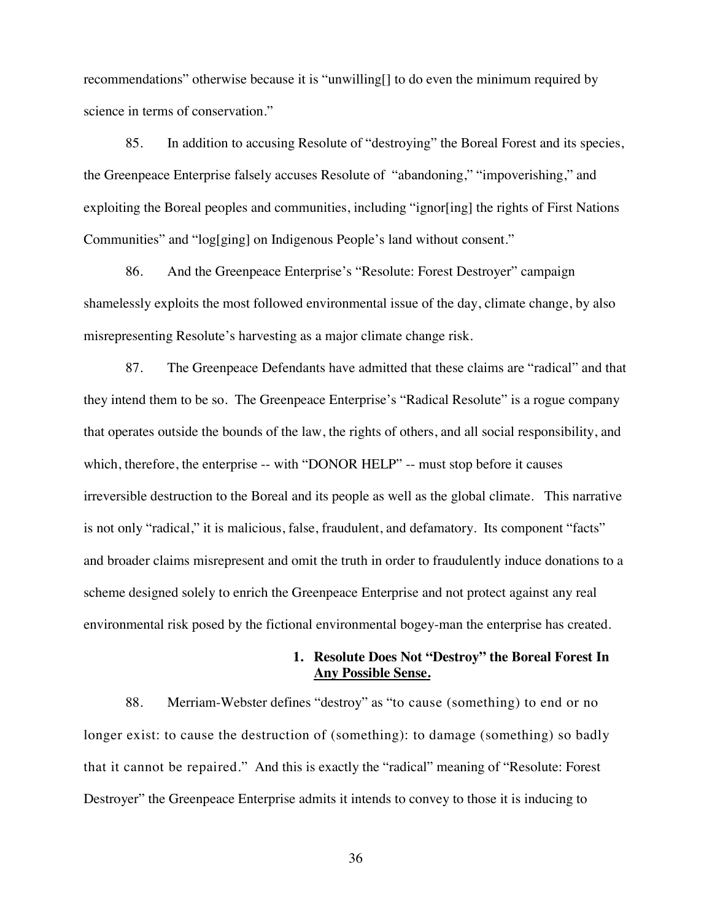recommendations" otherwise because it is "unwilling[] to do even the minimum required by science in terms of conservation."

85. In addition to accusing Resolute of "destroying" the Boreal Forest and its species, the Greenpeace Enterprise falsely accuses Resolute of "abandoning," "impoverishing," and exploiting the Boreal peoples and communities, including "ignor[ing] the rights of First Nations Communities" and "log[ging] on Indigenous People's land without consent."

86. And the Greenpeace Enterprise's "Resolute: Forest Destroyer" campaign shamelessly exploits the most followed environmental issue of the day, climate change, by also misrepresenting Resolute's harvesting as a major climate change risk.

87. The Greenpeace Defendants have admitted that these claims are "radical" and that they intend them to be so. The Greenpeace Enterprise's "Radical Resolute" is a rogue company that operates outside the bounds of the law, the rights of others, and all social responsibility, and which, therefore, the enterprise -- with "DONOR HELP" -- must stop before it causes irreversible destruction to the Boreal and its people as well as the global climate. This narrative is not only "radical," it is malicious, false, fraudulent, and defamatory. Its component "facts" and broader claims misrepresent and omit the truth in order to fraudulently induce donations to a scheme designed solely to enrich the Greenpeace Enterprise and not protect against any real environmental risk posed by the fictional environmental bogey-man the enterprise has created.

# **1. Resolute Does Not "Destroy" the Boreal Forest In Any Possible Sense.**

88. Merriam-Webster defines "destroy" as "to cause (something) to end or no longer exist: to cause the destruction of (something): to damage (something) so badly that it cannot be repaired." And this is exactly the "radical" meaning of "Resolute: Forest Destroyer" the Greenpeace Enterprise admits it intends to convey to those it is inducing to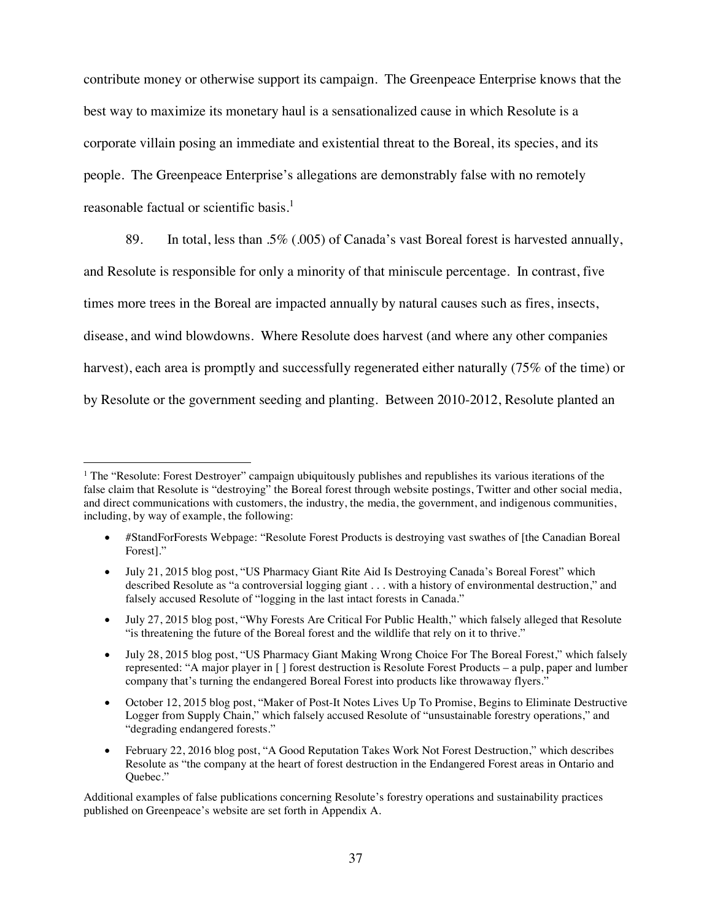contribute money or otherwise support its campaign. The Greenpeace Enterprise knows that the best way to maximize its monetary haul is a sensationalized cause in which Resolute is a corporate villain posing an immediate and existential threat to the Boreal, its species, and its people. The Greenpeace Enterprise's allegations are demonstrably false with no remotely reasonable factual or scientific basis.<sup>1</sup>

89. In total, less than .5% (.005) of Canada's vast Boreal forest is harvested annually, and Resolute is responsible for only a minority of that miniscule percentage. In contrast, five times more trees in the Boreal are impacted annually by natural causes such as fires, insects, disease, and wind blowdowns. Where Resolute does harvest (and where any other companies harvest), each area is promptly and successfully regenerated either naturally (75% of the time) or by Resolute or the government seeding and planting. Between 2010-2012, Resolute planted an

- July 27, 2015 blog post, "Why Forests Are Critical For Public Health," which falsely alleged that Resolute "is threatening the future of the Boreal forest and the wildlife that rely on it to thrive."
- July 28, 2015 blog post, "US Pharmacy Giant Making Wrong Choice For The Boreal Forest," which falsely represented: "A major player in [ ] forest destruction is Resolute Forest Products – a pulp, paper and lumber company that's turning the endangered Boreal Forest into products like throwaway flyers."
- October 12, 2015 blog post, "Maker of Post-It Notes Lives Up To Promise, Begins to Eliminate Destructive Logger from Supply Chain," which falsely accused Resolute of "unsustainable forestry operations," and "degrading endangered forests."
- x February 22, 2016 blog post, "A Good Reputation Takes Work Not Forest Destruction," which describes Resolute as "the company at the heart of forest destruction in the Endangered Forest areas in Ontario and Quebec."

Additional examples of false publications concerning Resolute's forestry operations and sustainability practices published on Greenpeace's website are set forth in Appendix A.

<sup>&</sup>lt;sup>1</sup> The "Resolute: Forest Destroyer" campaign ubiquitously publishes and republishes its various iterations of the false claim that Resolute is "destroying" the Boreal forest through website postings, Twitter and other social media, and direct communications with customers, the industry, the media, the government, and indigenous communities, including, by way of example, the following:

x #StandForForests Webpage: "Resolute Forest Products is destroying vast swathes of [the Canadian Boreal Forest]."

<sup>•</sup> July 21, 2015 blog post, "US Pharmacy Giant Rite Aid Is Destroying Canada's Boreal Forest" which described Resolute as "a controversial logging giant . . . with a history of environmental destruction," and falsely accused Resolute of "logging in the last intact forests in Canada."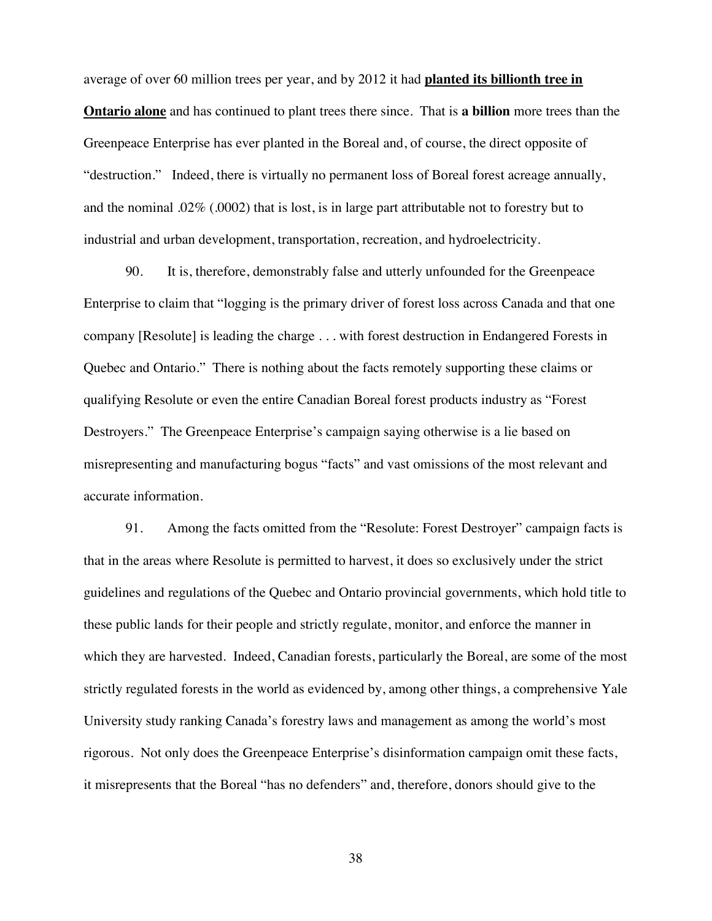average of over 60 million trees per year, and by 2012 it had **planted its billionth tree in Ontario alone** and has continued to plant trees there since. That is **a billion** more trees than the Greenpeace Enterprise has ever planted in the Boreal and, of course, the direct opposite of "destruction." Indeed, there is virtually no permanent loss of Boreal forest acreage annually, and the nominal .02% (.0002) that is lost, is in large part attributable not to forestry but to industrial and urban development, transportation, recreation, and hydroelectricity.

90. It is, therefore, demonstrably false and utterly unfounded for the Greenpeace Enterprise to claim that "logging is the primary driver of forest loss across Canada and that one company [Resolute] is leading the charge . . . with forest destruction in Endangered Forests in Quebec and Ontario." There is nothing about the facts remotely supporting these claims or qualifying Resolute or even the entire Canadian Boreal forest products industry as "Forest Destroyers." The Greenpeace Enterprise's campaign saying otherwise is a lie based on misrepresenting and manufacturing bogus "facts" and vast omissions of the most relevant and accurate information.

91. Among the facts omitted from the "Resolute: Forest Destroyer" campaign facts is that in the areas where Resolute is permitted to harvest, it does so exclusively under the strict guidelines and regulations of the Quebec and Ontario provincial governments, which hold title to these public lands for their people and strictly regulate, monitor, and enforce the manner in which they are harvested. Indeed, Canadian forests, particularly the Boreal, are some of the most strictly regulated forests in the world as evidenced by, among other things, a comprehensive Yale University study ranking Canada's forestry laws and management as among the world's most rigorous. Not only does the Greenpeace Enterprise's disinformation campaign omit these facts, it misrepresents that the Boreal "has no defenders" and, therefore, donors should give to the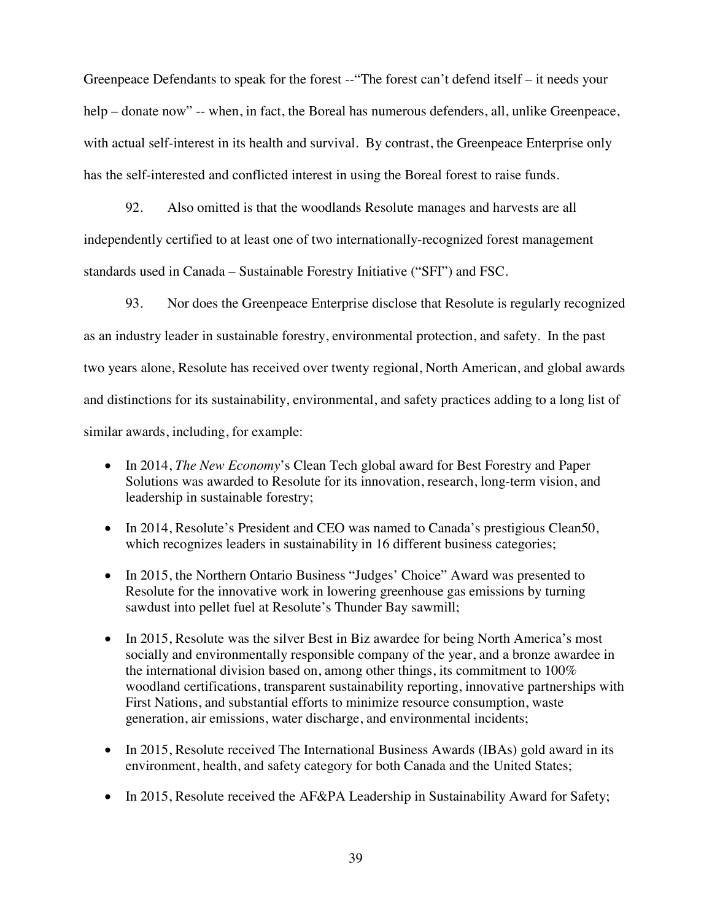Greenpeace Defendants to speak for the forest --"The forest can't defend itself – it needs your help – donate now" -- when, in fact, the Boreal has numerous defenders, all, unlike Greenpeace, with actual self-interest in its health and survival. By contrast, the Greenpeace Enterprise only has the self-interested and conflicted interest in using the Boreal forest to raise funds.

92. Also omitted is that the woodlands Resolute manages and harvests are all independently certified to at least one of two internationally-recognized forest management standards used in Canada – Sustainable Forestry Initiative ("SFI") and FSC.

93. Nor does the Greenpeace Enterprise disclose that Resolute is regularly recognized as an industry leader in sustainable forestry, environmental protection, and safety. In the past two years alone, Resolute has received over twenty regional, North American, and global awards and distinctions for its sustainability, environmental, and safety practices adding to a long list of similar awards, including, for example:

- In 2014, *The New Economy*'s Clean Tech global award for Best Forestry and Paper Solutions was awarded to Resolute for its innovation, research, long-term vision, and leadership in sustainable forestry;
- In 2014, Resolute's President and CEO was named to Canada's prestigious Clean50, which recognizes leaders in sustainability in 16 different business categories;
- In 2015, the Northern Ontario Business "Judges' Choice" Award was presented to Resolute for the innovative work in lowering greenhouse gas emissions by turning sawdust into pellet fuel at Resolute's Thunder Bay sawmill;
- In 2015, Resolute was the silver Best in Biz awardee for being North America's most socially and environmentally responsible company of the year, and a bronze awardee in the international division based on, among other things, its commitment to 100% woodland certifications, transparent sustainability reporting, innovative partnerships with First Nations, and substantial efforts to minimize resource consumption, waste generation, air emissions, water discharge, and environmental incidents;
- In 2015, Resolute received The International Business Awards (IBAs) gold award in its environment, health, and safety category for both Canada and the United States;
- In 2015, Resolute received the AF&PA Leadership in Sustainability Award for Safety;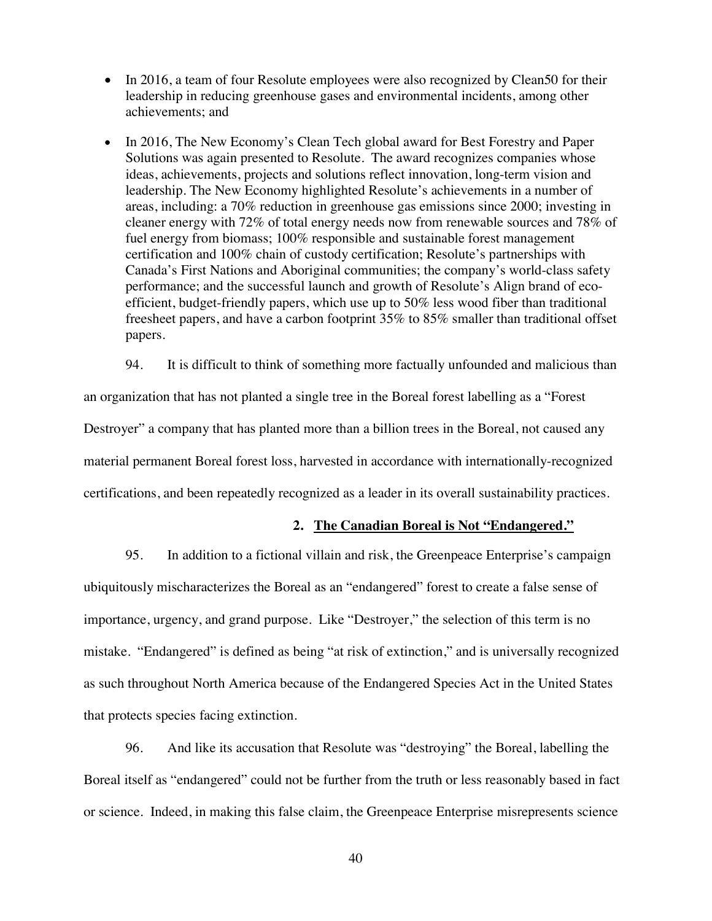- $\bullet$  In 2016, a team of four Resolute employees were also recognized by Clean50 for their leadership in reducing greenhouse gases and environmental incidents, among other achievements; and
- In 2016, The New Economy's Clean Tech global award for Best Forestry and Paper Solutions was again presented to Resolute. The award recognizes companies whose ideas, achievements, projects and solutions reflect innovation, long-term vision and leadership. The New Economy highlighted Resolute's achievements in a number of areas, including: a 70% reduction in greenhouse gas emissions since 2000; investing in cleaner energy with 72% of total energy needs now from renewable sources and 78% of fuel energy from biomass; 100% responsible and sustainable forest management certification and 100% chain of custody certification; Resolute's partnerships with Canada's First Nations and Aboriginal communities; the company's world-class safety performance; and the successful launch and growth of Resolute's Align brand of ecoefficient, budget-friendly papers, which use up to 50% less wood fiber than traditional freesheet papers, and have a carbon footprint 35% to 85% smaller than traditional offset papers.

94. It is difficult to think of something more factually unfounded and malicious than

an organization that has not planted a single tree in the Boreal forest labelling as a "Forest Destroyer" a company that has planted more than a billion trees in the Boreal, not caused any material permanent Boreal forest loss, harvested in accordance with internationally-recognized certifications, and been repeatedly recognized as a leader in its overall sustainability practices.

#### **2. The Canadian Boreal is Not "Endangered."**

95. In addition to a fictional villain and risk, the Greenpeace Enterprise's campaign ubiquitously mischaracterizes the Boreal as an "endangered" forest to create a false sense of importance, urgency, and grand purpose. Like "Destroyer," the selection of this term is no mistake. "Endangered" is defined as being "at risk of extinction," and is universally recognized as such throughout North America because of the Endangered Species Act in the United States that protects species facing extinction.

96. And like its accusation that Resolute was "destroying" the Boreal, labelling the Boreal itself as "endangered" could not be further from the truth or less reasonably based in fact or science. Indeed, in making this false claim, the Greenpeace Enterprise misrepresents science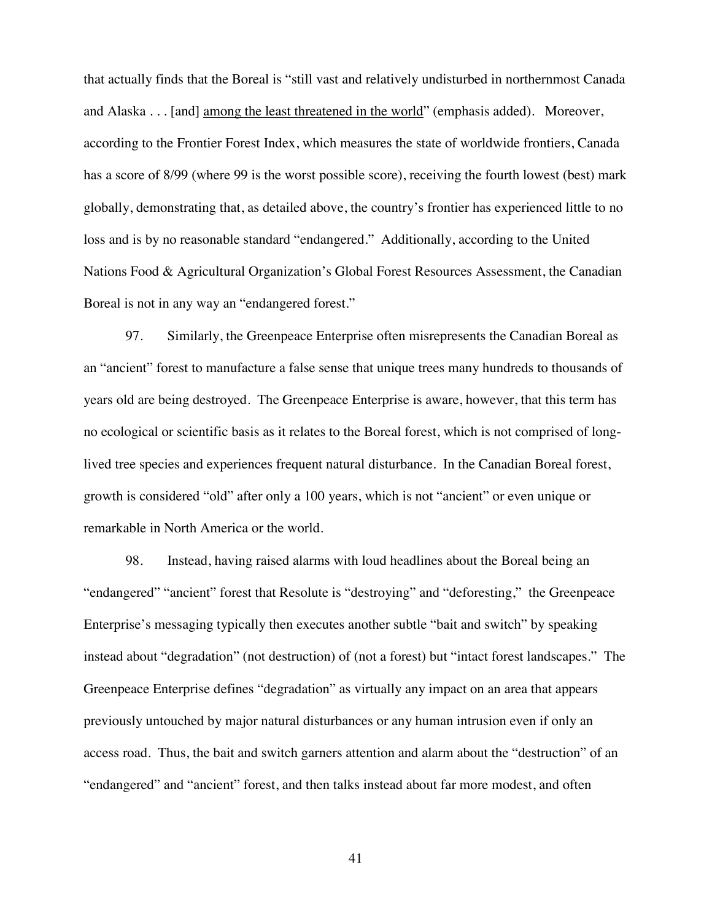that actually finds that the Boreal is "still vast and relatively undisturbed in northernmost Canada and Alaska . . . [and] among the least threatened in the world" (emphasis added). Moreover, according to the Frontier Forest Index, which measures the state of worldwide frontiers, Canada has a score of 8/99 (where 99 is the worst possible score), receiving the fourth lowest (best) mark globally, demonstrating that, as detailed above, the country's frontier has experienced little to no loss and is by no reasonable standard "endangered." Additionally, according to the United Nations Food & Agricultural Organization's Global Forest Resources Assessment, the Canadian Boreal is not in any way an "endangered forest."

97. Similarly, the Greenpeace Enterprise often misrepresents the Canadian Boreal as an "ancient" forest to manufacture a false sense that unique trees many hundreds to thousands of years old are being destroyed. The Greenpeace Enterprise is aware, however, that this term has no ecological or scientific basis as it relates to the Boreal forest, which is not comprised of longlived tree species and experiences frequent natural disturbance. In the Canadian Boreal forest, growth is considered "old" after only a 100 years, which is not "ancient" or even unique or remarkable in North America or the world.

98. Instead, having raised alarms with loud headlines about the Boreal being an "endangered" "ancient" forest that Resolute is "destroying" and "deforesting," the Greenpeace Enterprise's messaging typically then executes another subtle "bait and switch" by speaking instead about "degradation" (not destruction) of (not a forest) but "intact forest landscapes." The Greenpeace Enterprise defines "degradation" as virtually any impact on an area that appears previously untouched by major natural disturbances or any human intrusion even if only an access road. Thus, the bait and switch garners attention and alarm about the "destruction" of an "endangered" and "ancient" forest, and then talks instead about far more modest, and often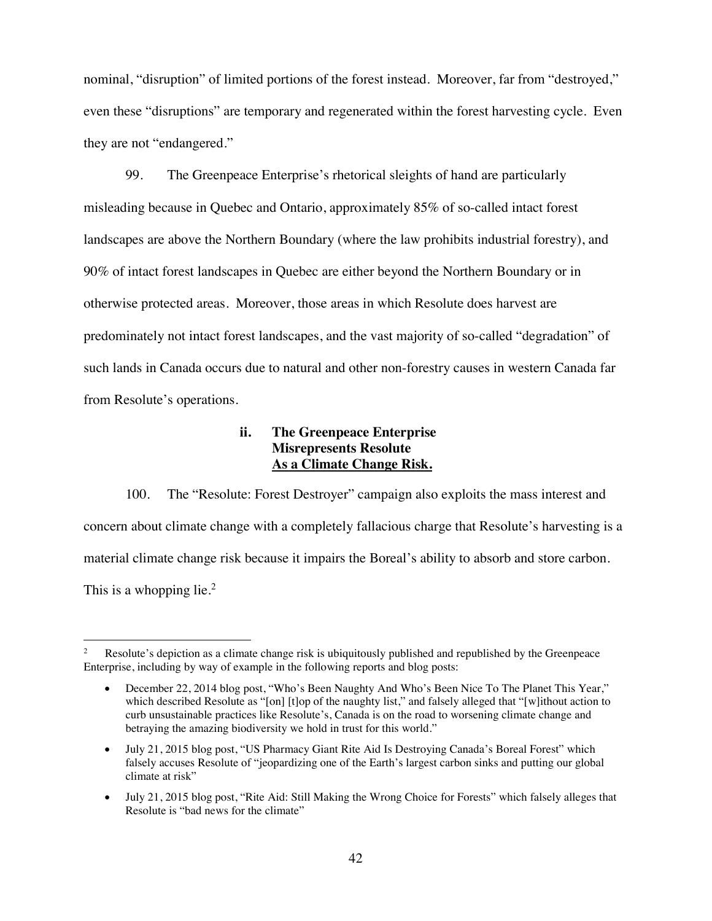nominal, "disruption" of limited portions of the forest instead. Moreover, far from "destroyed," even these "disruptions" are temporary and regenerated within the forest harvesting cycle. Even they are not "endangered."

99. The Greenpeace Enterprise's rhetorical sleights of hand are particularly misleading because in Quebec and Ontario, approximately 85% of so-called intact forest landscapes are above the Northern Boundary (where the law prohibits industrial forestry), and 90% of intact forest landscapes in Quebec are either beyond the Northern Boundary or in otherwise protected areas. Moreover, those areas in which Resolute does harvest are predominately not intact forest landscapes, and the vast majority of so-called "degradation" of such lands in Canada occurs due to natural and other non-forestry causes in western Canada far from Resolute's operations.

# **ii. The Greenpeace Enterprise Misrepresents Resolute As a Climate Change Risk.**

100. The "Resolute: Forest Destroyer" campaign also exploits the mass interest and concern about climate change with a completely fallacious charge that Resolute's harvesting is a material climate change risk because it impairs the Boreal's ability to absorb and store carbon. This is a whopping lie. $<sup>2</sup>$ </sup>

Resolute's depiction as a climate change risk is ubiquitously published and republished by the Greenpeace Enterprise, including by way of example in the following reports and blog posts:

<sup>•</sup> December 22, 2014 blog post, "Who's Been Naughty And Who's Been Nice To The Planet This Year," which described Resolute as "[on] [t]op of the naughty list," and falsely alleged that "[w]ithout action to curb unsustainable practices like Resolute's, Canada is on the road to worsening climate change and betraying the amazing biodiversity we hold in trust for this world."

<sup>•</sup> July 21, 2015 blog post, "US Pharmacy Giant Rite Aid Is Destroying Canada's Boreal Forest" which falsely accuses Resolute of "jeopardizing one of the Earth's largest carbon sinks and putting our global climate at risk"

July 21, 2015 blog post, "Rite Aid: Still Making the Wrong Choice for Forests" which falsely alleges that Resolute is "bad news for the climate"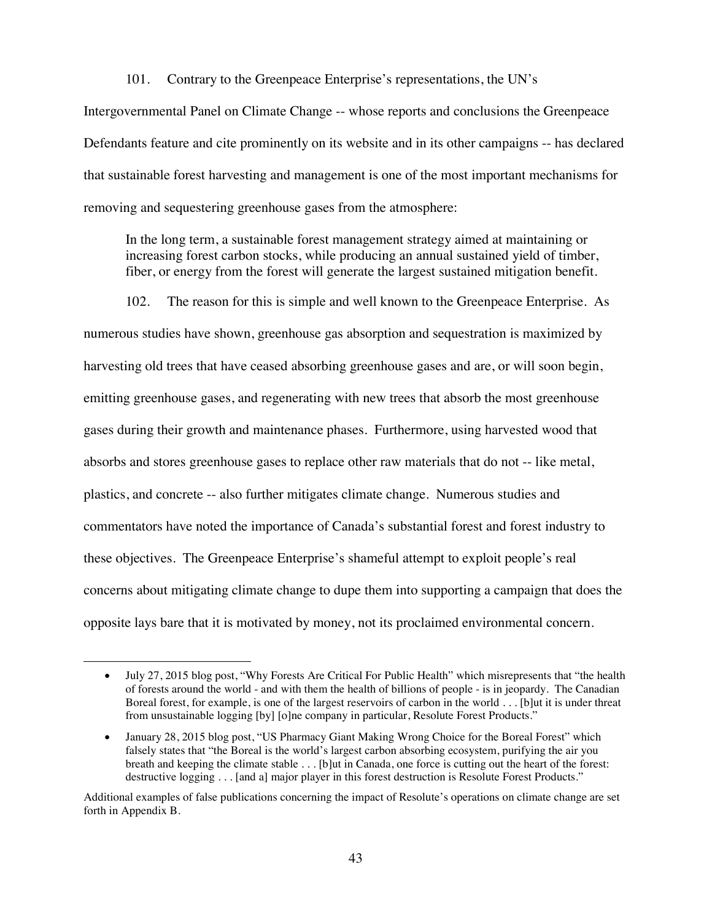101. Contrary to the Greenpeace Enterprise's representations, the UN's

Intergovernmental Panel on Climate Change -- whose reports and conclusions the Greenpeace Defendants feature and cite prominently on its website and in its other campaigns -- has declared that sustainable forest harvesting and management is one of the most important mechanisms for removing and sequestering greenhouse gases from the atmosphere:

In the long term, a sustainable forest management strategy aimed at maintaining or increasing forest carbon stocks, while producing an annual sustained yield of timber, fiber, or energy from the forest will generate the largest sustained mitigation benefit.

102. The reason for this is simple and well known to the Greenpeace Enterprise. As

numerous studies have shown, greenhouse gas absorption and sequestration is maximized by harvesting old trees that have ceased absorbing greenhouse gases and are, or will soon begin, emitting greenhouse gases, and regenerating with new trees that absorb the most greenhouse gases during their growth and maintenance phases. Furthermore, using harvested wood that absorbs and stores greenhouse gases to replace other raw materials that do not -- like metal, plastics, and concrete -- also further mitigates climate change. Numerous studies and commentators have noted the importance of Canada's substantial forest and forest industry to these objectives. The Greenpeace Enterprise's shameful attempt to exploit people's real concerns about mitigating climate change to dupe them into supporting a campaign that does the opposite lays bare that it is motivated by money, not its proclaimed environmental concern.

<sup>•</sup> July 27, 2015 blog post, "Why Forests Are Critical For Public Health" which misrepresents that "the health" of forests around the world - and with them the health of billions of people - is in jeopardy. The Canadian Boreal forest, for example, is one of the largest reservoirs of carbon in the world . . . [b]ut it is under threat from unsustainable logging [by] [o]ne company in particular, Resolute Forest Products."

<sup>•</sup> January 28, 2015 blog post, "US Pharmacy Giant Making Wrong Choice for the Boreal Forest" which falsely states that "the Boreal is the world's largest carbon absorbing ecosystem, purifying the air you breath and keeping the climate stable . . . [b]ut in Canada, one force is cutting out the heart of the forest: destructive logging . . . [and a] major player in this forest destruction is Resolute Forest Products."

Additional examples of false publications concerning the impact of Resolute's operations on climate change are set forth in Appendix B.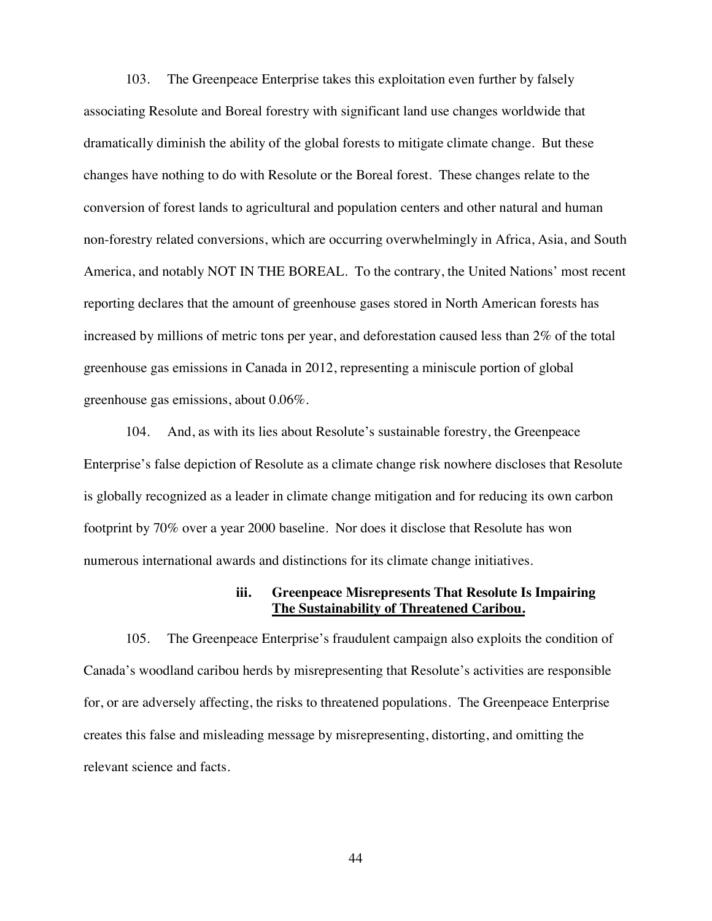103. The Greenpeace Enterprise takes this exploitation even further by falsely associating Resolute and Boreal forestry with significant land use changes worldwide that dramatically diminish the ability of the global forests to mitigate climate change. But these changes have nothing to do with Resolute or the Boreal forest. These changes relate to the conversion of forest lands to agricultural and population centers and other natural and human non-forestry related conversions, which are occurring overwhelmingly in Africa, Asia, and South America, and notably NOT IN THE BOREAL. To the contrary, the United Nations' most recent reporting declares that the amount of greenhouse gases stored in North American forests has increased by millions of metric tons per year, and deforestation caused less than 2% of the total greenhouse gas emissions in Canada in 2012, representing a miniscule portion of global greenhouse gas emissions, about 0.06%.

104. And, as with its lies about Resolute's sustainable forestry, the Greenpeace Enterprise's false depiction of Resolute as a climate change risk nowhere discloses that Resolute is globally recognized as a leader in climate change mitigation and for reducing its own carbon footprint by 70% over a year 2000 baseline. Nor does it disclose that Resolute has won numerous international awards and distinctions for its climate change initiatives.

## **iii. Greenpeace Misrepresents That Resolute Is Impairing The Sustainability of Threatened Caribou.**

105. The Greenpeace Enterprise's fraudulent campaign also exploits the condition of Canada's woodland caribou herds by misrepresenting that Resolute's activities are responsible for, or are adversely affecting, the risks to threatened populations. The Greenpeace Enterprise creates this false and misleading message by misrepresenting, distorting, and omitting the relevant science and facts.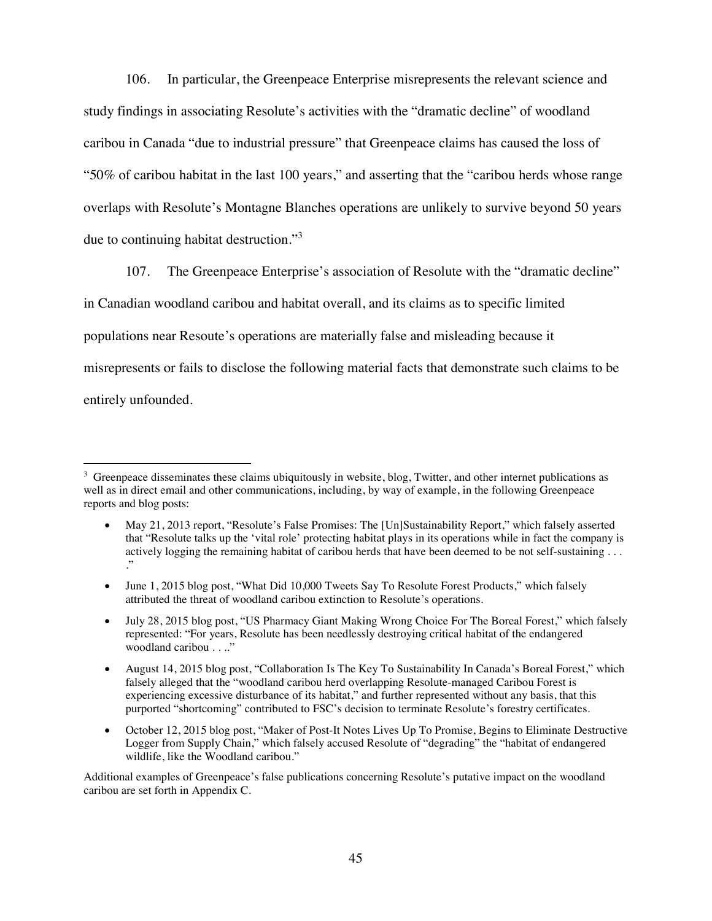106. In particular, the Greenpeace Enterprise misrepresents the relevant science and study findings in associating Resolute's activities with the "dramatic decline" of woodland caribou in Canada "due to industrial pressure" that Greenpeace claims has caused the loss of "50% of caribou habitat in the last 100 years," and asserting that the "caribou herds whose range overlaps with Resolute's Montagne Blanches operations are unlikely to survive beyond 50 years due to continuing habitat destruction."<sup>3</sup>

107. The Greenpeace Enterprise's association of Resolute with the "dramatic decline" in Canadian woodland caribou and habitat overall, and its claims as to specific limited populations near Resoute's operations are materially false and misleading because it misrepresents or fails to disclose the following material facts that demonstrate such claims to be entirely unfounded.

Additional examples of Greenpeace's false publications concerning Resolute's putative impact on the woodland caribou are set forth in Appendix C.

 $3\,$  Greenpeace disseminates these claims ubiquitously in website, blog, Twitter, and other internet publications as well as in direct email and other communications, including, by way of example, in the following Greenpeace reports and blog posts:

x May 21, 2013 report, "Resolute's False Promises: The [Un]Sustainability Report," which falsely asserted that "Resolute talks up the 'vital role' protecting habitat plays in its operations while in fact the company is actively logging the remaining habitat of caribou herds that have been deemed to be not self-sustaining . . . ."

<sup>•</sup> June 1, 2015 blog post, "What Did 10,000 Tweets Say To Resolute Forest Products," which falsely attributed the threat of woodland caribou extinction to Resolute's operations.

<sup>•</sup> July 28, 2015 blog post, "US Pharmacy Giant Making Wrong Choice For The Boreal Forest," which falsely represented: "For years, Resolute has been needlessly destroying critical habitat of the endangered woodland caribou . . .."

August 14, 2015 blog post, "Collaboration Is The Key To Sustainability In Canada's Boreal Forest," which falsely alleged that the "woodland caribou herd overlapping Resolute-managed Caribou Forest is experiencing excessive disturbance of its habitat," and further represented without any basis, that this purported "shortcoming" contributed to FSC's decision to terminate Resolute's forestry certificates.

October 12, 2015 blog post, "Maker of Post-It Notes Lives Up To Promise, Begins to Eliminate Destructive Logger from Supply Chain," which falsely accused Resolute of "degrading" the "habitat of endangered wildlife, like the Woodland caribou."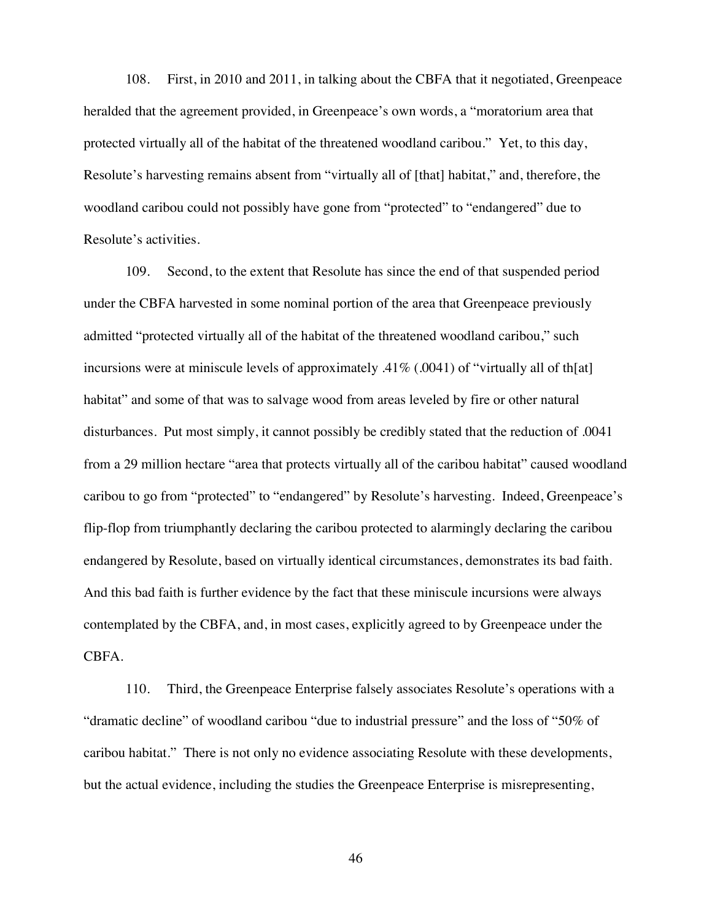108. First, in 2010 and 2011, in talking about the CBFA that it negotiated, Greenpeace heralded that the agreement provided, in Greenpeace's own words, a "moratorium area that protected virtually all of the habitat of the threatened woodland caribou." Yet, to this day, Resolute's harvesting remains absent from "virtually all of [that] habitat," and, therefore, the woodland caribou could not possibly have gone from "protected" to "endangered" due to Resolute's activities.

109. Second, to the extent that Resolute has since the end of that suspended period under the CBFA harvested in some nominal portion of the area that Greenpeace previously admitted "protected virtually all of the habitat of the threatened woodland caribou," such incursions were at miniscule levels of approximately .41% (.0041) of "virtually all of th[at] habitat" and some of that was to salvage wood from areas leveled by fire or other natural disturbances. Put most simply, it cannot possibly be credibly stated that the reduction of .0041 from a 29 million hectare "area that protects virtually all of the caribou habitat" caused woodland caribou to go from "protected" to "endangered" by Resolute's harvesting. Indeed, Greenpeace's flip-flop from triumphantly declaring the caribou protected to alarmingly declaring the caribou endangered by Resolute, based on virtually identical circumstances, demonstrates its bad faith. And this bad faith is further evidence by the fact that these miniscule incursions were always contemplated by the CBFA, and, in most cases, explicitly agreed to by Greenpeace under the CBFA.

110. Third, the Greenpeace Enterprise falsely associates Resolute's operations with a "dramatic decline" of woodland caribou "due to industrial pressure" and the loss of "50% of caribou habitat." There is not only no evidence associating Resolute with these developments, but the actual evidence, including the studies the Greenpeace Enterprise is misrepresenting,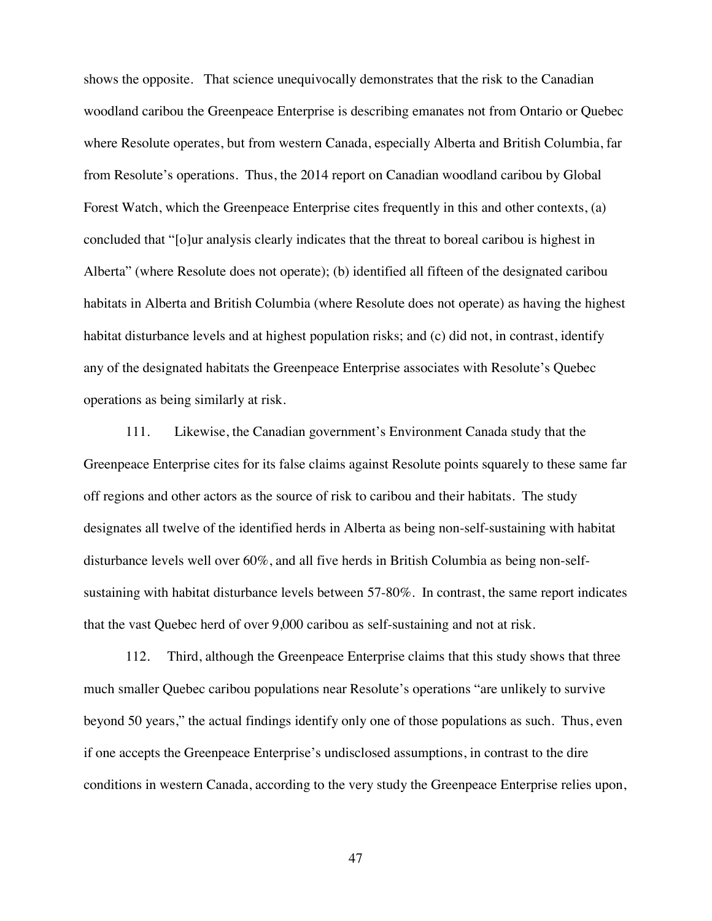shows the opposite. That science unequivocally demonstrates that the risk to the Canadian woodland caribou the Greenpeace Enterprise is describing emanates not from Ontario or Quebec where Resolute operates, but from western Canada, especially Alberta and British Columbia, far from Resolute's operations. Thus, the 2014 report on Canadian woodland caribou by Global Forest Watch, which the Greenpeace Enterprise cites frequently in this and other contexts, (a) concluded that "[o]ur analysis clearly indicates that the threat to boreal caribou is highest in Alberta" (where Resolute does not operate); (b) identified all fifteen of the designated caribou habitats in Alberta and British Columbia (where Resolute does not operate) as having the highest habitat disturbance levels and at highest population risks; and (c) did not, in contrast, identify any of the designated habitats the Greenpeace Enterprise associates with Resolute's Quebec operations as being similarly at risk.

111. Likewise, the Canadian government's Environment Canada study that the Greenpeace Enterprise cites for its false claims against Resolute points squarely to these same far off regions and other actors as the source of risk to caribou and their habitats. The study designates all twelve of the identified herds in Alberta as being non-self-sustaining with habitat disturbance levels well over 60%, and all five herds in British Columbia as being non-selfsustaining with habitat disturbance levels between 57-80%. In contrast, the same report indicates that the vast Quebec herd of over 9,000 caribou as self-sustaining and not at risk.

112. Third, although the Greenpeace Enterprise claims that this study shows that three much smaller Quebec caribou populations near Resolute's operations "are unlikely to survive beyond 50 years," the actual findings identify only one of those populations as such. Thus, even if one accepts the Greenpeace Enterprise's undisclosed assumptions, in contrast to the dire conditions in western Canada, according to the very study the Greenpeace Enterprise relies upon,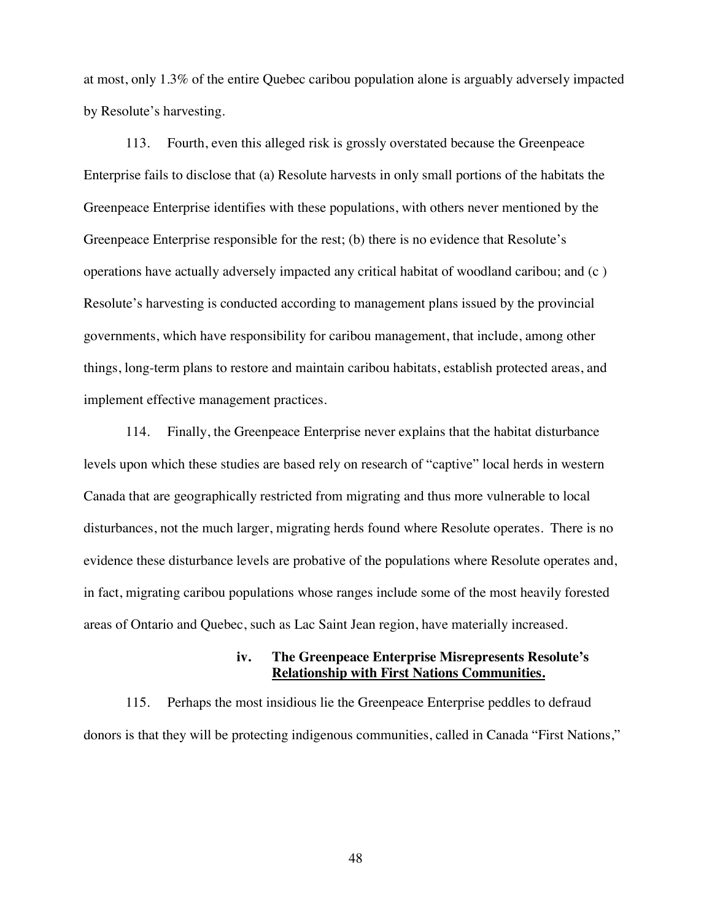at most, only 1.3% of the entire Quebec caribou population alone is arguably adversely impacted by Resolute's harvesting.

113. Fourth, even this alleged risk is grossly overstated because the Greenpeace Enterprise fails to disclose that (a) Resolute harvests in only small portions of the habitats the Greenpeace Enterprise identifies with these populations, with others never mentioned by the Greenpeace Enterprise responsible for the rest; (b) there is no evidence that Resolute's operations have actually adversely impacted any critical habitat of woodland caribou; and (c ) Resolute's harvesting is conducted according to management plans issued by the provincial governments, which have responsibility for caribou management, that include, among other things, long-term plans to restore and maintain caribou habitats, establish protected areas, and implement effective management practices.

114. Finally, the Greenpeace Enterprise never explains that the habitat disturbance levels upon which these studies are based rely on research of "captive" local herds in western Canada that are geographically restricted from migrating and thus more vulnerable to local disturbances, not the much larger, migrating herds found where Resolute operates. There is no evidence these disturbance levels are probative of the populations where Resolute operates and, in fact, migrating caribou populations whose ranges include some of the most heavily forested areas of Ontario and Quebec, such as Lac Saint Jean region, have materially increased.

## **iv. The Greenpeace Enterprise Misrepresents Resolute's Relationship with First Nations Communities.**

115. Perhaps the most insidious lie the Greenpeace Enterprise peddles to defraud donors is that they will be protecting indigenous communities, called in Canada "First Nations,"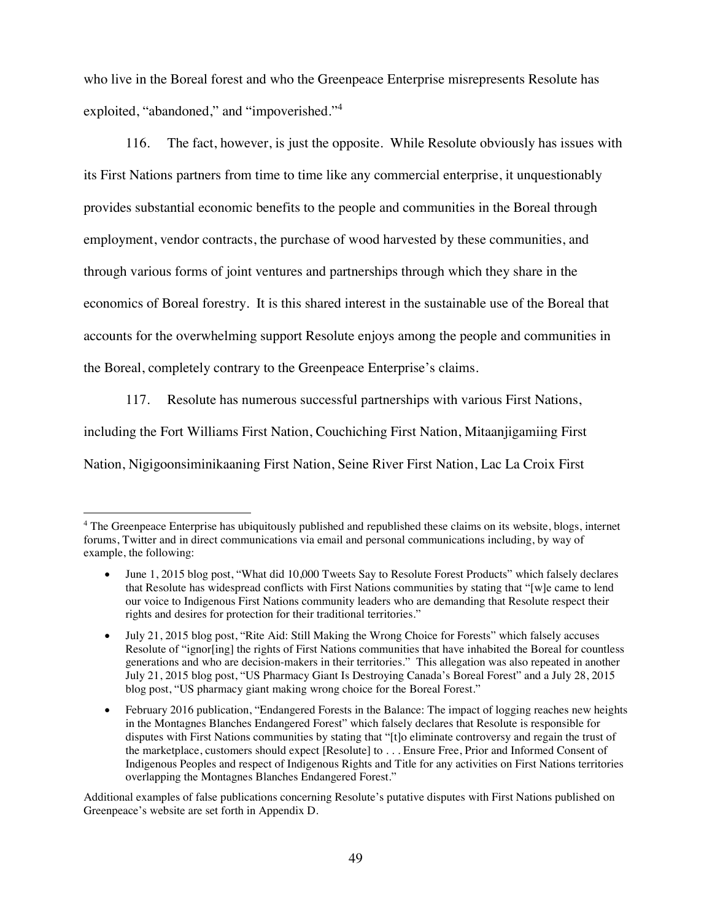who live in the Boreal forest and who the Greenpeace Enterprise misrepresents Resolute has exploited, "abandoned," and "impoverished."<sup>4</sup>

116. The fact, however, is just the opposite. While Resolute obviously has issues with its First Nations partners from time to time like any commercial enterprise, it unquestionably provides substantial economic benefits to the people and communities in the Boreal through employment, vendor contracts, the purchase of wood harvested by these communities, and through various forms of joint ventures and partnerships through which they share in the economics of Boreal forestry. It is this shared interest in the sustainable use of the Boreal that accounts for the overwhelming support Resolute enjoys among the people and communities in the Boreal, completely contrary to the Greenpeace Enterprise's claims.

117. Resolute has numerous successful partnerships with various First Nations, including the Fort Williams First Nation, Couchiching First Nation, Mitaanjigamiing First Nation, Nigigoonsiminikaaning First Nation, Seine River First Nation, Lac La Croix First

Additional examples of false publications concerning Resolute's putative disputes with First Nations published on Greenpeace's website are set forth in Appendix D.

<sup>&</sup>lt;sup>4</sup> The Greenpeace Enterprise has ubiquitously published and republished these claims on its website, blogs, internet forums, Twitter and in direct communications via email and personal communications including, by way of example, the following:

June 1, 2015 blog post, "What did 10,000 Tweets Say to Resolute Forest Products" which falsely declares that Resolute has widespread conflicts with First Nations communities by stating that "[w]e came to lend our voice to Indigenous First Nations community leaders who are demanding that Resolute respect their rights and desires for protection for their traditional territories."

July 21, 2015 blog post, "Rite Aid: Still Making the Wrong Choice for Forests" which falsely accuses Resolute of "ignor[ing] the rights of First Nations communities that have inhabited the Boreal for countless generations and who are decision-makers in their territories." This allegation was also repeated in another July 21, 2015 blog post, "US Pharmacy Giant Is Destroying Canada's Boreal Forest" and a July 28, 2015 blog post, "US pharmacy giant making wrong choice for the Boreal Forest."

February 2016 publication, "Endangered Forests in the Balance: The impact of logging reaches new heights in the Montagnes Blanches Endangered Forest" which falsely declares that Resolute is responsible for disputes with First Nations communities by stating that "[t]o eliminate controversy and regain the trust of the marketplace, customers should expect [Resolute] to . . . Ensure Free, Prior and Informed Consent of Indigenous Peoples and respect of Indigenous Rights and Title for any activities on First Nations territories overlapping the Montagnes Blanches Endangered Forest."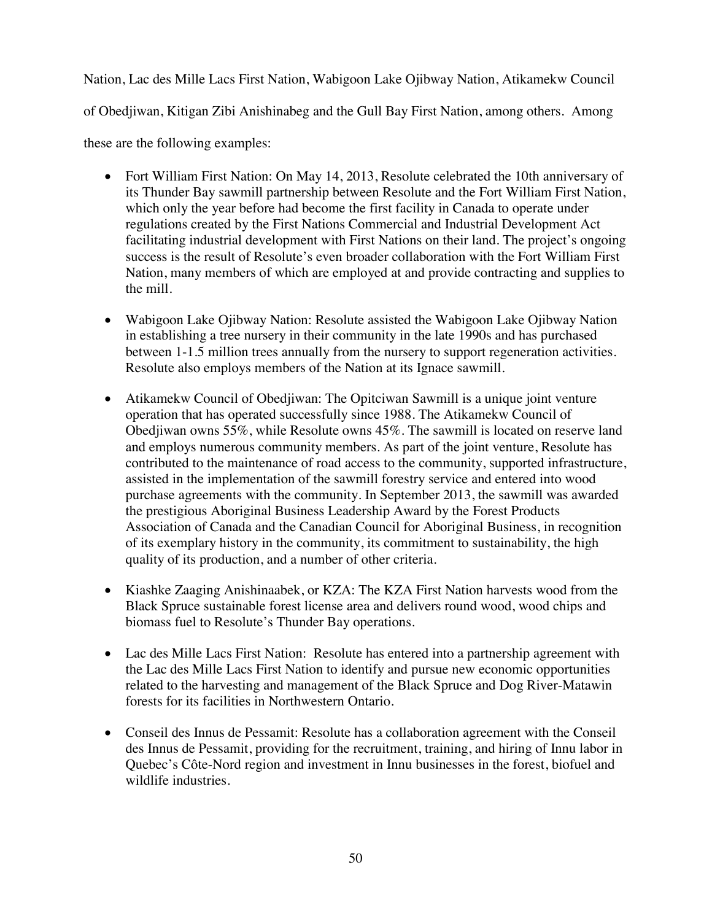Nation, Lac des Mille Lacs First Nation, Wabigoon Lake Ojibway Nation, Atikamekw Council of Obedjiwan, Kitigan Zibi Anishinabeg and the Gull Bay First Nation, among others. Among these are the following examples:

- Fort William First Nation: On May 14, 2013, Resolute celebrated the 10th anniversary of its Thunder Bay sawmill partnership between Resolute and the Fort William First Nation, which only the year before had become the first facility in Canada to operate under regulations created by the First Nations Commercial and Industrial Development Act facilitating industrial development with First Nations on their land. The project's ongoing success is the result of Resolute's even broader collaboration with the Fort William First Nation, many members of which are employed at and provide contracting and supplies to the mill.
- Wabigoon Lake Ojibway Nation: Resolute assisted the Wabigoon Lake Ojibway Nation in establishing a tree nursery in their community in the late 1990s and has purchased between 1-1.5 million trees annually from the nursery to support regeneration activities. Resolute also employs members of the Nation at its Ignace sawmill.
- Atikamekw Council of Obedjiwan: The Opitciwan Sawmill is a unique joint venture operation that has operated successfully since 1988. The Atikamekw Council of Obedjiwan owns 55%, while Resolute owns 45%. The sawmill is located on reserve land and employs numerous community members. As part of the joint venture, Resolute has contributed to the maintenance of road access to the community, supported infrastructure, assisted in the implementation of the sawmill forestry service and entered into wood purchase agreements with the community. In September 2013, the sawmill was awarded the prestigious Aboriginal Business Leadership Award by the Forest Products Association of Canada and the Canadian Council for Aboriginal Business, in recognition of its exemplary history in the community, its commitment to sustainability, the high quality of its production, and a number of other criteria.
- Kiashke Zaaging Anishinaabek, or KZA: The KZA First Nation harvests wood from the Black Spruce sustainable forest license area and delivers round wood, wood chips and biomass fuel to Resolute's Thunder Bay operations.
- Lac des Mille Lacs First Nation: Resolute has entered into a partnership agreement with the Lac des Mille Lacs First Nation to identify and pursue new economic opportunities related to the harvesting and management of the Black Spruce and Dog River-Matawin forests for its facilities in Northwestern Ontario.
- Conseil des Innus de Pessamit: Resolute has a collaboration agreement with the Conseil des Innus de Pessamit, providing for the recruitment, training, and hiring of Innu labor in Quebec's Côte-Nord region and investment in Innu businesses in the forest, biofuel and wildlife industries.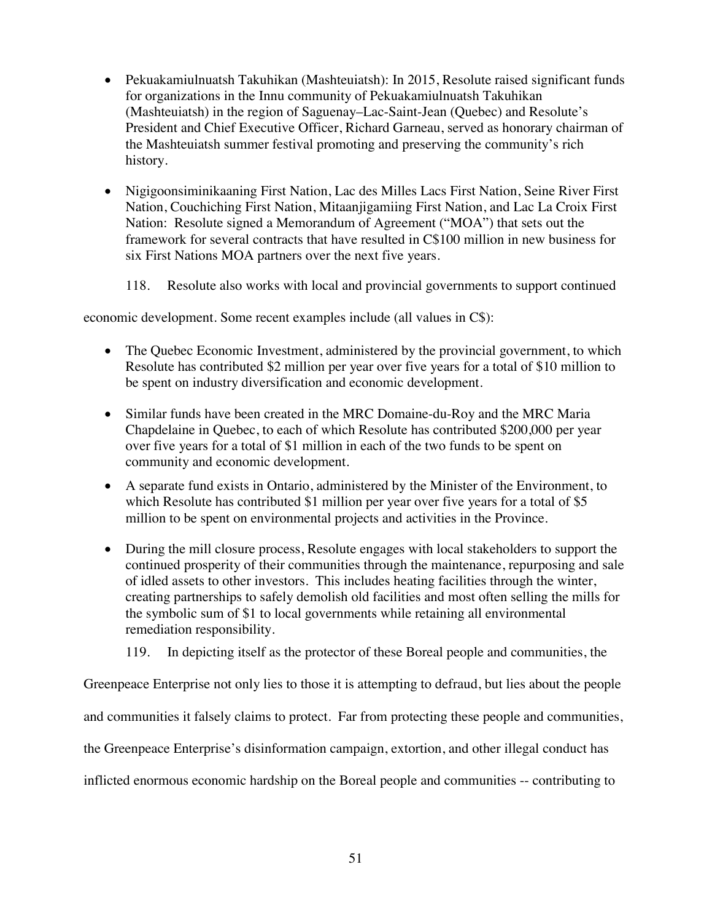- Pekuakamiulnuatsh Takuhikan (Mashteuiatsh): In 2015, Resolute raised significant funds for organizations in the Innu community of Pekuakamiulnuatsh Takuhikan (Mashteuiatsh) in the region of Saguenay–Lac-Saint-Jean (Quebec) and Resolute's President and Chief Executive Officer, Richard Garneau, served as honorary chairman of the Mashteuiatsh summer festival promoting and preserving the community's rich history.
- Nigigoonsiminikaaning First Nation, Lac des Milles Lacs First Nation, Seine River First Nation, Couchiching First Nation, Mitaanjigamiing First Nation, and Lac La Croix First Nation: Resolute signed a Memorandum of Agreement ("MOA") that sets out the framework for several contracts that have resulted in C\$100 million in new business for six First Nations MOA partners over the next five years.
	- 118. Resolute also works with local and provincial governments to support continued

economic development. Some recent examples include (all values in C\$):

- The Quebec Economic Investment, administered by the provincial government, to which Resolute has contributed \$2 million per year over five years for a total of \$10 million to be spent on industry diversification and economic development.
- Similar funds have been created in the MRC Domaine-du-Roy and the MRC Maria Chapdelaine in Quebec, to each of which Resolute has contributed \$200,000 per year over five years for a total of \$1 million in each of the two funds to be spent on community and economic development.
- A separate fund exists in Ontario, administered by the Minister of the Environment, to which Resolute has contributed \$1 million per year over five years for a total of \$5 million to be spent on environmental projects and activities in the Province.
- During the mill closure process, Resolute engages with local stakeholders to support the continued prosperity of their communities through the maintenance, repurposing and sale of idled assets to other investors. This includes heating facilities through the winter, creating partnerships to safely demolish old facilities and most often selling the mills for the symbolic sum of \$1 to local governments while retaining all environmental remediation responsibility.
	- 119. In depicting itself as the protector of these Boreal people and communities, the

Greenpeace Enterprise not only lies to those it is attempting to defraud, but lies about the people

and communities it falsely claims to protect. Far from protecting these people and communities,

the Greenpeace Enterprise's disinformation campaign, extortion, and other illegal conduct has

inflicted enormous economic hardship on the Boreal people and communities -- contributing to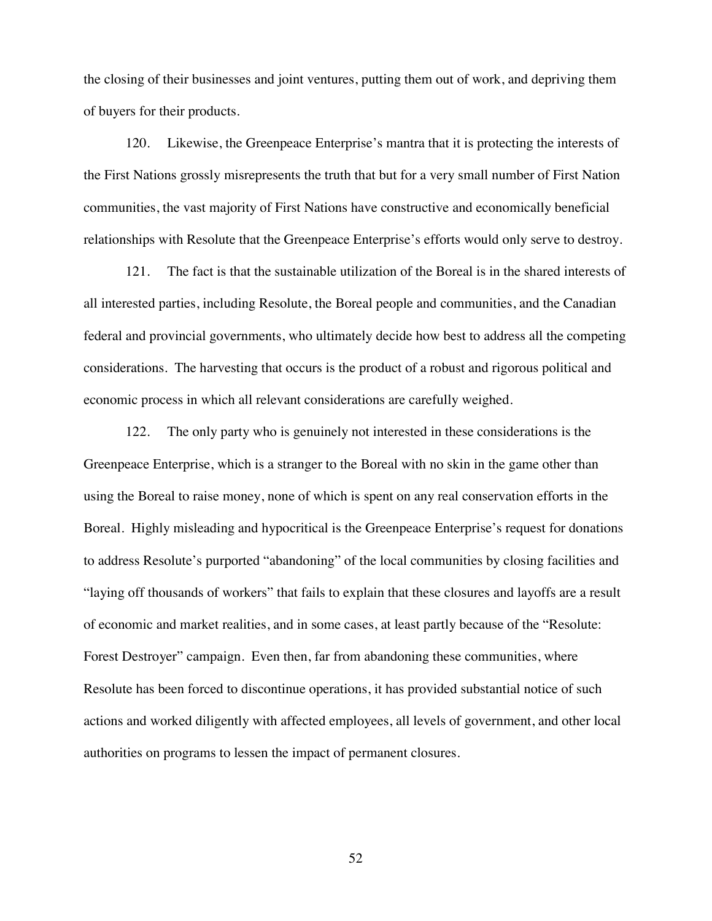the closing of their businesses and joint ventures, putting them out of work, and depriving them of buyers for their products.

120. Likewise, the Greenpeace Enterprise's mantra that it is protecting the interests of the First Nations grossly misrepresents the truth that but for a very small number of First Nation communities, the vast majority of First Nations have constructive and economically beneficial relationships with Resolute that the Greenpeace Enterprise's efforts would only serve to destroy.

121. The fact is that the sustainable utilization of the Boreal is in the shared interests of all interested parties, including Resolute, the Boreal people and communities, and the Canadian federal and provincial governments, who ultimately decide how best to address all the competing considerations. The harvesting that occurs is the product of a robust and rigorous political and economic process in which all relevant considerations are carefully weighed.

122. The only party who is genuinely not interested in these considerations is the Greenpeace Enterprise, which is a stranger to the Boreal with no skin in the game other than using the Boreal to raise money, none of which is spent on any real conservation efforts in the Boreal. Highly misleading and hypocritical is the Greenpeace Enterprise's request for donations to address Resolute's purported "abandoning" of the local communities by closing facilities and "laying off thousands of workers" that fails to explain that these closures and layoffs are a result of economic and market realities, and in some cases, at least partly because of the "Resolute: Forest Destroyer" campaign. Even then, far from abandoning these communities, where Resolute has been forced to discontinue operations, it has provided substantial notice of such actions and worked diligently with affected employees, all levels of government, and other local authorities on programs to lessen the impact of permanent closures.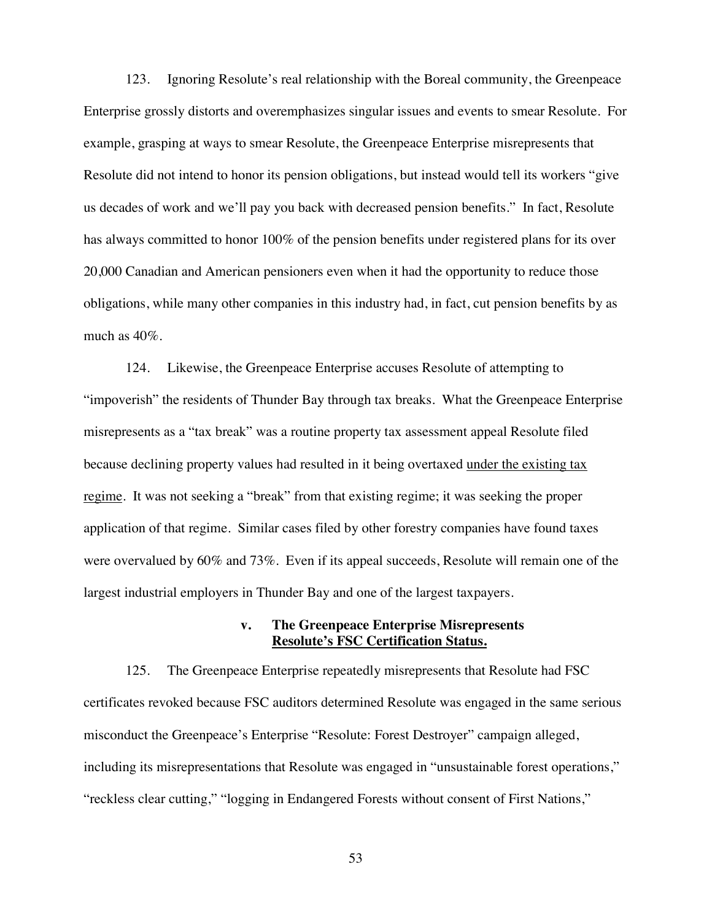123. Ignoring Resolute's real relationship with the Boreal community, the Greenpeace Enterprise grossly distorts and overemphasizes singular issues and events to smear Resolute. For example, grasping at ways to smear Resolute, the Greenpeace Enterprise misrepresents that Resolute did not intend to honor its pension obligations, but instead would tell its workers "give us decades of work and we'll pay you back with decreased pension benefits." In fact, Resolute has always committed to honor 100% of the pension benefits under registered plans for its over 20,000 Canadian and American pensioners even when it had the opportunity to reduce those obligations, while many other companies in this industry had, in fact, cut pension benefits by as much as 40%.

124. Likewise, the Greenpeace Enterprise accuses Resolute of attempting to "impoverish" the residents of Thunder Bay through tax breaks. What the Greenpeace Enterprise misrepresents as a "tax break" was a routine property tax assessment appeal Resolute filed because declining property values had resulted in it being overtaxed under the existing tax regime. It was not seeking a "break" from that existing regime; it was seeking the proper application of that regime. Similar cases filed by other forestry companies have found taxes were overvalued by 60% and 73%. Even if its appeal succeeds, Resolute will remain one of the largest industrial employers in Thunder Bay and one of the largest taxpayers.

### **v. The Greenpeace Enterprise Misrepresents Resolute's FSC Certification Status.**

125. The Greenpeace Enterprise repeatedly misrepresents that Resolute had FSC certificates revoked because FSC auditors determined Resolute was engaged in the same serious misconduct the Greenpeace's Enterprise "Resolute: Forest Destroyer" campaign alleged, including its misrepresentations that Resolute was engaged in "unsustainable forest operations," "reckless clear cutting," "logging in Endangered Forests without consent of First Nations,"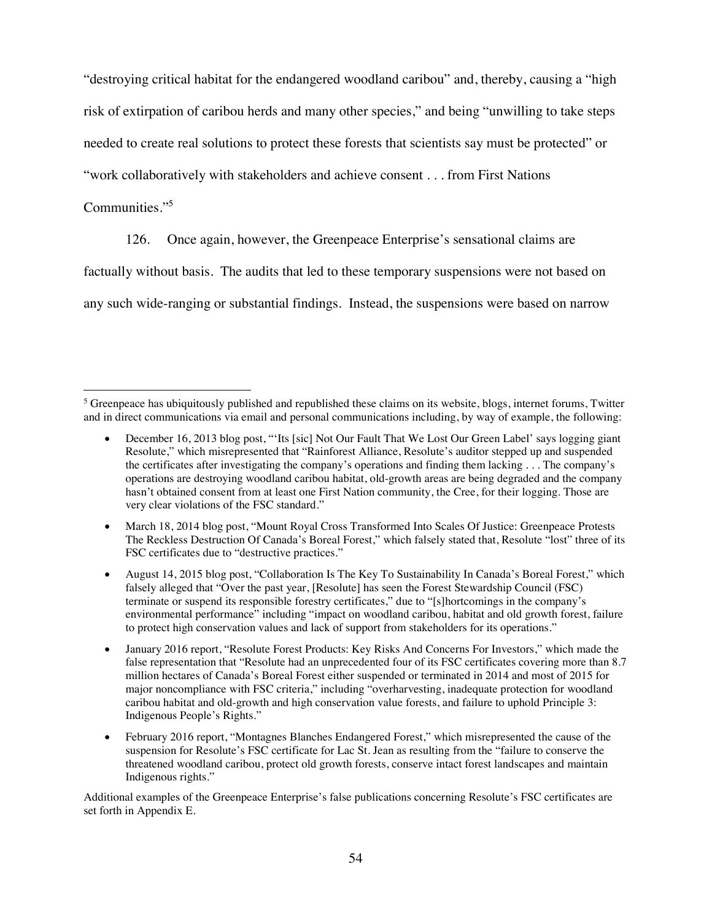"destroying critical habitat for the endangered woodland caribou" and, thereby, causing a "high

risk of extirpation of caribou herds and many other species," and being "unwilling to take steps

needed to create real solutions to protect these forests that scientists say must be protected" or

"work collaboratively with stakeholders and achieve consent . . . from First Nations

# Communities."5

126. Once again, however, the Greenpeace Enterprise's sensational claims are

factually without basis. The audits that led to these temporary suspensions were not based on

any such wide-ranging or substantial findings. Instead, the suspensions were based on narrow

Additional examples of the Greenpeace Enterprise's false publications concerning Resolute's FSC certificates are set forth in Appendix E.

 $<sup>5</sup>$  Greenpeace has ubiquitously published and republished these claims on its website, blogs, internet forums, Twitter</sup> and in direct communications via email and personal communications including, by way of example, the following:

December 16, 2013 blog post, "'Its [sic] Not Our Fault That We Lost Our Green Label' says logging giant Resolute," which misrepresented that "Rainforest Alliance, Resolute's auditor stepped up and suspended the certificates after investigating the company's operations and finding them lacking . . . The company's operations are destroying woodland caribou habitat, old-growth areas are being degraded and the company hasn't obtained consent from at least one First Nation community, the Cree, for their logging. Those are very clear violations of the FSC standard."

March 18, 2014 blog post, "Mount Royal Cross Transformed Into Scales Of Justice: Greenpeace Protests The Reckless Destruction Of Canada's Boreal Forest," which falsely stated that, Resolute "lost" three of its FSC certificates due to "destructive practices."

August 14, 2015 blog post, "Collaboration Is The Key To Sustainability In Canada's Boreal Forest," which falsely alleged that "Over the past year, [Resolute] has seen the Forest Stewardship Council (FSC) terminate or suspend its responsible forestry certificates," due to "[s]hortcomings in the company's environmental performance" including "impact on woodland caribou, habitat and old growth forest, failure to protect high conservation values and lack of support from stakeholders for its operations."

January 2016 report, "Resolute Forest Products: Key Risks And Concerns For Investors," which made the false representation that "Resolute had an unprecedented four of its FSC certificates covering more than 8.7 million hectares of Canada's Boreal Forest either suspended or terminated in 2014 and most of 2015 for major noncompliance with FSC criteria," including "overharvesting, inadequate protection for woodland caribou habitat and old-growth and high conservation value forests, and failure to uphold Principle 3: Indigenous People's Rights."

February 2016 report, "Montagnes Blanches Endangered Forest," which misrepresented the cause of the suspension for Resolute's FSC certificate for Lac St. Jean as resulting from the "failure to conserve the threatened woodland caribou, protect old growth forests, conserve intact forest landscapes and maintain Indigenous rights."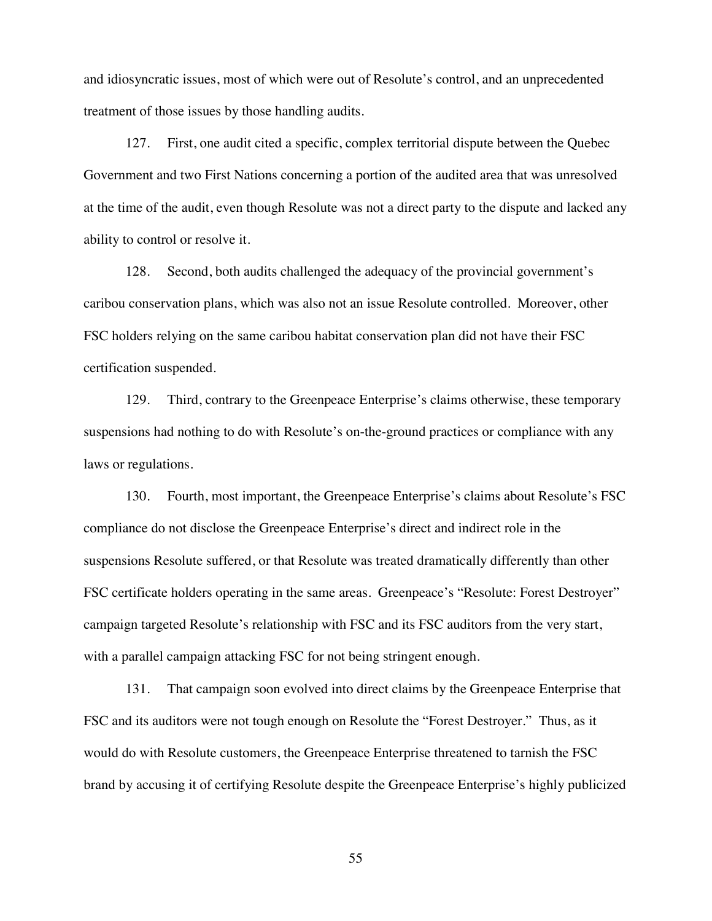and idiosyncratic issues, most of which were out of Resolute's control, and an unprecedented treatment of those issues by those handling audits.

127. First, one audit cited a specific, complex territorial dispute between the Quebec Government and two First Nations concerning a portion of the audited area that was unresolved at the time of the audit, even though Resolute was not a direct party to the dispute and lacked any ability to control or resolve it.

128. Second, both audits challenged the adequacy of the provincial government's caribou conservation plans, which was also not an issue Resolute controlled. Moreover, other FSC holders relying on the same caribou habitat conservation plan did not have their FSC certification suspended.

129. Third, contrary to the Greenpeace Enterprise's claims otherwise, these temporary suspensions had nothing to do with Resolute's on-the-ground practices or compliance with any laws or regulations.

130. Fourth, most important, the Greenpeace Enterprise's claims about Resolute's FSC compliance do not disclose the Greenpeace Enterprise's direct and indirect role in the suspensions Resolute suffered, or that Resolute was treated dramatically differently than other FSC certificate holders operating in the same areas. Greenpeace's "Resolute: Forest Destroyer" campaign targeted Resolute's relationship with FSC and its FSC auditors from the very start, with a parallel campaign attacking FSC for not being stringent enough.

131. That campaign soon evolved into direct claims by the Greenpeace Enterprise that FSC and its auditors were not tough enough on Resolute the "Forest Destroyer." Thus, as it would do with Resolute customers, the Greenpeace Enterprise threatened to tarnish the FSC brand by accusing it of certifying Resolute despite the Greenpeace Enterprise's highly publicized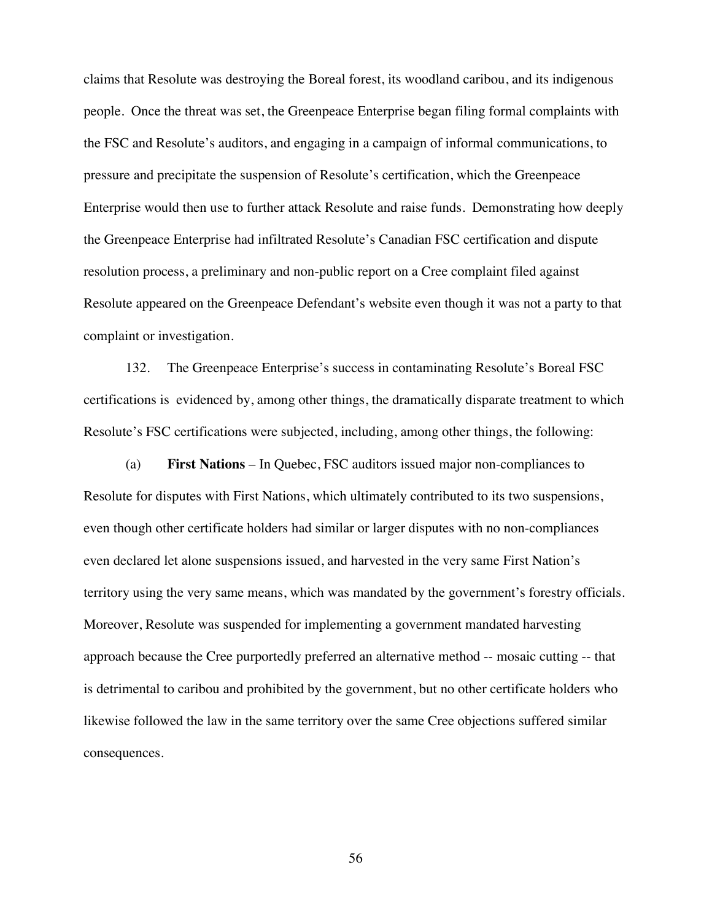claims that Resolute was destroying the Boreal forest, its woodland caribou, and its indigenous people. Once the threat was set, the Greenpeace Enterprise began filing formal complaints with the FSC and Resolute's auditors, and engaging in a campaign of informal communications, to pressure and precipitate the suspension of Resolute's certification, which the Greenpeace Enterprise would then use to further attack Resolute and raise funds. Demonstrating how deeply the Greenpeace Enterprise had infiltrated Resolute's Canadian FSC certification and dispute resolution process, a preliminary and non-public report on a Cree complaint filed against Resolute appeared on the Greenpeace Defendant's website even though it was not a party to that complaint or investigation.

132. The Greenpeace Enterprise's success in contaminating Resolute's Boreal FSC certifications is evidenced by, among other things, the dramatically disparate treatment to which Resolute's FSC certifications were subjected, including, among other things, the following:

(a) **First Nations** – In Quebec, FSC auditors issued major non-compliances to Resolute for disputes with First Nations, which ultimately contributed to its two suspensions, even though other certificate holders had similar or larger disputes with no non-compliances even declared let alone suspensions issued, and harvested in the very same First Nation's territory using the very same means, which was mandated by the government's forestry officials. Moreover, Resolute was suspended for implementing a government mandated harvesting approach because the Cree purportedly preferred an alternative method -- mosaic cutting -- that is detrimental to caribou and prohibited by the government, but no other certificate holders who likewise followed the law in the same territory over the same Cree objections suffered similar consequences.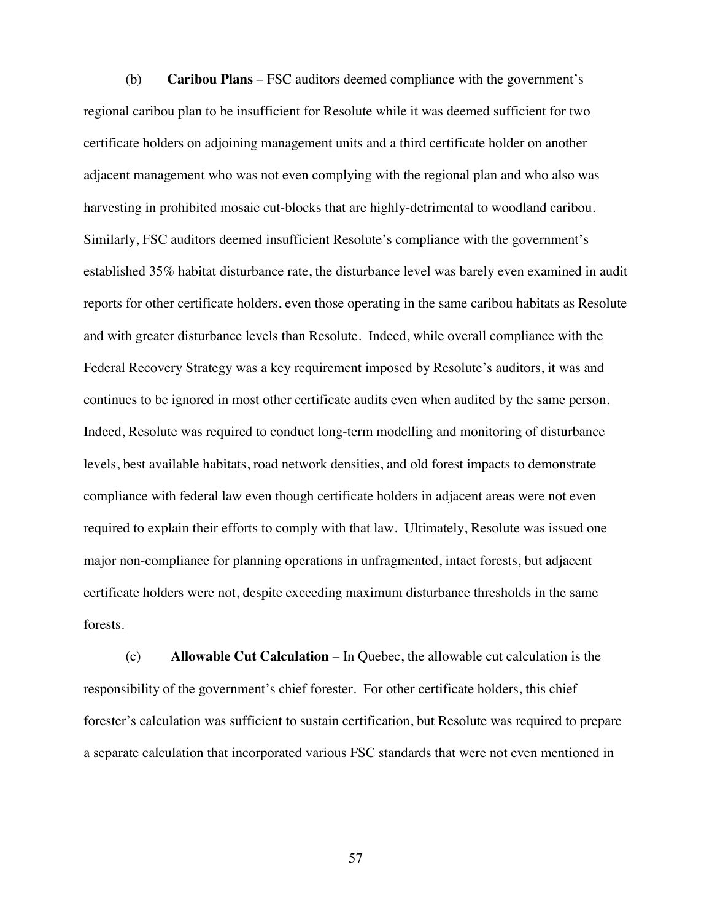(b) **Caribou Plans** – FSC auditors deemed compliance with the government's regional caribou plan to be insufficient for Resolute while it was deemed sufficient for two certificate holders on adjoining management units and a third certificate holder on another adjacent management who was not even complying with the regional plan and who also was harvesting in prohibited mosaic cut-blocks that are highly-detrimental to woodland caribou. Similarly, FSC auditors deemed insufficient Resolute's compliance with the government's established 35% habitat disturbance rate, the disturbance level was barely even examined in audit reports for other certificate holders, even those operating in the same caribou habitats as Resolute and with greater disturbance levels than Resolute. Indeed, while overall compliance with the Federal Recovery Strategy was a key requirement imposed by Resolute's auditors, it was and continues to be ignored in most other certificate audits even when audited by the same person. Indeed, Resolute was required to conduct long-term modelling and monitoring of disturbance levels, best available habitats, road network densities, and old forest impacts to demonstrate compliance with federal law even though certificate holders in adjacent areas were not even required to explain their efforts to comply with that law. Ultimately, Resolute was issued one major non-compliance for planning operations in unfragmented, intact forests, but adjacent certificate holders were not, despite exceeding maximum disturbance thresholds in the same forests.

(c) **Allowable Cut Calculation** – In Quebec, the allowable cut calculation is the responsibility of the government's chief forester. For other certificate holders, this chief forester's calculation was sufficient to sustain certification, but Resolute was required to prepare a separate calculation that incorporated various FSC standards that were not even mentioned in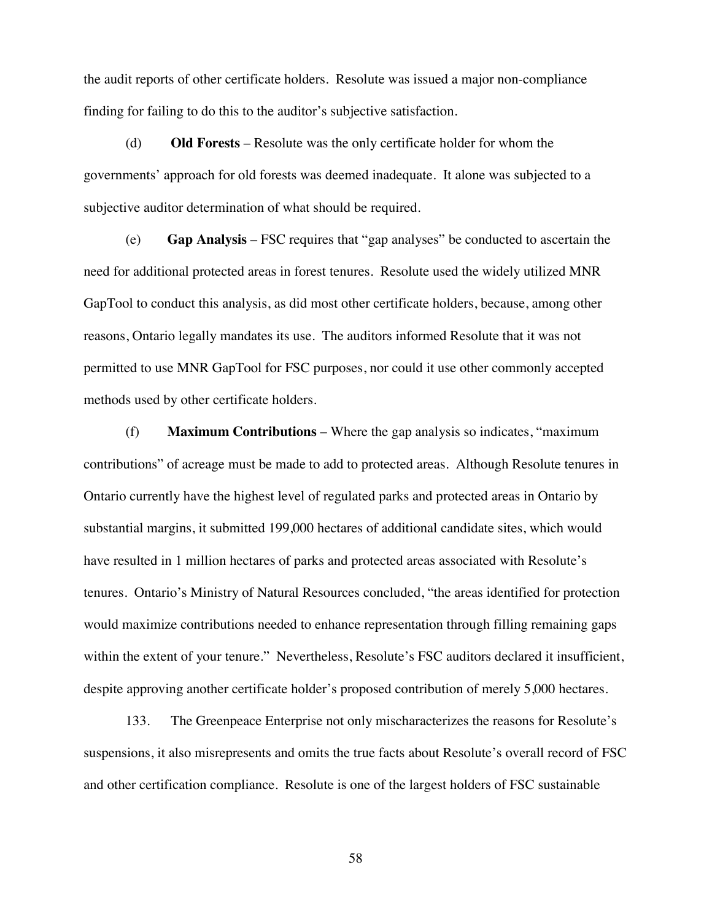the audit reports of other certificate holders. Resolute was issued a major non-compliance finding for failing to do this to the auditor's subjective satisfaction.

(d) **Old Forests** – Resolute was the only certificate holder for whom the governments' approach for old forests was deemed inadequate. It alone was subjected to a subjective auditor determination of what should be required.

(e) **Gap Analysis** – FSC requires that "gap analyses" be conducted to ascertain the need for additional protected areas in forest tenures. Resolute used the widely utilized MNR GapTool to conduct this analysis, as did most other certificate holders, because, among other reasons, Ontario legally mandates its use. The auditors informed Resolute that it was not permitted to use MNR GapTool for FSC purposes, nor could it use other commonly accepted methods used by other certificate holders.

(f) **Maximum Contributions** – Where the gap analysis so indicates, "maximum contributions" of acreage must be made to add to protected areas. Although Resolute tenures in Ontario currently have the highest level of regulated parks and protected areas in Ontario by substantial margins, it submitted 199,000 hectares of additional candidate sites, which would have resulted in 1 million hectares of parks and protected areas associated with Resolute's tenures. Ontario's Ministry of Natural Resources concluded, "the areas identified for protection would maximize contributions needed to enhance representation through filling remaining gaps within the extent of your tenure." Nevertheless, Resolute's FSC auditors declared it insufficient, despite approving another certificate holder's proposed contribution of merely 5,000 hectares.

133. The Greenpeace Enterprise not only mischaracterizes the reasons for Resolute's suspensions, it also misrepresents and omits the true facts about Resolute's overall record of FSC and other certification compliance. Resolute is one of the largest holders of FSC sustainable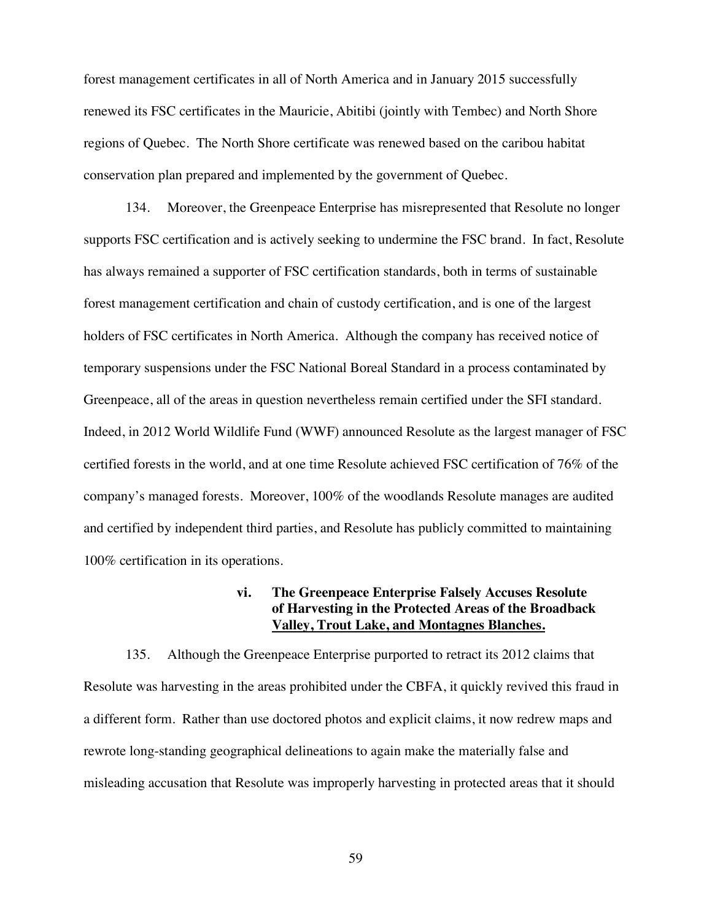forest management certificates in all of North America and in January 2015 successfully renewed its FSC certificates in the Mauricie, Abitibi (jointly with Tembec) and North Shore regions of Quebec. The North Shore certificate was renewed based on the caribou habitat conservation plan prepared and implemented by the government of Quebec.

134. Moreover, the Greenpeace Enterprise has misrepresented that Resolute no longer supports FSC certification and is actively seeking to undermine the FSC brand. In fact, Resolute has always remained a supporter of FSC certification standards, both in terms of sustainable forest management certification and chain of custody certification, and is one of the largest holders of FSC certificates in North America. Although the company has received notice of temporary suspensions under the FSC National Boreal Standard in a process contaminated by Greenpeace, all of the areas in question nevertheless remain certified under the SFI standard. Indeed, in 2012 World Wildlife Fund (WWF) announced Resolute as the largest manager of FSC certified forests in the world, and at one time Resolute achieved FSC certification of 76% of the company's managed forests. Moreover, 100% of the woodlands Resolute manages are audited and certified by independent third parties, and Resolute has publicly committed to maintaining 100% certification in its operations.

## **vi. The Greenpeace Enterprise Falsely Accuses Resolute of Harvesting in the Protected Areas of the Broadback Valley, Trout Lake, and Montagnes Blanches.**

135. Although the Greenpeace Enterprise purported to retract its 2012 claims that Resolute was harvesting in the areas prohibited under the CBFA, it quickly revived this fraud in a different form. Rather than use doctored photos and explicit claims, it now redrew maps and rewrote long-standing geographical delineations to again make the materially false and misleading accusation that Resolute was improperly harvesting in protected areas that it should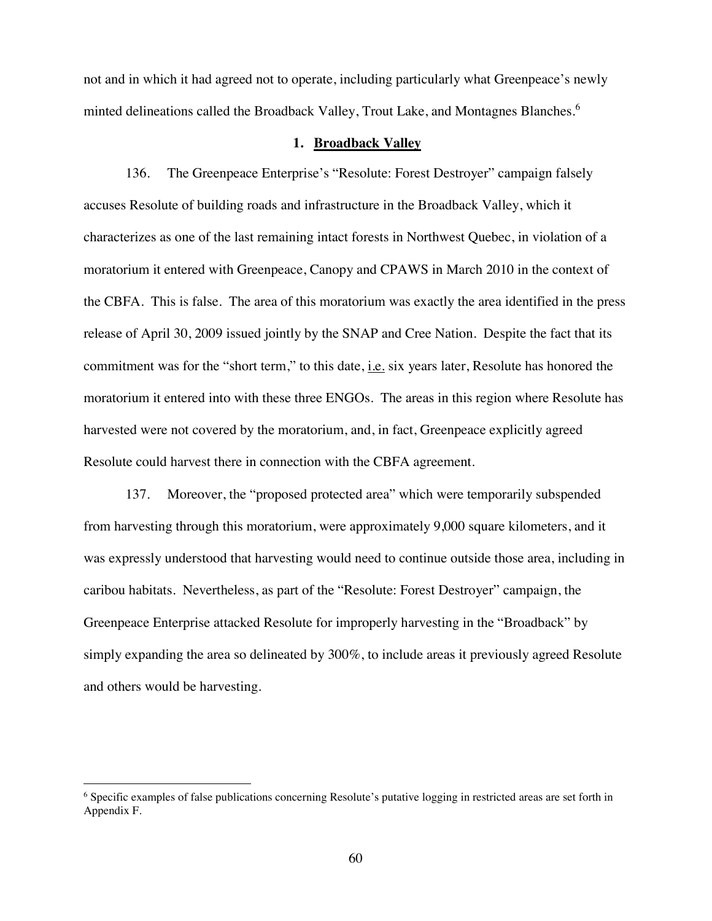not and in which it had agreed not to operate, including particularly what Greenpeace's newly minted delineations called the Broadback Valley, Trout Lake, and Montagnes Blanches.<sup>6</sup>

#### **1. Broadback Valley**

136. The Greenpeace Enterprise's "Resolute: Forest Destroyer" campaign falsely accuses Resolute of building roads and infrastructure in the Broadback Valley, which it characterizes as one of the last remaining intact forests in Northwest Quebec, in violation of a moratorium it entered with Greenpeace, Canopy and CPAWS in March 2010 in the context of the CBFA. This is false. The area of this moratorium was exactly the area identified in the press release of April 30, 2009 issued jointly by the SNAP and Cree Nation. Despite the fact that its commitment was for the "short term," to this date, i.e. six years later, Resolute has honored the moratorium it entered into with these three ENGOs. The areas in this region where Resolute has harvested were not covered by the moratorium, and, in fact, Greenpeace explicitly agreed Resolute could harvest there in connection with the CBFA agreement.

137. Moreover, the "proposed protected area" which were temporarily subspended from harvesting through this moratorium, were approximately 9,000 square kilometers, and it was expressly understood that harvesting would need to continue outside those area, including in caribou habitats. Nevertheless, as part of the "Resolute: Forest Destroyer" campaign, the Greenpeace Enterprise attacked Resolute for improperly harvesting in the "Broadback" by simply expanding the area so delineated by 300%, to include areas it previously agreed Resolute and others would be harvesting.

<sup>6</sup> Specific examples of false publications concerning Resolute's putative logging in restricted areas are set forth in Appendix F.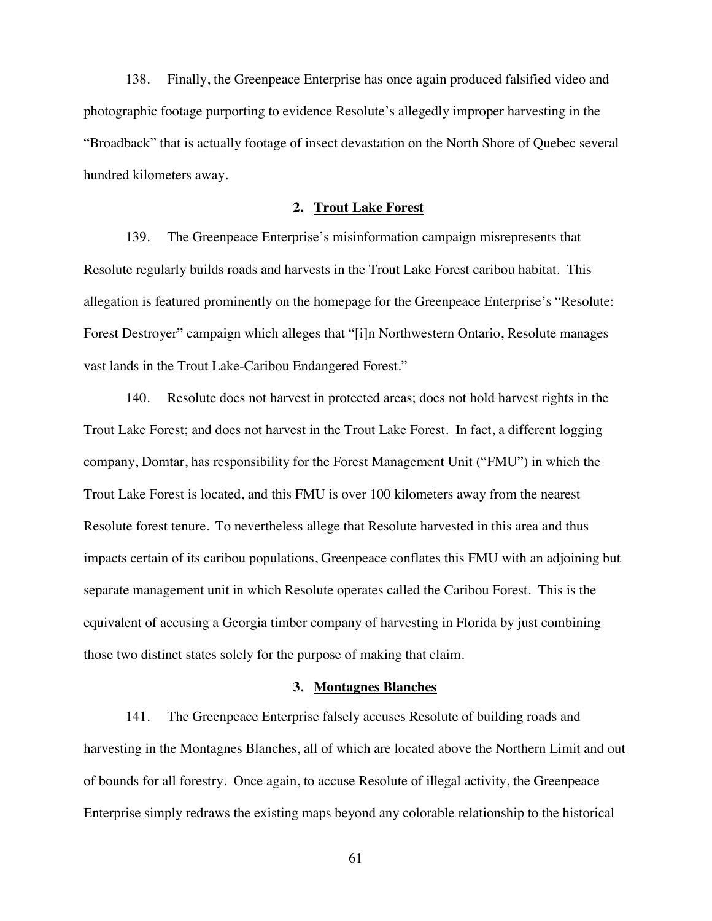138. Finally, the Greenpeace Enterprise has once again produced falsified video and photographic footage purporting to evidence Resolute's allegedly improper harvesting in the "Broadback" that is actually footage of insect devastation on the North Shore of Quebec several hundred kilometers away.

### **2. Trout Lake Forest**

139. The Greenpeace Enterprise's misinformation campaign misrepresents that Resolute regularly builds roads and harvests in the Trout Lake Forest caribou habitat. This allegation is featured prominently on the homepage for the Greenpeace Enterprise's "Resolute: Forest Destroyer" campaign which alleges that "[i]n Northwestern Ontario, Resolute manages vast lands in the Trout Lake-Caribou Endangered Forest."

140. Resolute does not harvest in protected areas; does not hold harvest rights in the Trout Lake Forest; and does not harvest in the Trout Lake Forest. In fact, a different logging company, Domtar, has responsibility for the Forest Management Unit ("FMU") in which the Trout Lake Forest is located, and this FMU is over 100 kilometers away from the nearest Resolute forest tenure. To nevertheless allege that Resolute harvested in this area and thus impacts certain of its caribou populations, Greenpeace conflates this FMU with an adjoining but separate management unit in which Resolute operates called the Caribou Forest. This is the equivalent of accusing a Georgia timber company of harvesting in Florida by just combining those two distinct states solely for the purpose of making that claim.

#### **3. Montagnes Blanches**

141. The Greenpeace Enterprise falsely accuses Resolute of building roads and harvesting in the Montagnes Blanches, all of which are located above the Northern Limit and out of bounds for all forestry. Once again, to accuse Resolute of illegal activity, the Greenpeace Enterprise simply redraws the existing maps beyond any colorable relationship to the historical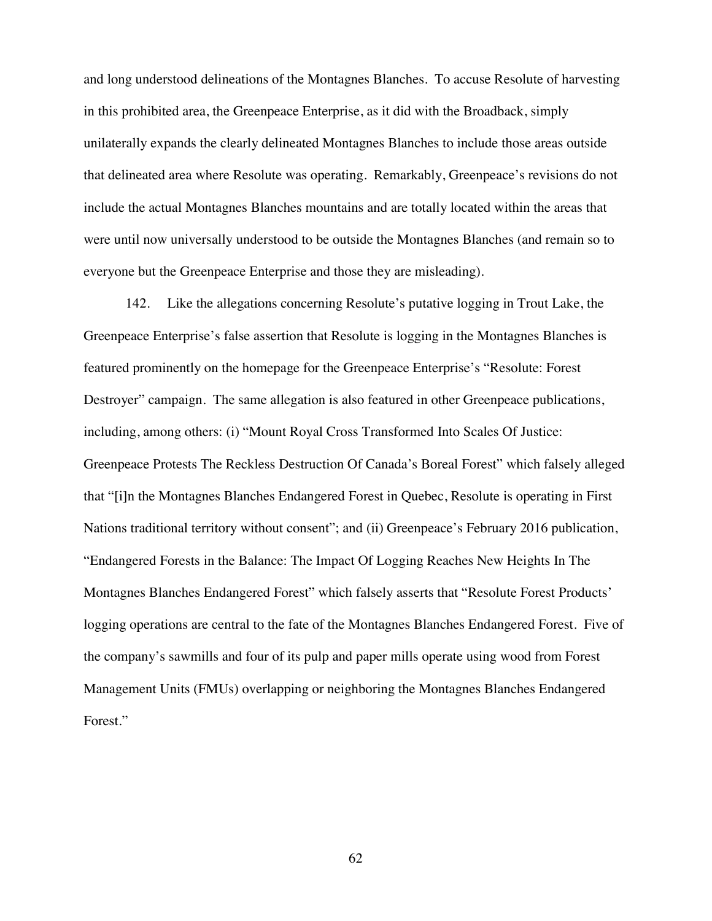and long understood delineations of the Montagnes Blanches. To accuse Resolute of harvesting in this prohibited area, the Greenpeace Enterprise, as it did with the Broadback, simply unilaterally expands the clearly delineated Montagnes Blanches to include those areas outside that delineated area where Resolute was operating. Remarkably, Greenpeace's revisions do not include the actual Montagnes Blanches mountains and are totally located within the areas that were until now universally understood to be outside the Montagnes Blanches (and remain so to everyone but the Greenpeace Enterprise and those they are misleading).

142. Like the allegations concerning Resolute's putative logging in Trout Lake, the Greenpeace Enterprise's false assertion that Resolute is logging in the Montagnes Blanches is featured prominently on the homepage for the Greenpeace Enterprise's "Resolute: Forest Destroyer" campaign. The same allegation is also featured in other Greenpeace publications, including, among others: (i) "Mount Royal Cross Transformed Into Scales Of Justice: Greenpeace Protests The Reckless Destruction Of Canada's Boreal Forest" which falsely alleged that "[i]n the Montagnes Blanches Endangered Forest in Quebec, Resolute is operating in First Nations traditional territory without consent"; and (ii) Greenpeace's February 2016 publication, "Endangered Forests in the Balance: The Impact Of Logging Reaches New Heights In The Montagnes Blanches Endangered Forest" which falsely asserts that "Resolute Forest Products' logging operations are central to the fate of the Montagnes Blanches Endangered Forest. Five of the company's sawmills and four of its pulp and paper mills operate using wood from Forest Management Units (FMUs) overlapping or neighboring the Montagnes Blanches Endangered Forest."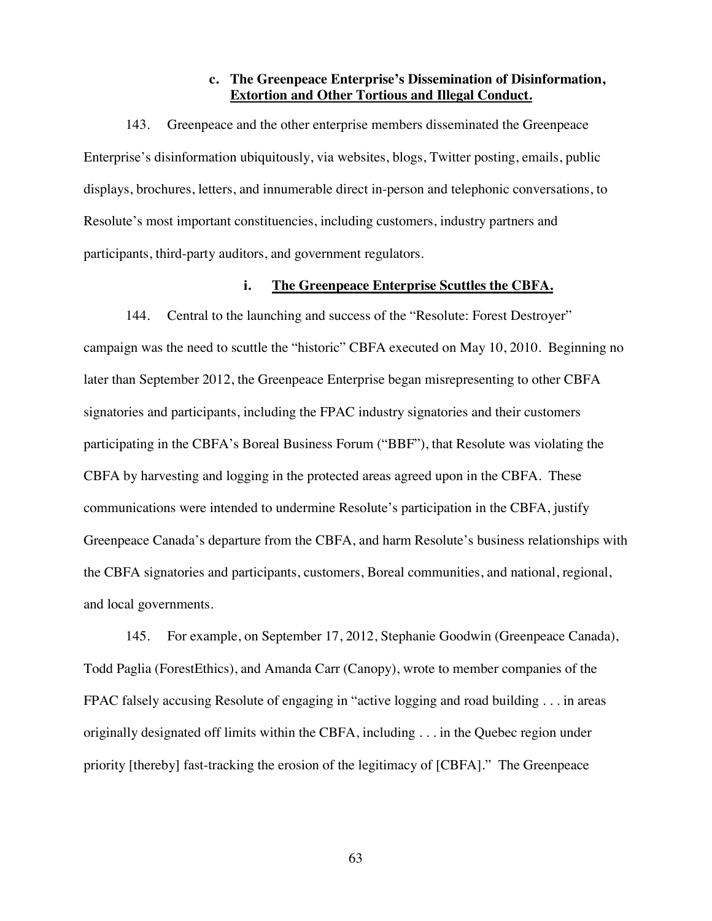## **c. The Greenpeace Enterprise's Dissemination of Disinformation, Extortion and Other Tortious and Illegal Conduct.**

143. Greenpeace and the other enterprise members disseminated the Greenpeace Enterprise's disinformation ubiquitously, via websites, blogs, Twitter posting, emails, public displays, brochures, letters, and innumerable direct in-person and telephonic conversations, to Resolute's most important constituencies, including customers, industry partners and participants, third-party auditors, and government regulators.

#### **i. The Greenpeace Enterprise Scuttles the CBFA.**

144. Central to the launching and success of the "Resolute: Forest Destroyer" campaign was the need to scuttle the "historic" CBFA executed on May 10, 2010. Beginning no later than September 2012, the Greenpeace Enterprise began misrepresenting to other CBFA signatories and participants, including the FPAC industry signatories and their customers participating in the CBFA's Boreal Business Forum ("BBF"), that Resolute was violating the CBFA by harvesting and logging in the protected areas agreed upon in the CBFA. These communications were intended to undermine Resolute's participation in the CBFA, justify Greenpeace Canada's departure from the CBFA, and harm Resolute's business relationships with the CBFA signatories and participants, customers, Boreal communities, and national, regional, and local governments.

145. For example, on September 17, 2012, Stephanie Goodwin (Greenpeace Canada), Todd Paglia (ForestEthics), and Amanda Carr (Canopy), wrote to member companies of the FPAC falsely accusing Resolute of engaging in "active logging and road building . . . in areas originally designated off limits within the CBFA, including . . . in the Quebec region under priority [thereby] fast-tracking the erosion of the legitimacy of [CBFA]." The Greenpeace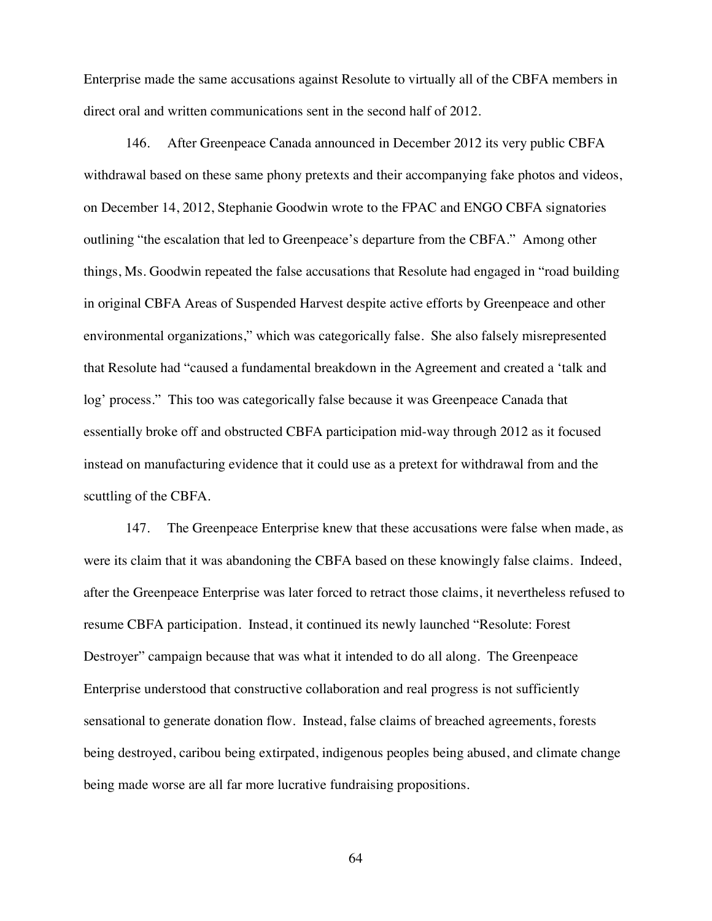Enterprise made the same accusations against Resolute to virtually all of the CBFA members in direct oral and written communications sent in the second half of 2012.

146. After Greenpeace Canada announced in December 2012 its very public CBFA withdrawal based on these same phony pretexts and their accompanying fake photos and videos, on December 14, 2012, Stephanie Goodwin wrote to the FPAC and ENGO CBFA signatories outlining "the escalation that led to Greenpeace's departure from the CBFA." Among other things, Ms. Goodwin repeated the false accusations that Resolute had engaged in "road building in original CBFA Areas of Suspended Harvest despite active efforts by Greenpeace and other environmental organizations," which was categorically false. She also falsely misrepresented that Resolute had "caused a fundamental breakdown in the Agreement and created a 'talk and log' process." This too was categorically false because it was Greenpeace Canada that essentially broke off and obstructed CBFA participation mid-way through 2012 as it focused instead on manufacturing evidence that it could use as a pretext for withdrawal from and the scuttling of the CBFA.

147. The Greenpeace Enterprise knew that these accusations were false when made, as were its claim that it was abandoning the CBFA based on these knowingly false claims. Indeed, after the Greenpeace Enterprise was later forced to retract those claims, it nevertheless refused to resume CBFA participation. Instead, it continued its newly launched "Resolute: Forest Destroyer" campaign because that was what it intended to do all along. The Greenpeace Enterprise understood that constructive collaboration and real progress is not sufficiently sensational to generate donation flow. Instead, false claims of breached agreements, forests being destroyed, caribou being extirpated, indigenous peoples being abused, and climate change being made worse are all far more lucrative fundraising propositions.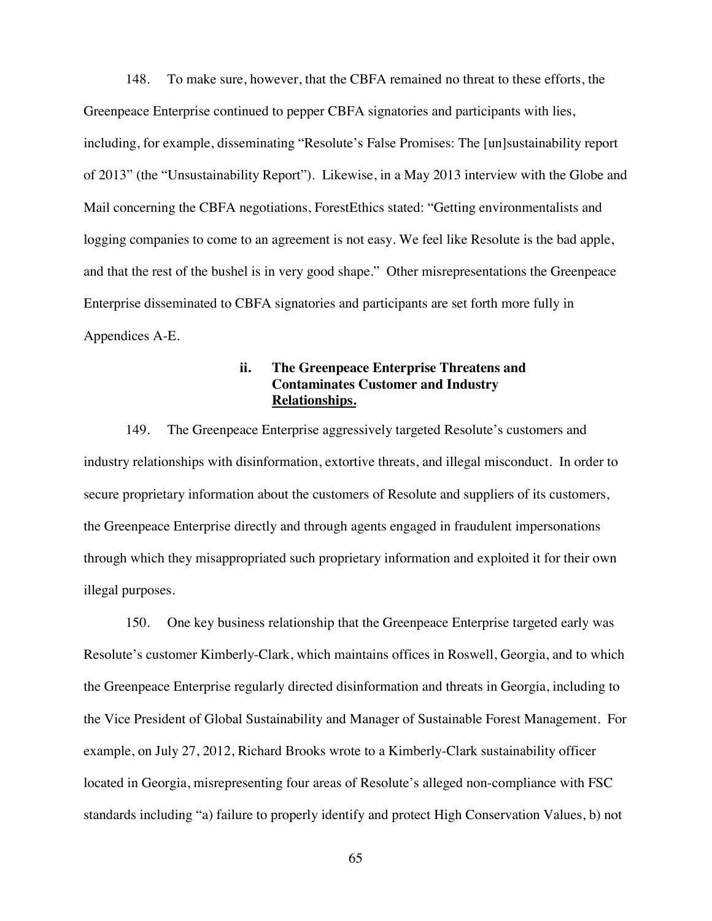148. To make sure, however, that the CBFA remained no threat to these efforts, the Greenpeace Enterprise continued to pepper CBFA signatories and participants with lies, including, for example, disseminating "Resolute's False Promises: The [un]sustainability report of 2013" (the "Unsustainability Report"). Likewise, in a May 2013 interview with the Globe and Mail concerning the CBFA negotiations, ForestEthics stated: "Getting environmentalists and logging companies to come to an agreement is not easy. We feel like Resolute is the bad apple, and that the rest of the bushel is in very good shape." Other misrepresentations the Greenpeace Enterprise disseminated to CBFA signatories and participants are set forth more fully in Appendices A-E.

# **ii. The Greenpeace Enterprise Threatens and Contaminates Customer and Industry Relationships.**

149. The Greenpeace Enterprise aggressively targeted Resolute's customers and industry relationships with disinformation, extortive threats, and illegal misconduct. In order to secure proprietary information about the customers of Resolute and suppliers of its customers, the Greenpeace Enterprise directly and through agents engaged in fraudulent impersonations through which they misappropriated such proprietary information and exploited it for their own illegal purposes.

150. One key business relationship that the Greenpeace Enterprise targeted early was Resolute's customer Kimberly-Clark, which maintains offices in Roswell, Georgia, and to which the Greenpeace Enterprise regularly directed disinformation and threats in Georgia, including to the Vice President of Global Sustainability and Manager of Sustainable Forest Management. For example, on July 27, 2012, Richard Brooks wrote to a Kimberly-Clark sustainability officer located in Georgia, misrepresenting four areas of Resolute's alleged non-compliance with FSC standards including "a) failure to properly identify and protect High Conservation Values, b) not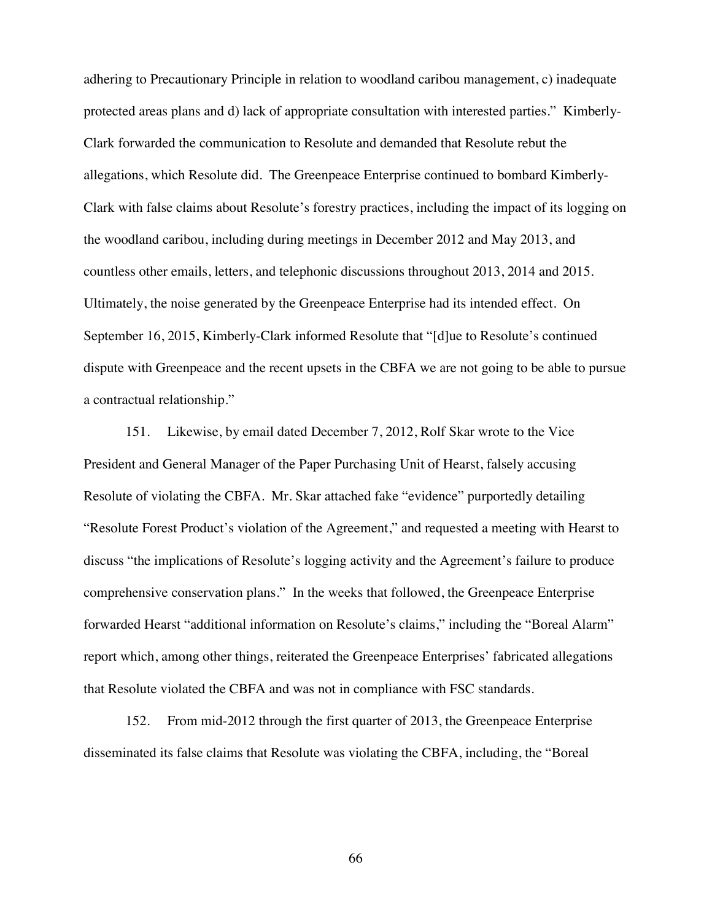adhering to Precautionary Principle in relation to woodland caribou management, c) inadequate protected areas plans and d) lack of appropriate consultation with interested parties." Kimberly-Clark forwarded the communication to Resolute and demanded that Resolute rebut the allegations, which Resolute did. The Greenpeace Enterprise continued to bombard Kimberly-Clark with false claims about Resolute's forestry practices, including the impact of its logging on the woodland caribou, including during meetings in December 2012 and May 2013, and countless other emails, letters, and telephonic discussions throughout 2013, 2014 and 2015. Ultimately, the noise generated by the Greenpeace Enterprise had its intended effect. On September 16, 2015, Kimberly-Clark informed Resolute that "[d]ue to Resolute's continued dispute with Greenpeace and the recent upsets in the CBFA we are not going to be able to pursue a contractual relationship."

151. Likewise, by email dated December 7, 2012, Rolf Skar wrote to the Vice President and General Manager of the Paper Purchasing Unit of Hearst, falsely accusing Resolute of violating the CBFA. Mr. Skar attached fake "evidence" purportedly detailing "Resolute Forest Product's violation of the Agreement," and requested a meeting with Hearst to discuss "the implications of Resolute's logging activity and the Agreement's failure to produce comprehensive conservation plans." In the weeks that followed, the Greenpeace Enterprise forwarded Hearst "additional information on Resolute's claims," including the "Boreal Alarm" report which, among other things, reiterated the Greenpeace Enterprises' fabricated allegations that Resolute violated the CBFA and was not in compliance with FSC standards.

152. From mid-2012 through the first quarter of 2013, the Greenpeace Enterprise disseminated its false claims that Resolute was violating the CBFA, including, the "Boreal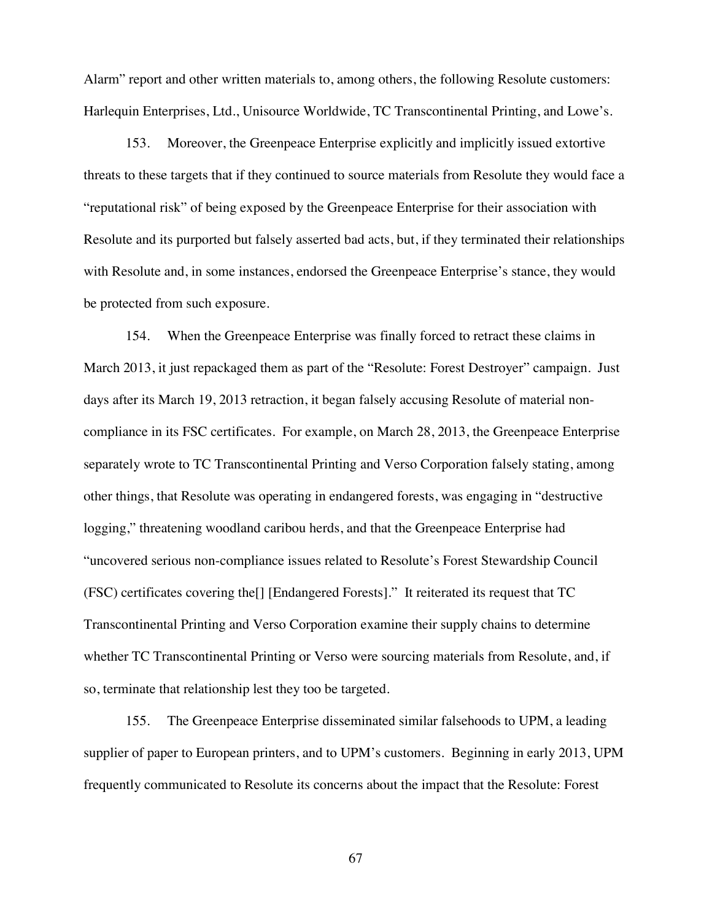Alarm" report and other written materials to, among others, the following Resolute customers: Harlequin Enterprises, Ltd., Unisource Worldwide, TC Transcontinental Printing, and Lowe's.

153. Moreover, the Greenpeace Enterprise explicitly and implicitly issued extortive threats to these targets that if they continued to source materials from Resolute they would face a "reputational risk" of being exposed by the Greenpeace Enterprise for their association with Resolute and its purported but falsely asserted bad acts, but, if they terminated their relationships with Resolute and, in some instances, endorsed the Greenpeace Enterprise's stance, they would be protected from such exposure.

154. When the Greenpeace Enterprise was finally forced to retract these claims in March 2013, it just repackaged them as part of the "Resolute: Forest Destroyer" campaign. Just days after its March 19, 2013 retraction, it began falsely accusing Resolute of material noncompliance in its FSC certificates. For example, on March 28, 2013, the Greenpeace Enterprise separately wrote to TC Transcontinental Printing and Verso Corporation falsely stating, among other things, that Resolute was operating in endangered forests, was engaging in "destructive logging," threatening woodland caribou herds, and that the Greenpeace Enterprise had "uncovered serious non-compliance issues related to Resolute's Forest Stewardship Council (FSC) certificates covering the[] [Endangered Forests]." It reiterated its request that TC Transcontinental Printing and Verso Corporation examine their supply chains to determine whether TC Transcontinental Printing or Verso were sourcing materials from Resolute, and, if so, terminate that relationship lest they too be targeted.

155. The Greenpeace Enterprise disseminated similar falsehoods to UPM, a leading supplier of paper to European printers, and to UPM's customers. Beginning in early 2013, UPM frequently communicated to Resolute its concerns about the impact that the Resolute: Forest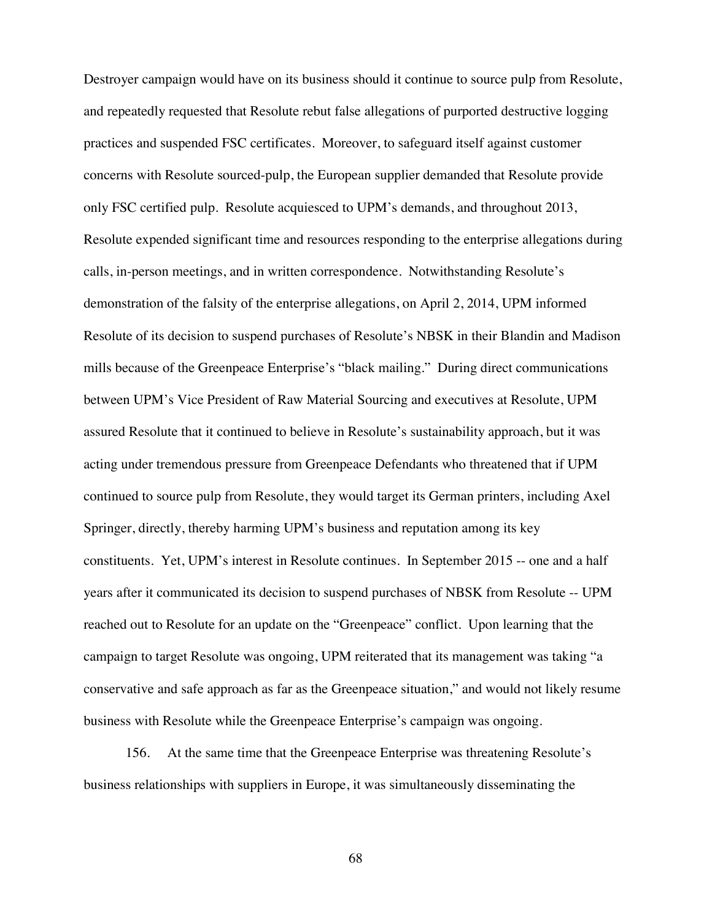Destroyer campaign would have on its business should it continue to source pulp from Resolute, and repeatedly requested that Resolute rebut false allegations of purported destructive logging practices and suspended FSC certificates. Moreover, to safeguard itself against customer concerns with Resolute sourced-pulp, the European supplier demanded that Resolute provide only FSC certified pulp. Resolute acquiesced to UPM's demands, and throughout 2013, Resolute expended significant time and resources responding to the enterprise allegations during calls, in-person meetings, and in written correspondence. Notwithstanding Resolute's demonstration of the falsity of the enterprise allegations, on April 2, 2014, UPM informed Resolute of its decision to suspend purchases of Resolute's NBSK in their Blandin and Madison mills because of the Greenpeace Enterprise's "black mailing." During direct communications between UPM's Vice President of Raw Material Sourcing and executives at Resolute, UPM assured Resolute that it continued to believe in Resolute's sustainability approach, but it was acting under tremendous pressure from Greenpeace Defendants who threatened that if UPM continued to source pulp from Resolute, they would target its German printers, including Axel Springer, directly, thereby harming UPM's business and reputation among its key constituents. Yet, UPM's interest in Resolute continues. In September 2015 -- one and a half years after it communicated its decision to suspend purchases of NBSK from Resolute -- UPM reached out to Resolute for an update on the "Greenpeace" conflict. Upon learning that the campaign to target Resolute was ongoing, UPM reiterated that its management was taking "a conservative and safe approach as far as the Greenpeace situation," and would not likely resume business with Resolute while the Greenpeace Enterprise's campaign was ongoing.

156. At the same time that the Greenpeace Enterprise was threatening Resolute's business relationships with suppliers in Europe, it was simultaneously disseminating the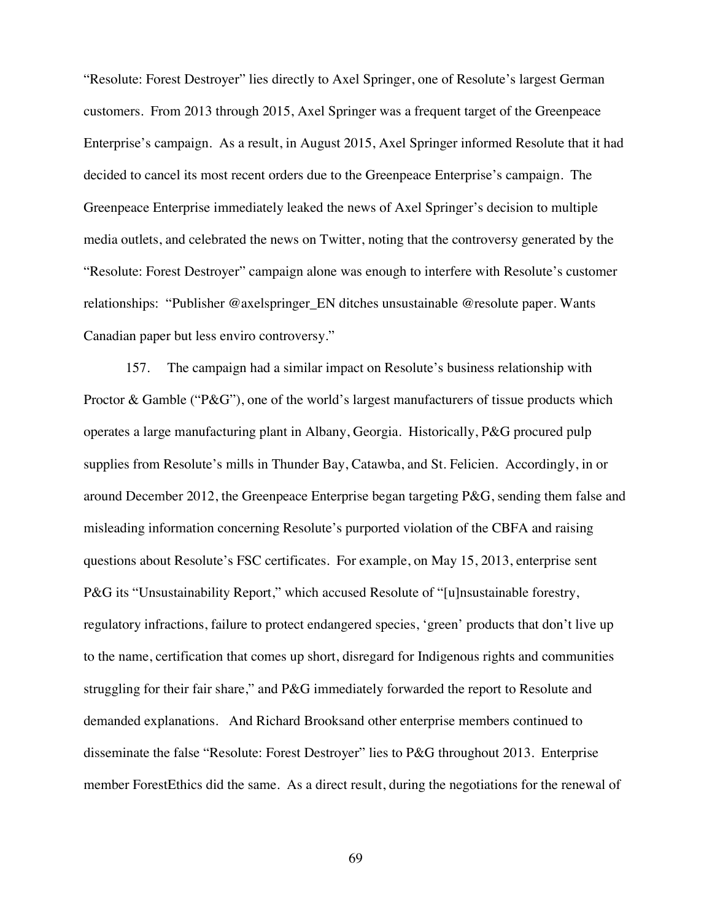"Resolute: Forest Destroyer" lies directly to Axel Springer, one of Resolute's largest German customers. From 2013 through 2015, Axel Springer was a frequent target of the Greenpeace Enterprise's campaign. As a result, in August 2015, Axel Springer informed Resolute that it had decided to cancel its most recent orders due to the Greenpeace Enterprise's campaign. The Greenpeace Enterprise immediately leaked the news of Axel Springer's decision to multiple media outlets, and celebrated the news on Twitter, noting that the controversy generated by the "Resolute: Forest Destroyer" campaign alone was enough to interfere with Resolute's customer relationships: "Publisher @axelspringer\_EN ditches unsustainable @resolute paper. Wants Canadian paper but less enviro controversy."

157. The campaign had a similar impact on Resolute's business relationship with Proctor & Gamble (" $P\&G$ "), one of the world's largest manufacturers of tissue products which operates a large manufacturing plant in Albany, Georgia. Historically, P&G procured pulp supplies from Resolute's mills in Thunder Bay, Catawba, and St. Felicien. Accordingly, in or around December 2012, the Greenpeace Enterprise began targeting P&G, sending them false and misleading information concerning Resolute's purported violation of the CBFA and raising questions about Resolute's FSC certificates. For example, on May 15, 2013, enterprise sent P&G its "Unsustainability Report," which accused Resolute of "[u]nsustainable forestry, regulatory infractions, failure to protect endangered species, 'green' products that don't live up to the name, certification that comes up short, disregard for Indigenous rights and communities struggling for their fair share," and P&G immediately forwarded the report to Resolute and demanded explanations. And Richard Brooksand other enterprise members continued to disseminate the false "Resolute: Forest Destroyer" lies to P&G throughout 2013. Enterprise member ForestEthics did the same. As a direct result, during the negotiations for the renewal of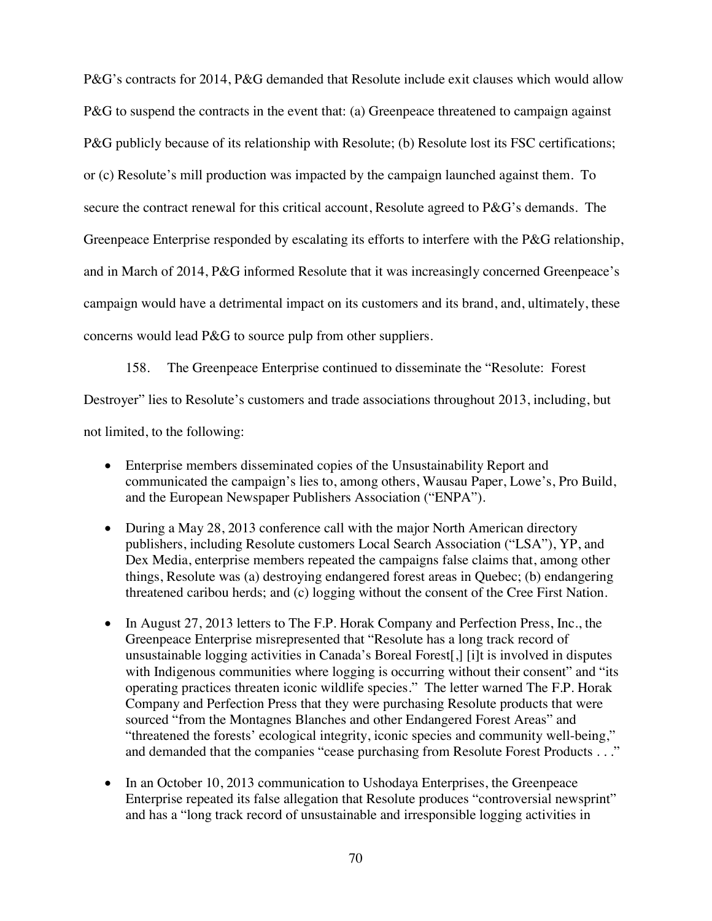P&G's contracts for 2014, P&G demanded that Resolute include exit clauses which would allow P&G to suspend the contracts in the event that: (a) Greenpeace threatened to campaign against P&G publicly because of its relationship with Resolute; (b) Resolute lost its FSC certifications; or (c) Resolute's mill production was impacted by the campaign launched against them. To secure the contract renewal for this critical account, Resolute agreed to P&G's demands. The Greenpeace Enterprise responded by escalating its efforts to interfere with the P&G relationship, and in March of 2014, P&G informed Resolute that it was increasingly concerned Greenpeace's campaign would have a detrimental impact on its customers and its brand, and, ultimately, these concerns would lead P&G to source pulp from other suppliers.

158. The Greenpeace Enterprise continued to disseminate the "Resolute: Forest Destroyer" lies to Resolute's customers and trade associations throughout 2013, including, but not limited, to the following:

- Enterprise members disseminated copies of the Unsustainability Report and communicated the campaign's lies to, among others, Wausau Paper, Lowe's, Pro Build, and the European Newspaper Publishers Association ("ENPA").
- During a May 28, 2013 conference call with the major North American directory publishers, including Resolute customers Local Search Association ("LSA"), YP, and Dex Media, enterprise members repeated the campaigns false claims that, among other things, Resolute was (a) destroying endangered forest areas in Quebec; (b) endangering threatened caribou herds; and (c) logging without the consent of the Cree First Nation.
- In August 27, 2013 letters to The F.P. Horak Company and Perfection Press, Inc., the Greenpeace Enterprise misrepresented that "Resolute has a long track record of unsustainable logging activities in Canada's Boreal Forest[,] [i]t is involved in disputes with Indigenous communities where logging is occurring without their consent" and "its operating practices threaten iconic wildlife species." The letter warned The F.P. Horak Company and Perfection Press that they were purchasing Resolute products that were sourced "from the Montagnes Blanches and other Endangered Forest Areas" and "threatened the forests' ecological integrity, iconic species and community well-being," and demanded that the companies "cease purchasing from Resolute Forest Products . . ."
- $\bullet$  In an October 10, 2013 communication to Ushodaya Enterprises, the Greenpeace Enterprise repeated its false allegation that Resolute produces "controversial newsprint" and has a "long track record of unsustainable and irresponsible logging activities in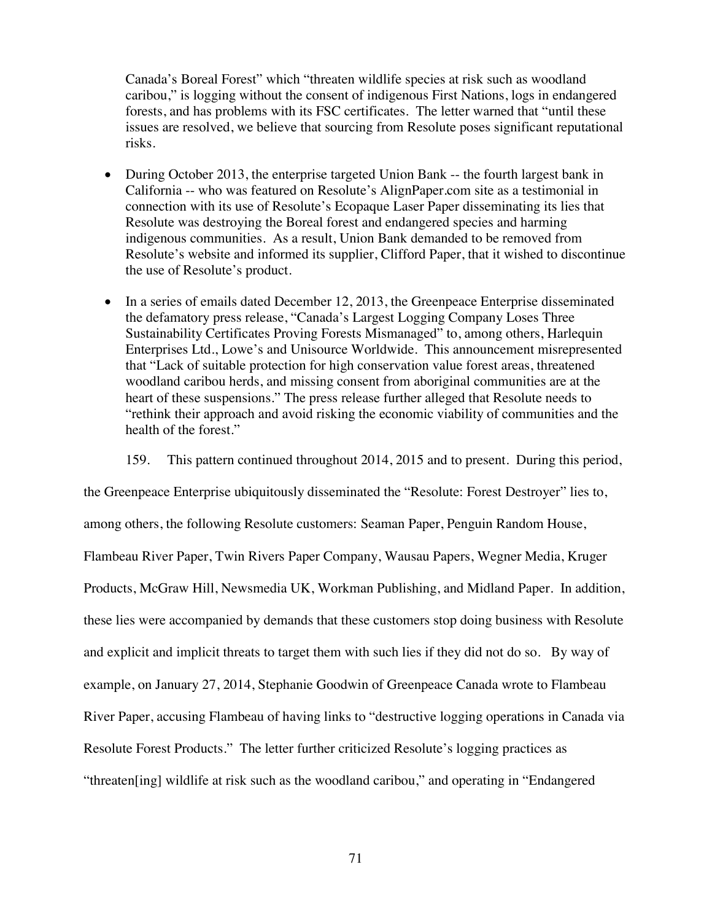Canada's Boreal Forest" which "threaten wildlife species at risk such as woodland caribou," is logging without the consent of indigenous First Nations, logs in endangered forests, and has problems with its FSC certificates. The letter warned that "until these issues are resolved, we believe that sourcing from Resolute poses significant reputational risks.

- During October 2013, the enterprise targeted Union Bank  $-$  the fourth largest bank in California -- who was featured on Resolute's AlignPaper.com site as a testimonial in connection with its use of Resolute's Ecopaque Laser Paper disseminating its lies that Resolute was destroying the Boreal forest and endangered species and harming indigenous communities. As a result, Union Bank demanded to be removed from Resolute's website and informed its supplier, Clifford Paper, that it wished to discontinue the use of Resolute's product.
- $\bullet$  In a series of emails dated December 12, 2013, the Greenpeace Enterprise disseminated the defamatory press release, "Canada's Largest Logging Company Loses Three Sustainability Certificates Proving Forests Mismanaged" to, among others, Harlequin Enterprises Ltd., Lowe's and Unisource Worldwide. This announcement misrepresented that "Lack of suitable protection for high conservation value forest areas, threatened woodland caribou herds, and missing consent from aboriginal communities are at the heart of these suspensions." The press release further alleged that Resolute needs to "rethink their approach and avoid risking the economic viability of communities and the health of the forest."
	- 159. This pattern continued throughout 2014, 2015 and to present. During this period,

the Greenpeace Enterprise ubiquitously disseminated the "Resolute: Forest Destroyer" lies to, among others, the following Resolute customers: Seaman Paper, Penguin Random House, Flambeau River Paper, Twin Rivers Paper Company, Wausau Papers, Wegner Media, Kruger Products, McGraw Hill, Newsmedia UK, Workman Publishing, and Midland Paper. In addition, these lies were accompanied by demands that these customers stop doing business with Resolute and explicit and implicit threats to target them with such lies if they did not do so. By way of example, on January 27, 2014, Stephanie Goodwin of Greenpeace Canada wrote to Flambeau River Paper, accusing Flambeau of having links to "destructive logging operations in Canada via Resolute Forest Products." The letter further criticized Resolute's logging practices as "threaten[ing] wildlife at risk such as the woodland caribou," and operating in "Endangered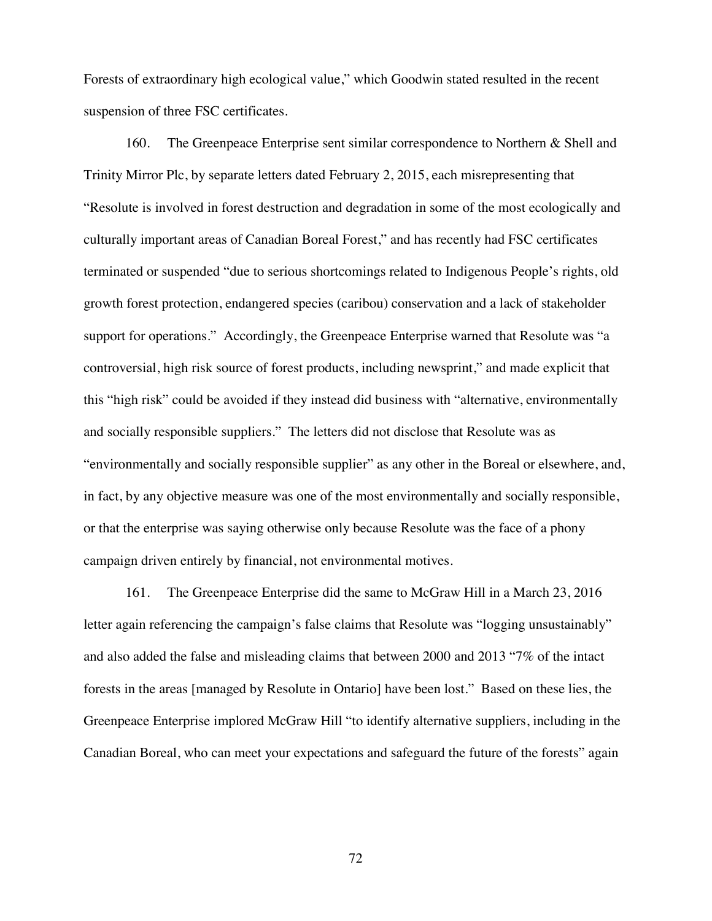Forests of extraordinary high ecological value," which Goodwin stated resulted in the recent suspension of three FSC certificates.

160. The Greenpeace Enterprise sent similar correspondence to Northern & Shell and Trinity Mirror Plc, by separate letters dated February 2, 2015, each misrepresenting that "Resolute is involved in forest destruction and degradation in some of the most ecologically and culturally important areas of Canadian Boreal Forest," and has recently had FSC certificates terminated or suspended "due to serious shortcomings related to Indigenous People's rights, old growth forest protection, endangered species (caribou) conservation and a lack of stakeholder support for operations." Accordingly, the Greenpeace Enterprise warned that Resolute was "a controversial, high risk source of forest products, including newsprint," and made explicit that this "high risk" could be avoided if they instead did business with "alternative, environmentally and socially responsible suppliers." The letters did not disclose that Resolute was as "environmentally and socially responsible supplier" as any other in the Boreal or elsewhere, and, in fact, by any objective measure was one of the most environmentally and socially responsible, or that the enterprise was saying otherwise only because Resolute was the face of a phony campaign driven entirely by financial, not environmental motives.

161. The Greenpeace Enterprise did the same to McGraw Hill in a March 23, 2016 letter again referencing the campaign's false claims that Resolute was "logging unsustainably" and also added the false and misleading claims that between 2000 and 2013 "7% of the intact forests in the areas [managed by Resolute in Ontario] have been lost." Based on these lies, the Greenpeace Enterprise implored McGraw Hill "to identify alternative suppliers, including in the Canadian Boreal, who can meet your expectations and safeguard the future of the forests" again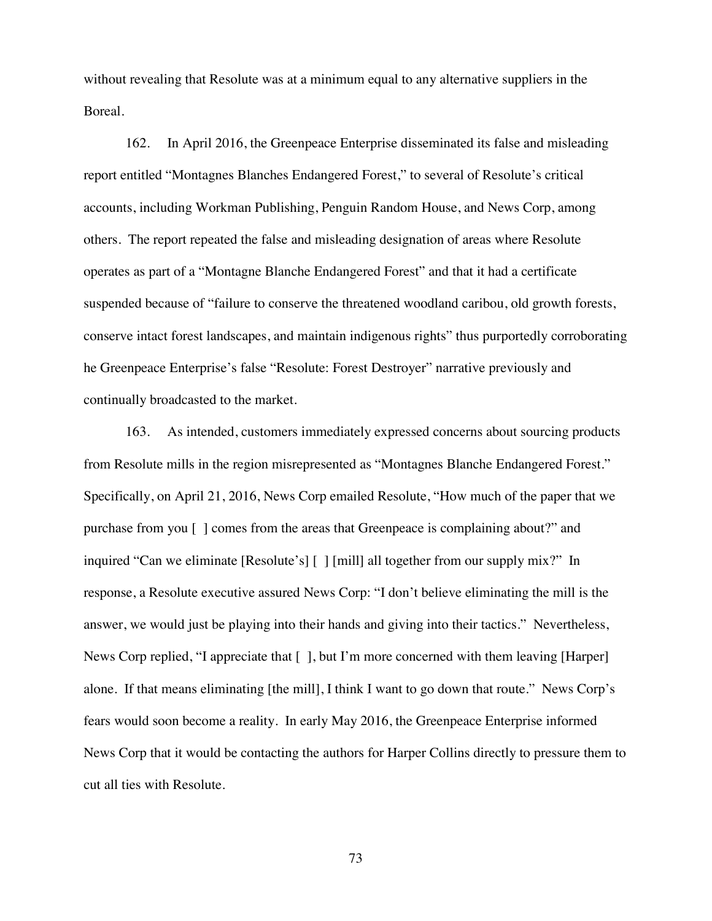without revealing that Resolute was at a minimum equal to any alternative suppliers in the Boreal.

162. In April 2016, the Greenpeace Enterprise disseminated its false and misleading report entitled "Montagnes Blanches Endangered Forest," to several of Resolute's critical accounts, including Workman Publishing, Penguin Random House, and News Corp, among others. The report repeated the false and misleading designation of areas where Resolute operates as part of a "Montagne Blanche Endangered Forest" and that it had a certificate suspended because of "failure to conserve the threatened woodland caribou, old growth forests, conserve intact forest landscapes, and maintain indigenous rights" thus purportedly corroborating he Greenpeace Enterprise's false "Resolute: Forest Destroyer" narrative previously and continually broadcasted to the market.

163. As intended, customers immediately expressed concerns about sourcing products from Resolute mills in the region misrepresented as "Montagnes Blanche Endangered Forest." Specifically, on April 21, 2016, News Corp emailed Resolute, "How much of the paper that we purchase from you [ ] comes from the areas that Greenpeace is complaining about?" and inquired "Can we eliminate [Resolute's] [ ] [mill] all together from our supply mix?" In response, a Resolute executive assured News Corp: "I don't believe eliminating the mill is the answer, we would just be playing into their hands and giving into their tactics." Nevertheless, News Corp replied, "I appreciate that [ ], but I'm more concerned with them leaving [Harper] alone. If that means eliminating [the mill], I think I want to go down that route." News Corp's fears would soon become a reality. In early May 2016, the Greenpeace Enterprise informed News Corp that it would be contacting the authors for Harper Collins directly to pressure them to cut all ties with Resolute.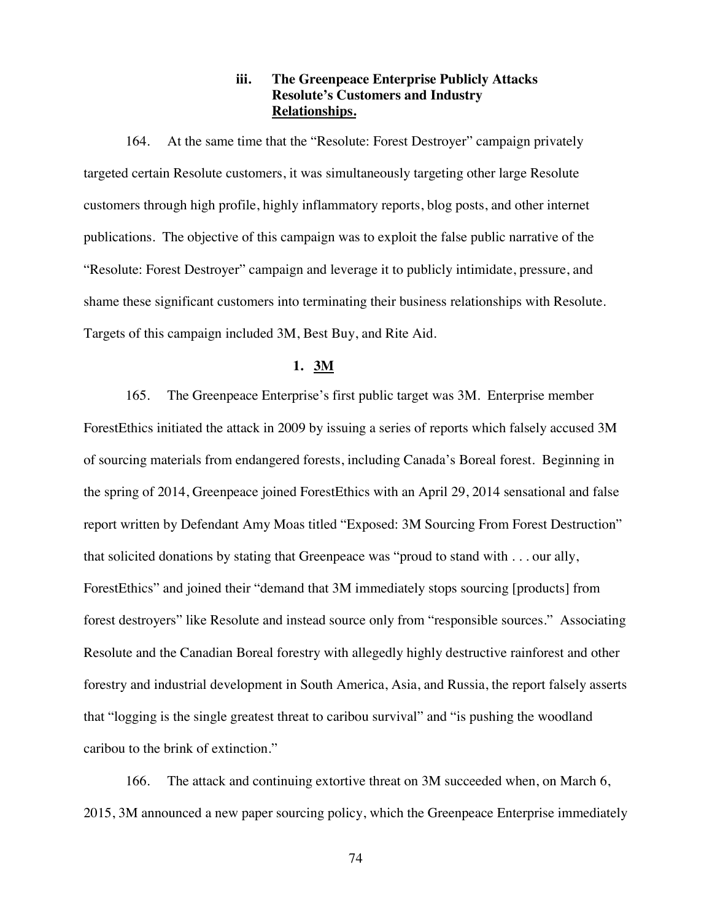# **iii. The Greenpeace Enterprise Publicly Attacks Resolute's Customers and Industry Relationships.**

164. At the same time that the "Resolute: Forest Destroyer" campaign privately targeted certain Resolute customers, it was simultaneously targeting other large Resolute customers through high profile, highly inflammatory reports, blog posts, and other internet publications. The objective of this campaign was to exploit the false public narrative of the "Resolute: Forest Destroyer" campaign and leverage it to publicly intimidate, pressure, and shame these significant customers into terminating their business relationships with Resolute. Targets of this campaign included 3M, Best Buy, and Rite Aid.

## **1. 3M**

165. The Greenpeace Enterprise's first public target was 3M. Enterprise member ForestEthics initiated the attack in 2009 by issuing a series of reports which falsely accused 3M of sourcing materials from endangered forests, including Canada's Boreal forest. Beginning in the spring of 2014, Greenpeace joined ForestEthics with an April 29, 2014 sensational and false report written by Defendant Amy Moas titled "Exposed: 3M Sourcing From Forest Destruction" that solicited donations by stating that Greenpeace was "proud to stand with . . . our ally, ForestEthics" and joined their "demand that 3M immediately stops sourcing [products] from forest destroyers" like Resolute and instead source only from "responsible sources." Associating Resolute and the Canadian Boreal forestry with allegedly highly destructive rainforest and other forestry and industrial development in South America, Asia, and Russia, the report falsely asserts that "logging is the single greatest threat to caribou survival" and "is pushing the woodland caribou to the brink of extinction."

166. The attack and continuing extortive threat on 3M succeeded when, on March 6, 2015, 3M announced a new paper sourcing policy, which the Greenpeace Enterprise immediately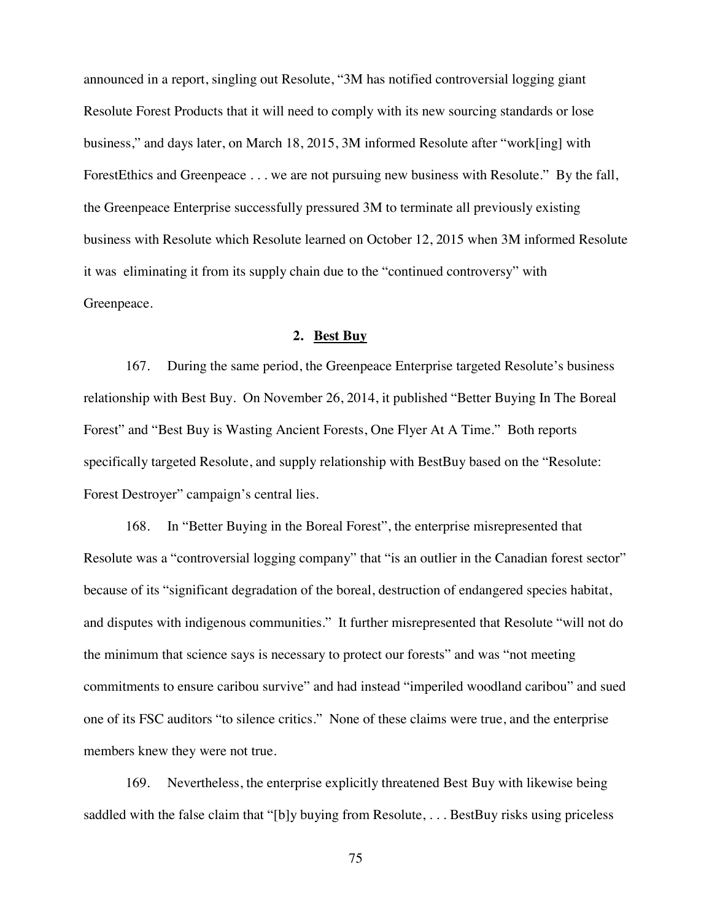announced in a report, singling out Resolute, "3M has notified controversial logging giant Resolute Forest Products that it will need to comply with its new sourcing standards or lose business," and days later, on March 18, 2015, 3M informed Resolute after "work[ing] with ForestEthics and Greenpeace . . . we are not pursuing new business with Resolute." By the fall, the Greenpeace Enterprise successfully pressured 3M to terminate all previously existing business with Resolute which Resolute learned on October 12, 2015 when 3M informed Resolute it was eliminating it from its supply chain due to the "continued controversy" with Greenpeace.

### **2. Best Buy**

167. During the same period, the Greenpeace Enterprise targeted Resolute's business relationship with Best Buy. On November 26, 2014, it published "Better Buying In The Boreal Forest" and "Best Buy is Wasting Ancient Forests, One Flyer At A Time." Both reports specifically targeted Resolute, and supply relationship with BestBuy based on the "Resolute: Forest Destroyer" campaign's central lies.

168. In "Better Buying in the Boreal Forest", the enterprise misrepresented that Resolute was a "controversial logging company" that "is an outlier in the Canadian forest sector" because of its "significant degradation of the boreal, destruction of endangered species habitat, and disputes with indigenous communities." It further misrepresented that Resolute "will not do the minimum that science says is necessary to protect our forests" and was "not meeting commitments to ensure caribou survive" and had instead "imperiled woodland caribou" and sued one of its FSC auditors "to silence critics." None of these claims were true, and the enterprise members knew they were not true.

169. Nevertheless, the enterprise explicitly threatened Best Buy with likewise being saddled with the false claim that "[b]y buying from Resolute, . . . BestBuy risks using priceless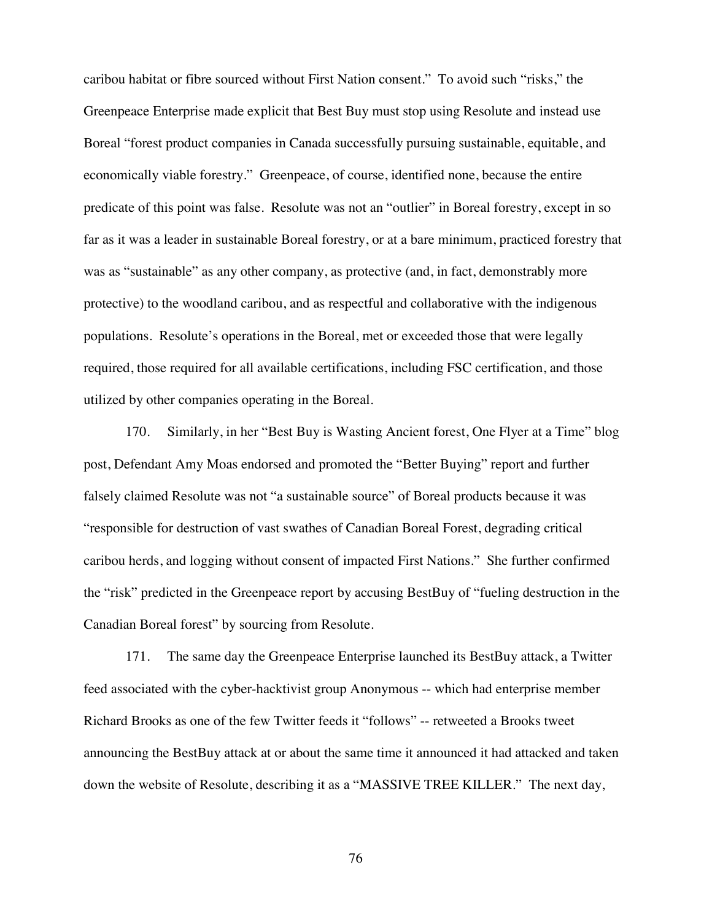caribou habitat or fibre sourced without First Nation consent." To avoid such "risks," the Greenpeace Enterprise made explicit that Best Buy must stop using Resolute and instead use Boreal "forest product companies in Canada successfully pursuing sustainable, equitable, and economically viable forestry." Greenpeace, of course, identified none, because the entire predicate of this point was false. Resolute was not an "outlier" in Boreal forestry, except in so far as it was a leader in sustainable Boreal forestry, or at a bare minimum, practiced forestry that was as "sustainable" as any other company, as protective (and, in fact, demonstrably more protective) to the woodland caribou, and as respectful and collaborative with the indigenous populations. Resolute's operations in the Boreal, met or exceeded those that were legally required, those required for all available certifications, including FSC certification, and those utilized by other companies operating in the Boreal.

170. Similarly, in her "Best Buy is Wasting Ancient forest, One Flyer at a Time" blog post, Defendant Amy Moas endorsed and promoted the "Better Buying" report and further falsely claimed Resolute was not "a sustainable source" of Boreal products because it was "responsible for destruction of vast swathes of Canadian Boreal Forest, degrading critical caribou herds, and logging without consent of impacted First Nations." She further confirmed the "risk" predicted in the Greenpeace report by accusing BestBuy of "fueling destruction in the Canadian Boreal forest" by sourcing from Resolute.

171. The same day the Greenpeace Enterprise launched its BestBuy attack, a Twitter feed associated with the cyber-hacktivist group Anonymous -- which had enterprise member Richard Brooks as one of the few Twitter feeds it "follows" -- retweeted a Brooks tweet announcing the BestBuy attack at or about the same time it announced it had attacked and taken down the website of Resolute, describing it as a "MASSIVE TREE KILLER." The next day,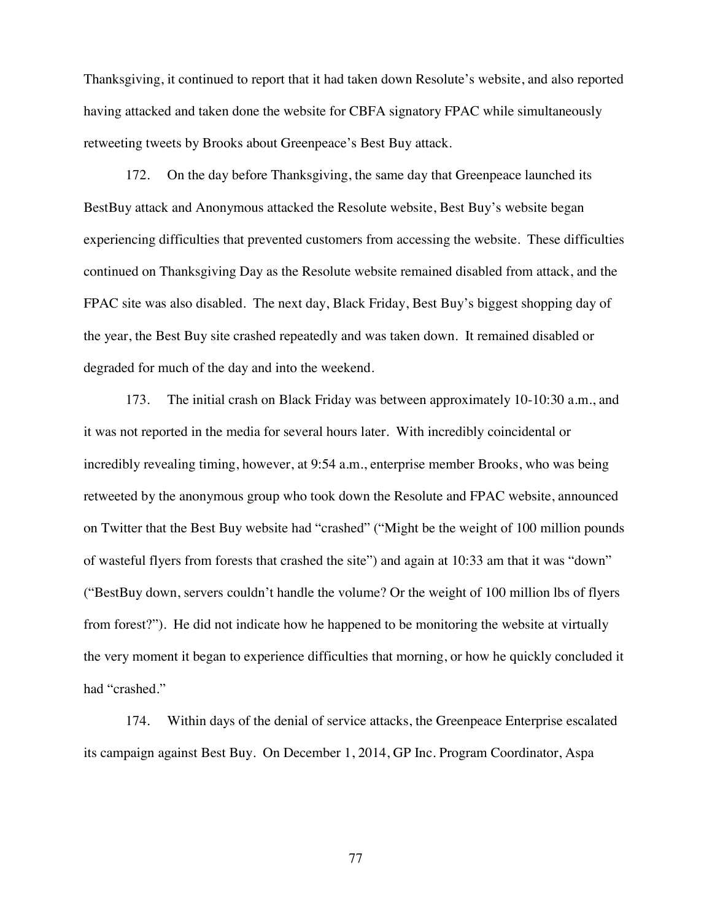Thanksgiving, it continued to report that it had taken down Resolute's website, and also reported having attacked and taken done the website for CBFA signatory FPAC while simultaneously retweeting tweets by Brooks about Greenpeace's Best Buy attack.

172. On the day before Thanksgiving, the same day that Greenpeace launched its BestBuy attack and Anonymous attacked the Resolute website, Best Buy's website began experiencing difficulties that prevented customers from accessing the website. These difficulties continued on Thanksgiving Day as the Resolute website remained disabled from attack, and the FPAC site was also disabled. The next day, Black Friday, Best Buy's biggest shopping day of the year, the Best Buy site crashed repeatedly and was taken down. It remained disabled or degraded for much of the day and into the weekend.

173. The initial crash on Black Friday was between approximately 10-10:30 a.m., and it was not reported in the media for several hours later. With incredibly coincidental or incredibly revealing timing, however, at 9:54 a.m., enterprise member Brooks, who was being retweeted by the anonymous group who took down the Resolute and FPAC website, announced on Twitter that the Best Buy website had "crashed" ("Might be the weight of 100 million pounds of wasteful flyers from forests that crashed the site") and again at 10:33 am that it was "down" ("BestBuy down, servers couldn't handle the volume? Or the weight of 100 million lbs of flyers from forest?"). He did not indicate how he happened to be monitoring the website at virtually the very moment it began to experience difficulties that morning, or how he quickly concluded it had "crashed."

174. Within days of the denial of service attacks, the Greenpeace Enterprise escalated its campaign against Best Buy. On December 1, 2014, GP Inc. Program Coordinator, Aspa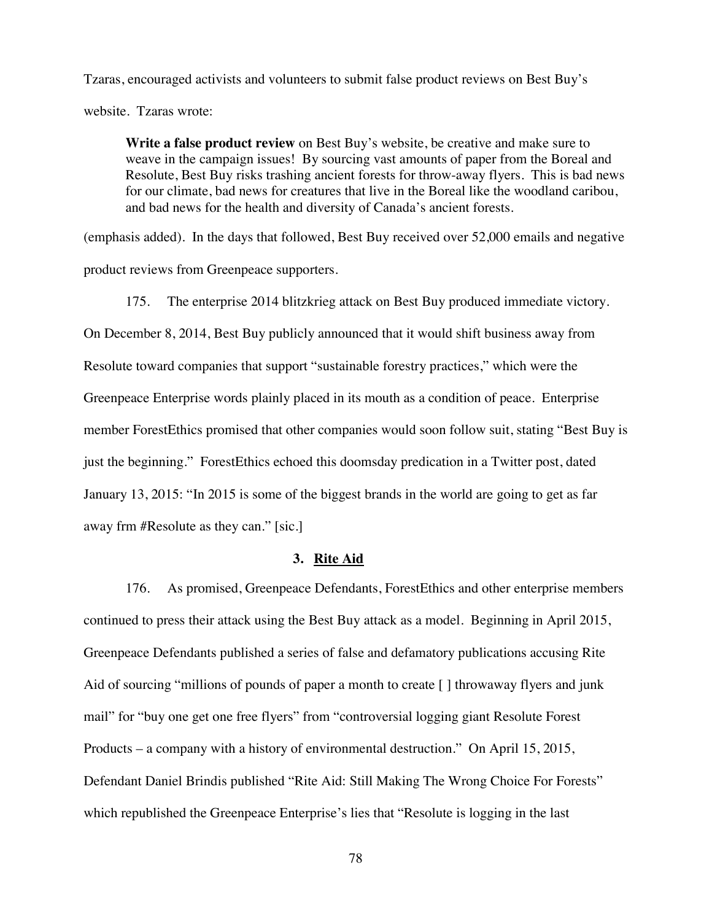Tzaras, encouraged activists and volunteers to submit false product reviews on Best Buy's website. Tzaras wrote:

**Write a false product review** on Best Buy's website, be creative and make sure to weave in the campaign issues! By sourcing vast amounts of paper from the Boreal and Resolute, Best Buy risks trashing ancient forests for throw-away flyers. This is bad news for our climate, bad news for creatures that live in the Boreal like the woodland caribou, and bad news for the health and diversity of Canada's ancient forests.

(emphasis added). In the days that followed, Best Buy received over 52,000 emails and negative product reviews from Greenpeace supporters.

175. The enterprise 2014 blitzkrieg attack on Best Buy produced immediate victory.

On December 8, 2014, Best Buy publicly announced that it would shift business away from Resolute toward companies that support "sustainable forestry practices," which were the Greenpeace Enterprise words plainly placed in its mouth as a condition of peace. Enterprise member ForestEthics promised that other companies would soon follow suit, stating "Best Buy is just the beginning." ForestEthics echoed this doomsday predication in a Twitter post, dated January 13, 2015: "In 2015 is some of the biggest brands in the world are going to get as far away frm #Resolute as they can." [sic.]

## **3. Rite Aid**

176. As promised, Greenpeace Defendants, ForestEthics and other enterprise members continued to press their attack using the Best Buy attack as a model. Beginning in April 2015, Greenpeace Defendants published a series of false and defamatory publications accusing Rite Aid of sourcing "millions of pounds of paper a month to create [ ] throwaway flyers and junk mail" for "buy one get one free flyers" from "controversial logging giant Resolute Forest Products – a company with a history of environmental destruction." On April 15, 2015, Defendant Daniel Brindis published "Rite Aid: Still Making The Wrong Choice For Forests" which republished the Greenpeace Enterprise's lies that "Resolute is logging in the last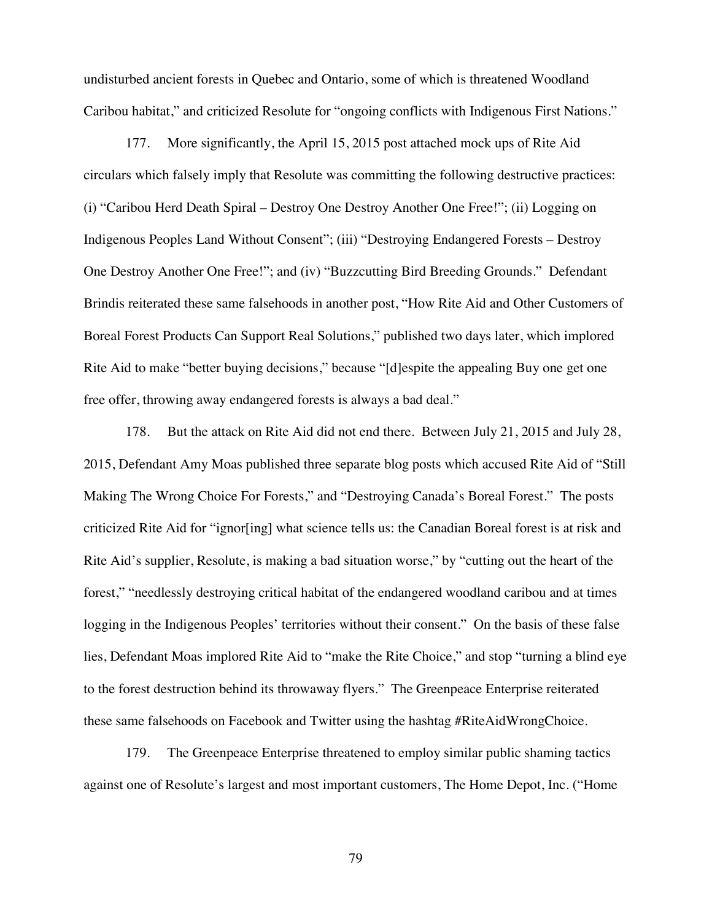undisturbed ancient forests in Quebec and Ontario, some of which is threatened Woodland Caribou habitat," and criticized Resolute for "ongoing conflicts with Indigenous First Nations."

177. More significantly, the April 15, 2015 post attached mock ups of Rite Aid circulars which falsely imply that Resolute was committing the following destructive practices: (i) "Caribou Herd Death Spiral – Destroy One Destroy Another One Free!"; (ii) Logging on Indigenous Peoples Land Without Consent"; (iii) "Destroying Endangered Forests – Destroy One Destroy Another One Free!"; and (iv) "Buzzcutting Bird Breeding Grounds." Defendant Brindis reiterated these same falsehoods in another post, "How Rite Aid and Other Customers of Boreal Forest Products Can Support Real Solutions," published two days later, which implored Rite Aid to make "better buying decisions," because "[d]espite the appealing Buy one get one free offer, throwing away endangered forests is always a bad deal."

178. But the attack on Rite Aid did not end there. Between July 21, 2015 and July 28, 2015, Defendant Amy Moas published three separate blog posts which accused Rite Aid of "Still Making The Wrong Choice For Forests," and "Destroying Canada's Boreal Forest." The posts criticized Rite Aid for "ignor[ing] what science tells us: the Canadian Boreal forest is at risk and Rite Aid's supplier, Resolute, is making a bad situation worse," by "cutting out the heart of the forest," "needlessly destroying critical habitat of the endangered woodland caribou and at times logging in the Indigenous Peoples' territories without their consent." On the basis of these false lies, Defendant Moas implored Rite Aid to "make the Rite Choice," and stop "turning a blind eye to the forest destruction behind its throwaway flyers." The Greenpeace Enterprise reiterated these same falsehoods on Facebook and Twitter using the hashtag #RiteAidWrongChoice.

179. The Greenpeace Enterprise threatened to employ similar public shaming tactics against one of Resolute's largest and most important customers, The Home Depot, Inc. ("Home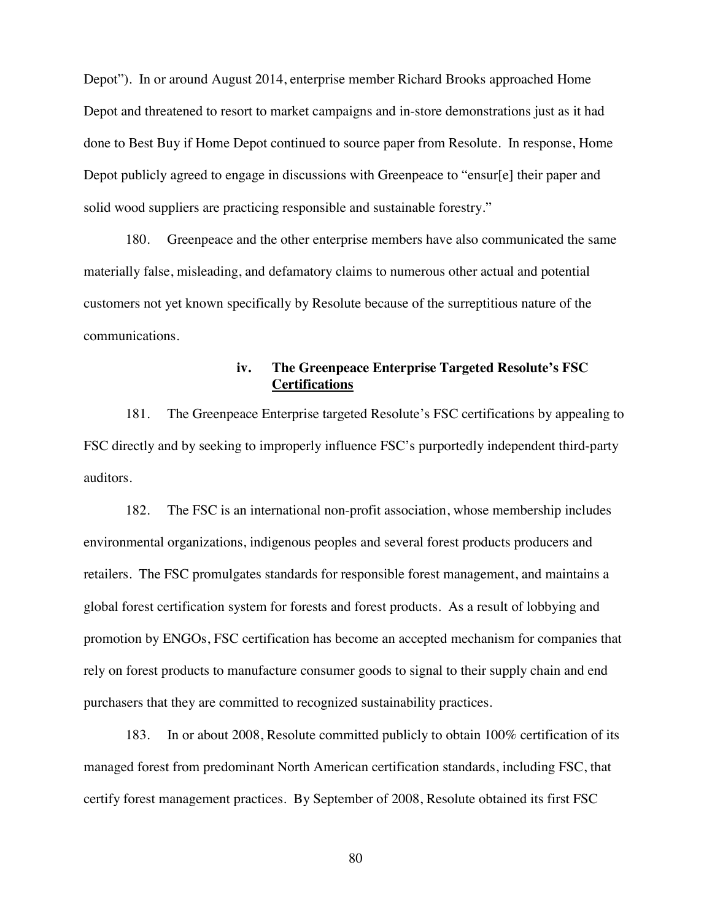Depot"). In or around August 2014, enterprise member Richard Brooks approached Home Depot and threatened to resort to market campaigns and in-store demonstrations just as it had done to Best Buy if Home Depot continued to source paper from Resolute. In response, Home Depot publicly agreed to engage in discussions with Greenpeace to "ensur[e] their paper and solid wood suppliers are practicing responsible and sustainable forestry."

180. Greenpeace and the other enterprise members have also communicated the same materially false, misleading, and defamatory claims to numerous other actual and potential customers not yet known specifically by Resolute because of the surreptitious nature of the communications.

# **iv. The Greenpeace Enterprise Targeted Resolute's FSC Certifications**

181. The Greenpeace Enterprise targeted Resolute's FSC certifications by appealing to FSC directly and by seeking to improperly influence FSC's purportedly independent third-party auditors.

182. The FSC is an international non-profit association, whose membership includes environmental organizations, indigenous peoples and several forest products producers and retailers. The FSC promulgates standards for responsible forest management, and maintains a global forest certification system for forests and forest products. As a result of lobbying and promotion by ENGOs, FSC certification has become an accepted mechanism for companies that rely on forest products to manufacture consumer goods to signal to their supply chain and end purchasers that they are committed to recognized sustainability practices.

183. In or about 2008, Resolute committed publicly to obtain 100% certification of its managed forest from predominant North American certification standards, including FSC, that certify forest management practices. By September of 2008, Resolute obtained its first FSC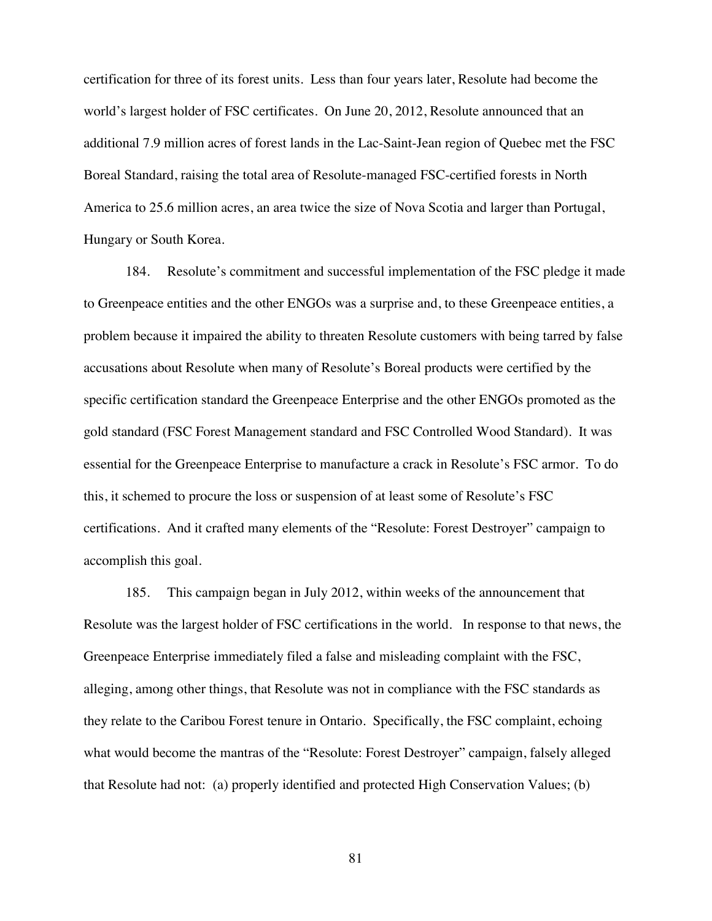certification for three of its forest units. Less than four years later, Resolute had become the world's largest holder of FSC certificates. On June 20, 2012, Resolute announced that an additional 7.9 million acres of forest lands in the Lac-Saint-Jean region of Quebec met the FSC Boreal Standard, raising the total area of Resolute-managed FSC-certified forests in North America to 25.6 million acres, an area twice the size of Nova Scotia and larger than Portugal, Hungary or South Korea.

184. Resolute's commitment and successful implementation of the FSC pledge it made to Greenpeace entities and the other ENGOs was a surprise and, to these Greenpeace entities, a problem because it impaired the ability to threaten Resolute customers with being tarred by false accusations about Resolute when many of Resolute's Boreal products were certified by the specific certification standard the Greenpeace Enterprise and the other ENGOs promoted as the gold standard (FSC Forest Management standard and FSC Controlled Wood Standard). It was essential for the Greenpeace Enterprise to manufacture a crack in Resolute's FSC armor. To do this, it schemed to procure the loss or suspension of at least some of Resolute's FSC certifications. And it crafted many elements of the "Resolute: Forest Destroyer" campaign to accomplish this goal.

185. This campaign began in July 2012, within weeks of the announcement that Resolute was the largest holder of FSC certifications in the world. In response to that news, the Greenpeace Enterprise immediately filed a false and misleading complaint with the FSC, alleging, among other things, that Resolute was not in compliance with the FSC standards as they relate to the Caribou Forest tenure in Ontario. Specifically, the FSC complaint, echoing what would become the mantras of the "Resolute: Forest Destroyer" campaign, falsely alleged that Resolute had not: (a) properly identified and protected High Conservation Values; (b)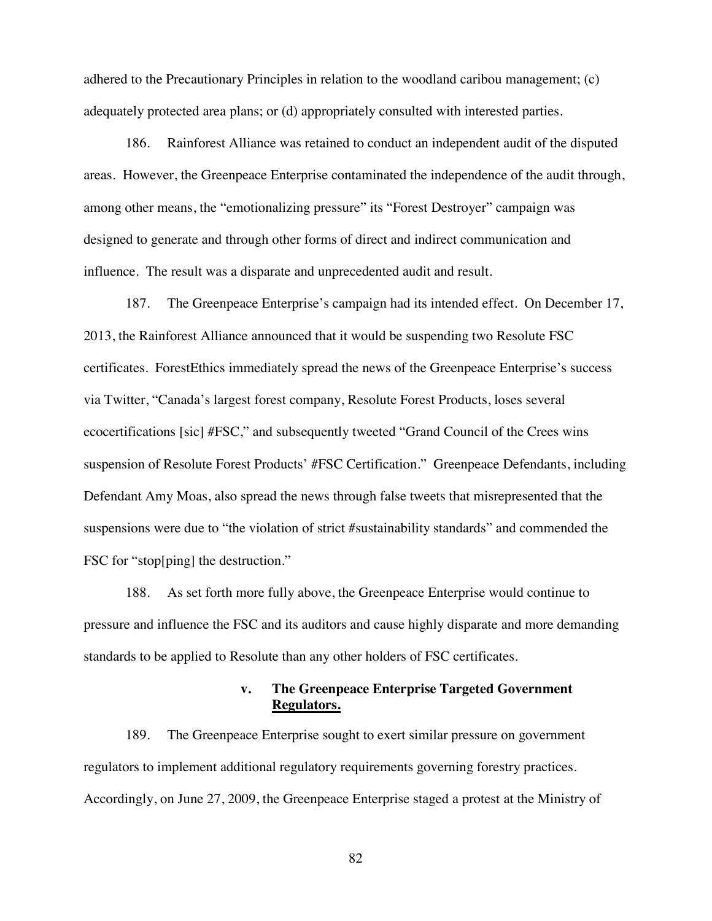adhered to the Precautionary Principles in relation to the woodland caribou management; (c) adequately protected area plans; or (d) appropriately consulted with interested parties.

186. Rainforest Alliance was retained to conduct an independent audit of the disputed areas. However, the Greenpeace Enterprise contaminated the independence of the audit through, among other means, the "emotionalizing pressure" its "Forest Destroyer" campaign was designed to generate and through other forms of direct and indirect communication and influence. The result was a disparate and unprecedented audit and result.

187. The Greenpeace Enterprise's campaign had its intended effect. On December 17, 2013, the Rainforest Alliance announced that it would be suspending two Resolute FSC certificates. ForestEthics immediately spread the news of the Greenpeace Enterprise's success via Twitter, "Canada's largest forest company, Resolute Forest Products, loses several ecocertifications [sic] #FSC," and subsequently tweeted "Grand Council of the Crees wins suspension of Resolute Forest Products' #FSC Certification." Greenpeace Defendants, including Defendant Amy Moas, also spread the news through false tweets that misrepresented that the suspensions were due to "the violation of strict #sustainability standards" and commended the FSC for "stop[ping] the destruction."

188. As set forth more fully above, the Greenpeace Enterprise would continue to pressure and influence the FSC and its auditors and cause highly disparate and more demanding standards to be applied to Resolute than any other holders of FSC certificates.

# **v. The Greenpeace Enterprise Targeted Government Regulators.**

189. The Greenpeace Enterprise sought to exert similar pressure on government regulators to implement additional regulatory requirements governing forestry practices. Accordingly, on June 27, 2009, the Greenpeace Enterprise staged a protest at the Ministry of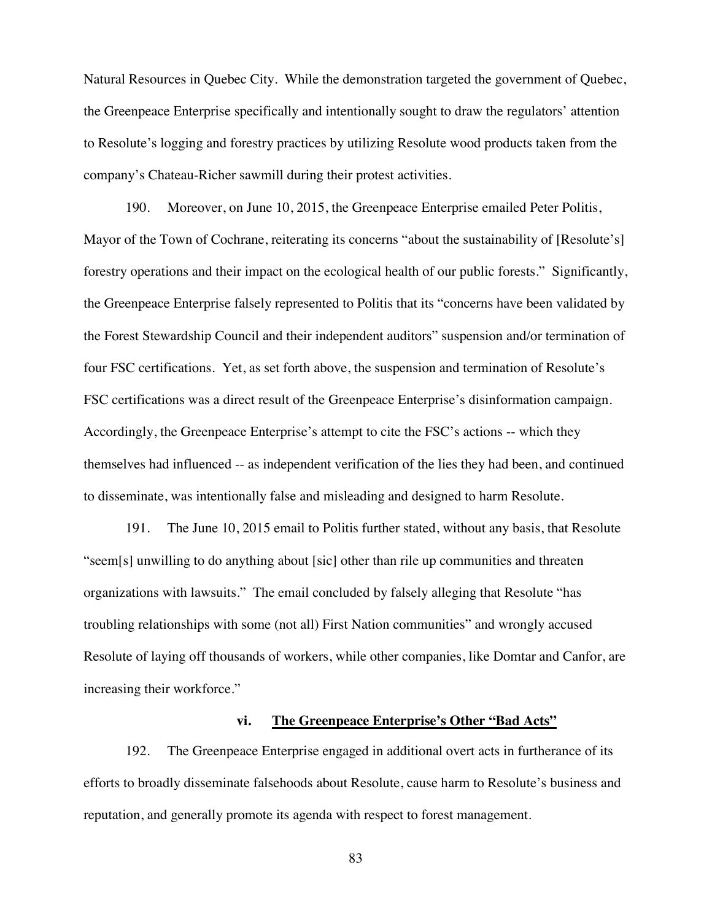Natural Resources in Quebec City. While the demonstration targeted the government of Quebec, the Greenpeace Enterprise specifically and intentionally sought to draw the regulators' attention to Resolute's logging and forestry practices by utilizing Resolute wood products taken from the company's Chateau-Richer sawmill during their protest activities.

190. Moreover, on June 10, 2015, the Greenpeace Enterprise emailed Peter Politis, Mayor of the Town of Cochrane, reiterating its concerns "about the sustainability of [Resolute's] forestry operations and their impact on the ecological health of our public forests." Significantly, the Greenpeace Enterprise falsely represented to Politis that its "concerns have been validated by the Forest Stewardship Council and their independent auditors" suspension and/or termination of four FSC certifications. Yet, as set forth above, the suspension and termination of Resolute's FSC certifications was a direct result of the Greenpeace Enterprise's disinformation campaign. Accordingly, the Greenpeace Enterprise's attempt to cite the FSC's actions -- which they themselves had influenced -- as independent verification of the lies they had been, and continued to disseminate, was intentionally false and misleading and designed to harm Resolute.

191. The June 10, 2015 email to Politis further stated, without any basis, that Resolute "seem[s] unwilling to do anything about [sic] other than rile up communities and threaten organizations with lawsuits." The email concluded by falsely alleging that Resolute "has troubling relationships with some (not all) First Nation communities" and wrongly accused Resolute of laying off thousands of workers, while other companies, like Domtar and Canfor, are increasing their workforce."

# **vi. The Greenpeace Enterprise's Other "Bad Acts"**

192. The Greenpeace Enterprise engaged in additional overt acts in furtherance of its efforts to broadly disseminate falsehoods about Resolute, cause harm to Resolute's business and reputation, and generally promote its agenda with respect to forest management.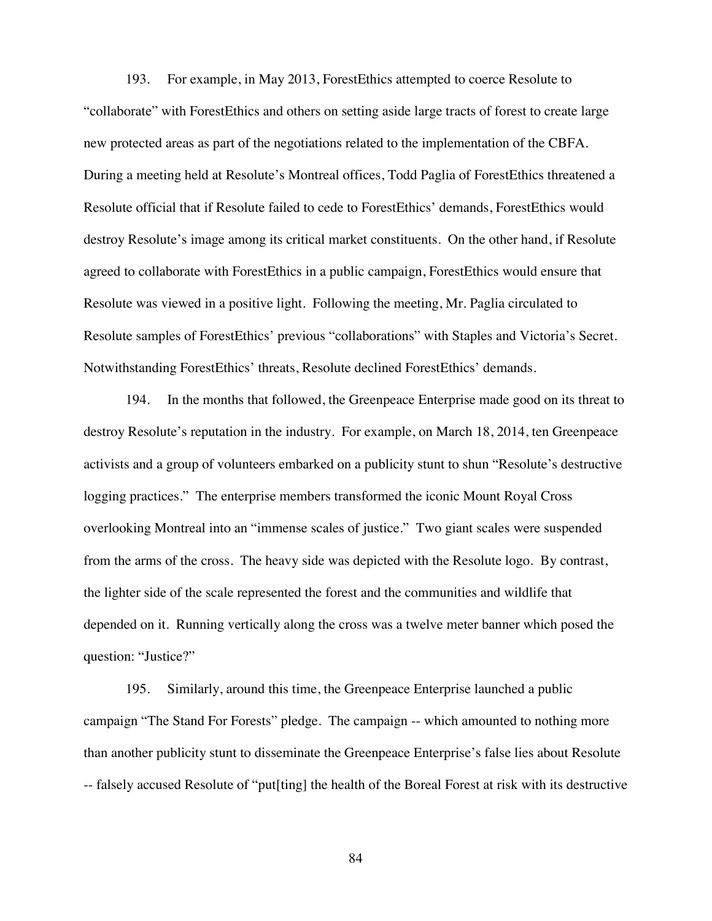193. For example, in May 2013, ForestEthics attempted to coerce Resolute to "collaborate" with ForestEthics and others on setting aside large tracts of forest to create large new protected areas as part of the negotiations related to the implementation of the CBFA. During a meeting held at Resolute's Montreal offices, Todd Paglia of ForestEthics threatened a Resolute official that if Resolute failed to cede to ForestEthics' demands, ForestEthics would destroy Resolute's image among its critical market constituents. On the other hand, if Resolute agreed to collaborate with ForestEthics in a public campaign, ForestEthics would ensure that Resolute was viewed in a positive light. Following the meeting, Mr. Paglia circulated to Resolute samples of ForestEthics' previous "collaborations" with Staples and Victoria's Secret. Notwithstanding ForestEthics' threats, Resolute declined ForestEthics' demands.

194. In the months that followed, the Greenpeace Enterprise made good on its threat to destroy Resolute's reputation in the industry. For example, on March 18, 2014, ten Greenpeace activists and a group of volunteers embarked on a publicity stunt to shun "Resolute's destructive logging practices." The enterprise members transformed the iconic Mount Royal Cross overlooking Montreal into an "immense scales of justice." Two giant scales were suspended from the arms of the cross. The heavy side was depicted with the Resolute logo. By contrast, the lighter side of the scale represented the forest and the communities and wildlife that depended on it. Running vertically along the cross was a twelve meter banner which posed the question: "Justice?"

195. Similarly, around this time, the Greenpeace Enterprise launched a public campaign "The Stand For Forests" pledge. The campaign -- which amounted to nothing more than another publicity stunt to disseminate the Greenpeace Enterprise's false lies about Resolute -- falsely accused Resolute of "put[ting] the health of the Boreal Forest at risk with its destructive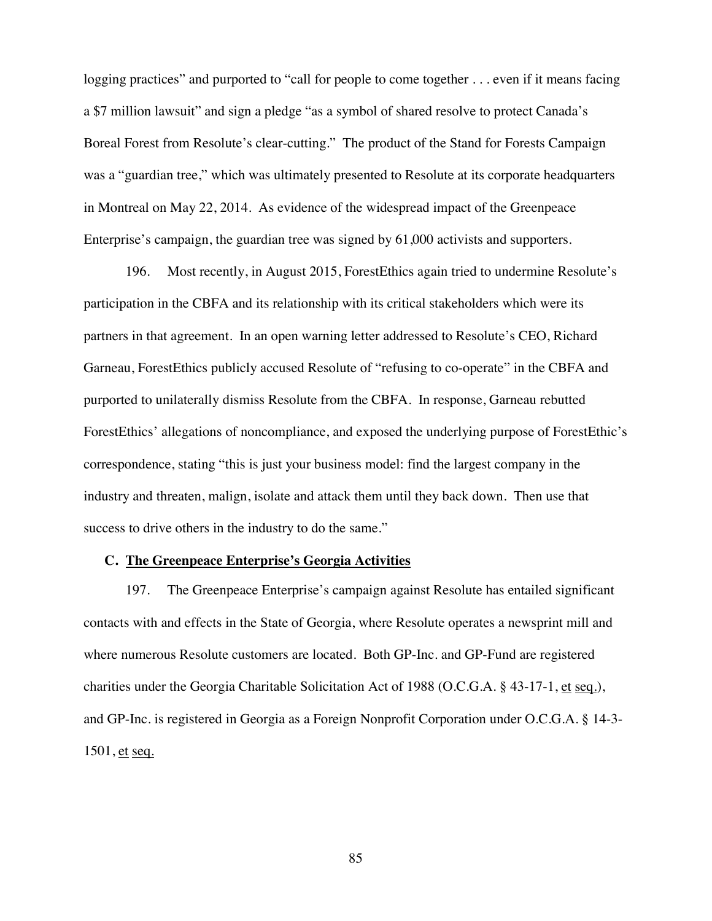logging practices" and purported to "call for people to come together . . . even if it means facing a \$7 million lawsuit" and sign a pledge "as a symbol of shared resolve to protect Canada's Boreal Forest from Resolute's clear-cutting." The product of the Stand for Forests Campaign was a "guardian tree," which was ultimately presented to Resolute at its corporate headquarters in Montreal on May 22, 2014. As evidence of the widespread impact of the Greenpeace Enterprise's campaign, the guardian tree was signed by 61,000 activists and supporters.

196. Most recently, in August 2015, ForestEthics again tried to undermine Resolute's participation in the CBFA and its relationship with its critical stakeholders which were its partners in that agreement. In an open warning letter addressed to Resolute's CEO, Richard Garneau, ForestEthics publicly accused Resolute of "refusing to co-operate" in the CBFA and purported to unilaterally dismiss Resolute from the CBFA. In response, Garneau rebutted ForestEthics' allegations of noncompliance, and exposed the underlying purpose of ForestEthic's correspondence, stating "this is just your business model: find the largest company in the industry and threaten, malign, isolate and attack them until they back down. Then use that success to drive others in the industry to do the same."

#### **C. The Greenpeace Enterprise's Georgia Activities**

197. The Greenpeace Enterprise's campaign against Resolute has entailed significant contacts with and effects in the State of Georgia, where Resolute operates a newsprint mill and where numerous Resolute customers are located. Both GP-Inc. and GP-Fund are registered charities under the Georgia Charitable Solicitation Act of 1988 (O.C.G.A. § 43-17-1, et seq.), and GP-Inc. is registered in Georgia as a Foreign Nonprofit Corporation under O.C.G.A. § 14-3- 1501, et seq.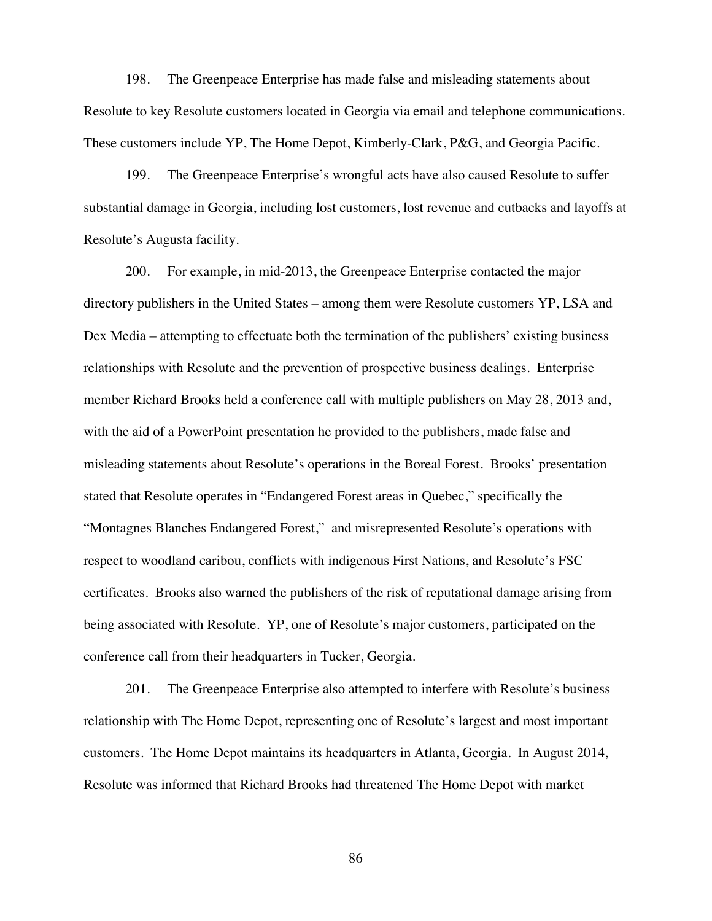198. The Greenpeace Enterprise has made false and misleading statements about Resolute to key Resolute customers located in Georgia via email and telephone communications. These customers include YP, The Home Depot, Kimberly-Clark, P&G, and Georgia Pacific.

199. The Greenpeace Enterprise's wrongful acts have also caused Resolute to suffer substantial damage in Georgia, including lost customers, lost revenue and cutbacks and layoffs at Resolute's Augusta facility.

200. For example, in mid-2013, the Greenpeace Enterprise contacted the major directory publishers in the United States – among them were Resolute customers YP, LSA and Dex Media – attempting to effectuate both the termination of the publishers' existing business relationships with Resolute and the prevention of prospective business dealings. Enterprise member Richard Brooks held a conference call with multiple publishers on May 28, 2013 and, with the aid of a PowerPoint presentation he provided to the publishers, made false and misleading statements about Resolute's operations in the Boreal Forest. Brooks' presentation stated that Resolute operates in "Endangered Forest areas in Quebec," specifically the "Montagnes Blanches Endangered Forest," and misrepresented Resolute's operations with respect to woodland caribou, conflicts with indigenous First Nations, and Resolute's FSC certificates. Brooks also warned the publishers of the risk of reputational damage arising from being associated with Resolute. YP, one of Resolute's major customers, participated on the conference call from their headquarters in Tucker, Georgia.

201. The Greenpeace Enterprise also attempted to interfere with Resolute's business relationship with The Home Depot, representing one of Resolute's largest and most important customers. The Home Depot maintains its headquarters in Atlanta, Georgia. In August 2014, Resolute was informed that Richard Brooks had threatened The Home Depot with market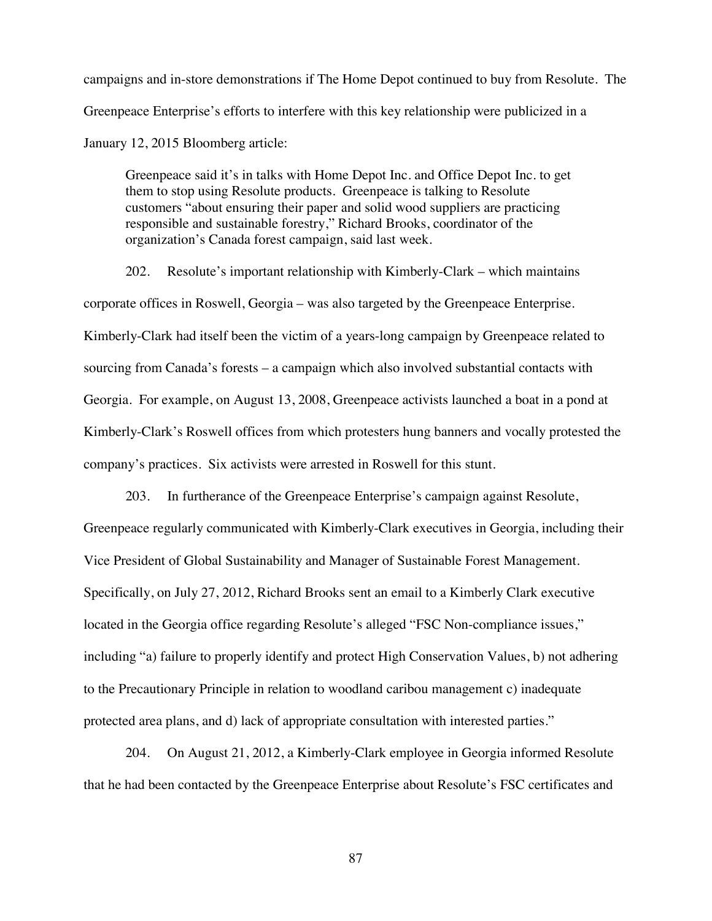campaigns and in-store demonstrations if The Home Depot continued to buy from Resolute. The Greenpeace Enterprise's efforts to interfere with this key relationship were publicized in a January 12, 2015 Bloomberg article:

Greenpeace said it's in talks with Home Depot Inc. and Office Depot Inc. to get them to stop using Resolute products. Greenpeace is talking to Resolute customers "about ensuring their paper and solid wood suppliers are practicing responsible and sustainable forestry," Richard Brooks, coordinator of the organization's Canada forest campaign, said last week.

202. Resolute's important relationship with Kimberly-Clark – which maintains corporate offices in Roswell, Georgia – was also targeted by the Greenpeace Enterprise. Kimberly-Clark had itself been the victim of a years-long campaign by Greenpeace related to sourcing from Canada's forests – a campaign which also involved substantial contacts with Georgia. For example, on August 13, 2008, Greenpeace activists launched a boat in a pond at Kimberly-Clark's Roswell offices from which protesters hung banners and vocally protested the company's practices. Six activists were arrested in Roswell for this stunt.

203. In furtherance of the Greenpeace Enterprise's campaign against Resolute, Greenpeace regularly communicated with Kimberly-Clark executives in Georgia, including their Vice President of Global Sustainability and Manager of Sustainable Forest Management. Specifically, on July 27, 2012, Richard Brooks sent an email to a Kimberly Clark executive located in the Georgia office regarding Resolute's alleged "FSC Non-compliance issues," including "a) failure to properly identify and protect High Conservation Values, b) not adhering to the Precautionary Principle in relation to woodland caribou management c) inadequate protected area plans, and d) lack of appropriate consultation with interested parties."

204. On August 21, 2012, a Kimberly-Clark employee in Georgia informed Resolute that he had been contacted by the Greenpeace Enterprise about Resolute's FSC certificates and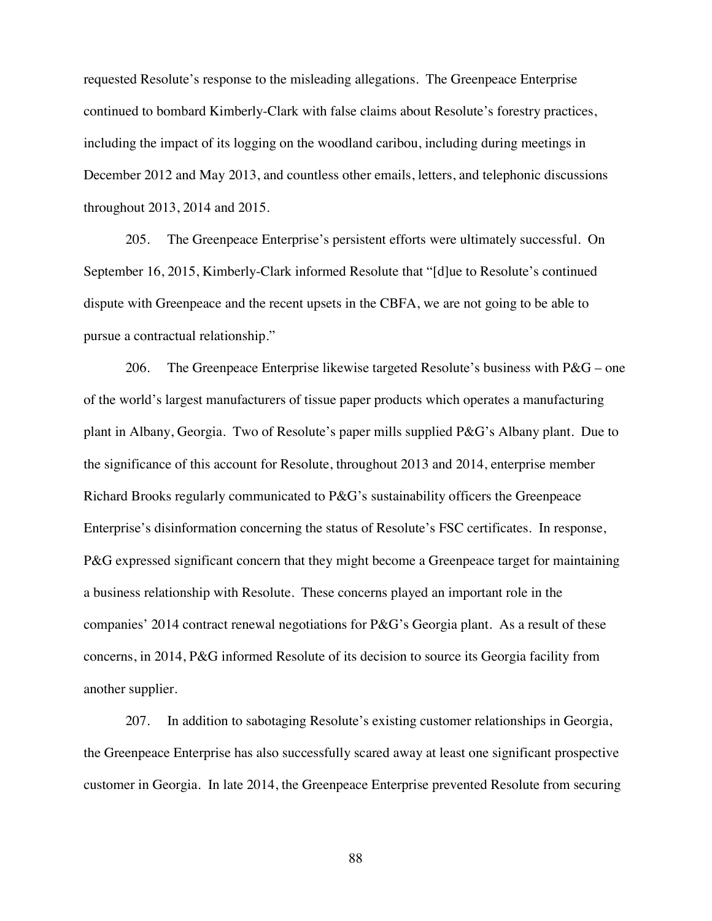requested Resolute's response to the misleading allegations. The Greenpeace Enterprise continued to bombard Kimberly-Clark with false claims about Resolute's forestry practices, including the impact of its logging on the woodland caribou, including during meetings in December 2012 and May 2013, and countless other emails, letters, and telephonic discussions throughout 2013, 2014 and 2015.

205. The Greenpeace Enterprise's persistent efforts were ultimately successful. On September 16, 2015, Kimberly-Clark informed Resolute that "[d]ue to Resolute's continued dispute with Greenpeace and the recent upsets in the CBFA, we are not going to be able to pursue a contractual relationship."

206. The Greenpeace Enterprise likewise targeted Resolute's business with  $P\&G$  – one of the world's largest manufacturers of tissue paper products which operates a manufacturing plant in Albany, Georgia. Two of Resolute's paper mills supplied P&G's Albany plant. Due to the significance of this account for Resolute, throughout 2013 and 2014, enterprise member Richard Brooks regularly communicated to P&G's sustainability officers the Greenpeace Enterprise's disinformation concerning the status of Resolute's FSC certificates. In response, P&G expressed significant concern that they might become a Greenpeace target for maintaining a business relationship with Resolute. These concerns played an important role in the companies' 2014 contract renewal negotiations for P&G's Georgia plant. As a result of these concerns, in 2014, P&G informed Resolute of its decision to source its Georgia facility from another supplier.

207. In addition to sabotaging Resolute's existing customer relationships in Georgia, the Greenpeace Enterprise has also successfully scared away at least one significant prospective customer in Georgia. In late 2014, the Greenpeace Enterprise prevented Resolute from securing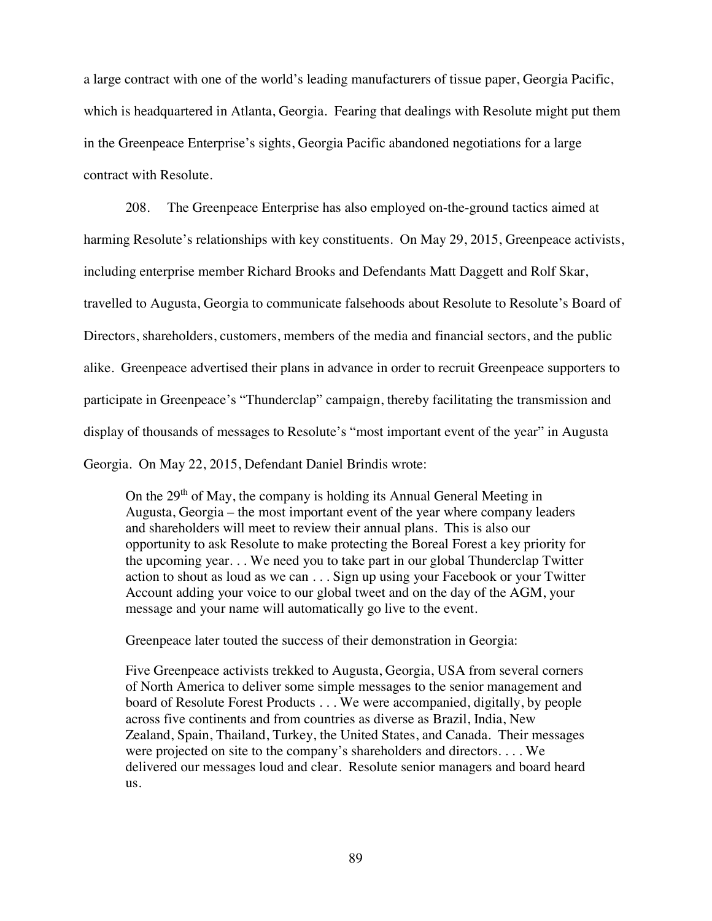a large contract with one of the world's leading manufacturers of tissue paper, Georgia Pacific, which is headquartered in Atlanta, Georgia. Fearing that dealings with Resolute might put them in the Greenpeace Enterprise's sights, Georgia Pacific abandoned negotiations for a large contract with Resolute.

208. The Greenpeace Enterprise has also employed on-the-ground tactics aimed at harming Resolute's relationships with key constituents. On May 29, 2015, Greenpeace activists, including enterprise member Richard Brooks and Defendants Matt Daggett and Rolf Skar, travelled to Augusta, Georgia to communicate falsehoods about Resolute to Resolute's Board of Directors, shareholders, customers, members of the media and financial sectors, and the public alike. Greenpeace advertised their plans in advance in order to recruit Greenpeace supporters to participate in Greenpeace's "Thunderclap" campaign, thereby facilitating the transmission and display of thousands of messages to Resolute's "most important event of the year" in Augusta Georgia. On May 22, 2015, Defendant Daniel Brindis wrote:

On the 29<sup>th</sup> of May, the company is holding its Annual General Meeting in Augusta, Georgia – the most important event of the year where company leaders and shareholders will meet to review their annual plans. This is also our opportunity to ask Resolute to make protecting the Boreal Forest a key priority for the upcoming year. . . We need you to take part in our global Thunderclap Twitter action to shout as loud as we can . . . Sign up using your Facebook or your Twitter Account adding your voice to our global tweet and on the day of the AGM, your message and your name will automatically go live to the event.

Greenpeace later touted the success of their demonstration in Georgia:

Five Greenpeace activists trekked to Augusta, Georgia, USA from several corners of North America to deliver some simple messages to the senior management and board of Resolute Forest Products . . . We were accompanied, digitally, by people across five continents and from countries as diverse as Brazil, India, New Zealand, Spain, Thailand, Turkey, the United States, and Canada. Their messages were projected on site to the company's shareholders and directors. . . . We delivered our messages loud and clear. Resolute senior managers and board heard us.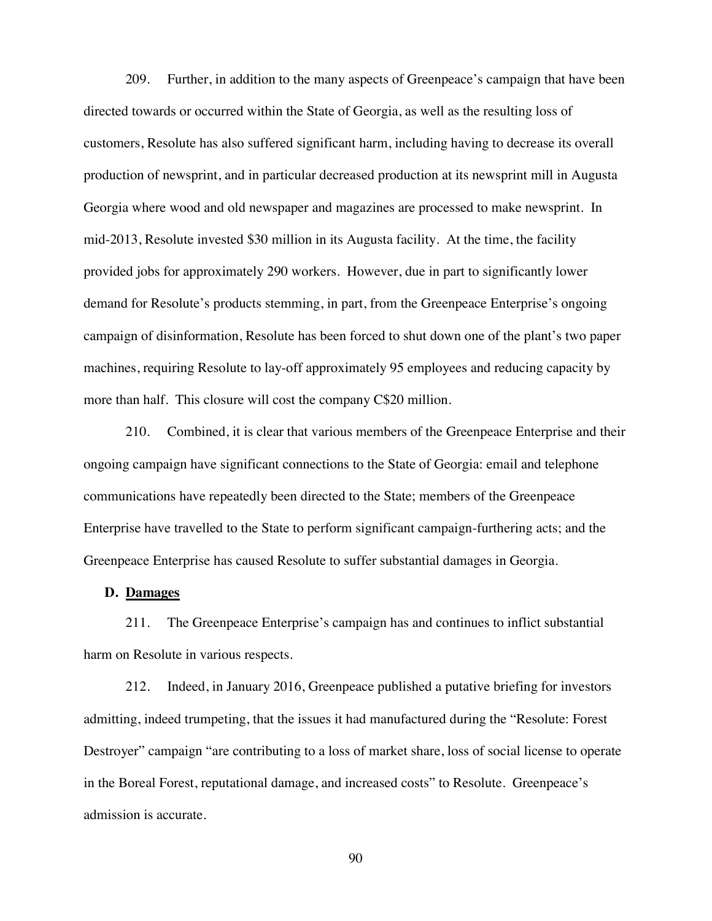209. Further, in addition to the many aspects of Greenpeace's campaign that have been directed towards or occurred within the State of Georgia, as well as the resulting loss of customers, Resolute has also suffered significant harm, including having to decrease its overall production of newsprint, and in particular decreased production at its newsprint mill in Augusta Georgia where wood and old newspaper and magazines are processed to make newsprint. In mid-2013, Resolute invested \$30 million in its Augusta facility. At the time, the facility provided jobs for approximately 290 workers. However, due in part to significantly lower demand for Resolute's products stemming, in part, from the Greenpeace Enterprise's ongoing campaign of disinformation, Resolute has been forced to shut down one of the plant's two paper machines, requiring Resolute to lay-off approximately 95 employees and reducing capacity by more than half. This closure will cost the company C\$20 million.

210. Combined, it is clear that various members of the Greenpeace Enterprise and their ongoing campaign have significant connections to the State of Georgia: email and telephone communications have repeatedly been directed to the State; members of the Greenpeace Enterprise have travelled to the State to perform significant campaign-furthering acts; and the Greenpeace Enterprise has caused Resolute to suffer substantial damages in Georgia.

### **D. Damages**

211. The Greenpeace Enterprise's campaign has and continues to inflict substantial harm on Resolute in various respects.

212. Indeed, in January 2016, Greenpeace published a putative briefing for investors admitting, indeed trumpeting, that the issues it had manufactured during the "Resolute: Forest Destroyer" campaign "are contributing to a loss of market share, loss of social license to operate in the Boreal Forest, reputational damage, and increased costs" to Resolute. Greenpeace's admission is accurate.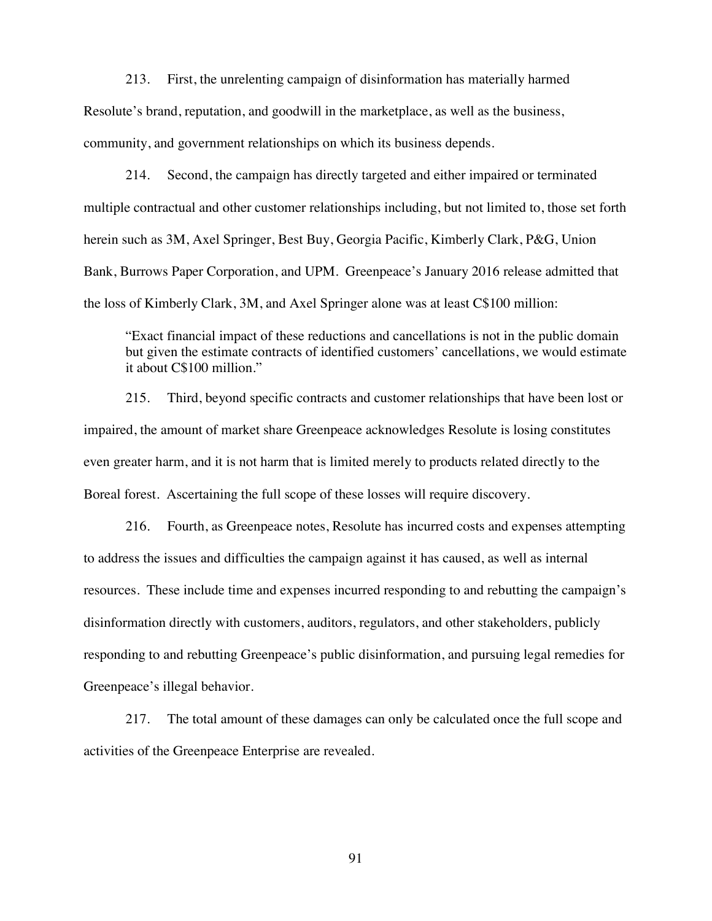213. First, the unrelenting campaign of disinformation has materially harmed Resolute's brand, reputation, and goodwill in the marketplace, as well as the business, community, and government relationships on which its business depends.

214. Second, the campaign has directly targeted and either impaired or terminated multiple contractual and other customer relationships including, but not limited to, those set forth herein such as 3M, Axel Springer, Best Buy, Georgia Pacific, Kimberly Clark, P&G, Union Bank, Burrows Paper Corporation, and UPM. Greenpeace's January 2016 release admitted that the loss of Kimberly Clark, 3M, and Axel Springer alone was at least C\$100 million:

"Exact financial impact of these reductions and cancellations is not in the public domain but given the estimate contracts of identified customers' cancellations, we would estimate it about C\$100 million."

215. Third, beyond specific contracts and customer relationships that have been lost or impaired, the amount of market share Greenpeace acknowledges Resolute is losing constitutes even greater harm, and it is not harm that is limited merely to products related directly to the Boreal forest. Ascertaining the full scope of these losses will require discovery.

216. Fourth, as Greenpeace notes, Resolute has incurred costs and expenses attempting to address the issues and difficulties the campaign against it has caused, as well as internal resources. These include time and expenses incurred responding to and rebutting the campaign's disinformation directly with customers, auditors, regulators, and other stakeholders, publicly responding to and rebutting Greenpeace's public disinformation, and pursuing legal remedies for Greenpeace's illegal behavior.

217. The total amount of these damages can only be calculated once the full scope and activities of the Greenpeace Enterprise are revealed.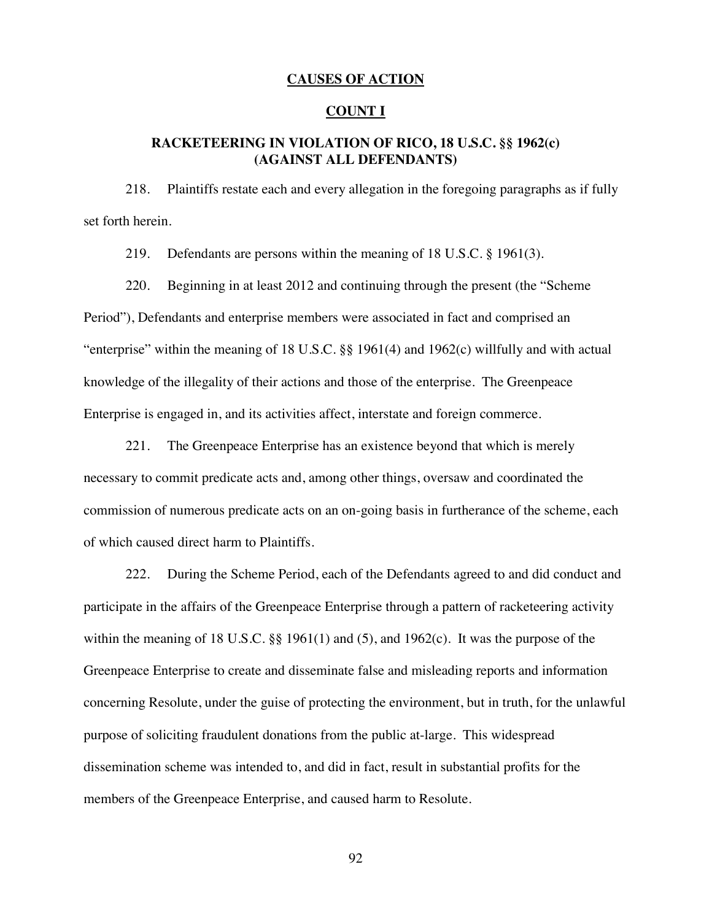## **CAUSES OF ACTION**

# **COUNT I**

# **RACKETEERING IN VIOLATION OF RICO, 18 U.S.C. §§ 1962(c) (AGAINST ALL DEFENDANTS)**

218. Plaintiffs restate each and every allegation in the foregoing paragraphs as if fully set forth herein.

219. Defendants are persons within the meaning of 18 U.S.C. § 1961(3).

220. Beginning in at least 2012 and continuing through the present (the "Scheme Period"), Defendants and enterprise members were associated in fact and comprised an "enterprise" within the meaning of 18 U.S.C. §§ 1961(4) and 1962(c) willfully and with actual knowledge of the illegality of their actions and those of the enterprise. The Greenpeace Enterprise is engaged in, and its activities affect, interstate and foreign commerce.

221. The Greenpeace Enterprise has an existence beyond that which is merely necessary to commit predicate acts and, among other things, oversaw and coordinated the commission of numerous predicate acts on an on-going basis in furtherance of the scheme, each of which caused direct harm to Plaintiffs.

222. During the Scheme Period, each of the Defendants agreed to and did conduct and participate in the affairs of the Greenpeace Enterprise through a pattern of racketeering activity within the meaning of 18 U.S.C.  $\S$  1961(1) and (5), and 1962(c). It was the purpose of the Greenpeace Enterprise to create and disseminate false and misleading reports and information concerning Resolute, under the guise of protecting the environment, but in truth, for the unlawful purpose of soliciting fraudulent donations from the public at-large. This widespread dissemination scheme was intended to, and did in fact, result in substantial profits for the members of the Greenpeace Enterprise, and caused harm to Resolute.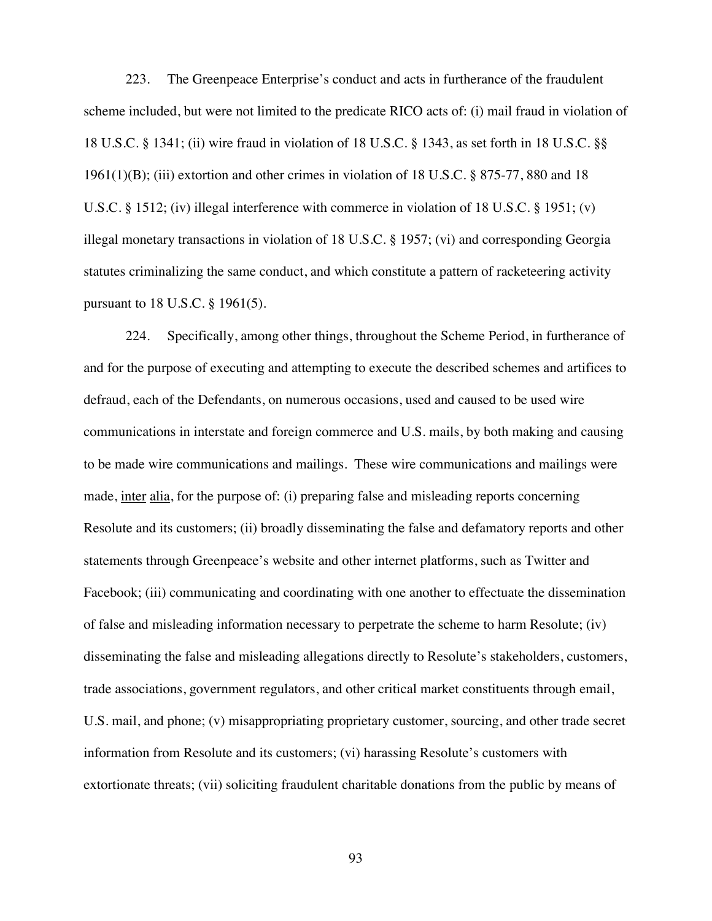223. The Greenpeace Enterprise's conduct and acts in furtherance of the fraudulent scheme included, but were not limited to the predicate RICO acts of: (i) mail fraud in violation of 18 U.S.C. § 1341; (ii) wire fraud in violation of 18 U.S.C. § 1343, as set forth in 18 U.S.C. §§ 1961(1)(B); (iii) extortion and other crimes in violation of 18 U.S.C. § 875-77, 880 and 18 U.S.C. § 1512; (iv) illegal interference with commerce in violation of 18 U.S.C. § 1951; (v) illegal monetary transactions in violation of 18 U.S.C. § 1957; (vi) and corresponding Georgia statutes criminalizing the same conduct, and which constitute a pattern of racketeering activity pursuant to 18 U.S.C. § 1961(5).

224. Specifically, among other things, throughout the Scheme Period, in furtherance of and for the purpose of executing and attempting to execute the described schemes and artifices to defraud, each of the Defendants, on numerous occasions, used and caused to be used wire communications in interstate and foreign commerce and U.S. mails, by both making and causing to be made wire communications and mailings. These wire communications and mailings were made, inter alia, for the purpose of: (i) preparing false and misleading reports concerning Resolute and its customers; (ii) broadly disseminating the false and defamatory reports and other statements through Greenpeace's website and other internet platforms, such as Twitter and Facebook; (iii) communicating and coordinating with one another to effectuate the dissemination of false and misleading information necessary to perpetrate the scheme to harm Resolute; (iv) disseminating the false and misleading allegations directly to Resolute's stakeholders, customers, trade associations, government regulators, and other critical market constituents through email, U.S. mail, and phone; (v) misappropriating proprietary customer, sourcing, and other trade secret information from Resolute and its customers; (vi) harassing Resolute's customers with extortionate threats; (vii) soliciting fraudulent charitable donations from the public by means of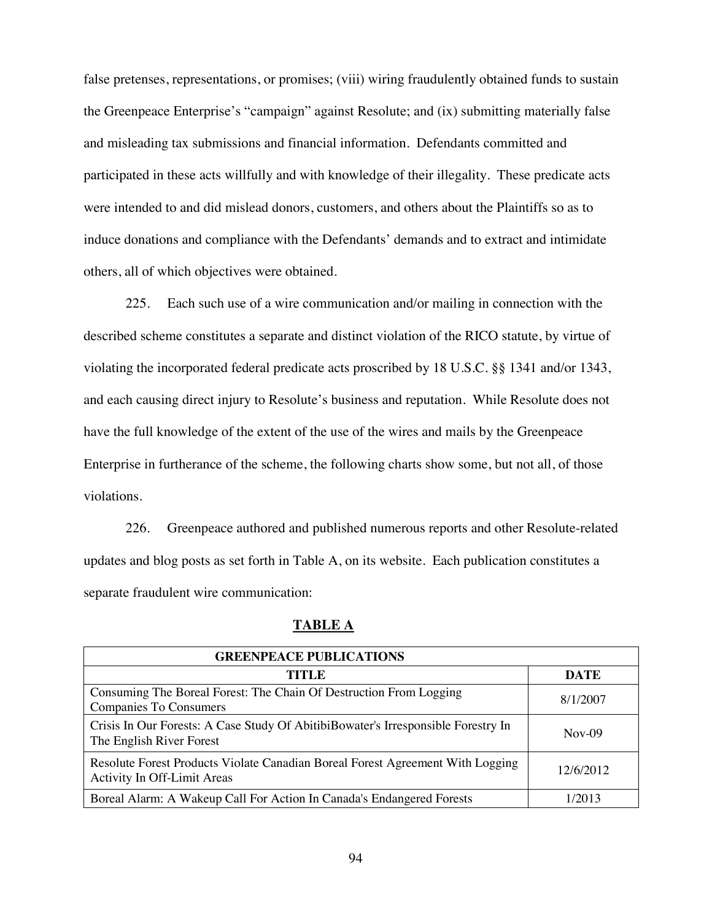false pretenses, representations, or promises; (viii) wiring fraudulently obtained funds to sustain the Greenpeace Enterprise's "campaign" against Resolute; and (ix) submitting materially false and misleading tax submissions and financial information. Defendants committed and participated in these acts willfully and with knowledge of their illegality. These predicate acts were intended to and did mislead donors, customers, and others about the Plaintiffs so as to induce donations and compliance with the Defendants' demands and to extract and intimidate others, all of which objectives were obtained.

225. Each such use of a wire communication and/or mailing in connection with the described scheme constitutes a separate and distinct violation of the RICO statute, by virtue of violating the incorporated federal predicate acts proscribed by 18 U.S.C. §§ 1341 and/or 1343, and each causing direct injury to Resolute's business and reputation. While Resolute does not have the full knowledge of the extent of the use of the wires and mails by the Greenpeace Enterprise in furtherance of the scheme, the following charts show some, but not all, of those violations.

226. Greenpeace authored and published numerous reports and other Resolute-related updates and blog posts as set forth in Table A, on its website. Each publication constitutes a separate fraudulent wire communication:

| <b>GREENPEACE PUBLICATIONS</b>                                                                                |             |
|---------------------------------------------------------------------------------------------------------------|-------------|
| TITLE                                                                                                         | <b>DATE</b> |
| Consuming The Boreal Forest: The Chain Of Destruction From Logging<br><b>Companies To Consumers</b>           | 8/1/2007    |
| Crisis In Our Forests: A Case Study Of AbitibiBowater's Irresponsible Forestry In<br>The English River Forest | $Nov-09$    |
| Resolute Forest Products Violate Canadian Boreal Forest Agreement With Logging<br>Activity In Off-Limit Areas | 12/6/2012   |
| Boreal Alarm: A Wakeup Call For Action In Canada's Endangered Forests                                         | 1/2013      |

## **TABLE A**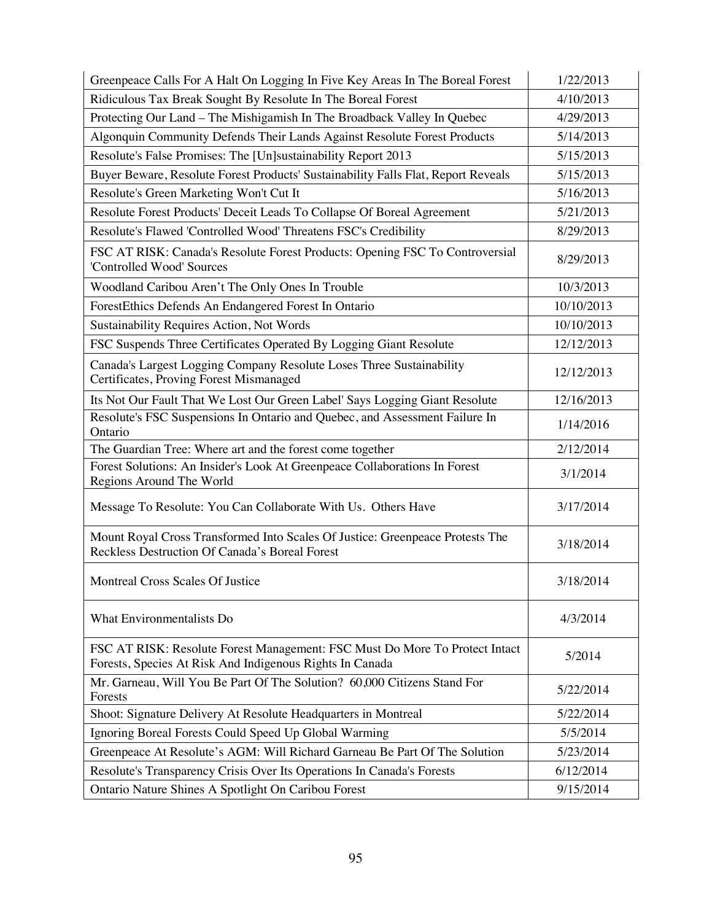| Greenpeace Calls For A Halt On Logging In Five Key Areas In The Boreal Forest                                                           | 1/22/2013  |
|-----------------------------------------------------------------------------------------------------------------------------------------|------------|
| Ridiculous Tax Break Sought By Resolute In The Boreal Forest                                                                            | 4/10/2013  |
| Protecting Our Land - The Mishigamish In The Broadback Valley In Quebec                                                                 | 4/29/2013  |
| Algonquin Community Defends Their Lands Against Resolute Forest Products                                                                | 5/14/2013  |
| Resolute's False Promises: The [Un]sustainability Report 2013                                                                           | 5/15/2013  |
| Buyer Beware, Resolute Forest Products' Sustainability Falls Flat, Report Reveals                                                       | 5/15/2013  |
| Resolute's Green Marketing Won't Cut It                                                                                                 | 5/16/2013  |
| Resolute Forest Products' Deceit Leads To Collapse Of Boreal Agreement                                                                  | 5/21/2013  |
| Resolute's Flawed 'Controlled Wood' Threatens FSC's Credibility                                                                         | 8/29/2013  |
| FSC AT RISK: Canada's Resolute Forest Products: Opening FSC To Controversial<br>'Controlled Wood' Sources                               | 8/29/2013  |
| Woodland Caribou Aren't The Only Ones In Trouble                                                                                        | 10/3/2013  |
| ForestEthics Defends An Endangered Forest In Ontario                                                                                    | 10/10/2013 |
| Sustainability Requires Action, Not Words                                                                                               | 10/10/2013 |
| FSC Suspends Three Certificates Operated By Logging Giant Resolute                                                                      | 12/12/2013 |
| Canada's Largest Logging Company Resolute Loses Three Sustainability<br>Certificates, Proving Forest Mismanaged                         | 12/12/2013 |
| Its Not Our Fault That We Lost Our Green Label' Says Logging Giant Resolute                                                             | 12/16/2013 |
| Resolute's FSC Suspensions In Ontario and Quebec, and Assessment Failure In<br>Ontario                                                  | 1/14/2016  |
| The Guardian Tree: Where art and the forest come together                                                                               | 2/12/2014  |
| Forest Solutions: An Insider's Look At Greenpeace Collaborations In Forest<br>Regions Around The World                                  | 3/1/2014   |
| Message To Resolute: You Can Collaborate With Us. Others Have                                                                           | 3/17/2014  |
| Mount Royal Cross Transformed Into Scales Of Justice: Greenpeace Protests The<br>Reckless Destruction Of Canada's Boreal Forest         | 3/18/2014  |
| Montreal Cross Scales Of Justice                                                                                                        | 3/18/2014  |
| What Environmentalists Do                                                                                                               | 4/3/2014   |
| FSC AT RISK: Resolute Forest Management: FSC Must Do More To Protect Intact<br>Forests, Species At Risk And Indigenous Rights In Canada | 5/2014     |
| Mr. Garneau, Will You Be Part Of The Solution? 60,000 Citizens Stand For<br>Forests                                                     | 5/22/2014  |
| Shoot: Signature Delivery At Resolute Headquarters in Montreal                                                                          | 5/22/2014  |
| Ignoring Boreal Forests Could Speed Up Global Warming                                                                                   | 5/5/2014   |
| Greenpeace At Resolute's AGM: Will Richard Garneau Be Part Of The Solution                                                              | 5/23/2014  |
| Resolute's Transparency Crisis Over Its Operations In Canada's Forests                                                                  | 6/12/2014  |
| Ontario Nature Shines A Spotlight On Caribou Forest                                                                                     | 9/15/2014  |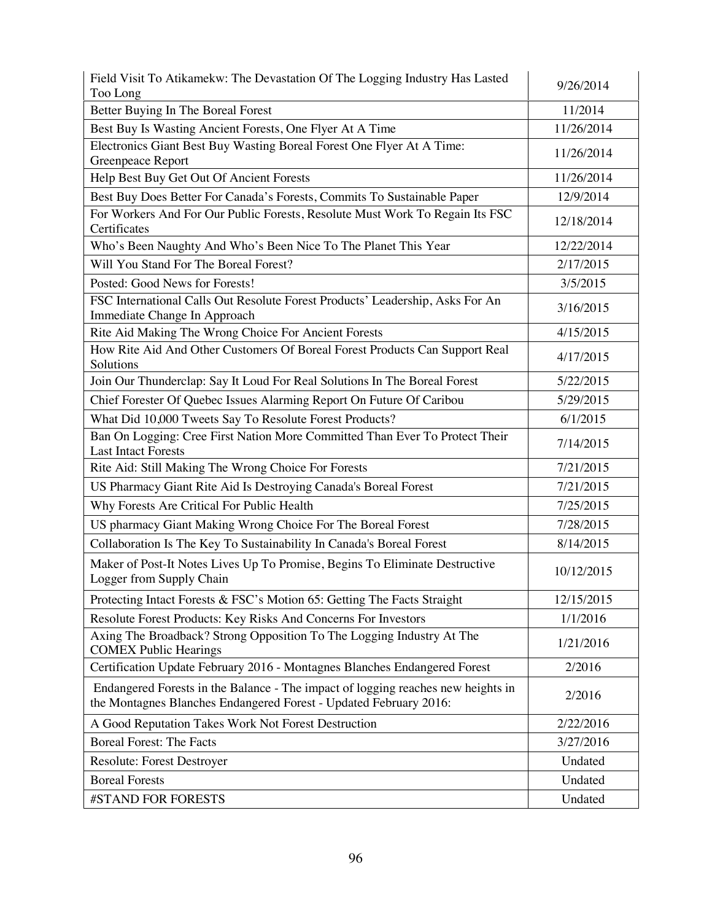| Field Visit To Atikamekw: The Devastation Of The Logging Industry Has Lasted<br>Too Long                                                              | 9/26/2014  |
|-------------------------------------------------------------------------------------------------------------------------------------------------------|------------|
| Better Buying In The Boreal Forest                                                                                                                    | 11/2014    |
| Best Buy Is Wasting Ancient Forests, One Flyer At A Time                                                                                              | 11/26/2014 |
| Electronics Giant Best Buy Wasting Boreal Forest One Flyer At A Time:<br>Greenpeace Report                                                            | 11/26/2014 |
| Help Best Buy Get Out Of Ancient Forests                                                                                                              | 11/26/2014 |
| Best Buy Does Better For Canada's Forests, Commits To Sustainable Paper                                                                               | 12/9/2014  |
| For Workers And For Our Public Forests, Resolute Must Work To Regain Its FSC<br>Certificates                                                          | 12/18/2014 |
| Who's Been Naughty And Who's Been Nice To The Planet This Year                                                                                        | 12/22/2014 |
| Will You Stand For The Boreal Forest?                                                                                                                 | 2/17/2015  |
| Posted: Good News for Forests!                                                                                                                        | 3/5/2015   |
| FSC International Calls Out Resolute Forest Products' Leadership, Asks For An<br>Immediate Change In Approach                                         | 3/16/2015  |
| Rite Aid Making The Wrong Choice For Ancient Forests                                                                                                  | 4/15/2015  |
| How Rite Aid And Other Customers Of Boreal Forest Products Can Support Real<br>Solutions                                                              | 4/17/2015  |
| Join Our Thunderclap: Say It Loud For Real Solutions In The Boreal Forest                                                                             | 5/22/2015  |
| Chief Forester Of Quebec Issues Alarming Report On Future Of Caribou                                                                                  | 5/29/2015  |
| What Did 10,000 Tweets Say To Resolute Forest Products?                                                                                               | 6/1/2015   |
| Ban On Logging: Cree First Nation More Committed Than Ever To Protect Their<br><b>Last Intact Forests</b>                                             | 7/14/2015  |
| Rite Aid: Still Making The Wrong Choice For Forests                                                                                                   | 7/21/2015  |
| US Pharmacy Giant Rite Aid Is Destroying Canada's Boreal Forest                                                                                       | 7/21/2015  |
| Why Forests Are Critical For Public Health                                                                                                            | 7/25/2015  |
| US pharmacy Giant Making Wrong Choice For The Boreal Forest                                                                                           | 7/28/2015  |
| Collaboration Is The Key To Sustainability In Canada's Boreal Forest                                                                                  | 8/14/2015  |
| Maker of Post-It Notes Lives Up To Promise, Begins To Eliminate Destructive<br>Logger from Supply Chain                                               | 10/12/2015 |
| Protecting Intact Forests & FSC's Motion 65: Getting The Facts Straight                                                                               | 12/15/2015 |
| Resolute Forest Products: Key Risks And Concerns For Investors                                                                                        | 1/1/2016   |
| Axing The Broadback? Strong Opposition To The Logging Industry At The<br><b>COMEX Public Hearings</b>                                                 | 1/21/2016  |
| Certification Update February 2016 - Montagnes Blanches Endangered Forest                                                                             | 2/2016     |
| Endangered Forests in the Balance - The impact of logging reaches new heights in<br>the Montagnes Blanches Endangered Forest - Updated February 2016: | 2/2016     |
| A Good Reputation Takes Work Not Forest Destruction                                                                                                   | 2/22/2016  |
| <b>Boreal Forest: The Facts</b>                                                                                                                       | 3/27/2016  |
| Resolute: Forest Destroyer                                                                                                                            | Undated    |
| <b>Boreal Forests</b>                                                                                                                                 | Undated    |
| #STAND FOR FORESTS                                                                                                                                    | Undated    |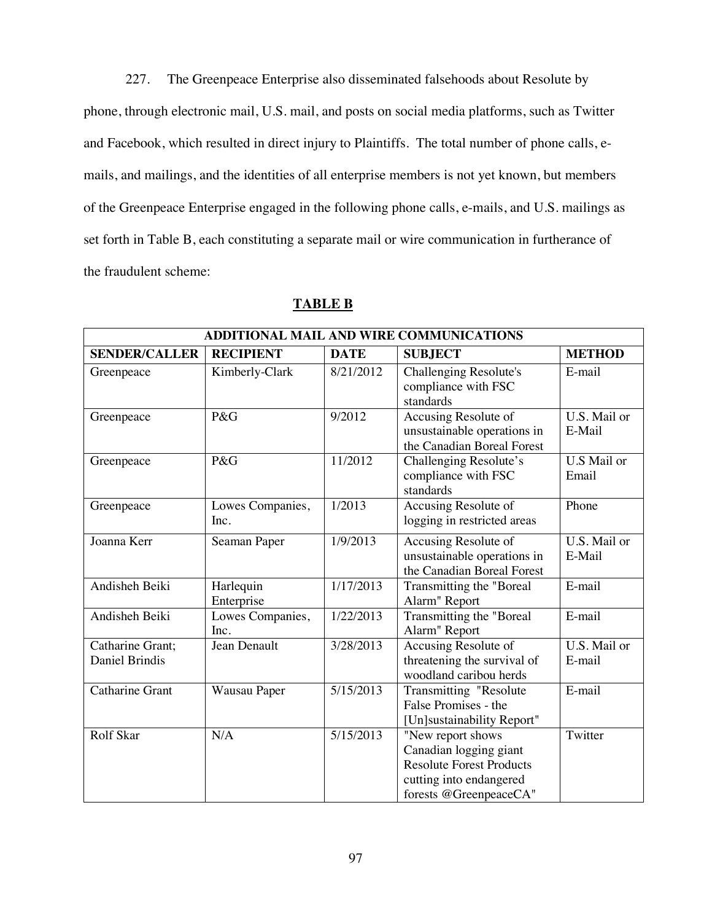227. The Greenpeace Enterprise also disseminated falsehoods about Resolute by phone, through electronic mail, U.S. mail, and posts on social media platforms, such as Twitter and Facebook, which resulted in direct injury to Plaintiffs. The total number of phone calls, emails, and mailings, and the identities of all enterprise members is not yet known, but members of the Greenpeace Enterprise engaged in the following phone calls, e-mails, and U.S. mailings as set forth in Table B, each constituting a separate mail or wire communication in furtherance of the fraudulent scheme:

### **TABLE B**

| ADDITIONAL MAIL AND WIRE COMMUNICATIONS |                          |             |                                                                                                                                     |                        |
|-----------------------------------------|--------------------------|-------------|-------------------------------------------------------------------------------------------------------------------------------------|------------------------|
| <b>SENDER/CALLER</b>                    | <b>RECIPIENT</b>         | <b>DATE</b> | <b>SUBJECT</b>                                                                                                                      | <b>METHOD</b>          |
| Greenpeace                              | Kimberly-Clark           | 8/21/2012   | <b>Challenging Resolute's</b><br>compliance with FSC<br>standards                                                                   | E-mail                 |
| Greenpeace                              | P&G                      | 9/2012      | Accusing Resolute of<br>unsustainable operations in<br>the Canadian Boreal Forest                                                   | U.S. Mail or<br>E-Mail |
| Greenpeace                              | P&G                      | 11/2012     | Challenging Resolute's<br>compliance with FSC<br>standards                                                                          | U.S Mail or<br>Email   |
| Greenpeace                              | Lowes Companies,<br>Inc. | 1/2013      | Accusing Resolute of<br>logging in restricted areas                                                                                 | Phone                  |
| Joanna Kerr                             | Seaman Paper             | 1/9/2013    | Accusing Resolute of<br>unsustainable operations in<br>the Canadian Boreal Forest                                                   | U.S. Mail or<br>E-Mail |
| Andisheh Beiki                          | Harlequin<br>Enterprise  | 1/17/2013   | Transmitting the "Boreal<br>Alarm" Report                                                                                           | E-mail                 |
| Andisheh Beiki                          | Lowes Companies,<br>Inc. | 1/22/2013   | Transmitting the "Boreal<br>Alarm" Report                                                                                           | E-mail                 |
| Catharine Grant;<br>Daniel Brindis      | Jean Denault             | 3/28/2013   | Accusing Resolute of<br>threatening the survival of<br>woodland caribou herds                                                       | U.S. Mail or<br>E-mail |
| Catharine Grant                         | Wausau Paper             | 5/15/2013   | Transmitting "Resolute<br>False Promises - the<br>[Un]sustainability Report"                                                        | E-mail                 |
| Rolf Skar                               | N/A                      | 5/15/2013   | "New report shows<br>Canadian logging giant<br><b>Resolute Forest Products</b><br>cutting into endangered<br>forests @GreenpeaceCA" | Twitter                |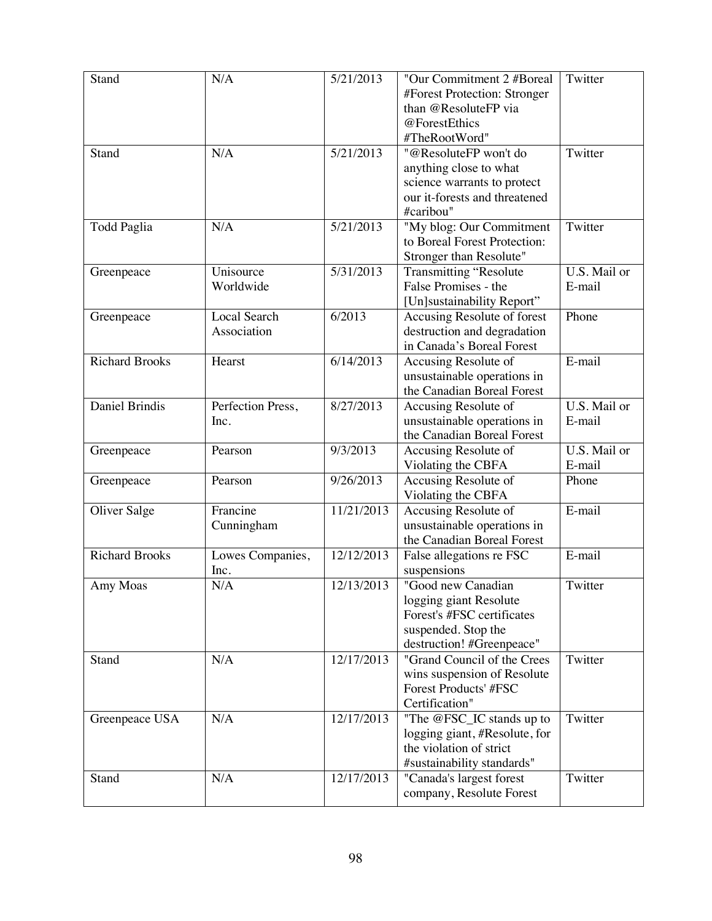| Stand                 | N/A                 | 5/21/2013  | "Our Commitment 2 #Boreal                  | Twitter      |
|-----------------------|---------------------|------------|--------------------------------------------|--------------|
|                       |                     |            | #Forest Protection: Stronger               |              |
|                       |                     |            | than @ResoluteFP via                       |              |
|                       |                     |            | @ForestEthics                              |              |
|                       |                     |            | #TheRootWord"                              |              |
| Stand                 | N/A                 | 5/21/2013  | "@ResoluteFP won't do                      | Twitter      |
|                       |                     |            | anything close to what                     |              |
|                       |                     |            | science warrants to protect                |              |
|                       |                     |            | our it-forests and threatened<br>#caribou" |              |
| Todd Paglia           | N/A                 | 5/21/2013  | "My blog: Our Commitment                   | Twitter      |
|                       |                     |            | to Boreal Forest Protection:               |              |
|                       |                     |            | Stronger than Resolute"                    |              |
| Greenpeace            | Unisource           | 5/31/2013  | <b>Transmitting "Resolute</b>              | U.S. Mail or |
|                       | Worldwide           |            | False Promises - the                       | E-mail       |
|                       |                     |            | [Un]sustainability Report"                 |              |
| Greenpeace            | <b>Local Search</b> | 6/2013     | Accusing Resolute of forest                | Phone        |
|                       | Association         |            | destruction and degradation                |              |
|                       |                     |            | in Canada's Boreal Forest                  |              |
| <b>Richard Brooks</b> | Hearst              | 6/14/2013  | Accusing Resolute of                       | E-mail       |
|                       |                     |            | unsustainable operations in                |              |
|                       |                     |            | the Canadian Boreal Forest                 |              |
| Daniel Brindis        | Perfection Press,   | 8/27/2013  | Accusing Resolute of                       | U.S. Mail or |
|                       | Inc.                |            | unsustainable operations in                | E-mail       |
|                       |                     |            | the Canadian Boreal Forest                 |              |
| Greenpeace            | Pearson             | 9/3/2013   | Accusing Resolute of                       | U.S. Mail or |
|                       |                     |            | Violating the CBFA                         | E-mail       |
| Greenpeace            | Pearson             | 9/26/2013  | Accusing Resolute of                       | Phone        |
|                       |                     |            | Violating the CBFA                         |              |
| Oliver Salge          | Francine            | 11/21/2013 | Accusing Resolute of                       | E-mail       |
|                       | Cunningham          |            | unsustainable operations in                |              |
|                       |                     |            | the Canadian Boreal Forest                 |              |
| <b>Richard Brooks</b> | Lowes Companies,    | 12/12/2013 | False allegations re FSC                   | E-mail       |
|                       | Inc.                |            | suspensions                                |              |
| Amy Moas              | N/A                 | 12/13/2013 | "Good new Canadian                         | Twitter      |
|                       |                     |            | logging giant Resolute                     |              |
|                       |                     |            | Forest's #FSC certificates                 |              |
|                       |                     |            | suspended. Stop the                        |              |
|                       |                     |            | destruction! #Greenpeace"                  |              |
| Stand                 | N/A                 | 12/17/2013 | "Grand Council of the Crees                | Twitter      |
|                       |                     |            | wins suspension of Resolute                |              |
|                       |                     |            | Forest Products' #FSC                      |              |
|                       |                     |            | Certification"                             |              |
| Greenpeace USA        | N/A                 | 12/17/2013 | "The @FSC_IC stands up to                  | Twitter      |
|                       |                     |            | logging giant, #Resolute, for              |              |
|                       |                     |            | the violation of strict                    |              |
|                       |                     |            | #sustainability standards"                 |              |
| Stand                 | N/A                 | 12/17/2013 | "Canada's largest forest                   | Twitter      |
|                       |                     |            | company, Resolute Forest                   |              |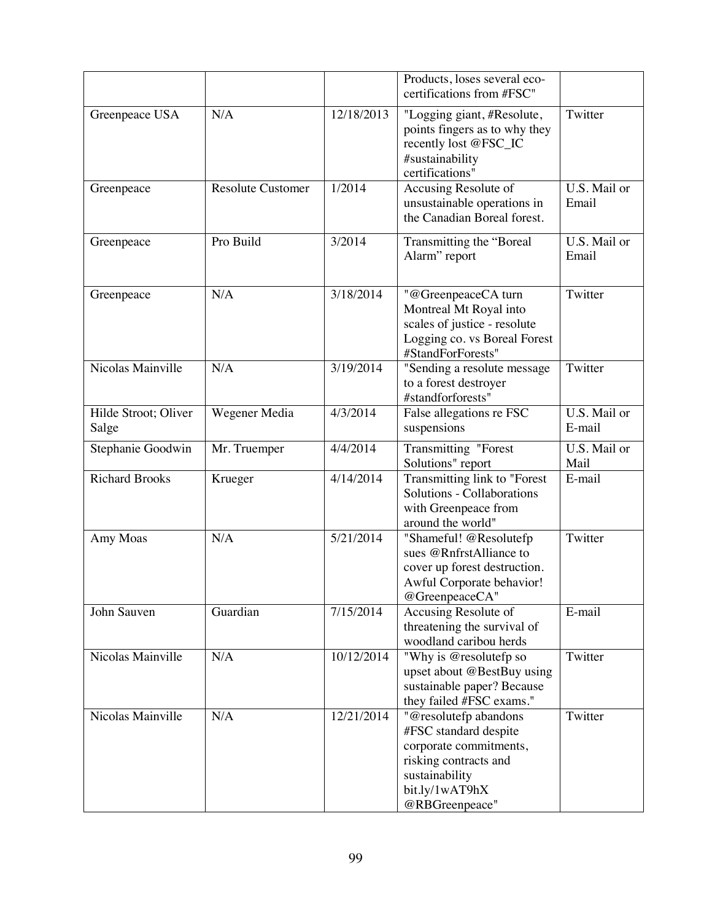|                               |                          |            | Products, loses several eco-<br>certifications from #FSC"                                                                                               |                        |
|-------------------------------|--------------------------|------------|---------------------------------------------------------------------------------------------------------------------------------------------------------|------------------------|
| Greenpeace USA                | N/A                      | 12/18/2013 | "Logging giant, #Resolute,<br>points fingers as to why they<br>recently lost @FSC_IC<br>#sustainability<br>certifications"                              | Twitter                |
| Greenpeace                    | <b>Resolute Customer</b> | 1/2014     | Accusing Resolute of<br>unsustainable operations in<br>the Canadian Boreal forest.                                                                      | U.S. Mail or<br>Email  |
| Greenpeace                    | Pro Build                | 3/2014     | Transmitting the "Boreal<br>Alarm" report                                                                                                               | U.S. Mail or<br>Email  |
| Greenpeace                    | N/A                      | 3/18/2014  | "@GreenpeaceCA turn<br>Montreal Mt Royal into<br>scales of justice - resolute<br>Logging co. vs Boreal Forest<br>#StandForForests"                      | Twitter                |
| Nicolas Mainville             | N/A                      | 3/19/2014  | "Sending a resolute message<br>to a forest destroyer<br>#standforforests"                                                                               | Twitter                |
| Hilde Stroot; Oliver<br>Salge | Wegener Media            | 4/3/2014   | False allegations re FSC<br>suspensions                                                                                                                 | U.S. Mail or<br>E-mail |
| Stephanie Goodwin             | Mr. Truemper             | 4/4/2014   | <b>Transmitting "Forest</b><br>Solutions" report                                                                                                        | U.S. Mail or<br>Mail   |
| <b>Richard Brooks</b>         | Krueger                  | 4/14/2014  | Transmitting link to "Forest<br>Solutions - Collaborations<br>with Greenpeace from<br>around the world"                                                 | E-mail                 |
| Amy Moas                      | N/A                      | 5/21/2014  | "Shameful! @Resolutefp<br>sues @RnfrstAlliance to<br>cover up forest destruction.<br>Awful Corporate behavior!<br>@GreenpeaceCA"                        | Twitter                |
| John Sauven                   | Guardian                 | 7/15/2014  | Accusing Resolute of<br>threatening the survival of<br>woodland caribou herds                                                                           | E-mail                 |
| Nicolas Mainville             | N/A                      | 10/12/2014 | "Why is @resolutefp so<br>upset about @BestBuy using<br>sustainable paper? Because<br>they failed #FSC exams."                                          | Twitter                |
| Nicolas Mainville             | N/A                      | 12/21/2014 | "@resolutefp abandons<br>#FSC standard despite<br>corporate commitments,<br>risking contracts and<br>sustainability<br>bit.ly/1wAT9hX<br>@RBGreenpeace" | Twitter                |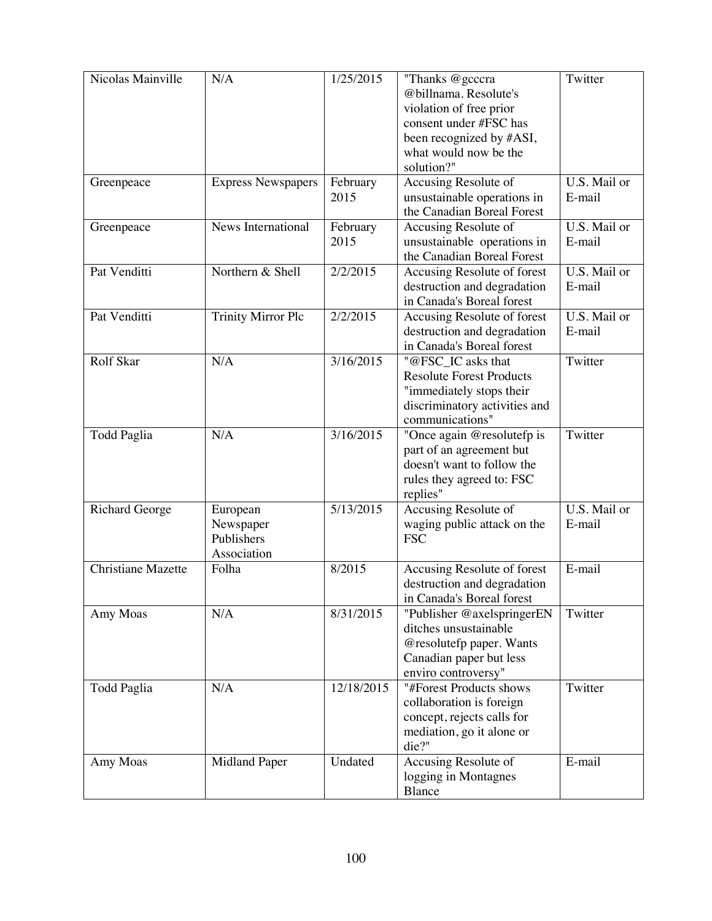| Nicolas Mainville     | N/A                       | 1/25/2015  | "Thanks @gcccra                 | Twitter                   |
|-----------------------|---------------------------|------------|---------------------------------|---------------------------|
|                       |                           |            | @billnama. Resolute's           |                           |
|                       |                           |            |                                 |                           |
|                       |                           |            | violation of free prior         |                           |
|                       |                           |            | consent under #FSC has          |                           |
|                       |                           |            | been recognized by #ASI,        |                           |
|                       |                           |            | what would now be the           |                           |
|                       |                           |            | solution?"                      |                           |
| Greenpeace            | <b>Express Newspapers</b> | February   | Accusing Resolute of            | U.S. Mail or              |
|                       |                           | 2015       | unsustainable operations in     | E-mail                    |
|                       |                           |            | the Canadian Boreal Forest      |                           |
| Greenpeace            | News International        | February   | Accusing Resolute of            | U.S. Mail or              |
|                       |                           | 2015       | unsustainable operations in     | E-mail                    |
|                       |                           |            | the Canadian Boreal Forest      |                           |
| Pat Venditti          | Northern & Shell          | 2/2/2015   | Accusing Resolute of forest     | U.S. Mail or              |
|                       |                           |            | destruction and degradation     | E-mail                    |
|                       |                           |            | in Canada's Boreal forest       |                           |
| Pat Venditti          | <b>Trinity Mirror Plc</b> | 2/2/2015   | Accusing Resolute of forest     | U.S. Mail or              |
|                       |                           |            |                                 |                           |
|                       |                           |            | destruction and degradation     | E-mail                    |
|                       |                           |            | in Canada's Boreal forest       |                           |
| Rolf Skar             | N/A                       | 3/16/2015  | "@FSC_IC asks that              | Twitter                   |
|                       |                           |            | <b>Resolute Forest Products</b> |                           |
|                       |                           |            | "immediately stops their        |                           |
|                       |                           |            | discriminatory activities and   |                           |
|                       |                           |            | communications"                 |                           |
| <b>Todd Paglia</b>    | N/A                       | 3/16/2015  | "Once again @resolutefp is      | Twitter                   |
|                       |                           |            | part of an agreement but        |                           |
|                       |                           |            | doesn't want to follow the      |                           |
|                       |                           |            | rules they agreed to: FSC       |                           |
|                       |                           |            | replies"                        |                           |
| <b>Richard George</b> | European                  | 5/13/2015  | Accusing Resolute of            | $\overline{U.S.}$ Mail or |
|                       | Newspaper                 |            | waging public attack on the     | E-mail                    |
|                       | Publishers                |            | <b>FSC</b>                      |                           |
|                       | Association               |            |                                 |                           |
|                       |                           |            |                                 |                           |
| Christiane Mazette    | Folha                     | 8/2015     | Accusing Resolute of forest     | E-mail                    |
|                       |                           |            | destruction and degradation     |                           |
|                       |                           |            | in Canada's Boreal forest       |                           |
| Amy Moas              | N/A                       | 8/31/2015  | "Publisher @axelspringerEN      | Twitter                   |
|                       |                           |            | ditches unsustainable           |                           |
|                       |                           |            | @resolutefp paper. Wants        |                           |
|                       |                           |            | Canadian paper but less         |                           |
|                       |                           |            | enviro controversy"             |                           |
| <b>Todd Paglia</b>    | N/A                       | 12/18/2015 | "#Forest Products shows         | Twitter                   |
|                       |                           |            | collaboration is foreign        |                           |
|                       |                           |            | concept, rejects calls for      |                           |
|                       |                           |            | mediation, go it alone or       |                           |
|                       |                           |            | die?"                           |                           |
| Amy Moas              | <b>Midland Paper</b>      | Undated    | Accusing Resolute of            | E-mail                    |
|                       |                           |            | logging in Montagnes            |                           |
|                       |                           |            | Blance                          |                           |
|                       |                           |            |                                 |                           |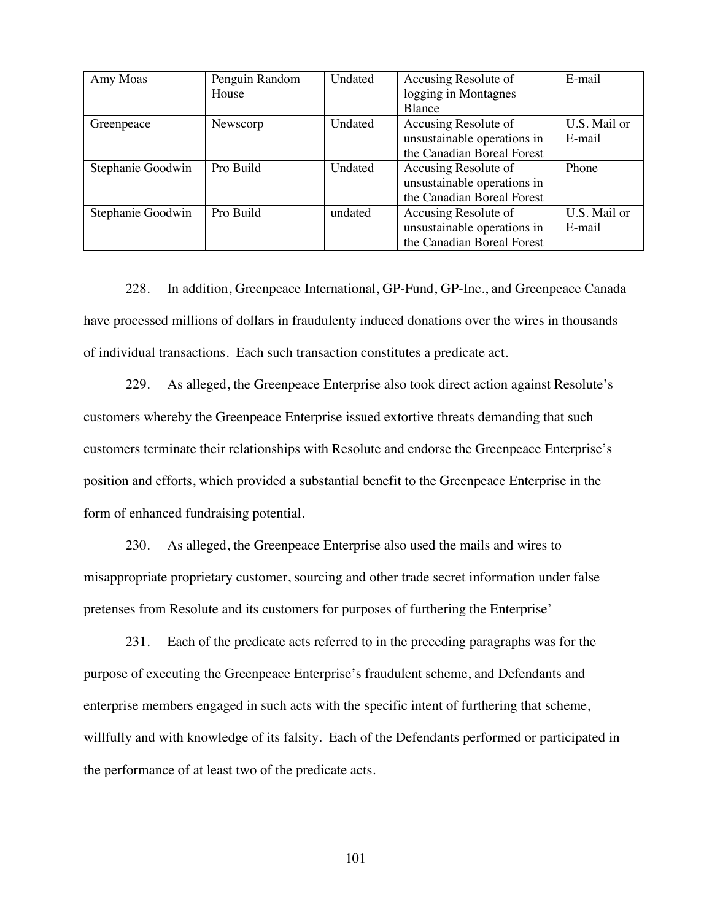| Amy Moas          | Penguin Random | Undated | Accusing Resolute of        | E-mail       |
|-------------------|----------------|---------|-----------------------------|--------------|
|                   | House          |         | logging in Montagnes        |              |
|                   |                |         | <b>Blance</b>               |              |
| Greenpeace        | Newscorp       | Undated | Accusing Resolute of        | U.S. Mail or |
|                   |                |         | unsustainable operations in | E-mail       |
|                   |                |         | the Canadian Boreal Forest  |              |
| Stephanie Goodwin | Pro Build      | Undated | Accusing Resolute of        | Phone        |
|                   |                |         | unsustainable operations in |              |
|                   |                |         | the Canadian Boreal Forest  |              |
| Stephanie Goodwin | Pro Build      | undated | Accusing Resolute of        | U.S. Mail or |
|                   |                |         | unsustainable operations in | E-mail       |
|                   |                |         | the Canadian Boreal Forest  |              |

228. In addition, Greenpeace International, GP-Fund, GP-Inc., and Greenpeace Canada have processed millions of dollars in fraudulenty induced donations over the wires in thousands of individual transactions. Each such transaction constitutes a predicate act.

229. As alleged, the Greenpeace Enterprise also took direct action against Resolute's customers whereby the Greenpeace Enterprise issued extortive threats demanding that such customers terminate their relationships with Resolute and endorse the Greenpeace Enterprise's position and efforts, which provided a substantial benefit to the Greenpeace Enterprise in the form of enhanced fundraising potential.

230. As alleged, the Greenpeace Enterprise also used the mails and wires to misappropriate proprietary customer, sourcing and other trade secret information under false pretenses from Resolute and its customers for purposes of furthering the Enterprise'

231. Each of the predicate acts referred to in the preceding paragraphs was for the purpose of executing the Greenpeace Enterprise's fraudulent scheme, and Defendants and enterprise members engaged in such acts with the specific intent of furthering that scheme, willfully and with knowledge of its falsity. Each of the Defendants performed or participated in the performance of at least two of the predicate acts.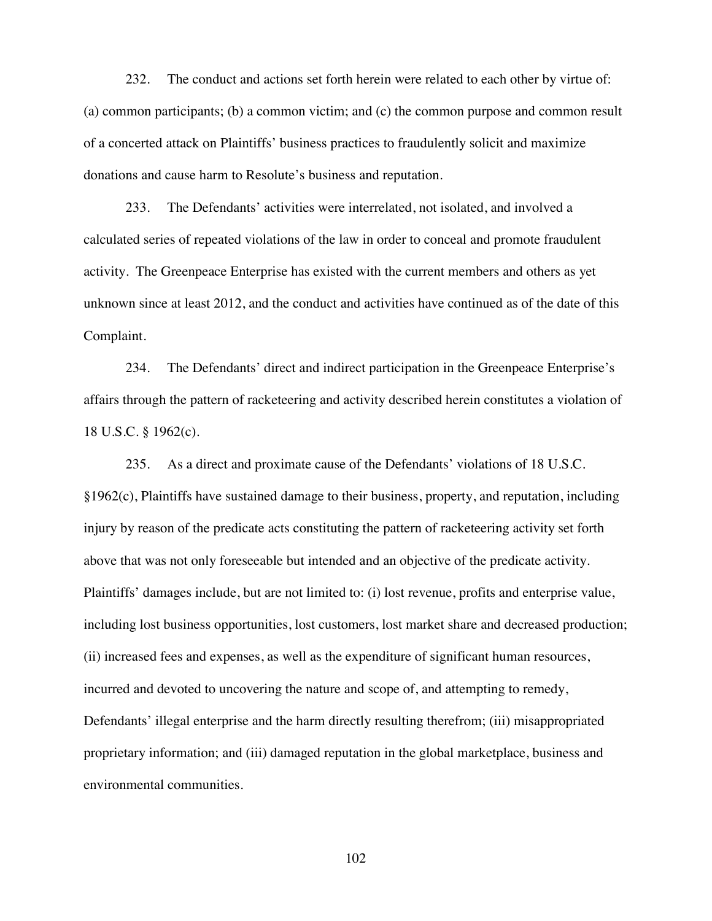232. The conduct and actions set forth herein were related to each other by virtue of: (a) common participants; (b) a common victim; and (c) the common purpose and common result of a concerted attack on Plaintiffs' business practices to fraudulently solicit and maximize donations and cause harm to Resolute's business and reputation.

233. The Defendants' activities were interrelated, not isolated, and involved a calculated series of repeated violations of the law in order to conceal and promote fraudulent activity. The Greenpeace Enterprise has existed with the current members and others as yet unknown since at least 2012, and the conduct and activities have continued as of the date of this Complaint.

234. The Defendants' direct and indirect participation in the Greenpeace Enterprise's affairs through the pattern of racketeering and activity described herein constitutes a violation of 18 U.S.C. § 1962(c).

235. As a direct and proximate cause of the Defendants' violations of 18 U.S.C. §1962(c), Plaintiffs have sustained damage to their business, property, and reputation, including injury by reason of the predicate acts constituting the pattern of racketeering activity set forth above that was not only foreseeable but intended and an objective of the predicate activity. Plaintiffs' damages include, but are not limited to: (i) lost revenue, profits and enterprise value, including lost business opportunities, lost customers, lost market share and decreased production; (ii) increased fees and expenses, as well as the expenditure of significant human resources, incurred and devoted to uncovering the nature and scope of, and attempting to remedy, Defendants' illegal enterprise and the harm directly resulting therefrom; (iii) misappropriated proprietary information; and (iii) damaged reputation in the global marketplace, business and environmental communities.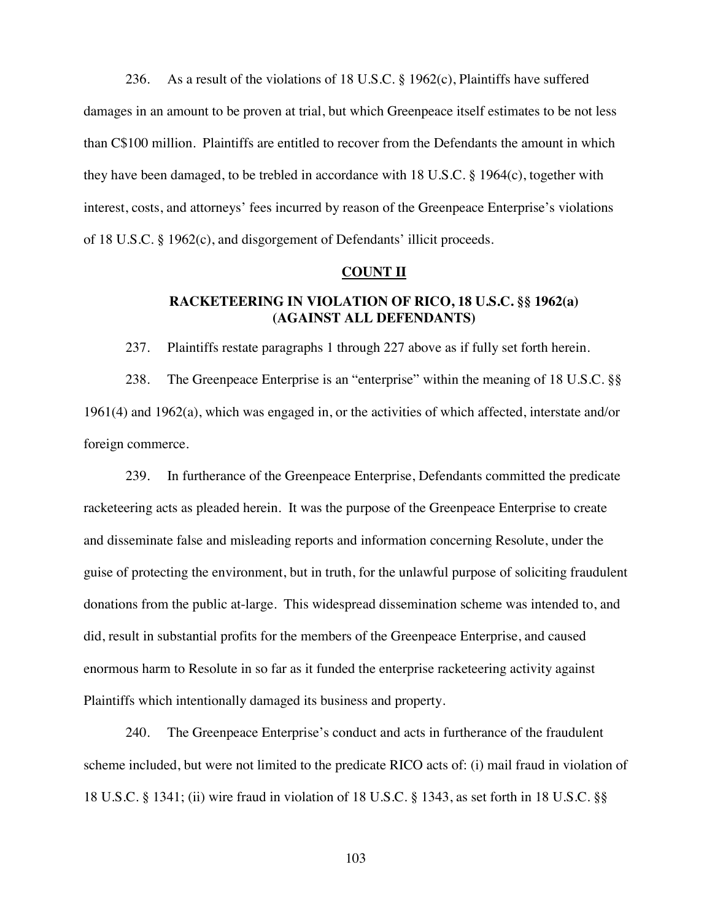236. As a result of the violations of 18 U.S.C. § 1962(c), Plaintiffs have suffered damages in an amount to be proven at trial, but which Greenpeace itself estimates to be not less than C\$100 million. Plaintiffs are entitled to recover from the Defendants the amount in which they have been damaged, to be trebled in accordance with 18 U.S.C. § 1964(c), together with interest, costs, and attorneys' fees incurred by reason of the Greenpeace Enterprise's violations of 18 U.S.C. § 1962(c), and disgorgement of Defendants' illicit proceeds.

### **COUNT II**

# **RACKETEERING IN VIOLATION OF RICO, 18 U.S.C. §§ 1962(a) (AGAINST ALL DEFENDANTS)**

237. Plaintiffs restate paragraphs 1 through 227 above as if fully set forth herein.

238. The Greenpeace Enterprise is an "enterprise" within the meaning of 18 U.S.C. §§ 1961(4) and 1962(a), which was engaged in, or the activities of which affected, interstate and/or foreign commerce.

239. In furtherance of the Greenpeace Enterprise, Defendants committed the predicate racketeering acts as pleaded herein. It was the purpose of the Greenpeace Enterprise to create and disseminate false and misleading reports and information concerning Resolute, under the guise of protecting the environment, but in truth, for the unlawful purpose of soliciting fraudulent donations from the public at-large. This widespread dissemination scheme was intended to, and did, result in substantial profits for the members of the Greenpeace Enterprise, and caused enormous harm to Resolute in so far as it funded the enterprise racketeering activity against Plaintiffs which intentionally damaged its business and property.

240. The Greenpeace Enterprise's conduct and acts in furtherance of the fraudulent scheme included, but were not limited to the predicate RICO acts of: (i) mail fraud in violation of 18 U.S.C. § 1341; (ii) wire fraud in violation of 18 U.S.C. § 1343, as set forth in 18 U.S.C. §§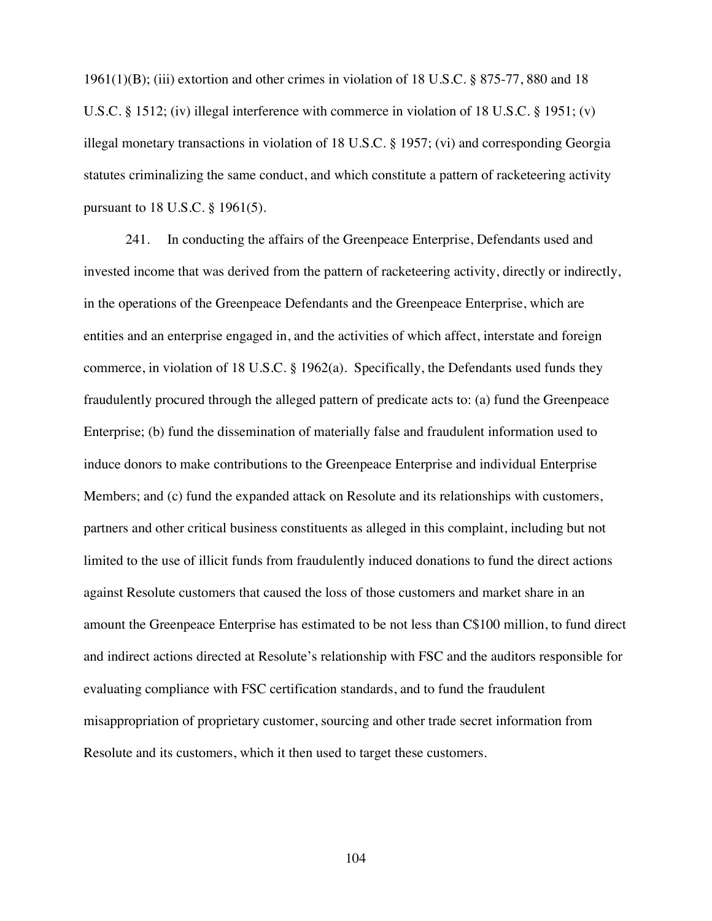1961(1)(B); (iii) extortion and other crimes in violation of 18 U.S.C. § 875-77, 880 and 18 U.S.C. § 1512; (iv) illegal interference with commerce in violation of 18 U.S.C. § 1951; (v) illegal monetary transactions in violation of 18 U.S.C. § 1957; (vi) and corresponding Georgia statutes criminalizing the same conduct, and which constitute a pattern of racketeering activity pursuant to 18 U.S.C. § 1961(5).

241. In conducting the affairs of the Greenpeace Enterprise, Defendants used and invested income that was derived from the pattern of racketeering activity, directly or indirectly, in the operations of the Greenpeace Defendants and the Greenpeace Enterprise, which are entities and an enterprise engaged in, and the activities of which affect, interstate and foreign commerce, in violation of 18 U.S.C. § 1962(a). Specifically, the Defendants used funds they fraudulently procured through the alleged pattern of predicate acts to: (a) fund the Greenpeace Enterprise; (b) fund the dissemination of materially false and fraudulent information used to induce donors to make contributions to the Greenpeace Enterprise and individual Enterprise Members; and (c) fund the expanded attack on Resolute and its relationships with customers, partners and other critical business constituents as alleged in this complaint, including but not limited to the use of illicit funds from fraudulently induced donations to fund the direct actions against Resolute customers that caused the loss of those customers and market share in an amount the Greenpeace Enterprise has estimated to be not less than C\$100 million, to fund direct and indirect actions directed at Resolute's relationship with FSC and the auditors responsible for evaluating compliance with FSC certification standards, and to fund the fraudulent misappropriation of proprietary customer, sourcing and other trade secret information from Resolute and its customers, which it then used to target these customers.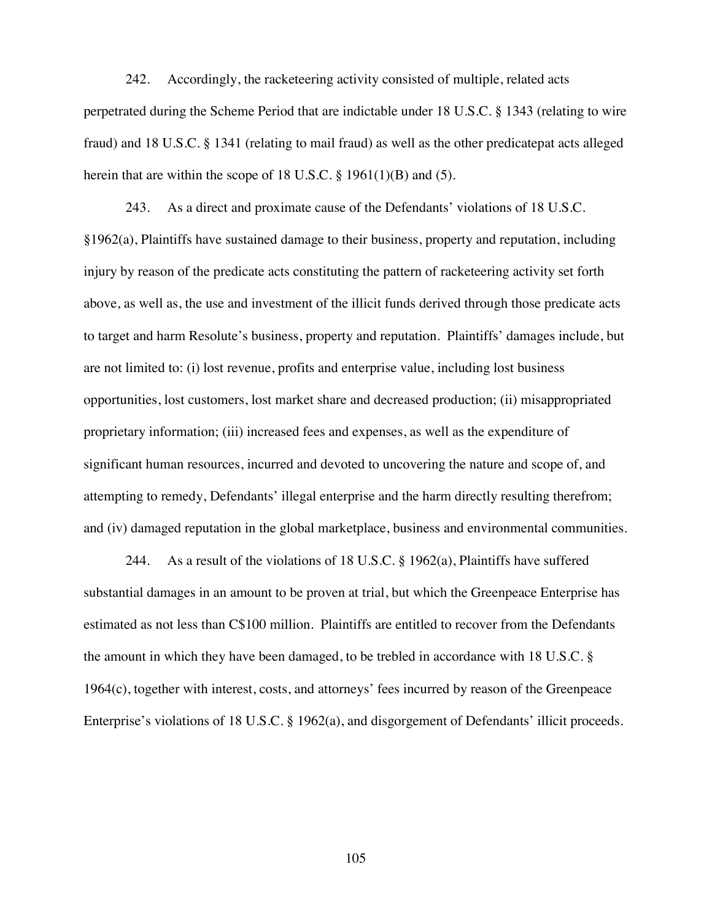242. Accordingly, the racketeering activity consisted of multiple, related acts perpetrated during the Scheme Period that are indictable under 18 U.S.C. § 1343 (relating to wire fraud) and 18 U.S.C. § 1341 (relating to mail fraud) as well as the other predicatepat acts alleged herein that are within the scope of 18 U.S.C.  $\S$  1961(1)(B) and (5).

243. As a direct and proximate cause of the Defendants' violations of 18 U.S.C. §1962(a), Plaintiffs have sustained damage to their business, property and reputation, including injury by reason of the predicate acts constituting the pattern of racketeering activity set forth above, as well as, the use and investment of the illicit funds derived through those predicate acts to target and harm Resolute's business, property and reputation. Plaintiffs' damages include, but are not limited to: (i) lost revenue, profits and enterprise value, including lost business opportunities, lost customers, lost market share and decreased production; (ii) misappropriated proprietary information; (iii) increased fees and expenses, as well as the expenditure of significant human resources, incurred and devoted to uncovering the nature and scope of, and attempting to remedy, Defendants' illegal enterprise and the harm directly resulting therefrom; and (iv) damaged reputation in the global marketplace, business and environmental communities.

244. As a result of the violations of 18 U.S.C.  $\S$  1962(a), Plaintiffs have suffered substantial damages in an amount to be proven at trial, but which the Greenpeace Enterprise has estimated as not less than C\$100 million. Plaintiffs are entitled to recover from the Defendants the amount in which they have been damaged, to be trebled in accordance with 18 U.S.C. § 1964(c), together with interest, costs, and attorneys' fees incurred by reason of the Greenpeace Enterprise's violations of 18 U.S.C. § 1962(a), and disgorgement of Defendants' illicit proceeds.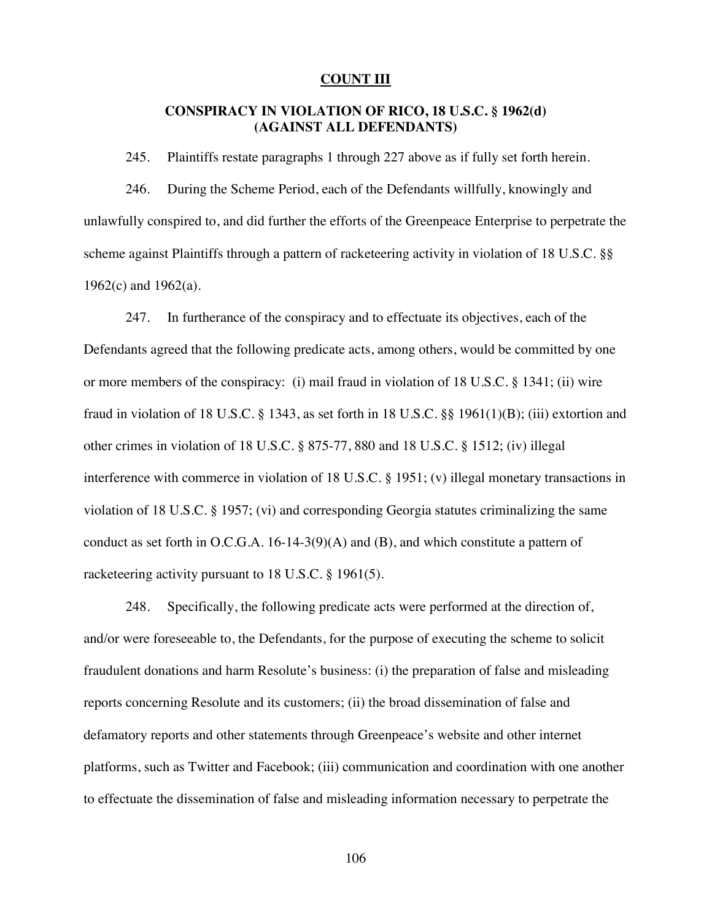#### **COUNT III**

# **CONSPIRACY IN VIOLATION OF RICO, 18 U.S.C. § 1962(d) (AGAINST ALL DEFENDANTS)**

245. Plaintiffs restate paragraphs 1 through 227 above as if fully set forth herein.

246. During the Scheme Period, each of the Defendants willfully, knowingly and unlawfully conspired to, and did further the efforts of the Greenpeace Enterprise to perpetrate the scheme against Plaintiffs through a pattern of racketeering activity in violation of 18 U.S.C. §§ 1962(c) and 1962(a).

247. In furtherance of the conspiracy and to effectuate its objectives, each of the Defendants agreed that the following predicate acts, among others, would be committed by one or more members of the conspiracy: (i) mail fraud in violation of 18 U.S.C. § 1341; (ii) wire fraud in violation of 18 U.S.C. § 1343, as set forth in 18 U.S.C. §§ 1961(1)(B); (iii) extortion and other crimes in violation of 18 U.S.C. § 875-77, 880 and 18 U.S.C. § 1512; (iv) illegal interference with commerce in violation of 18 U.S.C. § 1951; (v) illegal monetary transactions in violation of 18 U.S.C. § 1957; (vi) and corresponding Georgia statutes criminalizing the same conduct as set forth in O.C.G.A. 16-14-3(9)(A) and (B), and which constitute a pattern of racketeering activity pursuant to 18 U.S.C. § 1961(5).

248. Specifically, the following predicate acts were performed at the direction of, and/or were foreseeable to, the Defendants, for the purpose of executing the scheme to solicit fraudulent donations and harm Resolute's business: (i) the preparation of false and misleading reports concerning Resolute and its customers; (ii) the broad dissemination of false and defamatory reports and other statements through Greenpeace's website and other internet platforms, such as Twitter and Facebook; (iii) communication and coordination with one another to effectuate the dissemination of false and misleading information necessary to perpetrate the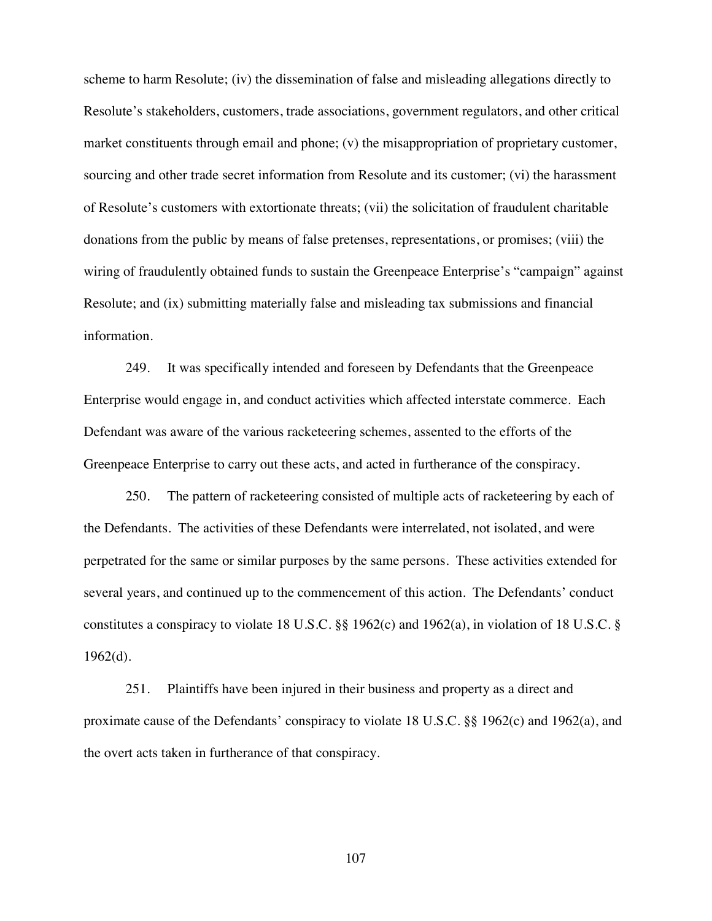scheme to harm Resolute; (iv) the dissemination of false and misleading allegations directly to Resolute's stakeholders, customers, trade associations, government regulators, and other critical market constituents through email and phone; (v) the misappropriation of proprietary customer, sourcing and other trade secret information from Resolute and its customer; (vi) the harassment of Resolute's customers with extortionate threats; (vii) the solicitation of fraudulent charitable donations from the public by means of false pretenses, representations, or promises; (viii) the wiring of fraudulently obtained funds to sustain the Greenpeace Enterprise's "campaign" against Resolute; and (ix) submitting materially false and misleading tax submissions and financial information.

249. It was specifically intended and foreseen by Defendants that the Greenpeace Enterprise would engage in, and conduct activities which affected interstate commerce. Each Defendant was aware of the various racketeering schemes, assented to the efforts of the Greenpeace Enterprise to carry out these acts, and acted in furtherance of the conspiracy.

250. The pattern of racketeering consisted of multiple acts of racketeering by each of the Defendants. The activities of these Defendants were interrelated, not isolated, and were perpetrated for the same or similar purposes by the same persons. These activities extended for several years, and continued up to the commencement of this action. The Defendants' conduct constitutes a conspiracy to violate 18 U.S.C. §§ 1962(c) and 1962(a), in violation of 18 U.S.C. §  $1962(d)$ .

251. Plaintiffs have been injured in their business and property as a direct and proximate cause of the Defendants' conspiracy to violate 18 U.S.C. §§ 1962(c) and 1962(a), and the overt acts taken in furtherance of that conspiracy.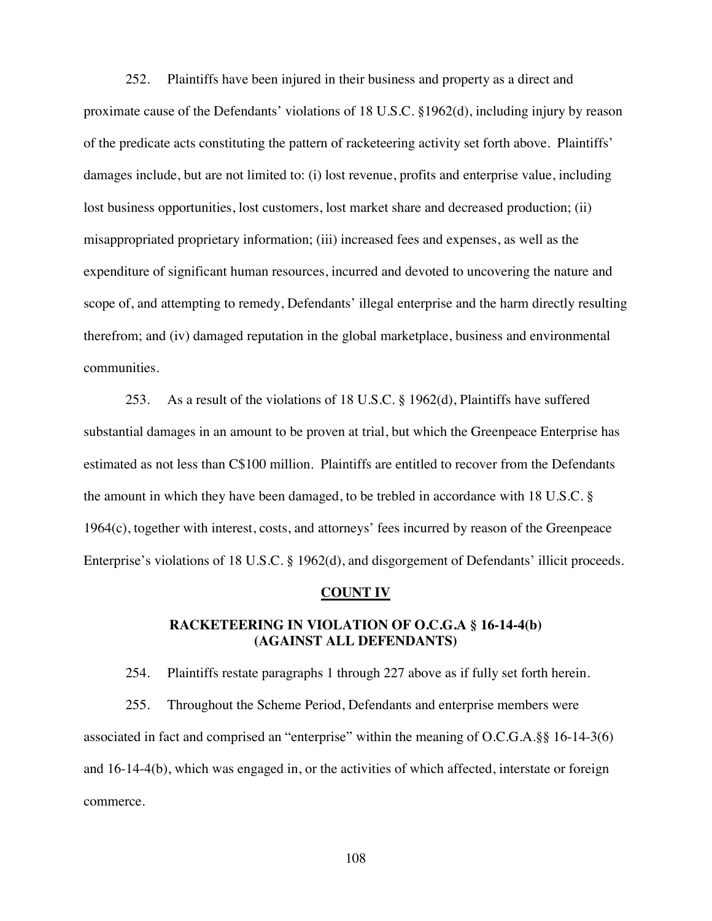252. Plaintiffs have been injured in their business and property as a direct and proximate cause of the Defendants' violations of 18 U.S.C. §1962(d), including injury by reason of the predicate acts constituting the pattern of racketeering activity set forth above. Plaintiffs' damages include, but are not limited to: (i) lost revenue, profits and enterprise value, including lost business opportunities, lost customers, lost market share and decreased production; (ii) misappropriated proprietary information; (iii) increased fees and expenses, as well as the expenditure of significant human resources, incurred and devoted to uncovering the nature and scope of, and attempting to remedy, Defendants' illegal enterprise and the harm directly resulting therefrom; and (iv) damaged reputation in the global marketplace, business and environmental communities.

253. As a result of the violations of 18 U.S.C. § 1962(d), Plaintiffs have suffered substantial damages in an amount to be proven at trial, but which the Greenpeace Enterprise has estimated as not less than C\$100 million. Plaintiffs are entitled to recover from the Defendants the amount in which they have been damaged, to be trebled in accordance with 18 U.S.C. § 1964(c), together with interest, costs, and attorneys' fees incurred by reason of the Greenpeace Enterprise's violations of 18 U.S.C. § 1962(d), and disgorgement of Defendants' illicit proceeds.

#### **COUNT IV**

## **RACKETEERING IN VIOLATION OF O.C.G.A § 16-14-4(b) (AGAINST ALL DEFENDANTS)**

254. Plaintiffs restate paragraphs 1 through 227 above as if fully set forth herein.

255. Throughout the Scheme Period, Defendants and enterprise members were associated in fact and comprised an "enterprise" within the meaning of O.C.G.A.§§ 16-14-3(6) and 16-14-4(b), which was engaged in, or the activities of which affected, interstate or foreign commerce.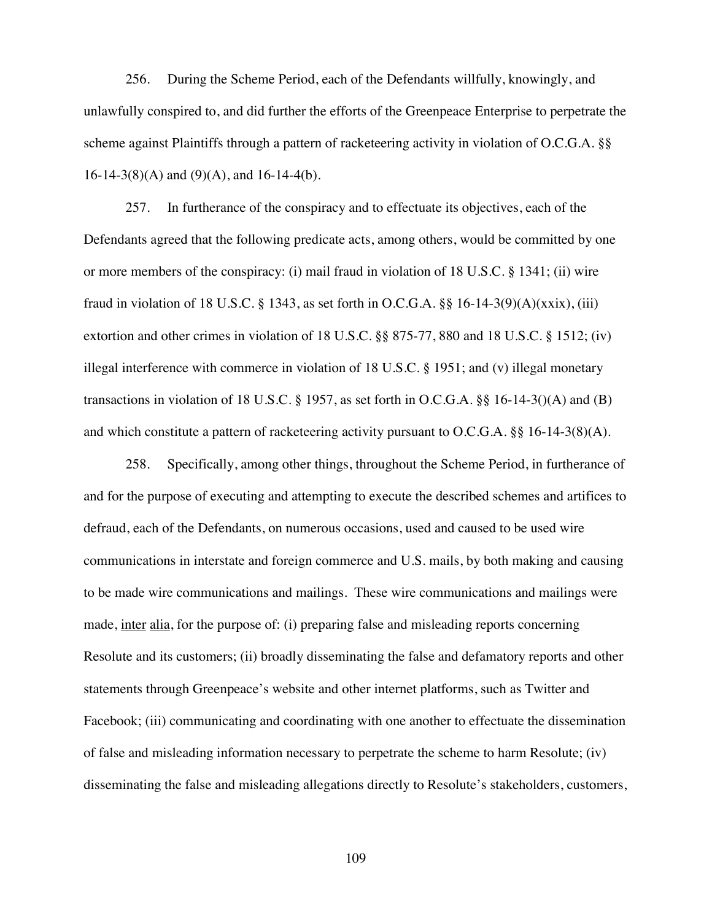256. During the Scheme Period, each of the Defendants willfully, knowingly, and unlawfully conspired to, and did further the efforts of the Greenpeace Enterprise to perpetrate the scheme against Plaintiffs through a pattern of racketeering activity in violation of O.C.G.A. §§ 16-14-3(8)(A) and (9)(A), and 16-14-4(b).

257. In furtherance of the conspiracy and to effectuate its objectives, each of the Defendants agreed that the following predicate acts, among others, would be committed by one or more members of the conspiracy: (i) mail fraud in violation of 18 U.S.C. § 1341; (ii) wire fraud in violation of 18 U.S.C. § 1343, as set forth in O.C.G.A. §§ 16-14-3(9)(A)(xxix), (iii) extortion and other crimes in violation of 18 U.S.C. §§ 875-77, 880 and 18 U.S.C. § 1512; (iv) illegal interference with commerce in violation of 18 U.S.C. § 1951; and (v) illegal monetary transactions in violation of 18 U.S.C. § 1957, as set forth in O.C.G.A. §§ 16-14-3()(A) and (B) and which constitute a pattern of racketeering activity pursuant to O.C.G.A.  $\S$  16-14-3(8)(A).

258. Specifically, among other things, throughout the Scheme Period, in furtherance of and for the purpose of executing and attempting to execute the described schemes and artifices to defraud, each of the Defendants, on numerous occasions, used and caused to be used wire communications in interstate and foreign commerce and U.S. mails, by both making and causing to be made wire communications and mailings. These wire communications and mailings were made, inter alia, for the purpose of: (i) preparing false and misleading reports concerning Resolute and its customers; (ii) broadly disseminating the false and defamatory reports and other statements through Greenpeace's website and other internet platforms, such as Twitter and Facebook; (iii) communicating and coordinating with one another to effectuate the dissemination of false and misleading information necessary to perpetrate the scheme to harm Resolute; (iv) disseminating the false and misleading allegations directly to Resolute's stakeholders, customers,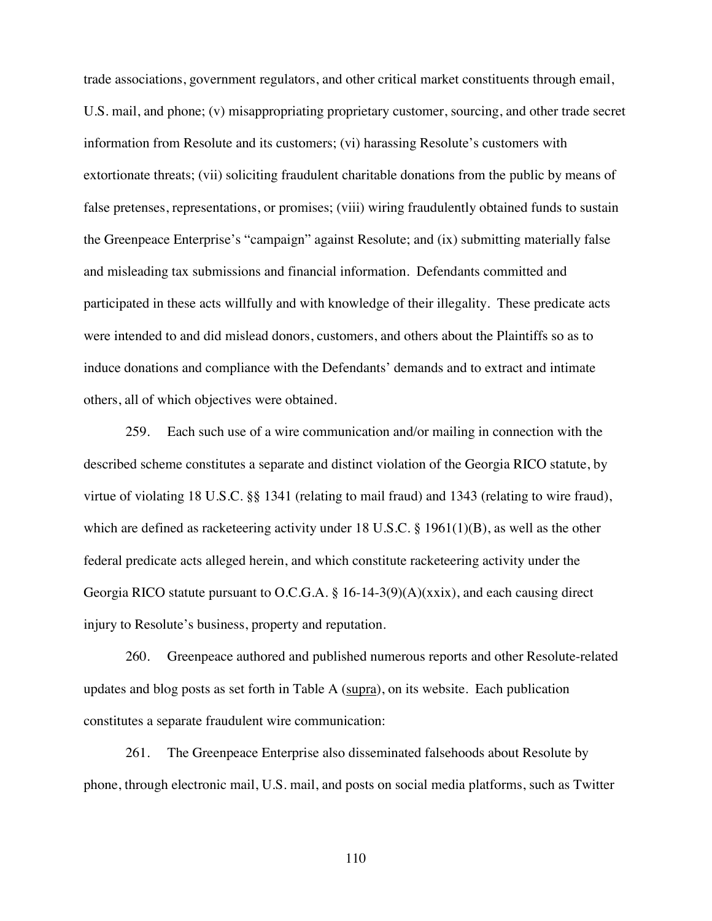trade associations, government regulators, and other critical market constituents through email, U.S. mail, and phone; (v) misappropriating proprietary customer, sourcing, and other trade secret information from Resolute and its customers; (vi) harassing Resolute's customers with extortionate threats; (vii) soliciting fraudulent charitable donations from the public by means of false pretenses, representations, or promises; (viii) wiring fraudulently obtained funds to sustain the Greenpeace Enterprise's "campaign" against Resolute; and (ix) submitting materially false and misleading tax submissions and financial information. Defendants committed and participated in these acts willfully and with knowledge of their illegality. These predicate acts were intended to and did mislead donors, customers, and others about the Plaintiffs so as to induce donations and compliance with the Defendants' demands and to extract and intimate others, all of which objectives were obtained.

259. Each such use of a wire communication and/or mailing in connection with the described scheme constitutes a separate and distinct violation of the Georgia RICO statute, by virtue of violating 18 U.S.C. §§ 1341 (relating to mail fraud) and 1343 (relating to wire fraud), which are defined as racketeering activity under 18 U.S.C. § 1961(1)(B), as well as the other federal predicate acts alleged herein, and which constitute racketeering activity under the Georgia RICO statute pursuant to O.C.G.A. § 16-14-3(9)(A)(xxix), and each causing direct injury to Resolute's business, property and reputation.

260. Greenpeace authored and published numerous reports and other Resolute-related updates and blog posts as set forth in Table A (supra), on its website. Each publication constitutes a separate fraudulent wire communication:

261. The Greenpeace Enterprise also disseminated falsehoods about Resolute by phone, through electronic mail, U.S. mail, and posts on social media platforms, such as Twitter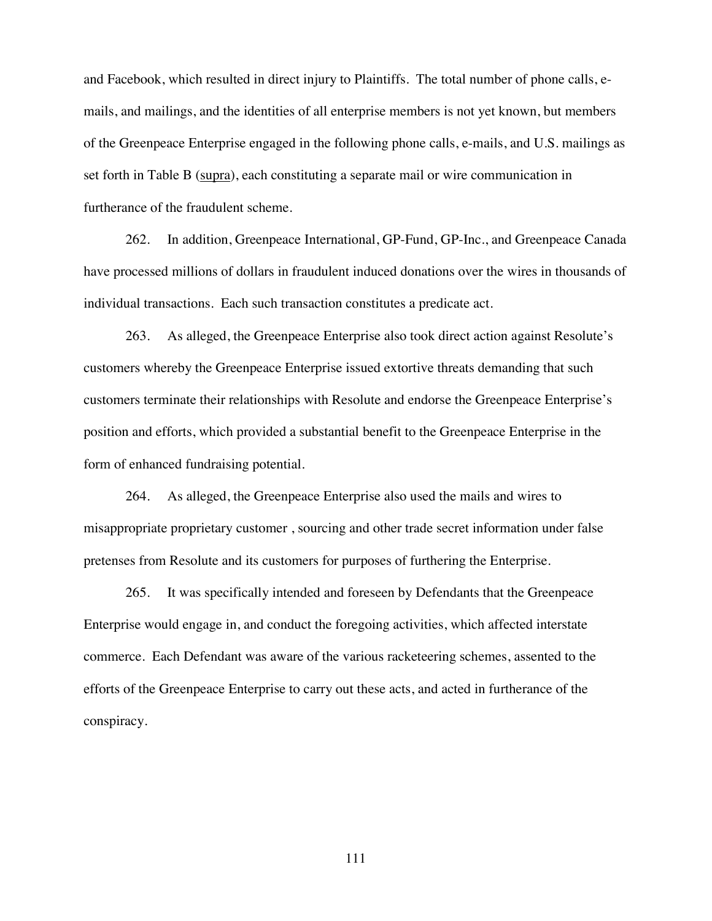and Facebook, which resulted in direct injury to Plaintiffs. The total number of phone calls, emails, and mailings, and the identities of all enterprise members is not yet known, but members of the Greenpeace Enterprise engaged in the following phone calls, e-mails, and U.S. mailings as set forth in Table B (supra), each constituting a separate mail or wire communication in furtherance of the fraudulent scheme.

262. In addition, Greenpeace International, GP-Fund, GP-Inc., and Greenpeace Canada have processed millions of dollars in fraudulent induced donations over the wires in thousands of individual transactions. Each such transaction constitutes a predicate act.

263. As alleged, the Greenpeace Enterprise also took direct action against Resolute's customers whereby the Greenpeace Enterprise issued extortive threats demanding that such customers terminate their relationships with Resolute and endorse the Greenpeace Enterprise's position and efforts, which provided a substantial benefit to the Greenpeace Enterprise in the form of enhanced fundraising potential.

264. As alleged, the Greenpeace Enterprise also used the mails and wires to misappropriate proprietary customer , sourcing and other trade secret information under false pretenses from Resolute and its customers for purposes of furthering the Enterprise.

265. It was specifically intended and foreseen by Defendants that the Greenpeace Enterprise would engage in, and conduct the foregoing activities, which affected interstate commerce. Each Defendant was aware of the various racketeering schemes, assented to the efforts of the Greenpeace Enterprise to carry out these acts, and acted in furtherance of the conspiracy.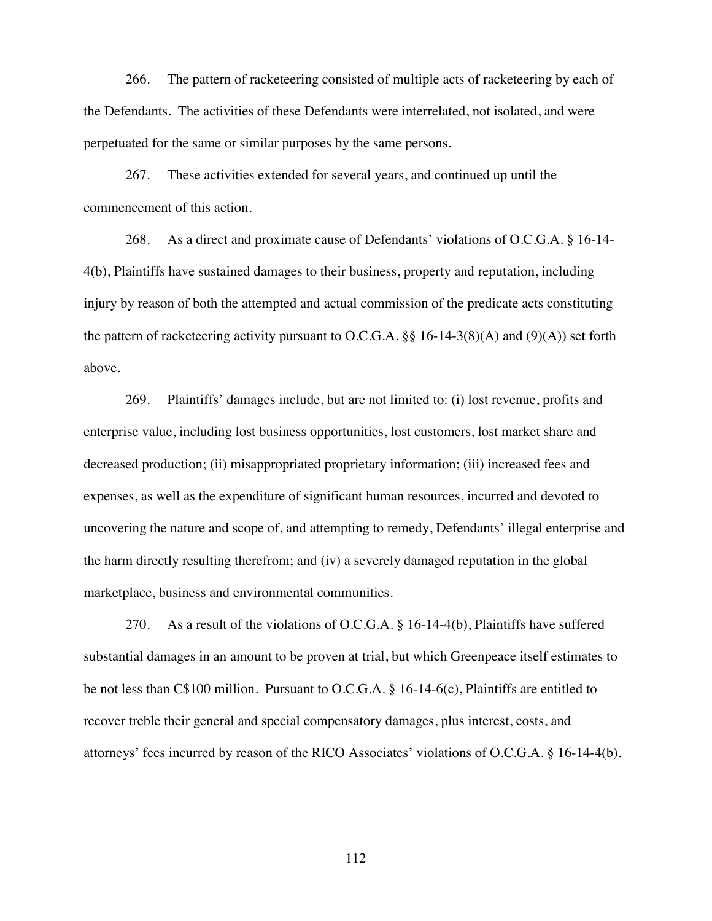266. The pattern of racketeering consisted of multiple acts of racketeering by each of the Defendants. The activities of these Defendants were interrelated, not isolated, and were perpetuated for the same or similar purposes by the same persons.

267. These activities extended for several years, and continued up until the commencement of this action.

268. As a direct and proximate cause of Defendants' violations of O.C.G.A. § 16-14- 4(b), Plaintiffs have sustained damages to their business, property and reputation, including injury by reason of both the attempted and actual commission of the predicate acts constituting the pattern of racketeering activity pursuant to O.C.G.A.  $\S\S 16$ -14-3(8)(A) and (9)(A)) set forth above.

269. Plaintiffs' damages include, but are not limited to: (i) lost revenue, profits and enterprise value, including lost business opportunities, lost customers, lost market share and decreased production; (ii) misappropriated proprietary information; (iii) increased fees and expenses, as well as the expenditure of significant human resources, incurred and devoted to uncovering the nature and scope of, and attempting to remedy, Defendants' illegal enterprise and the harm directly resulting therefrom; and (iv) a severely damaged reputation in the global marketplace, business and environmental communities.

270. As a result of the violations of O.C.G.A. § 16-14-4(b), Plaintiffs have suffered substantial damages in an amount to be proven at trial, but which Greenpeace itself estimates to be not less than C\$100 million. Pursuant to O.C.G.A. § 16-14-6(c), Plaintiffs are entitled to recover treble their general and special compensatory damages, plus interest, costs, and attorneys' fees incurred by reason of the RICO Associates' violations of O.C.G.A. § 16-14-4(b).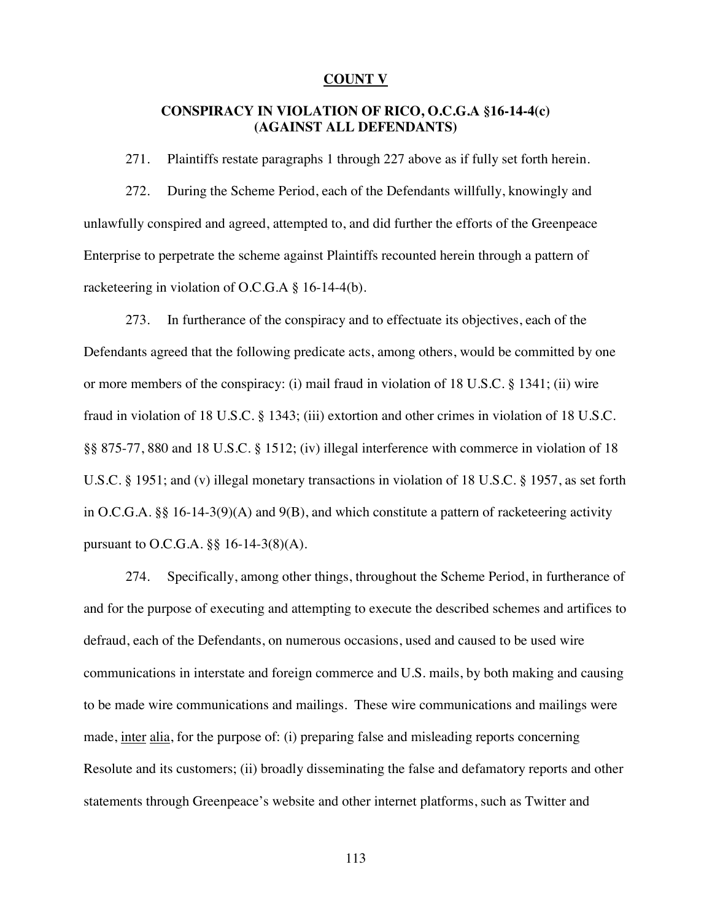#### **COUNT V**

### **CONSPIRACY IN VIOLATION OF RICO, O.C.G.A §16-14-4(c) (AGAINST ALL DEFENDANTS)**

271. Plaintiffs restate paragraphs 1 through 227 above as if fully set forth herein.

272. During the Scheme Period, each of the Defendants willfully, knowingly and unlawfully conspired and agreed, attempted to, and did further the efforts of the Greenpeace Enterprise to perpetrate the scheme against Plaintiffs recounted herein through a pattern of racketeering in violation of O.C.G.A § 16-14-4(b).

273. In furtherance of the conspiracy and to effectuate its objectives, each of the Defendants agreed that the following predicate acts, among others, would be committed by one or more members of the conspiracy: (i) mail fraud in violation of 18 U.S.C. § 1341; (ii) wire fraud in violation of 18 U.S.C. § 1343; (iii) extortion and other crimes in violation of 18 U.S.C. §§ 875-77, 880 and 18 U.S.C. § 1512; (iv) illegal interference with commerce in violation of 18 U.S.C. § 1951; and (v) illegal monetary transactions in violation of 18 U.S.C. § 1957, as set forth in O.C.G.A. §§ 16-14-3(9)(A) and 9(B), and which constitute a pattern of racketeering activity pursuant to O.C.G.A. §§ 16-14-3(8)(A).

274. Specifically, among other things, throughout the Scheme Period, in furtherance of and for the purpose of executing and attempting to execute the described schemes and artifices to defraud, each of the Defendants, on numerous occasions, used and caused to be used wire communications in interstate and foreign commerce and U.S. mails, by both making and causing to be made wire communications and mailings. These wire communications and mailings were made, inter alia, for the purpose of: (i) preparing false and misleading reports concerning Resolute and its customers; (ii) broadly disseminating the false and defamatory reports and other statements through Greenpeace's website and other internet platforms, such as Twitter and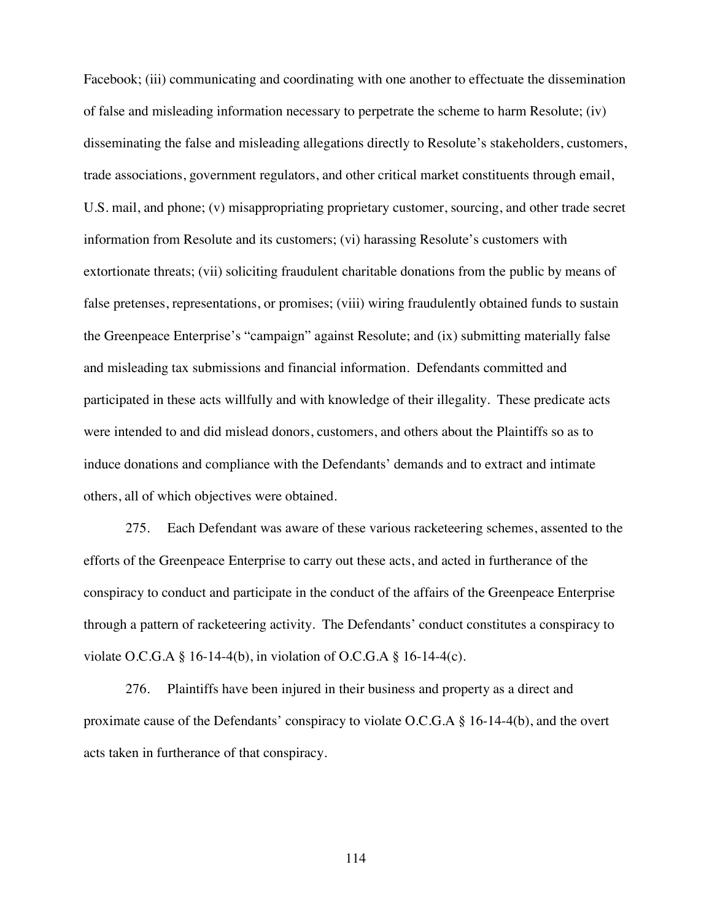Facebook; (iii) communicating and coordinating with one another to effectuate the dissemination of false and misleading information necessary to perpetrate the scheme to harm Resolute; (iv) disseminating the false and misleading allegations directly to Resolute's stakeholders, customers, trade associations, government regulators, and other critical market constituents through email, U.S. mail, and phone; (v) misappropriating proprietary customer, sourcing, and other trade secret information from Resolute and its customers; (vi) harassing Resolute's customers with extortionate threats; (vii) soliciting fraudulent charitable donations from the public by means of false pretenses, representations, or promises; (viii) wiring fraudulently obtained funds to sustain the Greenpeace Enterprise's "campaign" against Resolute; and (ix) submitting materially false and misleading tax submissions and financial information. Defendants committed and participated in these acts willfully and with knowledge of their illegality. These predicate acts were intended to and did mislead donors, customers, and others about the Plaintiffs so as to induce donations and compliance with the Defendants' demands and to extract and intimate others, all of which objectives were obtained.

275. Each Defendant was aware of these various racketeering schemes, assented to the efforts of the Greenpeace Enterprise to carry out these acts, and acted in furtherance of the conspiracy to conduct and participate in the conduct of the affairs of the Greenpeace Enterprise through a pattern of racketeering activity. The Defendants' conduct constitutes a conspiracy to violate O.C.G.A § 16-14-4(b), in violation of O.C.G.A § 16-14-4(c).

276. Plaintiffs have been injured in their business and property as a direct and proximate cause of the Defendants' conspiracy to violate O.C.G.A § 16-14-4(b), and the overt acts taken in furtherance of that conspiracy.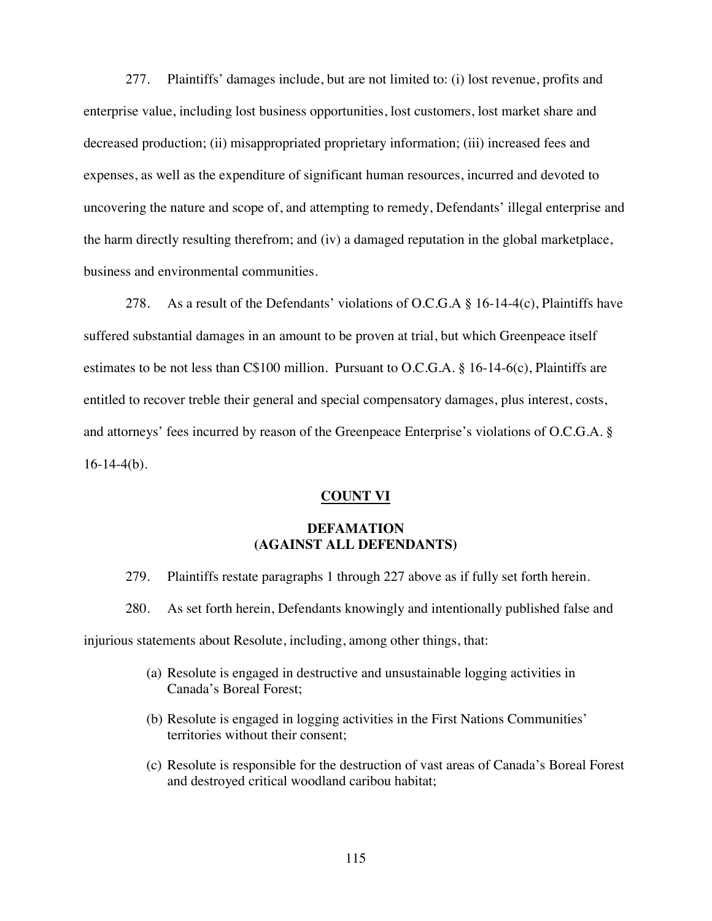277. Plaintiffs' damages include, but are not limited to: (i) lost revenue, profits and enterprise value, including lost business opportunities, lost customers, lost market share and decreased production; (ii) misappropriated proprietary information; (iii) increased fees and expenses, as well as the expenditure of significant human resources, incurred and devoted to uncovering the nature and scope of, and attempting to remedy, Defendants' illegal enterprise and the harm directly resulting therefrom; and (iv) a damaged reputation in the global marketplace, business and environmental communities.

278. As a result of the Defendants' violations of O.C.G.A  $\S$  16-14-4(c), Plaintiffs have suffered substantial damages in an amount to be proven at trial, but which Greenpeace itself estimates to be not less than C\$100 million. Pursuant to O.C.G.A. § 16-14-6(c), Plaintiffs are entitled to recover treble their general and special compensatory damages, plus interest, costs, and attorneys' fees incurred by reason of the Greenpeace Enterprise's violations of O.C.G.A. §  $16-14-4(b)$ .

#### **COUNT VI**

### **DEFAMATION (AGAINST ALL DEFENDANTS)**

- 279. Plaintiffs restate paragraphs 1 through 227 above as if fully set forth herein.
- 280. As set forth herein, Defendants knowingly and intentionally published false and

injurious statements about Resolute, including, among other things, that:

- (a) Resolute is engaged in destructive and unsustainable logging activities in Canada's Boreal Forest;
- (b) Resolute is engaged in logging activities in the First Nations Communities' territories without their consent;
- (c) Resolute is responsible for the destruction of vast areas of Canada's Boreal Forest and destroyed critical woodland caribou habitat;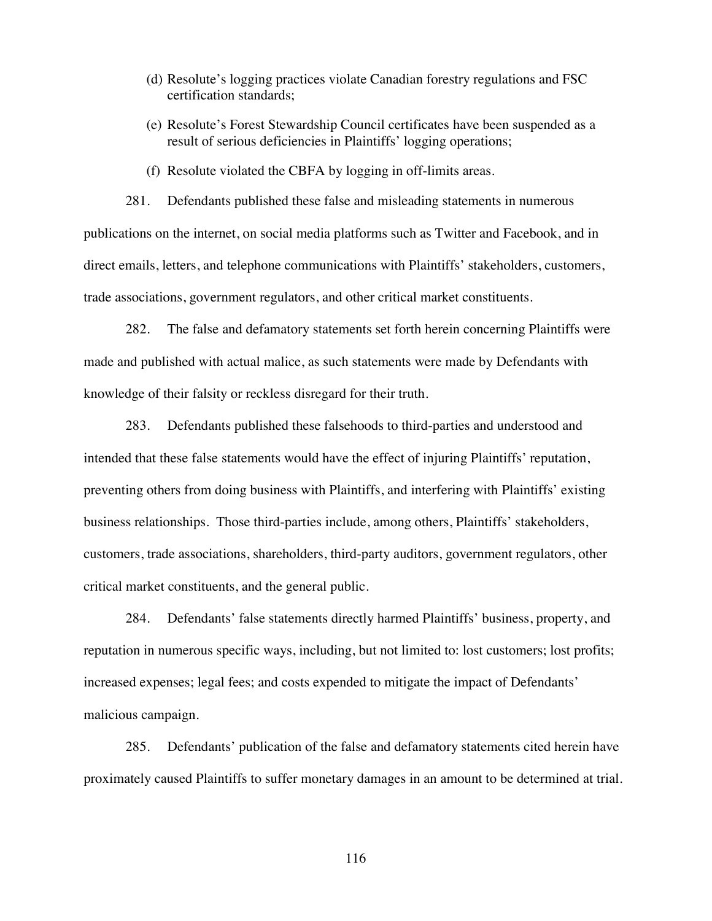- (d) Resolute's logging practices violate Canadian forestry regulations and FSC certification standards;
- (e) Resolute's Forest Stewardship Council certificates have been suspended as a result of serious deficiencies in Plaintiffs' logging operations;
- (f) Resolute violated the CBFA by logging in off-limits areas.

281. Defendants published these false and misleading statements in numerous publications on the internet, on social media platforms such as Twitter and Facebook, and in direct emails, letters, and telephone communications with Plaintiffs' stakeholders, customers, trade associations, government regulators, and other critical market constituents.

282. The false and defamatory statements set forth herein concerning Plaintiffs were made and published with actual malice, as such statements were made by Defendants with knowledge of their falsity or reckless disregard for their truth.

283. Defendants published these falsehoods to third-parties and understood and intended that these false statements would have the effect of injuring Plaintiffs' reputation, preventing others from doing business with Plaintiffs, and interfering with Plaintiffs' existing business relationships. Those third-parties include, among others, Plaintiffs' stakeholders, customers, trade associations, shareholders, third-party auditors, government regulators, other critical market constituents, and the general public.

284. Defendants' false statements directly harmed Plaintiffs' business, property, and reputation in numerous specific ways, including, but not limited to: lost customers; lost profits; increased expenses; legal fees; and costs expended to mitigate the impact of Defendants' malicious campaign.

285. Defendants' publication of the false and defamatory statements cited herein have proximately caused Plaintiffs to suffer monetary damages in an amount to be determined at trial.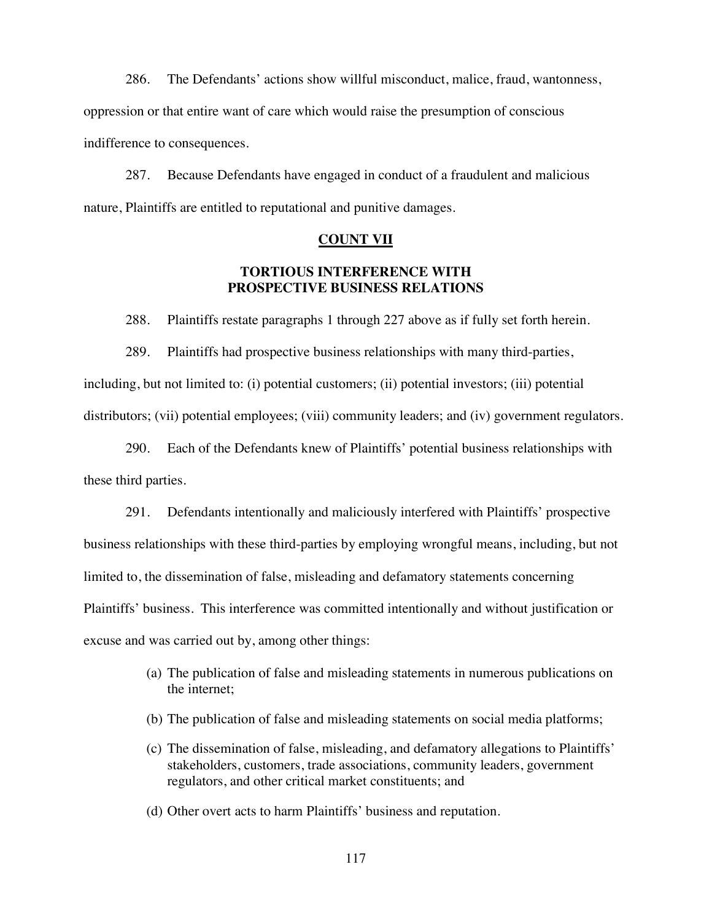286. The Defendants' actions show willful misconduct, malice, fraud, wantonness, oppression or that entire want of care which would raise the presumption of conscious indifference to consequences.

287. Because Defendants have engaged in conduct of a fraudulent and malicious nature, Plaintiffs are entitled to reputational and punitive damages.

#### **COUNT VII**

#### **TORTIOUS INTERFERENCE WITH PROSPECTIVE BUSINESS RELATIONS**

288. Plaintiffs restate paragraphs 1 through 227 above as if fully set forth herein.

289. Plaintiffs had prospective business relationships with many third-parties, including, but not limited to: (i) potential customers; (ii) potential investors; (iii) potential distributors; (vii) potential employees; (viii) community leaders; and (iv) government regulators.

290. Each of the Defendants knew of Plaintiffs' potential business relationships with these third parties.

291. Defendants intentionally and maliciously interfered with Plaintiffs' prospective business relationships with these third-parties by employing wrongful means, including, but not limited to, the dissemination of false, misleading and defamatory statements concerning Plaintiffs' business. This interference was committed intentionally and without justification or excuse and was carried out by, among other things:

- (a) The publication of false and misleading statements in numerous publications on the internet;
- (b) The publication of false and misleading statements on social media platforms;
- (c) The dissemination of false, misleading, and defamatory allegations to Plaintiffs' stakeholders, customers, trade associations, community leaders, government regulators, and other critical market constituents; and
- (d) Other overt acts to harm Plaintiffs' business and reputation.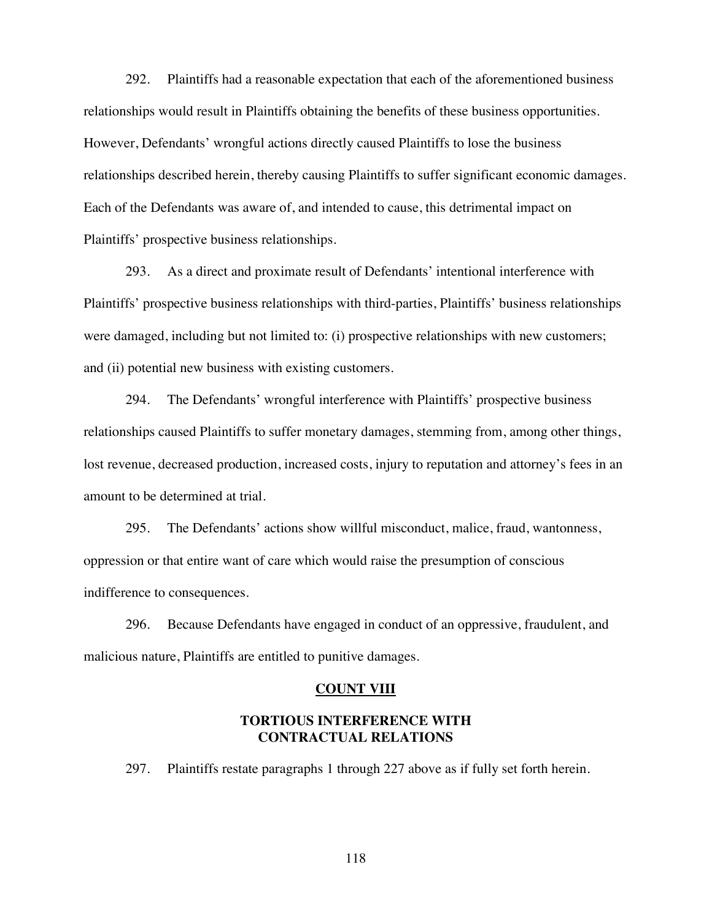292. Plaintiffs had a reasonable expectation that each of the aforementioned business relationships would result in Plaintiffs obtaining the benefits of these business opportunities. However, Defendants' wrongful actions directly caused Plaintiffs to lose the business relationships described herein, thereby causing Plaintiffs to suffer significant economic damages. Each of the Defendants was aware of, and intended to cause, this detrimental impact on Plaintiffs' prospective business relationships.

293. As a direct and proximate result of Defendants' intentional interference with Plaintiffs' prospective business relationships with third-parties, Plaintiffs' business relationships were damaged, including but not limited to: (i) prospective relationships with new customers; and (ii) potential new business with existing customers.

294. The Defendants' wrongful interference with Plaintiffs' prospective business relationships caused Plaintiffs to suffer monetary damages, stemming from, among other things, lost revenue, decreased production, increased costs, injury to reputation and attorney's fees in an amount to be determined at trial.

295. The Defendants' actions show willful misconduct, malice, fraud, wantonness, oppression or that entire want of care which would raise the presumption of conscious indifference to consequences.

296. Because Defendants have engaged in conduct of an oppressive, fraudulent, and malicious nature, Plaintiffs are entitled to punitive damages.

#### **COUNT VIII**

#### **TORTIOUS INTERFERENCE WITH CONTRACTUAL RELATIONS**

297. Plaintiffs restate paragraphs 1 through 227 above as if fully set forth herein.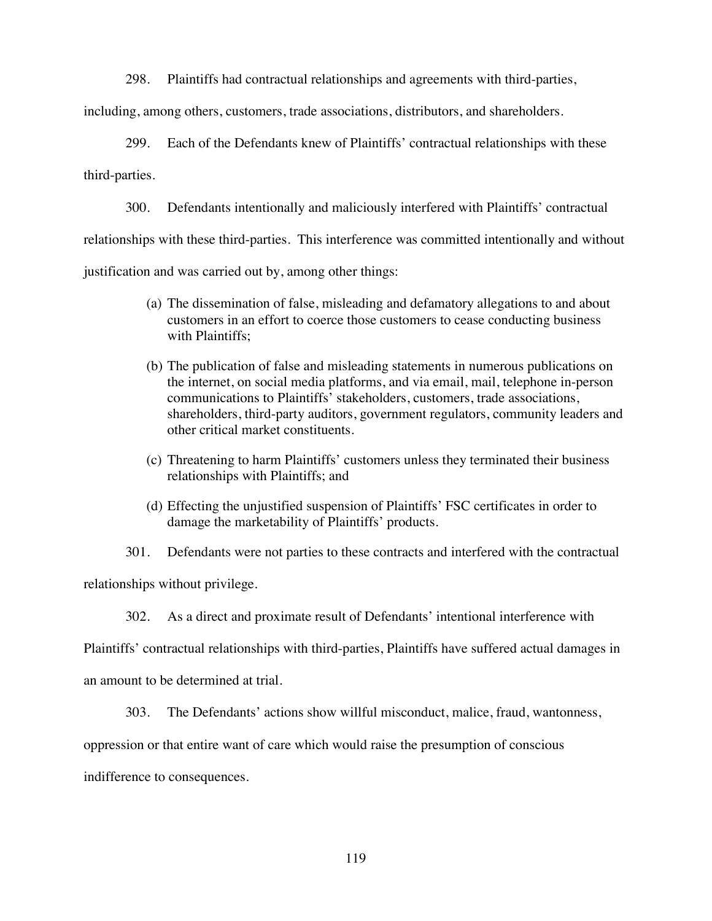298. Plaintiffs had contractual relationships and agreements with third-parties,

including, among others, customers, trade associations, distributors, and shareholders.

299. Each of the Defendants knew of Plaintiffs' contractual relationships with these third-parties.

300. Defendants intentionally and maliciously interfered with Plaintiffs' contractual

relationships with these third-parties. This interference was committed intentionally and without

justification and was carried out by, among other things:

- (a) The dissemination of false, misleading and defamatory allegations to and about customers in an effort to coerce those customers to cease conducting business with Plaintiffs;
- (b) The publication of false and misleading statements in numerous publications on the internet, on social media platforms, and via email, mail, telephone in-person communications to Plaintiffs' stakeholders, customers, trade associations, shareholders, third-party auditors, government regulators, community leaders and other critical market constituents.
- (c) Threatening to harm Plaintiffs' customers unless they terminated their business relationships with Plaintiffs; and
- (d) Effecting the unjustified suspension of Plaintiffs' FSC certificates in order to damage the marketability of Plaintiffs' products.

301. Defendants were not parties to these contracts and interfered with the contractual relationships without privilege.

302. As a direct and proximate result of Defendants' intentional interference with

Plaintiffs' contractual relationships with third-parties, Plaintiffs have suffered actual damages in an amount to be determined at trial.

303. The Defendants' actions show willful misconduct, malice, fraud, wantonness,

oppression or that entire want of care which would raise the presumption of conscious

indifference to consequences.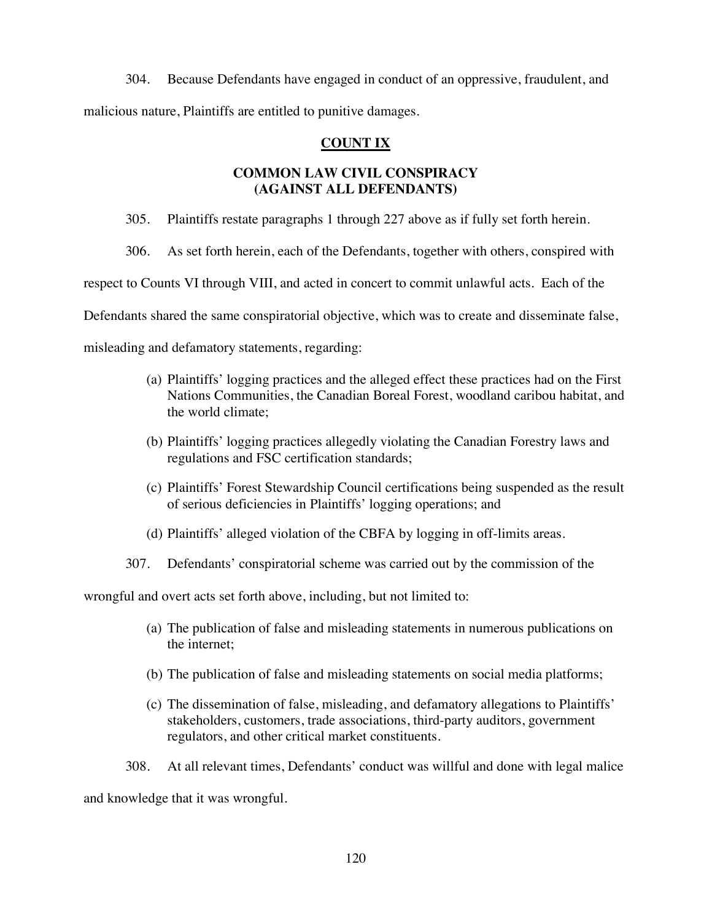304. Because Defendants have engaged in conduct of an oppressive, fraudulent, and malicious nature, Plaintiffs are entitled to punitive damages.

## **COUNT IX**

# **COMMON LAW CIVIL CONSPIRACY (AGAINST ALL DEFENDANTS)**

305. Plaintiffs restate paragraphs 1 through 227 above as if fully set forth herein.

306. As set forth herein, each of the Defendants, together with others, conspired with

respect to Counts VI through VIII, and acted in concert to commit unlawful acts. Each of the

Defendants shared the same conspiratorial objective, which was to create and disseminate false,

misleading and defamatory statements, regarding:

- (a) Plaintiffs' logging practices and the alleged effect these practices had on the First Nations Communities, the Canadian Boreal Forest, woodland caribou habitat, and the world climate;
- (b) Plaintiffs' logging practices allegedly violating the Canadian Forestry laws and regulations and FSC certification standards;
- (c) Plaintiffs' Forest Stewardship Council certifications being suspended as the result of serious deficiencies in Plaintiffs' logging operations; and
- (d) Plaintiffs' alleged violation of the CBFA by logging in off-limits areas.
- 307. Defendants' conspiratorial scheme was carried out by the commission of the

wrongful and overt acts set forth above, including, but not limited to:

- (a) The publication of false and misleading statements in numerous publications on the internet;
- (b) The publication of false and misleading statements on social media platforms;
- (c) The dissemination of false, misleading, and defamatory allegations to Plaintiffs' stakeholders, customers, trade associations, third-party auditors, government regulators, and other critical market constituents.
- 308. At all relevant times, Defendants' conduct was willful and done with legal malice

and knowledge that it was wrongful.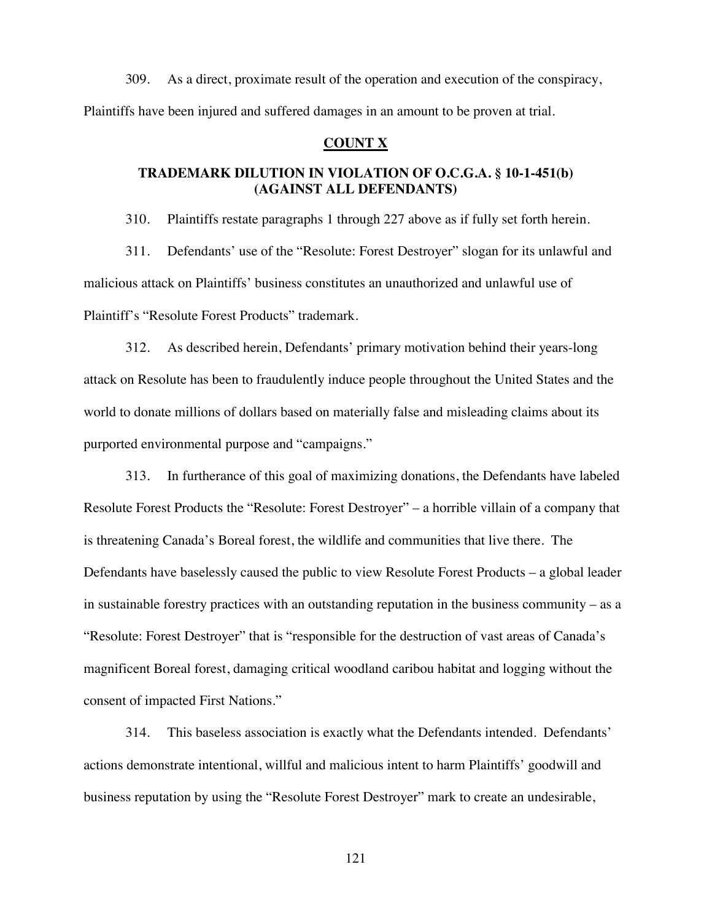309. As a direct, proximate result of the operation and execution of the conspiracy, Plaintiffs have been injured and suffered damages in an amount to be proven at trial.

### **COUNT X**

# **TRADEMARK DILUTION IN VIOLATION OF O.C.G.A. § 10-1-451(b) (AGAINST ALL DEFENDANTS)**

310. Plaintiffs restate paragraphs 1 through 227 above as if fully set forth herein.

311. Defendants' use of the "Resolute: Forest Destroyer" slogan for its unlawful and malicious attack on Plaintiffs' business constitutes an unauthorized and unlawful use of Plaintiff's "Resolute Forest Products" trademark.

312. As described herein, Defendants' primary motivation behind their years-long attack on Resolute has been to fraudulently induce people throughout the United States and the world to donate millions of dollars based on materially false and misleading claims about its purported environmental purpose and "campaigns."

313. In furtherance of this goal of maximizing donations, the Defendants have labeled Resolute Forest Products the "Resolute: Forest Destroyer" – a horrible villain of a company that is threatening Canada's Boreal forest, the wildlife and communities that live there. The Defendants have baselessly caused the public to view Resolute Forest Products – a global leader in sustainable forestry practices with an outstanding reputation in the business community – as a "Resolute: Forest Destroyer" that is "responsible for the destruction of vast areas of Canada's magnificent Boreal forest, damaging critical woodland caribou habitat and logging without the consent of impacted First Nations."

314. This baseless association is exactly what the Defendants intended. Defendants' actions demonstrate intentional, willful and malicious intent to harm Plaintiffs' goodwill and business reputation by using the "Resolute Forest Destroyer" mark to create an undesirable,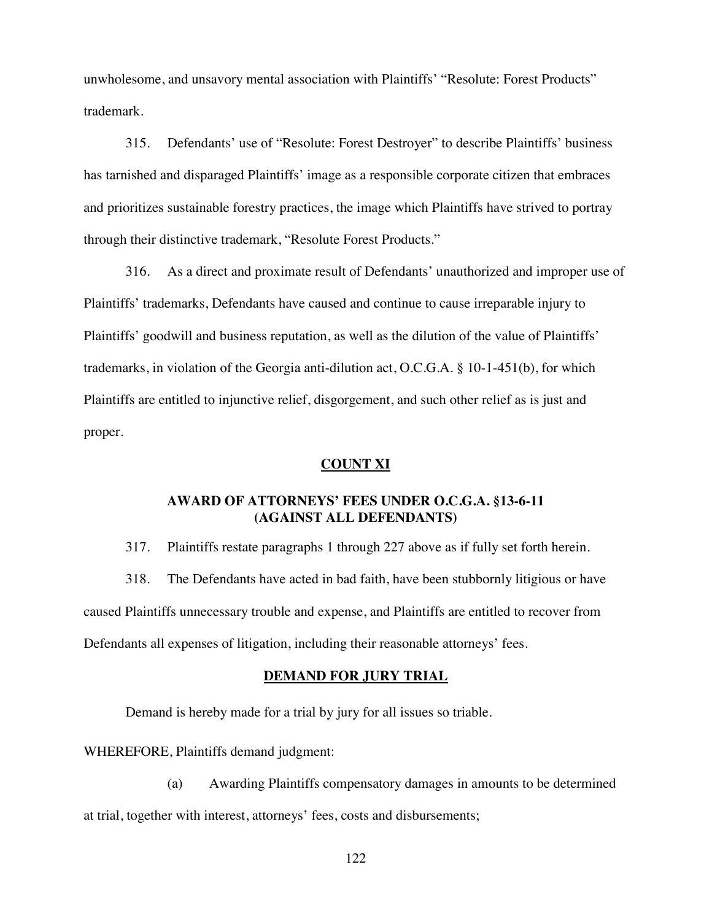unwholesome, and unsavory mental association with Plaintiffs' "Resolute: Forest Products" trademark.

315. Defendants' use of "Resolute: Forest Destroyer" to describe Plaintiffs' business has tarnished and disparaged Plaintiffs' image as a responsible corporate citizen that embraces and prioritizes sustainable forestry practices, the image which Plaintiffs have strived to portray through their distinctive trademark, "Resolute Forest Products."

316. As a direct and proximate result of Defendants' unauthorized and improper use of Plaintiffs' trademarks, Defendants have caused and continue to cause irreparable injury to Plaintiffs' goodwill and business reputation, as well as the dilution of the value of Plaintiffs' trademarks, in violation of the Georgia anti-dilution act, O.C.G.A. § 10-1-451(b), for which Plaintiffs are entitled to injunctive relief, disgorgement, and such other relief as is just and proper.

### **COUNT XI**

### **AWARD OF ATTORNEYS' FEES UNDER O.C.G.A. §13-6-11 (AGAINST ALL DEFENDANTS)**

317. Plaintiffs restate paragraphs 1 through 227 above as if fully set forth herein.

318. The Defendants have acted in bad faith, have been stubbornly litigious or have caused Plaintiffs unnecessary trouble and expense, and Plaintiffs are entitled to recover from Defendants all expenses of litigation, including their reasonable attorneys' fees.

#### **DEMAND FOR JURY TRIAL**

Demand is hereby made for a trial by jury for all issues so triable.

WHEREFORE, Plaintiffs demand judgment:

(a) Awarding Plaintiffs compensatory damages in amounts to be determined at trial, together with interest, attorneys' fees, costs and disbursements;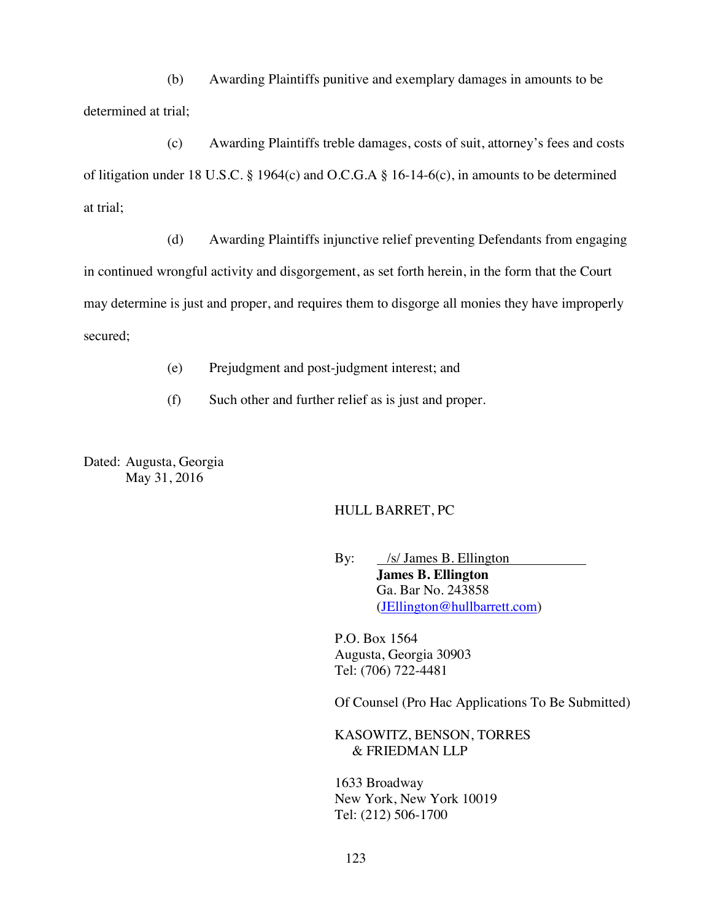(b) Awarding Plaintiffs punitive and exemplary damages in amounts to be determined at trial;

(c) Awarding Plaintiffs treble damages, costs of suit, attorney's fees and costs of litigation under 18 U.S.C. § 1964(c) and O.C.G.A § 16-14-6(c), in amounts to be determined at trial;

(d) Awarding Plaintiffs injunctive relief preventing Defendants from engaging in continued wrongful activity and disgorgement, as set forth herein, in the form that the Court may determine is just and proper, and requires them to disgorge all monies they have improperly secured;

(e) Prejudgment and post-judgment interest; and

(f) Such other and further relief as is just and proper.

Dated: Augusta, Georgia May 31, 2016

#### HULL BARRET, PC

By: /s/ James B. Ellington **James B. Ellington** Ga. Bar No. 243858 (JEllington@hullbarrett.com)

P.O. Box 1564 Augusta, Georgia 30903 Tel: (706) 722-4481

Of Counsel (Pro Hac Applications To Be Submitted)

KASOWITZ, BENSON, TORRES & FRIEDMAN LLP

1633 Broadway New York, New York 10019 Tel: (212) 506-1700